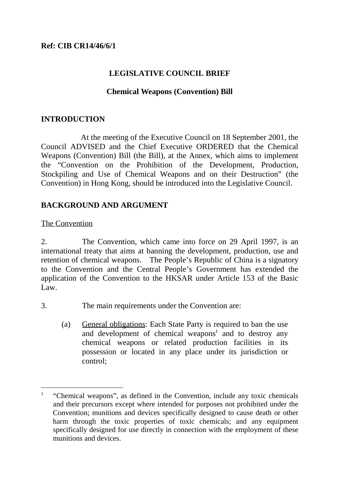## **LEGISLATIVE COUNCIL BRIEF**

### **Chemical Weapons (Convention) Bill**

### **INTRODUCTION**

At the meeting of the Executive Council on 18 September 2001, the Council ADVISED and the Chief Executive ORDERED that the Chemical Weapons (Convention) Bill (the Bill), at the Annex, which aims to implement the "Convention on the Prohibition of the Development, Production, Stockpiling and Use of Chemical Weapons and on their Destruction" (the Convention) in Hong Kong, should be introduced into the Legislative Council.

## **BACKGROUND AND ARGUMENT**

### The Convention

2. The Convention, which came into force on 29 April 1997, is an international treaty that aims at banning the development, production, use and retention of chemical weapons. The People's Republic of China is a signatory to the Convention and the Central People's Government has extended the application of the Convention to the HKSAR under Article 153 of the Basic Law.

3. The main requirements under the Convention are:

(a) General obligations: Each State Party is required to ban the use and development of chemical weapons<sup>1</sup> and to destroy any chemical weapons or related production facilities in its possession or located in any place under its jurisdiction or control;

l 1 "Chemical weapons", as defined in the Convention, include any toxic chemicals and their precursors except where intended for purposes not prohibited under the Convention; munitions and devices specifically designed to cause death or other harm through the toxic properties of toxic chemicals; and any equipment specifically designed for use directly in connection with the employment of these munitions and devices.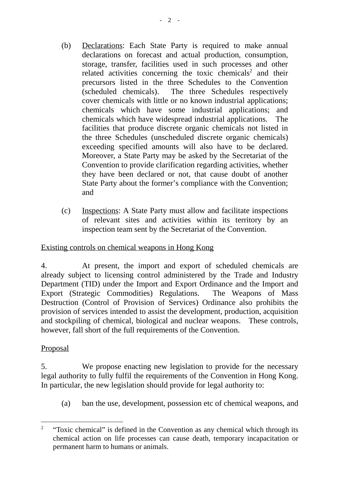- (b) Declarations: Each State Party is required to make annual declarations on forecast and actual production, consumption, storage, transfer, facilities used in such processes and other related activities concerning the toxic chemicals<sup>2</sup> and their precursors listed in the three Schedules to the Convention (scheduled chemicals). The three Schedules respectively cover chemicals with little or no known industrial applications; chemicals which have some industrial applications; and chemicals which have widespread industrial applications. The facilities that produce discrete organic chemicals not listed in the three Schedules (unscheduled discrete organic chemicals) exceeding specified amounts will also have to be declared. Moreover, a State Party may be asked by the Secretariat of the Convention to provide clarification regarding activities, whether they have been declared or not, that cause doubt of another State Party about the former's compliance with the Convention; and
- (c) Inspections: A State Party must allow and facilitate inspections of relevant sites and activities within its territory by an inspection team sent by the Secretariat of the Convention.

# Existing controls on chemical weapons in Hong Kong

4. At present, the import and export of scheduled chemicals are already subject to licensing control administered by the Trade and Industry Department (TID) under the Import and Export Ordinance and the Import and Export (Strategic Commodities) Regulations. The Weapons of Mass Destruction (Control of Provision of Services) Ordinance also prohibits the provision of services intended to assist the development, production, acquisition and stockpiling of chemical, biological and nuclear weapons. These controls, however, fall short of the full requirements of the Convention.

# **Proposal**

5. We propose enacting new legislation to provide for the necessary legal authority to fully fulfil the requirements of the Convention in Hong Kong. In particular, the new legislation should provide for legal authority to:

(a) ban the use, development, possession etc of chemical weapons, and

 $\overline{a}$ 2 "Toxic chemical" is defined in the Convention as any chemical which through its chemical action on life processes can cause death, temporary incapacitation or permanent harm to humans or animals.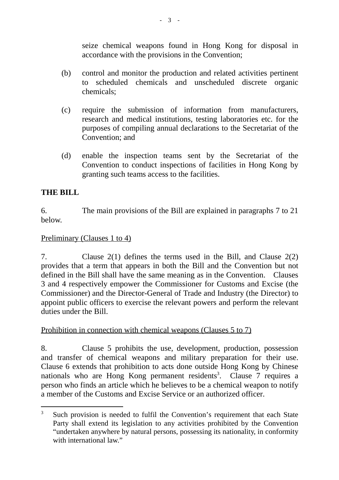seize chemical weapons found in Hong Kong for disposal in accordance with the provisions in the Convention;

- (b) control and monitor the production and related activities pertinent to scheduled chemicals and unscheduled discrete organic chemicals;
- (c) require the submission of information from manufacturers, research and medical institutions, testing laboratories etc. for the purposes of compiling annual declarations to the Secretariat of the Convention; and
- (d) enable the inspection teams sent by the Secretariat of the Convention to conduct inspections of facilities in Hong Kong by granting such teams access to the facilities.

# **THE BILL**

 $\overline{a}$ 

6. The main provisions of the Bill are explained in paragraphs 7 to 21 below.

## Preliminary (Clauses 1 to 4)

7. Clause 2(1) defines the terms used in the Bill, and Clause 2(2) provides that a term that appears in both the Bill and the Convention but not defined in the Bill shall have the same meaning as in the Convention. Clauses 3 and 4 respectively empower the Commissioner for Customs and Excise (the Commissioner) and the Director-General of Trade and Industry (the Director) to appoint public officers to exercise the relevant powers and perform the relevant duties under the Bill.

# Prohibition in connection with chemical weapons (Clauses 5 to 7)

8. Clause 5 prohibits the use, development, production, possession and transfer of chemical weapons and military preparation for their use. Clause 6 extends that prohibition to acts done outside Hong Kong by Chinese nationals who are Hong Kong permanent residents<sup>3</sup>. Clause 7 requires a person who finds an article which he believes to be a chemical weapon to notify a member of the Customs and Excise Service or an authorized officer.

<sup>3</sup> Such provision is needed to fulfil the Convention's requirement that each State Party shall extend its legislation to any activities prohibited by the Convention "undertaken anywhere by natural persons, possessing its nationality, in conformity with international law."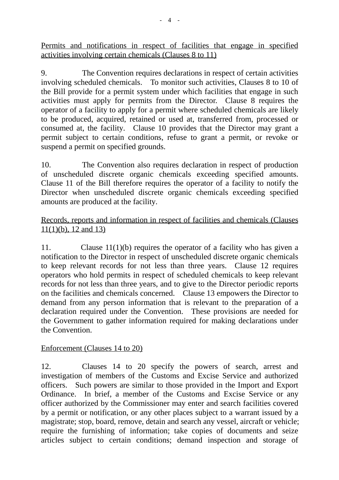Permits and notifications in respect of facilities that engage in specified activities involving certain chemicals (Clauses 8 to 11)

9. The Convention requires declarations in respect of certain activities involving scheduled chemicals. To monitor such activities, Clauses 8 to 10 of the Bill provide for a permit system under which facilities that engage in such activities must apply for permits from the Director. Clause 8 requires the operator of a facility to apply for a permit where scheduled chemicals are likely to be produced, acquired, retained or used at, transferred from, processed or consumed at, the facility. Clause 10 provides that the Director may grant a permit subject to certain conditions, refuse to grant a permit, or revoke or suspend a permit on specified grounds.

10. The Convention also requires declaration in respect of production of unscheduled discrete organic chemicals exceeding specified amounts. Clause 11 of the Bill therefore requires the operator of a facility to notify the Director when unscheduled discrete organic chemicals exceeding specified amounts are produced at the facility.

## Records, reports and information in respect of facilities and chemicals (Clauses 11(1)(b), 12 and 13)

11. Clause 11(1)(b) requires the operator of a facility who has given a notification to the Director in respect of unscheduled discrete organic chemicals to keep relevant records for not less than three years. Clause 12 requires operators who hold permits in respect of scheduled chemicals to keep relevant records for not less than three years, and to give to the Director periodic reports on the facilities and chemicals concerned. Clause 13 empowers the Director to demand from any person information that is relevant to the preparation of a declaration required under the Convention. These provisions are needed for the Government to gather information required for making declarations under the Convention.

# Enforcement (Clauses 14 to 20)

12. Clauses 14 to 20 specify the powers of search, arrest and investigation of members of the Customs and Excise Service and authorized officers. Such powers are similar to those provided in the Import and Export Ordinance. In brief, a member of the Customs and Excise Service or any officer authorized by the Commissioner may enter and search facilities covered by a permit or notification, or any other places subject to a warrant issued by a magistrate; stop, board, remove, detain and search any vessel, aircraft or vehicle; require the furnishing of information; take copies of documents and seize articles subject to certain conditions; demand inspection and storage of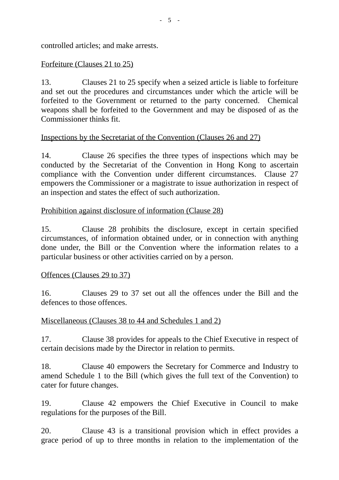controlled articles; and make arrests.

## Forfeiture (Clauses 21 to 25)

13. Clauses 21 to 25 specify when a seized article is liable to forfeiture and set out the procedures and circumstances under which the article will be forfeited to the Government or returned to the party concerned. Chemical weapons shall be forfeited to the Government and may be disposed of as the Commissioner thinks fit.

## Inspections by the Secretariat of the Convention (Clauses 26 and 27)

14. Clause 26 specifies the three types of inspections which may be conducted by the Secretariat of the Convention in Hong Kong to ascertain compliance with the Convention under different circumstances. Clause 27 empowers the Commissioner or a magistrate to issue authorization in respect of an inspection and states the effect of such authorization.

## Prohibition against disclosure of information (Clause 28)

15. Clause 28 prohibits the disclosure, except in certain specified circumstances, of information obtained under, or in connection with anything done under, the Bill or the Convention where the information relates to a particular business or other activities carried on by a person.

### Offences (Clauses 29 to 37)

16. Clauses 29 to 37 set out all the offences under the Bill and the defences to those offences.

### Miscellaneous (Clauses 38 to 44 and Schedules 1 and 2)

17. Clause 38 provides for appeals to the Chief Executive in respect of certain decisions made by the Director in relation to permits.

18. Clause 40 empowers the Secretary for Commerce and Industry to amend Schedule 1 to the Bill (which gives the full text of the Convention) to cater for future changes.

19. Clause 42 empowers the Chief Executive in Council to make regulations for the purposes of the Bill.

20. Clause 43 is a transitional provision which in effect provides a grace period of up to three months in relation to the implementation of the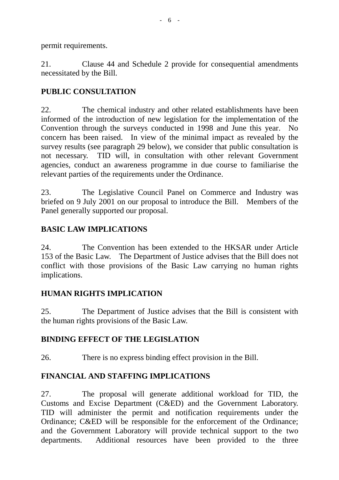permit requirements.

21. Clause 44 and Schedule 2 provide for consequential amendments necessitated by the Bill.

# **PUBLIC CONSULTATION**

22. The chemical industry and other related establishments have been informed of the introduction of new legislation for the implementation of the Convention through the surveys conducted in 1998 and June this year. No concern has been raised. In view of the minimal impact as revealed by the survey results (see paragraph 29 below), we consider that public consultation is not necessary. TID will, in consultation with other relevant Government agencies, conduct an awareness programme in due course to familiarise the relevant parties of the requirements under the Ordinance.

23. The Legislative Council Panel on Commerce and Industry was briefed on 9 July 2001 on our proposal to introduce the Bill. Members of the Panel generally supported our proposal.

# **BASIC LAW IMPLICATIONS**

24. The Convention has been extended to the HKSAR under Article 153 of the Basic Law. The Department of Justice advises that the Bill does not conflict with those provisions of the Basic Law carrying no human rights implications.

# **HUMAN RIGHTS IMPLICATION**

25. The Department of Justice advises that the Bill is consistent with the human rights provisions of the Basic Law.

### **BINDING EFFECT OF THE LEGISLATION**

26. There is no express binding effect provision in the Bill.

# **FINANCIAL AND STAFFING IMPLICATIONS**

27. The proposal will generate additional workload for TID, the Customs and Excise Department (C&ED) and the Government Laboratory. TID will administer the permit and notification requirements under the Ordinance; C&ED will be responsible for the enforcement of the Ordinance; and the Government Laboratory will provide technical support to the two departments. Additional resources have been provided to the three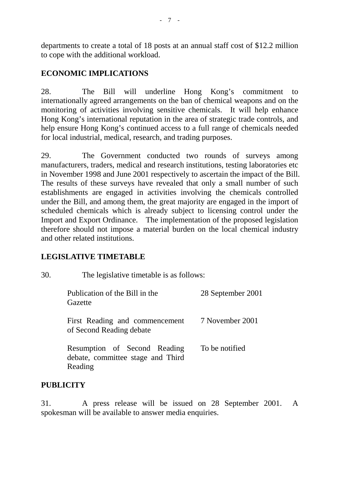departments to create a total of 18 posts at an annual staff cost of \$12.2 million to cope with the additional workload.

## **ECONOMIC IMPLICATIONS**

28. The Bill will underline Hong Kong's commitment to internationally agreed arrangements on the ban of chemical weapons and on the monitoring of activities involving sensitive chemicals. It will help enhance Hong Kong's international reputation in the area of strategic trade controls, and help ensure Hong Kong's continued access to a full range of chemicals needed for local industrial, medical, research, and trading purposes.

29. The Government conducted two rounds of surveys among manufacturers, traders, medical and research institutions, testing laboratories etc in November 1998 and June 2001 respectively to ascertain the impact of the Bill. The results of these surveys have revealed that only a small number of such establishments are engaged in activities involving the chemicals controlled under the Bill, and among them, the great majority are engaged in the import of scheduled chemicals which is already subject to licensing control under the Import and Export Ordinance. The implementation of the proposed legislation therefore should not impose a material burden on the local chemical industry and other related institutions.

### **LEGISLATIVE TIMETABLE**

| 30. | The legislative timetable is as follows:                                     |                   |
|-----|------------------------------------------------------------------------------|-------------------|
|     | Publication of the Bill in the<br>Gazette                                    | 28 September 2001 |
|     | First Reading and commencement<br>of Second Reading debate                   | 7 November 2001   |
|     | Resumption of Second Reading<br>debate, committee stage and Third<br>Reading | To be notified    |

# **PUBLICITY**

31. A press release will be issued on 28 September 2001. A spokesman will be available to answer media enquiries.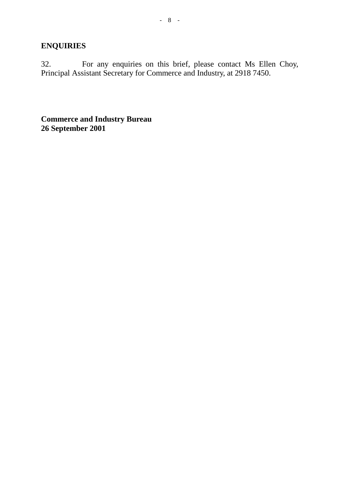# **ENQUIRIES**

32. For any enquiries on this brief, please contact Ms Ellen Choy, Principal Assistant Secretary for Commerce and Industry, at 2918 7450.

**Commerce and Industry Bureau 26 September 2001**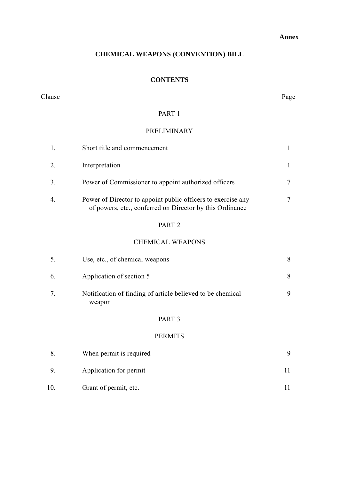#### **Annex**

### **CHEMICAL WEAPONS (CONVENTION) BILL**

### **CONTENTS**

#### Clause Page

### PART 1

## PRELIMINARY

|                       | Short title and commencement                                                                                             |  |
|-----------------------|--------------------------------------------------------------------------------------------------------------------------|--|
| 2.                    | Interpretation                                                                                                           |  |
| 3.                    | Power of Commissioner to appoint authorized officers                                                                     |  |
| $\mathcal{A}_{\cdot}$ | Power of Director to appoint public officers to exercise any<br>of powers, etc., conferred on Director by this Ordinance |  |

### PART 2

### CHEMICAL WEAPONS

| 5. | Use, etc., of chemical weapons                                       | 8 |
|----|----------------------------------------------------------------------|---|
| 6. | Application of section 5                                             | 8 |
| 7. | Notification of finding of article believed to be chemical<br>weapon | 9 |
|    | PART <sub>3</sub>                                                    |   |

### PERMITS

|     | When permit is required |  |
|-----|-------------------------|--|
|     | Application for permit  |  |
| 10. | Grant of permit, etc.   |  |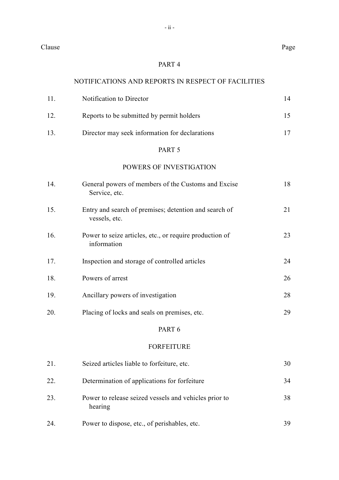Clause Page

#### PART 4

### NOTIFICATIONS AND REPORTS IN RESPECT OF FACILITIES

| 11 | Notification to Director                       |  |
|----|------------------------------------------------|--|
| 12 | Reports to be submitted by permit holders      |  |
| 13 | Director may seek information for declarations |  |

### PART 5

### POWERS OF INVESTIGATION

| 14. | General powers of members of the Customs and Excise<br>Service, etc.   | 18 |
|-----|------------------------------------------------------------------------|----|
| 15. | Entry and search of premises; detention and search of<br>vessels, etc. | 21 |
| 16. | Power to seize articles, etc., or require production of<br>information | 23 |
| 17. | Inspection and storage of controlled articles                          | 24 |
| 18. | Powers of arrest                                                       | 26 |
| 19. | Ancillary powers of investigation                                      | 28 |
| 20. | Placing of locks and seals on premises, etc.                           | 29 |
|     | PART 6                                                                 |    |
|     | <b>FORFEITURE</b>                                                      |    |
| 21. | Seized articles liable to forfeiture, etc.                             | 30 |
| 22. | Determination of applications for forfeiture                           | 34 |
| 23. | Power to release seized vessels and vehicles prior to<br>hearing       | 38 |
| 24. | Power to dispose, etc., of perishables, etc.                           | 39 |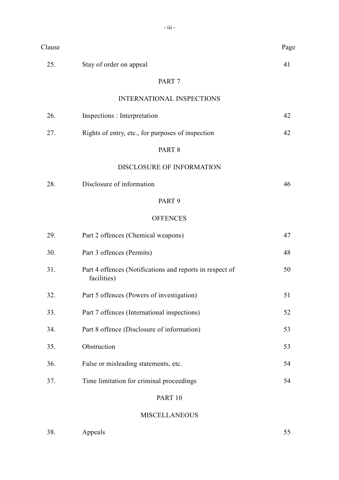| Clause |                                                                         | Page |
|--------|-------------------------------------------------------------------------|------|
| 25.    | Stay of order on appeal                                                 | 41   |
|        | PART <sub>7</sub>                                                       |      |
|        | <b>INTERNATIONAL INSPECTIONS</b>                                        |      |
| 26.    | Inspections : Interpretation                                            | 42   |
| 27.    | Rights of entry, etc., for purposes of inspection                       | 42   |
|        | PART <sub>8</sub>                                                       |      |
|        | DISCLOSURE OF INFORMATION                                               |      |
| 28.    | Disclosure of information                                               | 46   |
|        | PART <sub>9</sub>                                                       |      |
|        | <b>OFFENCES</b>                                                         |      |
| 29.    | Part 2 offences (Chemical weapons)                                      | 47   |
| 30.    | Part 3 offences (Permits)                                               | 48   |
| 31.    | Part 4 offences (Notifications and reports in respect of<br>facilities) | 50   |
| 32.    | Part 5 offences (Powers of investigation)                               | 51   |
| 33.    | Part 7 offences (International inspections)                             | 52   |
| 34.    | Part 8 offence (Disclosure of information)                              | 53   |
| 35.    | Obstruction                                                             | 53   |
| 36.    | False or misleading statements, etc.                                    | 54   |
| 37.    | Time limitation for criminal proceedings                                | 54   |
|        | PART 10                                                                 |      |

### MISCELLANEOUS

38. Appeals 55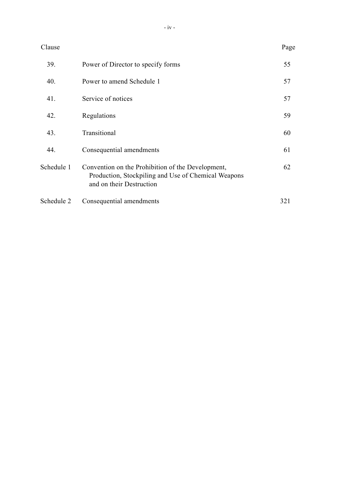| Clause     |                                                                                                                                      | Page |
|------------|--------------------------------------------------------------------------------------------------------------------------------------|------|
| 39.        | Power of Director to specify forms                                                                                                   | 55   |
| 40.        | Power to amend Schedule 1                                                                                                            | 57   |
| 41.        | Service of notices                                                                                                                   | 57   |
| 42.        | Regulations                                                                                                                          | 59   |
| 43.        | Transitional                                                                                                                         | 60   |
| 44.        | Consequential amendments                                                                                                             | 61   |
| Schedule 1 | Convention on the Prohibition of the Development,<br>Production, Stockpiling and Use of Chemical Weapons<br>and on their Destruction | 62   |
| Schedule 2 | Consequential amendments                                                                                                             | 321  |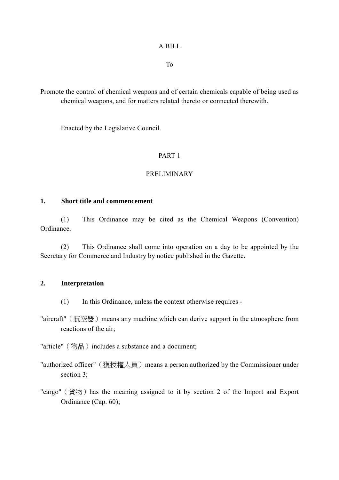To

Promote the control of chemical weapons and of certain chemicals capable of being used as chemical weapons, and for matters related thereto or connected therewith.

Enacted by the Legislative Council.

### PART 1

### PRELIMINARY

### **1. Short title and commencement**

(1) This Ordinance may be cited as the Chemical Weapons (Convention) Ordinance.

(2) This Ordinance shall come into operation on a day to be appointed by the Secretary for Commerce and Industry by notice published in the Gazette.

### **2. Interpretation**

- (1) In this Ordinance, unless the context otherwise requires -
- "aircraft" (航空器) means any machine which can derive support in the atmosphere from reactions of the air;

"article" (物品) includes a substance and a document;

"authorized officer" (獲授權人員) means a person authorized by the Commissioner under section 3:

"cargo" (貨物) has the meaning assigned to it by section 2 of the Import and Export Ordinance (Cap. 60);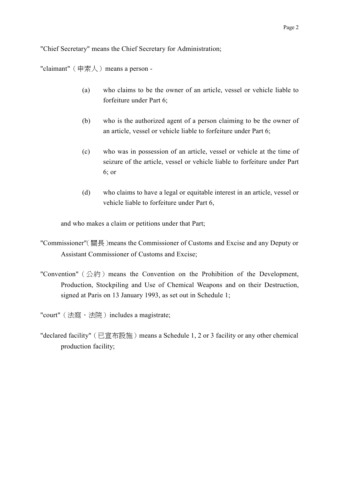"Chief Secretary" means the Chief Secretary for Administration;

"claimant"  $(\nexists \nexists \lambda)$  means a person -

- (a) who claims to be the owner of an article, vessel or vehicle liable to forfeiture under Part 6;
- (b) who is the authorized agent of a person claiming to be the owner of an article, vessel or vehicle liable to forfeiture under Part 6;
- (c) who was in possession of an article, vessel or vehicle at the time of seizure of the article, vessel or vehicle liable to forfeiture under Part 6; or
- (d) who claims to have a legal or equitable interest in an article, vessel or vehicle liable to forfeiture under Part 6,

and who makes a claim or petitions under that Part;

- "Commissioner"(關長)means the Commissioner of Customs and Excise and any Deputy or Assistant Commissioner of Customs and Excise;
- "Convention" (公約) means the Convention on the Prohibition of the Development, Production, Stockpiling and Use of Chemical Weapons and on their Destruction, signed at Paris on 13 January 1993, as set out in Schedule 1;

"court" (法庭、法院) includes a magistrate;

"declared facility" (已宣布設施) means a Schedule 1, 2 or 3 facility or any other chemical production facility;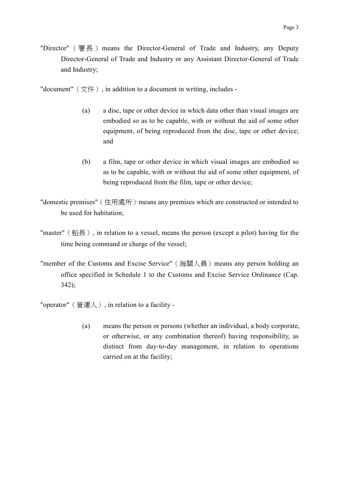- "Director" (署長) means the Director-General of Trade and Industry, any Deputy Director-General of Trade and Industry or any Assistant Director-General of Trade and Industry;
- "document"  $(\overline{\chi}$  $\uparrow$   $)$ , in addition to a document in writing, includes -
	- (a) a disc, tape or other device in which data other than visual images are embodied so as to be capable, with or without the aid of some other equipment, of being reproduced from the disc, tape or other device; and
	- (b) a film, tape or other device in which visual images are embodied so as to be capable, with or without the aid of some other equipment, of being reproduced from the film, tape or other device;
- "domestic premises" (住用處所) means any premises which are constructed or intended to be used for habitation;
- "master" (船長), in relation to a vessel, means the person (except a pilot) having for the time being command or charge of the vessel;
- "member of the Customs and Excise Service"(海關㆟員)means any person holding an office specified in Schedule 1 to the Customs and Excise Service Ordinance (Cap. 342);
- "operator"(營運㆟), in relation to a facility
	- (a) means the person or persons (whether an individual, a body corporate, or otherwise, or any combination thereof) having responsibility, as distinct from day-to-day management, in relation to operations carried on at the facility;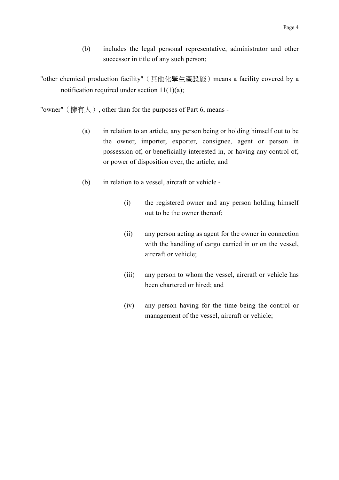(b) includes the legal personal representative, administrator and other successor in title of any such person;

"other chemical production facility" (其他化學生產設施) means a facility covered by a notification required under section  $11(1)(a)$ ;

"owner" (擁有人), other than for the purposes of Part 6, means -

- (a) in relation to an article, any person being or holding himself out to be the owner, importer, exporter, consignee, agent or person in possession of, or beneficially interested in, or having any control of, or power of disposition over, the article; and
- (b) in relation to a vessel, aircraft or vehicle
	- (i) the registered owner and any person holding himself out to be the owner thereof;
	- (ii) any person acting as agent for the owner in connection with the handling of cargo carried in or on the vessel, aircraft or vehicle;
	- (iii) any person to whom the vessel, aircraft or vehicle has been chartered or hired; and
	- (iv) any person having for the time being the control or management of the vessel, aircraft or vehicle;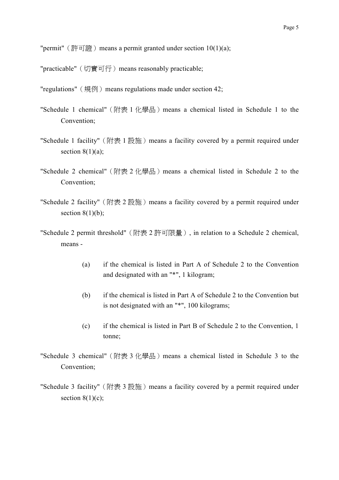"permit" (許可證) means a permit granted under section  $10(1)(a)$ ;

- "practicable" (切實可行) means reasonably practicable;
- "regulations" (規例) means regulations made under section 42;
- "Schedule 1 chemical" (附表 1 化學品) means a chemical listed in Schedule 1 to the Convention;
- "Schedule 1 facility" (附表 1 設施) means a facility covered by a permit required under section  $8(1)(a)$ ;
- "Schedule 2 chemical" (附表 2 化學品) means a chemical listed in Schedule 2 to the Convention;
- "Schedule 2 facility" (附表  $2$  設施) means a facility covered by a permit required under section  $8(1)(b)$ ;
- "Schedule 2 permit threshold"(附表 2 許可限量), in relation to a Schedule 2 chemical, means -
	- (a) if the chemical is listed in Part A of Schedule 2 to the Convention and designated with an "\*", 1 kilogram;
	- (b) if the chemical is listed in Part A of Schedule 2 to the Convention but is not designated with an "\*", 100 kilograms;
	- (c) if the chemical is listed in Part B of Schedule 2 to the Convention, 1 tonne;
- "Schedule 3 chemical" (附表 3 化學品) means a chemical listed in Schedule 3 to the Convention;
- "Schedule 3 facility" (附表 3 設施) means a facility covered by a permit required under section  $8(1)(c)$ ;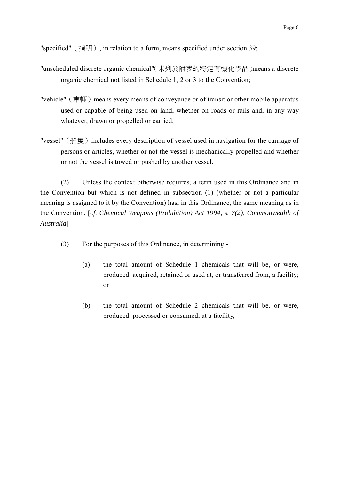"specified"(指明), in relation to a form, means specified under section 39;

- "unscheduled discrete organic chemical"(未列於附表的特定有機化學品)means a discrete organic chemical not listed in Schedule 1, 2 or 3 to the Convention;
- "vehicle" (車輛) means every means of conveyance or of transit or other mobile apparatus used or capable of being used on land, whether on roads or rails and, in any way whatever, drawn or propelled or carried;
- "vessel" (船隻) includes every description of vessel used in navigation for the carriage of persons or articles, whether or not the vessel is mechanically propelled and whether or not the vessel is towed or pushed by another vessel.

(2) Unless the context otherwise requires, a term used in this Ordinance and in the Convention but which is not defined in subsection (1) (whether or not a particular meaning is assigned to it by the Convention) has, in this Ordinance, the same meaning as in the Convention. [*cf. Chemical Weapons (Prohibition) Act 1994, s. 7(2), Commonwealth of Australia*]

- (3) For the purposes of this Ordinance, in determining
	- (a) the total amount of Schedule 1 chemicals that will be, or were, produced, acquired, retained or used at, or transferred from, a facility; or
	- (b) the total amount of Schedule 2 chemicals that will be, or were, produced, processed or consumed, at a facility,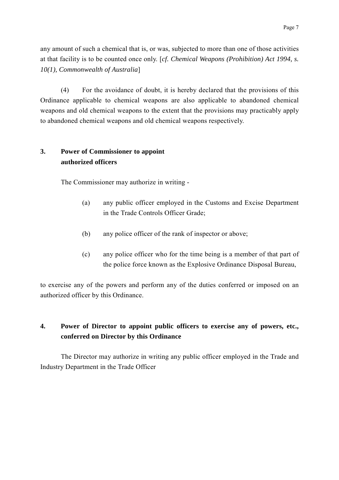any amount of such a chemical that is, or was, subjected to more than one of those activities at that facility is to be counted once only. [*cf. Chemical Weapons (Prohibition) Act 1994, s. 10(1), Commonwealth of Australia*]

(4) For the avoidance of doubt, it is hereby declared that the provisions of this Ordinance applicable to chemical weapons are also applicable to abandoned chemical weapons and old chemical weapons to the extent that the provisions may practicably apply to abandoned chemical weapons and old chemical weapons respectively.

### **3. Power of Commissioner to appoint authorized officers**

The Commissioner may authorize in writing -

- (a) any public officer employed in the Customs and Excise Department in the Trade Controls Officer Grade;
- (b) any police officer of the rank of inspector or above;
- (c) any police officer who for the time being is a member of that part of the police force known as the Explosive Ordinance Disposal Bureau,

to exercise any of the powers and perform any of the duties conferred or imposed on an authorized officer by this Ordinance.

## **4. Power of Director to appoint public officers to exercise any of powers, etc., conferred on Director by this Ordinance**

The Director may authorize in writing any public officer employed in the Trade and Industry Department in the Trade Officer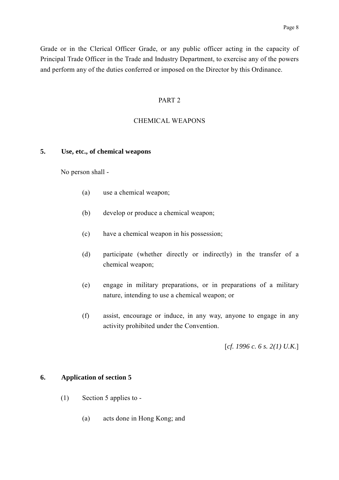Grade or in the Clerical Officer Grade, or any public officer acting in the capacity of Principal Trade Officer in the Trade and Industry Department, to exercise any of the powers and perform any of the duties conferred or imposed on the Director by this Ordinance.

#### PART 2

### CHEMICAL WEAPONS

### **5. Use, etc., of chemical weapons**

No person shall -

- (a) use a chemical weapon;
- (b) develop or produce a chemical weapon;
- (c) have a chemical weapon in his possession;
- (d) participate (whether directly or indirectly) in the transfer of a chemical weapon;
- (e) engage in military preparations, or in preparations of a military nature, intending to use a chemical weapon; or
- (f) assist, encourage or induce, in any way, anyone to engage in any activity prohibited under the Convention.

[*cf. 1996 c. 6 s. 2(1) U.K.*]

### **6. Application of section 5**

- (1) Section 5 applies to
	- (a) acts done in Hong Kong; and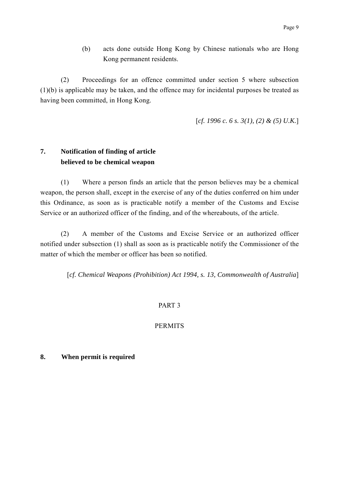(b) acts done outside Hong Kong by Chinese nationals who are Hong Kong permanent residents.

(2) Proceedings for an offence committed under section 5 where subsection (1)(b) is applicable may be taken, and the offence may for incidental purposes be treated as having been committed, in Hong Kong.

[*cf. 1996 c. 6 s. 3(1), (2) & (5) U.K.*]

### **7. Notification of finding of article believed to be chemical weapon**

(1) Where a person finds an article that the person believes may be a chemical weapon, the person shall, except in the exercise of any of the duties conferred on him under this Ordinance, as soon as is practicable notify a member of the Customs and Excise Service or an authorized officer of the finding, and of the whereabouts, of the article.

(2) A member of the Customs and Excise Service or an authorized officer notified under subsection (1) shall as soon as is practicable notify the Commissioner of the matter of which the member or officer has been so notified.

[*cf. Chemical Weapons (Prohibition) Act 1994, s. 13, Commonwealth of Australia*]

### PART 3

### **PERMITS**

### **8. When permit is required**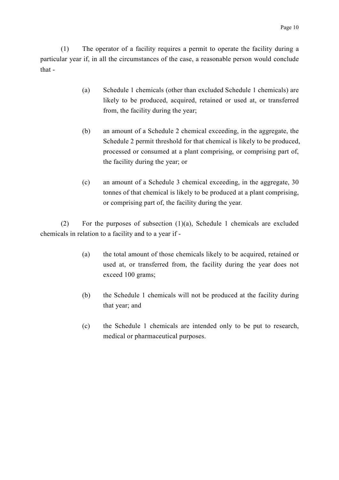(1) The operator of a facility requires a permit to operate the facility during a particular year if, in all the circumstances of the case, a reasonable person would conclude that -

- (a) Schedule 1 chemicals (other than excluded Schedule 1 chemicals) are likely to be produced, acquired, retained or used at, or transferred from, the facility during the year;
- (b) an amount of a Schedule 2 chemical exceeding, in the aggregate, the Schedule 2 permit threshold for that chemical is likely to be produced, processed or consumed at a plant comprising, or comprising part of, the facility during the year; or
- (c) an amount of a Schedule 3 chemical exceeding, in the aggregate, 30 tonnes of that chemical is likely to be produced at a plant comprising, or comprising part of, the facility during the year.

(2) For the purposes of subsection (1)(a), Schedule 1 chemicals are excluded chemicals in relation to a facility and to a year if -

- (a) the total amount of those chemicals likely to be acquired, retained or used at, or transferred from, the facility during the year does not exceed 100 grams;
- (b) the Schedule 1 chemicals will not be produced at the facility during that year; and
- (c) the Schedule 1 chemicals are intended only to be put to research, medical or pharmaceutical purposes.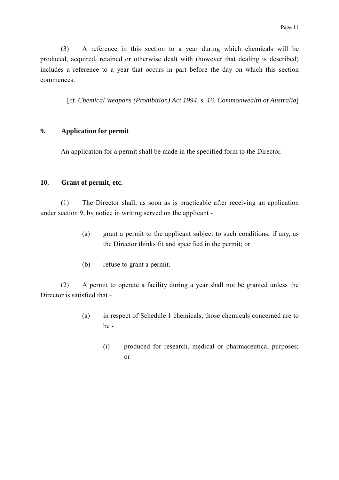(3) A reference in this section to a year during which chemicals will be produced, acquired, retained or otherwise dealt with (however that dealing is described) includes a reference to a year that occurs in part before the day on which this section commences.

[*cf. Chemical Weapons (Prohibition) Act 1994, s. 16, Commonwealth of Australia*]

### **9. Application for permit**

An application for a permit shall be made in the specified form to the Director.

#### **10. Grant of permit, etc.**

(1) The Director shall, as soon as is practicable after receiving an application under section 9, by notice in writing served on the applicant -

- (a) grant a permit to the applicant subject to such conditions, if any, as the Director thinks fit and specified in the permit; or
- (b) refuse to grant a permit.

(2) A permit to operate a facility during a year shall not be granted unless the Director is satisfied that -

- (a) in respect of Schedule 1 chemicals, those chemicals concerned are to be -
	- (i) produced for research, medical or pharmaceutical purposes; or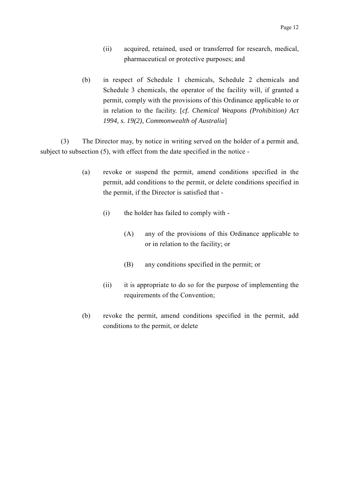- (ii) acquired, retained, used or transferred for research, medical, pharmaceutical or protective purposes; and
- (b) in respect of Schedule 1 chemicals, Schedule 2 chemicals and Schedule 3 chemicals, the operator of the facility will, if granted a permit, comply with the provisions of this Ordinance applicable to or in relation to the facility. [*cf. Chemical Weapons (Prohibition) Act 1994, s. 19(2), Commonwealth of Australia*]

(3) The Director may, by notice in writing served on the holder of a permit and, subject to subsection (5), with effect from the date specified in the notice -

- (a) revoke or suspend the permit, amend conditions specified in the permit, add conditions to the permit, or delete conditions specified in the permit, if the Director is satisfied that -
	- (i) the holder has failed to comply with
		- (A) any of the provisions of this Ordinance applicable to or in relation to the facility; or
		- (B) any conditions specified in the permit; or
	- (ii) it is appropriate to do so for the purpose of implementing the requirements of the Convention;
- (b) revoke the permit, amend conditions specified in the permit, add conditions to the permit, or delete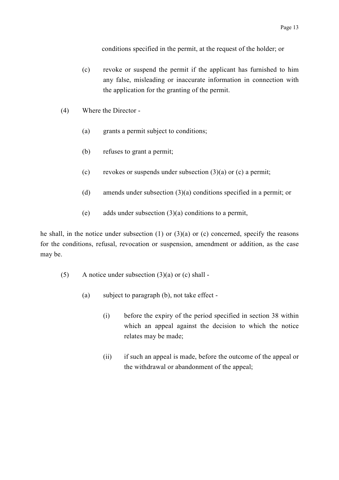conditions specified in the permit, at the request of the holder; or

- (c) revoke or suspend the permit if the applicant has furnished to him any false, misleading or inaccurate information in connection with the application for the granting of the permit.
- (4) Where the Director
	- (a) grants a permit subject to conditions;
	- (b) refuses to grant a permit;
	- (c) revokes or suspends under subsection  $(3)(a)$  or (c) a permit;
	- (d) amends under subsection (3)(a) conditions specified in a permit; or
	- (e) adds under subsection (3)(a) conditions to a permit,

he shall, in the notice under subsection  $(1)$  or  $(3)(a)$  or  $(c)$  concerned, specify the reasons for the conditions, refusal, revocation or suspension, amendment or addition, as the case may be.

- (5) A notice under subsection  $(3)(a)$  or (c) shall -
	- (a) subject to paragraph (b), not take effect
		- (i) before the expiry of the period specified in section 38 within which an appeal against the decision to which the notice relates may be made;
		- (ii) if such an appeal is made, before the outcome of the appeal or the withdrawal or abandonment of the appeal;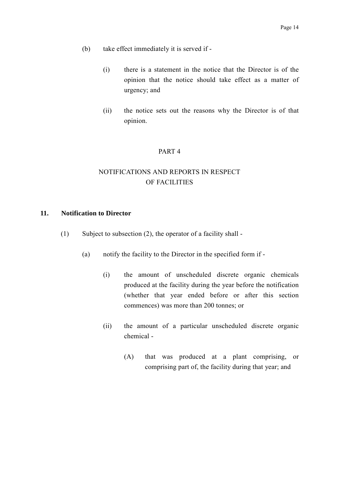- (b) take effect immediately it is served if
	- (i) there is a statement in the notice that the Director is of the opinion that the notice should take effect as a matter of urgency; and
	- (ii) the notice sets out the reasons why the Director is of that opinion.

#### PART 4

## NOTIFICATIONS AND REPORTS IN RESPECT OF FACILITIES

### **11. Notification to Director**

- (1) Subject to subsection (2), the operator of a facility shall
	- (a) notify the facility to the Director in the specified form if
		- (i) the amount of unscheduled discrete organic chemicals produced at the facility during the year before the notification (whether that year ended before or after this section commences) was more than 200 tonnes; or
		- (ii) the amount of a particular unscheduled discrete organic chemical -
			- (A) that was produced at a plant comprising, or comprising part of, the facility during that year; and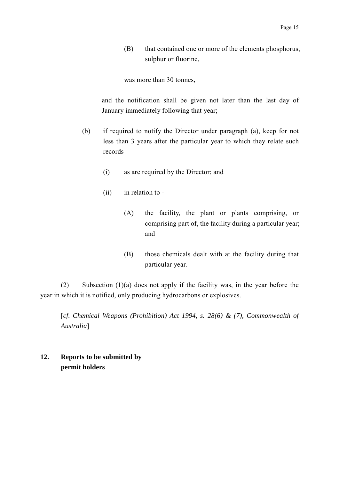(B) that contained one or more of the elements phosphorus, sulphur or fluorine,

was more than 30 tonnes,

and the notification shall be given not later than the last day of January immediately following that year;

- (b) if required to notify the Director under paragraph (a), keep for not less than 3 years after the particular year to which they relate such records -
	- (i) as are required by the Director; and
	- (ii) in relation to
		- (A) the facility, the plant or plants comprising, or comprising part of, the facility during a particular year; and
		- (B) those chemicals dealt with at the facility during that particular year.

(2) Subsection (1)(a) does not apply if the facility was, in the year before the year in which it is notified, only producing hydrocarbons or explosives.

[*cf. Chemical Weapons (Prohibition) Act 1994, s. 28(6) & (7), Commonwealth of Australia*]

**12. Reports to be submitted by permit holders**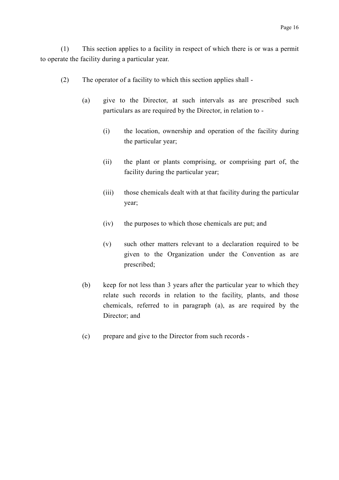(1) This section applies to a facility in respect of which there is or was a permit to operate the facility during a particular year.

- (2) The operator of a facility to which this section applies shall
	- (a) give to the Director, at such intervals as are prescribed such particulars as are required by the Director, in relation to -
		- (i) the location, ownership and operation of the facility during the particular year;
		- (ii) the plant or plants comprising, or comprising part of, the facility during the particular year;
		- (iii) those chemicals dealt with at that facility during the particular year;
		- (iv) the purposes to which those chemicals are put; and
		- (v) such other matters relevant to a declaration required to be given to the Organization under the Convention as are prescribed;
	- (b) keep for not less than 3 years after the particular year to which they relate such records in relation to the facility, plants, and those chemicals, referred to in paragraph (a), as are required by the Director; and
	- (c) prepare and give to the Director from such records -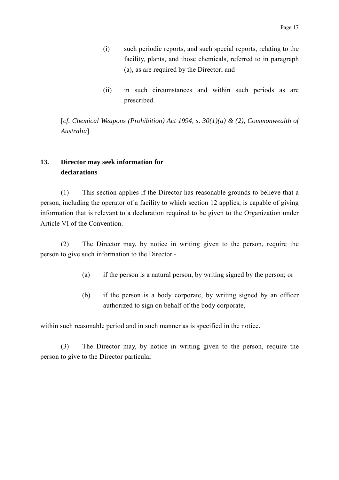- (i) such periodic reports, and such special reports, relating to the facility, plants, and those chemicals, referred to in paragraph (a), as are required by the Director; and
- (ii) in such circumstances and within such periods as are prescribed.

[*cf. Chemical Weapons (Prohibition) Act 1994, s. 30(1)(a) & (2), Commonwealth of Australia*]

## **13. Director may seek information for declarations**

(1) This section applies if the Director has reasonable grounds to believe that a person, including the operator of a facility to which section 12 applies, is capable of giving information that is relevant to a declaration required to be given to the Organization under Article VI of the Convention.

(2) The Director may, by notice in writing given to the person, require the person to give such information to the Director -

- (a) if the person is a natural person, by writing signed by the person; or
- (b) if the person is a body corporate, by writing signed by an officer authorized to sign on behalf of the body corporate,

within such reasonable period and in such manner as is specified in the notice.

(3) The Director may, by notice in writing given to the person, require the person to give to the Director particular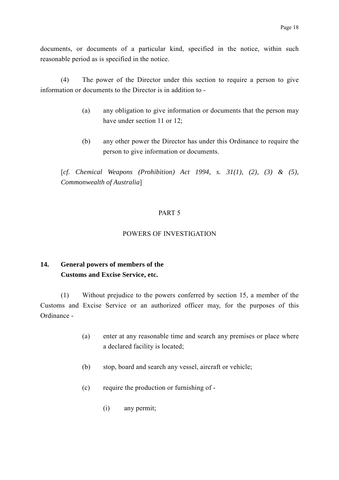documents, or documents of a particular kind, specified in the notice, within such reasonable period as is specified in the notice.

(4) The power of the Director under this section to require a person to give information or documents to the Director is in addition to -

- (a) any obligation to give information or documents that the person may have under section 11 or 12;
- (b) any other power the Director has under this Ordinance to require the person to give information or documents.

[*cf. Chemical Weapons (Prohibition) Act 1994, s. 31(1), (2), (3) & (5), Commonwealth of Australia*]

### PART 5

### POWERS OF INVESTIGATION

### **14. General powers of members of the Customs and Excise Service, etc.**

(1) Without prejudice to the powers conferred by section 15, a member of the Customs and Excise Service or an authorized officer may, for the purposes of this Ordinance -

- (a) enter at any reasonable time and search any premises or place where a declared facility is located;
- (b) stop, board and search any vessel, aircraft or vehicle;
- (c) require the production or furnishing of
	- (i) any permit;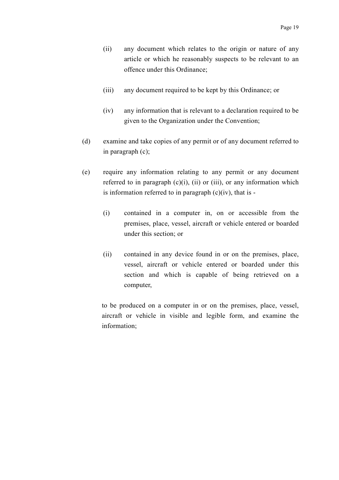- (ii) any document which relates to the origin or nature of any article or which he reasonably suspects to be relevant to an offence under this Ordinance;
- (iii) any document required to be kept by this Ordinance; or
- (iv) any information that is relevant to a declaration required to be given to the Organization under the Convention;
- (d) examine and take copies of any permit or of any document referred to in paragraph (c);
- (e) require any information relating to any permit or any document referred to in paragraph  $(c)(i)$ ,  $(ii)$  or  $(iii)$ , or any information which is information referred to in paragraph  $(c)(iv)$ , that is -
	- (i) contained in a computer in, on or accessible from the premises, place, vessel, aircraft or vehicle entered or boarded under this section; or
	- (ii) contained in any device found in or on the premises, place, vessel, aircraft or vehicle entered or boarded under this section and which is capable of being retrieved on a computer,

to be produced on a computer in or on the premises, place, vessel, aircraft or vehicle in visible and legible form, and examine the information;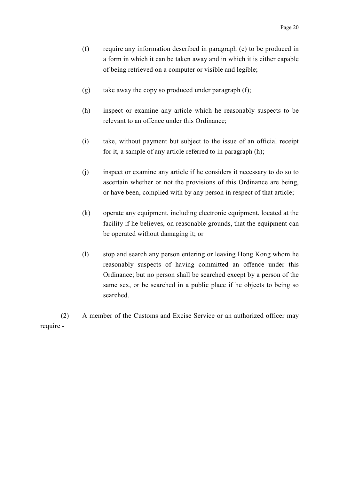- (f) require any information described in paragraph (e) to be produced in a form in which it can be taken away and in which it is either capable of being retrieved on a computer or visible and legible;
- (g) take away the copy so produced under paragraph (f);
- (h) inspect or examine any article which he reasonably suspects to be relevant to an offence under this Ordinance;
- (i) take, without payment but subject to the issue of an official receipt for it, a sample of any article referred to in paragraph (h);
- (j) inspect or examine any article if he considers it necessary to do so to ascertain whether or not the provisions of this Ordinance are being, or have been, complied with by any person in respect of that article;
- (k) operate any equipment, including electronic equipment, located at the facility if he believes, on reasonable grounds, that the equipment can be operated without damaging it; or
- (l) stop and search any person entering or leaving Hong Kong whom he reasonably suspects of having committed an offence under this Ordinance; but no person shall be searched except by a person of the same sex, or be searched in a public place if he objects to being so searched.

(2) A member of the Customs and Excise Service or an authorized officer may require -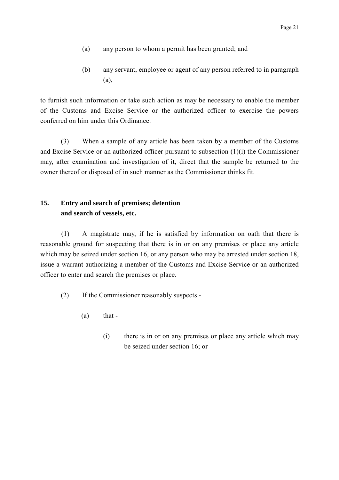- (a) any person to whom a permit has been granted; and
- (b) any servant, employee or agent of any person referred to in paragraph (a),

to furnish such information or take such action as may be necessary to enable the member of the Customs and Excise Service or the authorized officer to exercise the powers conferred on him under this Ordinance.

(3) When a sample of any article has been taken by a member of the Customs and Excise Service or an authorized officer pursuant to subsection (1)(i) the Commissioner may, after examination and investigation of it, direct that the sample be returned to the owner thereof or disposed of in such manner as the Commissioner thinks fit.

## **15. Entry and search of premises; detention and search of vessels, etc.**

(1) A magistrate may, if he is satisfied by information on oath that there is reasonable ground for suspecting that there is in or on any premises or place any article which may be seized under section 16, or any person who may be arrested under section 18, issue a warrant authorizing a member of the Customs and Excise Service or an authorized officer to enter and search the premises or place.

(2) If the Commissioner reasonably suspects -

- $(a)$  that -
	- (i) there is in or on any premises or place any article which may be seized under section 16; or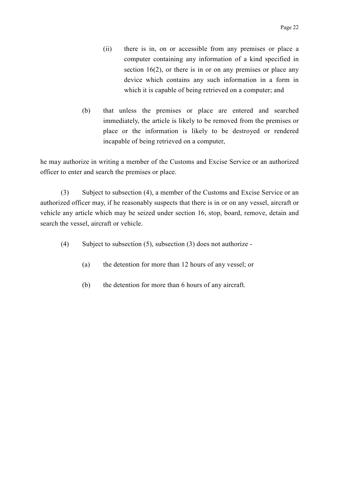- (ii) there is in, on or accessible from any premises or place a computer containing any information of a kind specified in section 16(2), or there is in or on any premises or place any device which contains any such information in a form in which it is capable of being retrieved on a computer; and
- (b) that unless the premises or place are entered and searched immediately, the article is likely to be removed from the premises or place or the information is likely to be destroyed or rendered incapable of being retrieved on a computer,

he may authorize in writing a member of the Customs and Excise Service or an authorized officer to enter and search the premises or place.

(3) Subject to subsection (4), a member of the Customs and Excise Service or an authorized officer may, if he reasonably suspects that there is in or on any vessel, aircraft or vehicle any article which may be seized under section 16, stop, board, remove, detain and search the vessel, aircraft or vehicle.

- (4) Subject to subsection (5), subsection (3) does not authorize
	- (a) the detention for more than 12 hours of any vessel; or
	- (b) the detention for more than 6 hours of any aircraft.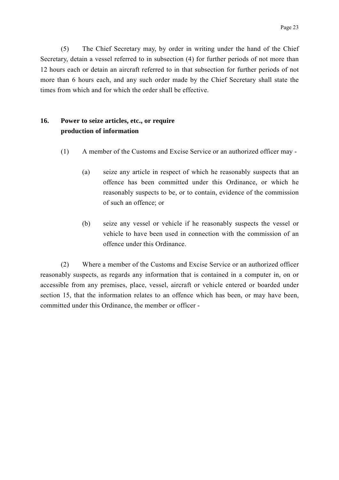(5) The Chief Secretary may, by order in writing under the hand of the Chief Secretary, detain a vessel referred to in subsection (4) for further periods of not more than 12 hours each or detain an aircraft referred to in that subsection for further periods of not more than 6 hours each, and any such order made by the Chief Secretary shall state the times from which and for which the order shall be effective.

### **16. Power to seize articles, etc., or require production of information**

- (1) A member of the Customs and Excise Service or an authorized officer may
	- (a) seize any article in respect of which he reasonably suspects that an offence has been committed under this Ordinance, or which he reasonably suspects to be, or to contain, evidence of the commission of such an offence; or
	- (b) seize any vessel or vehicle if he reasonably suspects the vessel or vehicle to have been used in connection with the commission of an offence under this Ordinance.

(2) Where a member of the Customs and Excise Service or an authorized officer reasonably suspects, as regards any information that is contained in a computer in, on or accessible from any premises, place, vessel, aircraft or vehicle entered or boarded under section 15, that the information relates to an offence which has been, or may have been, committed under this Ordinance, the member or officer -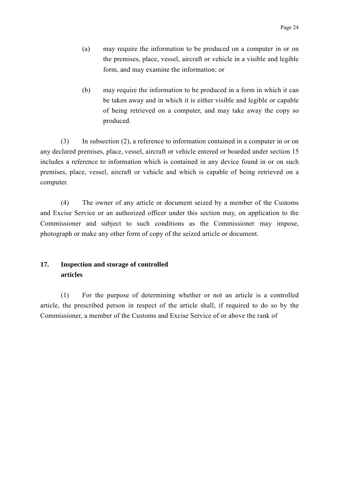- (a) may require the information to be produced on a computer in or on the premises, place, vessel, aircraft or vehicle in a visible and legible form, and may examine the information; or
- (b) may require the information to be produced in a form in which it can be taken away and in which it is either visible and legible or capable of being retrieved on a computer, and may take away the copy so produced.

(3) In subsection (2), a reference to information contained in a computer in or on any declared premises, place, vessel, aircraft or vehicle entered or boarded under section 15 includes a reference to information which is contained in any device found in or on such premises, place, vessel, aircraft or vehicle and which is capable of being retrieved on a computer.

(4) The owner of any article or document seized by a member of the Customs and Excise Service or an authorized officer under this section may, on application to the Commissioner and subject to such conditions as the Commissioner may impose, photograph or make any other form of copy of the seized article or document.

### **17. Inspection and storage of controlled articles**

(1) For the purpose of determining whether or not an article is a controlled article, the prescribed person in respect of the article shall, if required to do so by the Commissioner, a member of the Customs and Excise Service of or above the rank of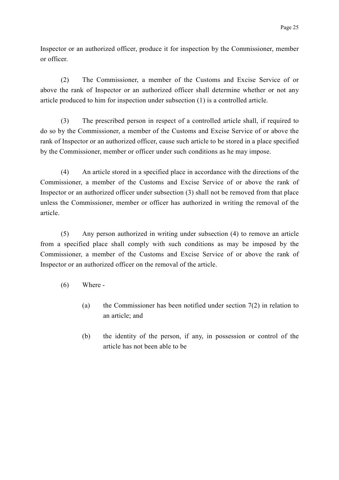Inspector or an authorized officer, produce it for inspection by the Commissioner, member or officer.

(2) The Commissioner, a member of the Customs and Excise Service of or above the rank of Inspector or an authorized officer shall determine whether or not any article produced to him for inspection under subsection (1) is a controlled article.

(3) The prescribed person in respect of a controlled article shall, if required to do so by the Commissioner, a member of the Customs and Excise Service of or above the rank of Inspector or an authorized officer, cause such article to be stored in a place specified by the Commissioner, member or officer under such conditions as he may impose.

(4) An article stored in a specified place in accordance with the directions of the Commissioner, a member of the Customs and Excise Service of or above the rank of Inspector or an authorized officer under subsection (3) shall not be removed from that place unless the Commissioner, member or officer has authorized in writing the removal of the article.

(5) Any person authorized in writing under subsection (4) to remove an article from a specified place shall comply with such conditions as may be imposed by the Commissioner, a member of the Customs and Excise Service of or above the rank of Inspector or an authorized officer on the removal of the article.

- (6) Where
	- (a) the Commissioner has been notified under section 7(2) in relation to an article; and
	- (b) the identity of the person, if any, in possession or control of the article has not been able to be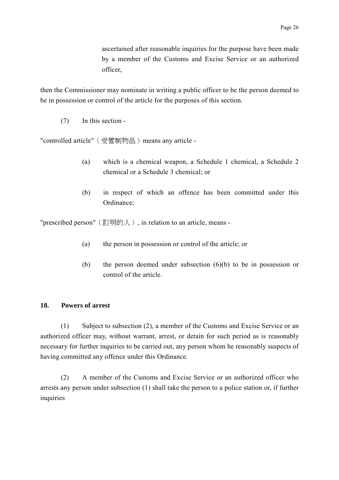ascertained after reasonable inquiries for the purpose have been made by a member of the Customs and Excise Service or an authorized officer,

then the Commissioner may nominate in writing a public officer to be the person deemed to be in possession or control of the article for the purposes of this section.

(7) In this section -

"controlled article" (受管制物品) means any article -

- (a) which is a chemical weapon, a Schedule 1 chemical, a Schedule 2 chemical or a Schedule 3 chemical; or
- (b) in respect of which an offence has been committed under this Ordinance;

"prescribed person" (訂明的人), in relation to an article, means -

- (a) the person in possession or control of the article; or
- (b) the person deemed under subsection (6)(b) to be in possession or control of the article.

# **18. Powers of arrest**

(1) Subject to subsection (2), a member of the Customs and Excise Service or an authorized officer may, without warrant, arrest, or detain for such period as is reasonably necessary for further inquiries to be carried out, any person whom he reasonably suspects of having committed any offence under this Ordinance.

(2) A member of the Customs and Excise Service or an authorized officer who arrests any person under subsection (1) shall take the person to a police station or, if further inquiries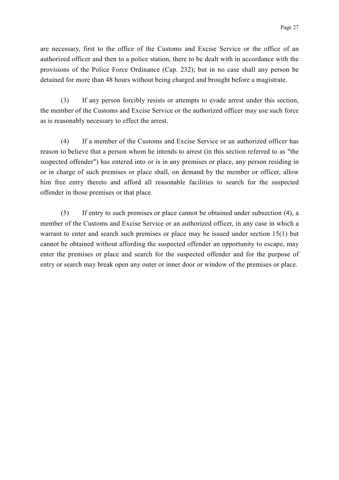are necessary, first to the office of the Customs and Excise Service or the office of an authorized officer and then to a police station, there to be dealt with in accordance with the provisions of the Police Force Ordinance (Cap. 232); but in no case shall any person be detained for more than 48 hours without being charged and brought before a magistrate.

(3) If any person forcibly resists or attempts to evade arrest under this section, the member of the Customs and Excise Service or the authorized officer may use such force as is reasonably necessary to effect the arrest.

(4) If a member of the Customs and Excise Service or an authorized officer has reason to believe that a person whom he intends to arrest (in this section referred to as "the suspected offender") has entered into or is in any premises or place, any person residing in or in charge of such premises or place shall, on demand by the member or officer, allow him free entry thereto and afford all reasonable facilities to search for the suspected offender in those premises or that place.

(5) If entry to such premises or place cannot be obtained under subsection (4), a member of the Customs and Excise Service or an authorized officer, in any case in which a warrant to enter and search such premises or place may be issued under section 15(1) but cannot be obtained without affording the suspected offender an opportunity to escape, may enter the premises or place and search for the suspected offender and for the purpose of entry or search may break open any outer or inner door or window of the premises or place.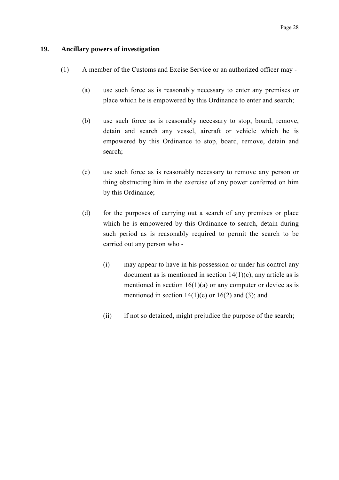## **19. Ancillary powers of investigation**

- (1) A member of the Customs and Excise Service or an authorized officer may
	- (a) use such force as is reasonably necessary to enter any premises or place which he is empowered by this Ordinance to enter and search;
	- (b) use such force as is reasonably necessary to stop, board, remove, detain and search any vessel, aircraft or vehicle which he is empowered by this Ordinance to stop, board, remove, detain and search;
	- (c) use such force as is reasonably necessary to remove any person or thing obstructing him in the exercise of any power conferred on him by this Ordinance;
	- (d) for the purposes of carrying out a search of any premises or place which he is empowered by this Ordinance to search, detain during such period as is reasonably required to permit the search to be carried out any person who -
		- (i) may appear to have in his possession or under his control any document as is mentioned in section  $14(1)(c)$ , any article as is mentioned in section  $16(1)(a)$  or any computer or device as is mentioned in section  $14(1)(e)$  or  $16(2)$  and (3); and
		- (ii) if not so detained, might prejudice the purpose of the search;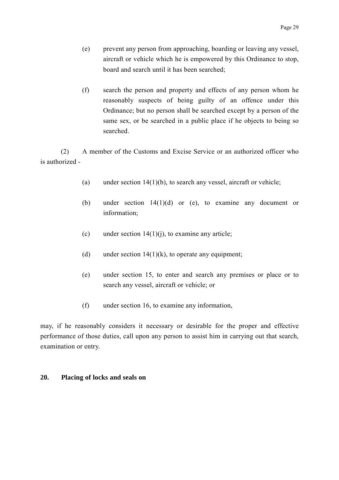- (e) prevent any person from approaching, boarding or leaving any vessel, aircraft or vehicle which he is empowered by this Ordinance to stop, board and search until it has been searched;
- (f) search the person and property and effects of any person whom he reasonably suspects of being guilty of an offence under this Ordinance; but no person shall be searched except by a person of the same sex, or be searched in a public place if he objects to being so searched.

(2) A member of the Customs and Excise Service or an authorized officer who is authorized -

- (a) under section  $14(1)(b)$ , to search any vessel, aircraft or vehicle;
- (b) under section 14(1)(d) or (e), to examine any document or information;
- (c) under section  $14(1)(i)$ , to examine any article;
- (d) under section  $14(1)(k)$ , to operate any equipment;
- (e) under section 15, to enter and search any premises or place or to search any vessel, aircraft or vehicle; or
- (f) under section 16, to examine any information,

may, if he reasonably considers it necessary or desirable for the proper and effective performance of those duties, call upon any person to assist him in carrying out that search, examination or entry.

# **20. Placing of locks and seals on**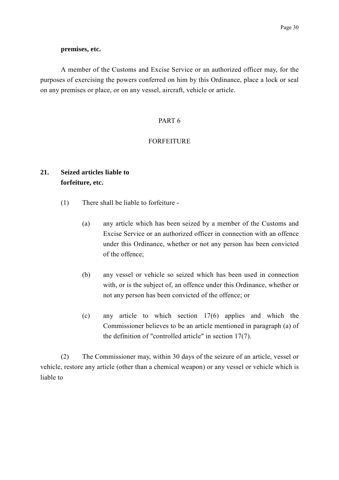### **premises, etc.**

A member of the Customs and Excise Service or an authorized officer may, for the purposes of exercising the powers conferred on him by this Ordinance, place a lock or seal on any premises or place, or on any vessel, aircraft, vehicle or article.

## PART 6

# FORFEITURE

# **21. Seized articles liable to forfeiture, etc.**

- (1) There shall be liable to forfeiture
	- (a) any article which has been seized by a member of the Customs and Excise Service or an authorized officer in connection with an offence under this Ordinance, whether or not any person has been convicted of the offence;
	- (b) any vessel or vehicle so seized which has been used in connection with, or is the subject of, an offence under this Ordinance, whether or not any person has been convicted of the offence; or
	- (c) any article to which section 17(6) applies and which the Commissioner believes to be an article mentioned in paragraph (a) of the definition of "controlled article" in section 17(7).

(2) The Commissioner may, within 30 days of the seizure of an article, vessel or vehicle, restore any article (other than a chemical weapon) or any vessel or vehicle which is liable to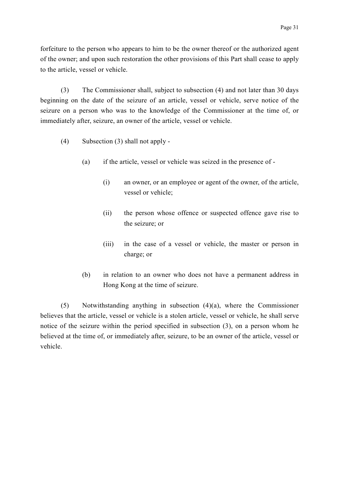forfeiture to the person who appears to him to be the owner thereof or the authorized agent of the owner; and upon such restoration the other provisions of this Part shall cease to apply to the article, vessel or vehicle.

(3) The Commissioner shall, subject to subsection (4) and not later than 30 days beginning on the date of the seizure of an article, vessel or vehicle, serve notice of the seizure on a person who was to the knowledge of the Commissioner at the time of, or immediately after, seizure, an owner of the article, vessel or vehicle.

- (4) Subsection (3) shall not apply
	- (a) if the article, vessel or vehicle was seized in the presence of
		- (i) an owner, or an employee or agent of the owner, of the article, vessel or vehicle;
		- (ii) the person whose offence or suspected offence gave rise to the seizure; or
		- (iii) in the case of a vessel or vehicle, the master or person in charge; or
	- (b) in relation to an owner who does not have a permanent address in Hong Kong at the time of seizure.

(5) Notwithstanding anything in subsection (4)(a), where the Commissioner believes that the article, vessel or vehicle is a stolen article, vessel or vehicle, he shall serve notice of the seizure within the period specified in subsection (3), on a person whom he believed at the time of, or immediately after, seizure, to be an owner of the article, vessel or vehicle.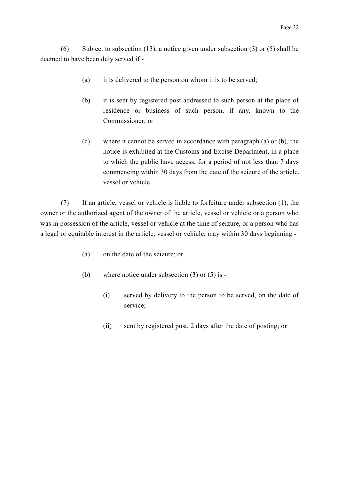(6) Subject to subsection (13), a notice given under subsection (3) or (5) shall be deemed to have been duly served if -

- (a) it is delivered to the person on whom it is to be served;
- (b) it is sent by registered post addressed to such person at the place of residence or business of such person, if any, known to the Commissioner; or
- (c) where it cannot be served in accordance with paragraph (a) or (b), the notice is exhibited at the Customs and Excise Department, in a place to which the public have access, for a period of not less than 7 days commencing within 30 days from the date of the seizure of the article, vessel or vehicle.

(7) If an article, vessel or vehicle is liable to forfeiture under subsection (1), the owner or the authorized agent of the owner of the article, vessel or vehicle or a person who was in possession of the article, vessel or vehicle at the time of seizure, or a person who has a legal or equitable interest in the article, vessel or vehicle, may within 30 days beginning -

- (a) on the date of the seizure; or
- (b) where notice under subsection (3) or (5) is
	- (i) served by delivery to the person to be served, on the date of service;
	- (ii) sent by registered post, 2 days after the date of posting; or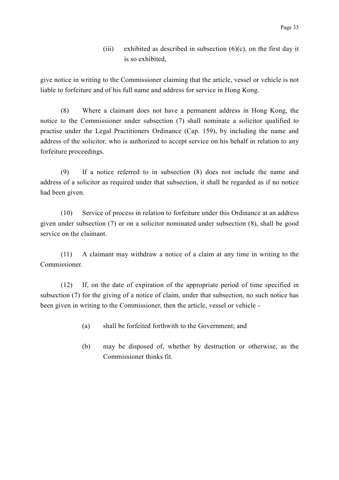(iii) exhibited as described in subsection  $(6)(c)$ , on the first day it is so exhibited,

give notice in writing to the Commissioner claiming that the article, vessel or vehicle is not liable to forfeiture and of his full name and address for service in Hong Kong.

(8) Where a claimant does not have a permanent address in Hong Kong, the notice to the Commissioner under subsection (7) shall nominate a solicitor qualified to practise under the Legal Practitioners Ordinance (Cap. 159), by including the name and address of the solicitor, who is authorized to accept service on his behalf in relation to any forfeiture proceedings.

(9) If a notice referred to in subsection (8) does not include the name and address of a solicitor as required under that subsection, it shall be regarded as if no notice had been given.

(10) Service of process in relation to forfeiture under this Ordinance at an address given under subsection (7) or on a solicitor nominated under subsection (8), shall be good service on the claimant.

(11) A claimant may withdraw a notice of a claim at any time in writing to the Commissioner.

(12) If, on the date of expiration of the appropriate period of time specified in subsection (7) for the giving of a notice of claim, under that subsection, no such notice has been given in writing to the Commissioner, then the article, vessel or vehicle -

- (a) shall be forfeited forthwith to the Government; and
- (b) may be disposed of, whether by destruction or otherwise, as the Commissioner thinks fit.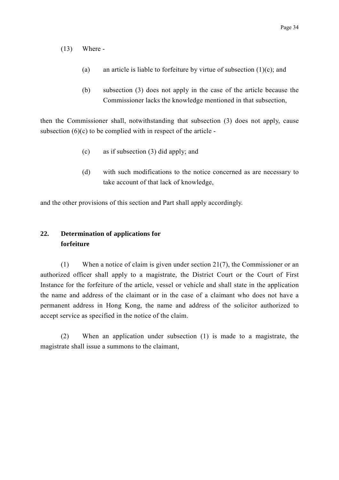- (13) Where
	- (a) an article is liable to forfeiture by virtue of subsection  $(1)(c)$ ; and
	- (b) subsection (3) does not apply in the case of the article because the Commissioner lacks the knowledge mentioned in that subsection,

then the Commissioner shall, notwithstanding that subsection (3) does not apply, cause subsection  $(6)(c)$  to be complied with in respect of the article -

- (c) as if subsection (3) did apply; and
- (d) with such modifications to the notice concerned as are necessary to take account of that lack of knowledge,

and the other provisions of this section and Part shall apply accordingly.

# **22. Determination of applications for forfeiture**

(1) When a notice of claim is given under section 21(7), the Commissioner or an authorized officer shall apply to a magistrate, the District Court or the Court of First Instance for the forfeiture of the article, vessel or vehicle and shall state in the application the name and address of the claimant or in the case of a claimant who does not have a permanent address in Hong Kong, the name and address of the solicitor authorized to accept service as specified in the notice of the claim.

(2) When an application under subsection (1) is made to a magistrate, the magistrate shall issue a summons to the claimant,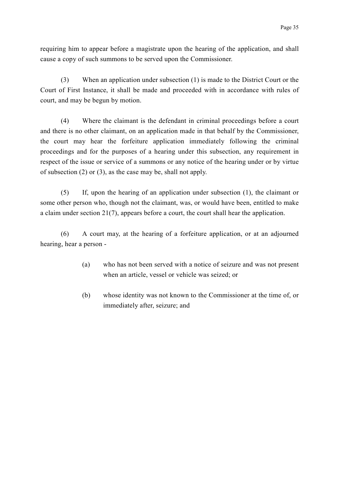requiring him to appear before a magistrate upon the hearing of the application, and shall cause a copy of such summons to be served upon the Commissioner.

(3) When an application under subsection (1) is made to the District Court or the Court of First Instance, it shall be made and proceeded with in accordance with rules of court, and may be begun by motion.

(4) Where the claimant is the defendant in criminal proceedings before a court and there is no other claimant, on an application made in that behalf by the Commissioner, the court may hear the forfeiture application immediately following the criminal proceedings and for the purposes of a hearing under this subsection, any requirement in respect of the issue or service of a summons or any notice of the hearing under or by virtue of subsection (2) or (3), as the case may be, shall not apply.

(5) If, upon the hearing of an application under subsection (1), the claimant or some other person who, though not the claimant, was, or would have been, entitled to make a claim under section 21(7), appears before a court, the court shall hear the application.

(6) A court may, at the hearing of a forfeiture application, or at an adjourned hearing, hear a person -

- (a) who has not been served with a notice of seizure and was not present when an article, vessel or vehicle was seized; or
- (b) whose identity was not known to the Commissioner at the time of, or immediately after, seizure; and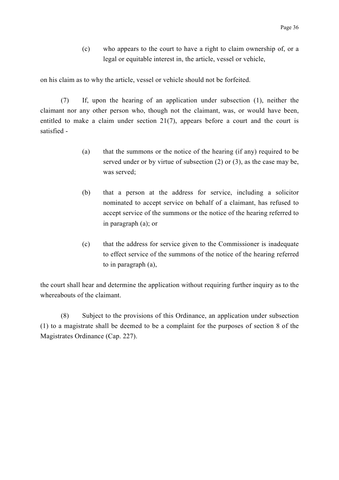(c) who appears to the court to have a right to claim ownership of, or a legal or equitable interest in, the article, vessel or vehicle,

on his claim as to why the article, vessel or vehicle should not be forfeited.

(7) If, upon the hearing of an application under subsection (1), neither the claimant nor any other person who, though not the claimant, was, or would have been, entitled to make a claim under section 21(7), appears before a court and the court is satisfied -

- (a) that the summons or the notice of the hearing (if any) required to be served under or by virtue of subsection (2) or (3), as the case may be, was served;
- (b) that a person at the address for service, including a solicitor nominated to accept service on behalf of a claimant, has refused to accept service of the summons or the notice of the hearing referred to in paragraph (a); or
- (c) that the address for service given to the Commissioner is inadequate to effect service of the summons of the notice of the hearing referred to in paragraph (a),

the court shall hear and determine the application without requiring further inquiry as to the whereabouts of the claimant.

(8) Subject to the provisions of this Ordinance, an application under subsection (1) to a magistrate shall be deemed to be a complaint for the purposes of section 8 of the Magistrates Ordinance (Cap. 227).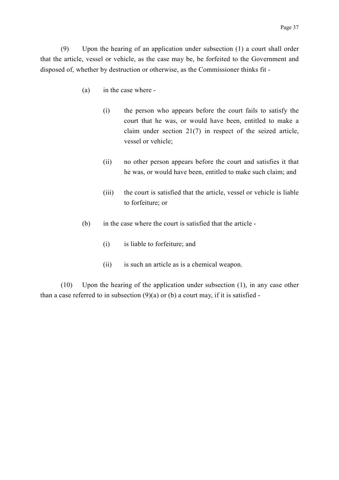(9) Upon the hearing of an application under subsection (1) a court shall order that the article, vessel or vehicle, as the case may be, be forfeited to the Government and disposed of, whether by destruction or otherwise, as the Commissioner thinks fit -

- (a) in the case where
	- (i) the person who appears before the court fails to satisfy the court that he was, or would have been, entitled to make a claim under section 21(7) in respect of the seized article, vessel or vehicle;
	- (ii) no other person appears before the court and satisfies it that he was, or would have been, entitled to make such claim; and
	- (iii) the court is satisfied that the article, vessel or vehicle is liable to forfeiture; or
- (b) in the case where the court is satisfied that the article
	- (i) is liable to forfeiture; and
	- (ii) is such an article as is a chemical weapon.

(10) Upon the hearing of the application under subsection (1), in any case other than a case referred to in subsection  $(9)(a)$  or (b) a court may, if it is satisfied -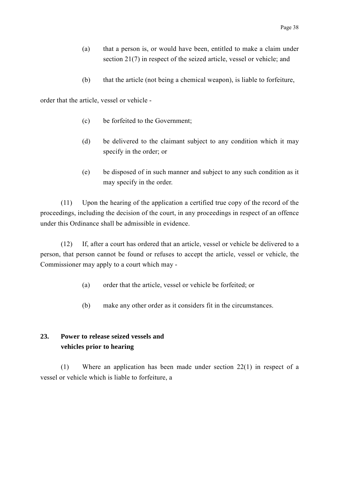- (a) that a person is, or would have been, entitled to make a claim under section 21(7) in respect of the seized article, vessel or vehicle; and
- (b) that the article (not being a chemical weapon), is liable to forfeiture,

order that the article, vessel or vehicle -

- (c) be forfeited to the Government;
- (d) be delivered to the claimant subject to any condition which it may specify in the order; or
- (e) be disposed of in such manner and subject to any such condition as it may specify in the order.

(11) Upon the hearing of the application a certified true copy of the record of the proceedings, including the decision of the court, in any proceedings in respect of an offence under this Ordinance shall be admissible in evidence.

(12) If, after a court has ordered that an article, vessel or vehicle be delivered to a person, that person cannot be found or refuses to accept the article, vessel or vehicle, the Commissioner may apply to a court which may -

- (a) order that the article, vessel or vehicle be forfeited; or
- (b) make any other order as it considers fit in the circumstances.

# **23. Power to release seized vessels and vehicles prior to hearing**

(1) Where an application has been made under section 22(1) in respect of a vessel or vehicle which is liable to forfeiture, a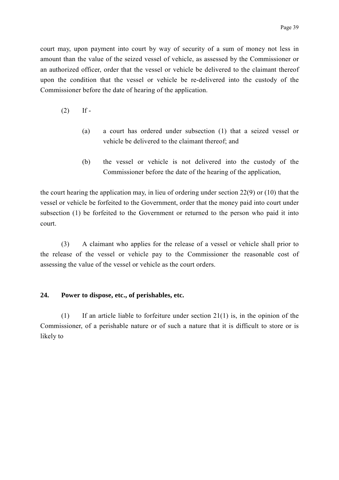court may, upon payment into court by way of security of a sum of money not less in amount than the value of the seized vessel of vehicle, as assessed by the Commissioner or an authorized officer, order that the vessel or vehicle be delivered to the claimant thereof upon the condition that the vessel or vehicle be re-delivered into the custody of the Commissioner before the date of hearing of the application.

- $(2)$  If -
	- (a) a court has ordered under subsection (1) that a seized vessel or vehicle be delivered to the claimant thereof; and
	- (b) the vessel or vehicle is not delivered into the custody of the Commissioner before the date of the hearing of the application,

the court hearing the application may, in lieu of ordering under section 22(9) or (10) that the vessel or vehicle be forfeited to the Government, order that the money paid into court under subsection (1) be forfeited to the Government or returned to the person who paid it into court.

(3) A claimant who applies for the release of a vessel or vehicle shall prior to the release of the vessel or vehicle pay to the Commissioner the reasonable cost of assessing the value of the vessel or vehicle as the court orders.

## **24. Power to dispose, etc., of perishables, etc.**

 $(1)$  If an article liable to forfeiture under section 21(1) is, in the opinion of the Commissioner, of a perishable nature or of such a nature that it is difficult to store or is likely to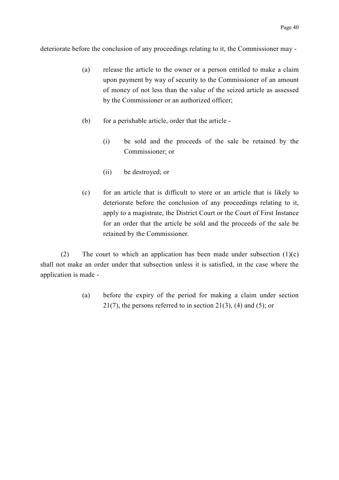deteriorate before the conclusion of any proceedings relating to it, the Commissioner may -

- (a) release the article to the owner or a person entitled to make a claim upon payment by way of security to the Commissioner of an amount of money of not less than the value of the seized article as assessed by the Commissioner or an authorized officer;
- (b) for a perishable article, order that the article
	- (i) be sold and the proceeds of the sale be retained by the Commissioner; or
	- (ii) be destroyed; or
- (c) for an article that is difficult to store or an article that is likely to deteriorate before the conclusion of any proceedings relating to it, apply to a magistrate, the District Court or the Court of First Instance for an order that the article be sold and the proceeds of the sale be retained by the Commissioner.

(2) The court to which an application has been made under subsection  $(1)(c)$ shall not make an order under that subsection unless it is satisfied, in the case where the application is made -

> (a) before the expiry of the period for making a claim under section  $21(7)$ , the persons referred to in section  $21(3)$ , (4) and (5); or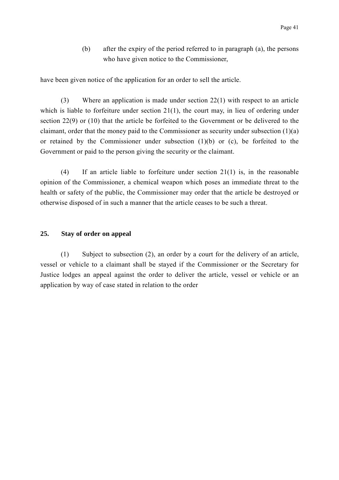(b) after the expiry of the period referred to in paragraph (a), the persons who have given notice to the Commissioner,

have been given notice of the application for an order to sell the article.

(3) Where an application is made under section 22(1) with respect to an article which is liable to forfeiture under section 21(1), the court may, in lieu of ordering under section 22(9) or (10) that the article be forfeited to the Government or be delivered to the claimant, order that the money paid to the Commissioner as security under subsection (1)(a) or retained by the Commissioner under subsection (1)(b) or (c), be forfeited to the Government or paid to the person giving the security or the claimant.

(4) If an article liable to forfeiture under section 21(1) is, in the reasonable opinion of the Commissioner, a chemical weapon which poses an immediate threat to the health or safety of the public, the Commissioner may order that the article be destroyed or otherwise disposed of in such a manner that the article ceases to be such a threat.

## **25. Stay of order on appeal**

(1) Subject to subsection (2), an order by a court for the delivery of an article, vessel or vehicle to a claimant shall be stayed if the Commissioner or the Secretary for Justice lodges an appeal against the order to deliver the article, vessel or vehicle or an application by way of case stated in relation to the order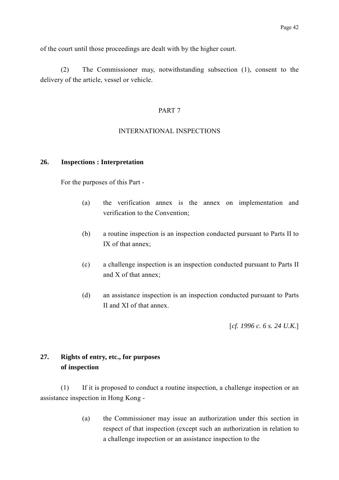of the court until those proceedings are dealt with by the higher court.

(2) The Commissioner may, notwithstanding subsection (1), consent to the delivery of the article, vessel or vehicle.

### PART 7

### INTERNATIONAL INSPECTIONS

#### **26. Inspections : Interpretation**

For the purposes of this Part -

- (a) the verification annex is the annex on implementation and verification to the Convention;
- (b) a routine inspection is an inspection conducted pursuant to Parts II to IX of that annex;
- (c) a challenge inspection is an inspection conducted pursuant to Parts II and X of that annex;
- (d) an assistance inspection is an inspection conducted pursuant to Parts II and XI of that annex.

[*cf. 1996 c. 6 s. 24 U.K.*]

# **27. Rights of entry, etc., for purposes of inspection**

(1) If it is proposed to conduct a routine inspection, a challenge inspection or an assistance inspection in Hong Kong -

> (a) the Commissioner may issue an authorization under this section in respect of that inspection (except such an authorization in relation to a challenge inspection or an assistance inspection to the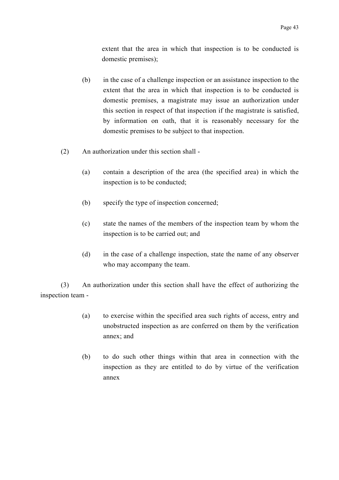extent that the area in which that inspection is to be conducted is domestic premises);

- (b) in the case of a challenge inspection or an assistance inspection to the extent that the area in which that inspection is to be conducted is domestic premises, a magistrate may issue an authorization under this section in respect of that inspection if the magistrate is satisfied, by information on oath, that it is reasonably necessary for the domestic premises to be subject to that inspection.
- (2) An authorization under this section shall
	- (a) contain a description of the area (the specified area) in which the inspection is to be conducted;
	- (b) specify the type of inspection concerned;
	- (c) state the names of the members of the inspection team by whom the inspection is to be carried out; and
	- (d) in the case of a challenge inspection, state the name of any observer who may accompany the team.

(3) An authorization under this section shall have the effect of authorizing the inspection team -

- (a) to exercise within the specified area such rights of access, entry and unobstructed inspection as are conferred on them by the verification annex; and
- (b) to do such other things within that area in connection with the inspection as they are entitled to do by virtue of the verification annex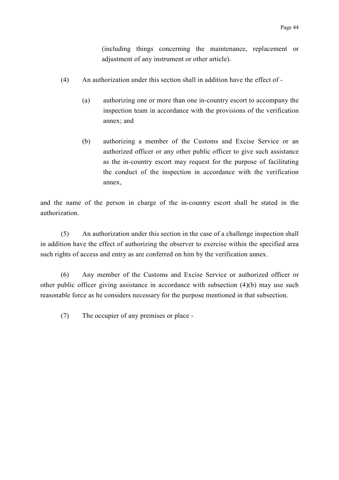(including things concerning the maintenance, replacement or adjustment of any instrument or other article).

- (4) An authorization under this section shall in addition have the effect of
	- (a) authorizing one or more than one in-country escort to accompany the inspection team in accordance with the provisions of the verification annex; and
	- (b) authorizing a member of the Customs and Excise Service or an authorized officer or any other public officer to give such assistance as the in-country escort may request for the purpose of facilitating the conduct of the inspection in accordance with the verification annex,

and the name of the person in charge of the in-country escort shall be stated in the authorization.

(5) An authorization under this section in the case of a challenge inspection shall in addition have the effect of authorizing the observer to exercise within the specified area such rights of access and entry as are conferred on him by the verification annex.

(6) Any member of the Customs and Excise Service or authorized officer or other public officer giving assistance in accordance with subsection (4)(b) may use such reasonable force as he considers necessary for the purpose mentioned in that subsection.

(7) The occupier of any premises or place -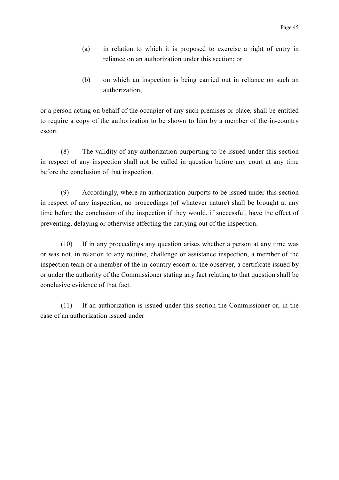- (a) in relation to which it is proposed to exercise a right of entry in reliance on an authorization under this section; or
- (b) on which an inspection is being carried out in reliance on such an authorization,

or a person acting on behalf of the occupier of any such premises or place, shall be entitled to require a copy of the authorization to be shown to him by a member of the in-country escort.

(8) The validity of any authorization purporting to be issued under this section in respect of any inspection shall not be called in question before any court at any time before the conclusion of that inspection.

(9) Accordingly, where an authorization purports to be issued under this section in respect of any inspection, no proceedings (of whatever nature) shall be brought at any time before the conclusion of the inspection if they would, if successful, have the effect of preventing, delaying or otherwise affecting the carrying out of the inspection.

(10) If in any proceedings any question arises whether a person at any time was or was not, in relation to any routine, challenge or assistance inspection, a member of the inspection team or a member of the in-country escort or the observer, a certificate issued by or under the authority of the Commissioner stating any fact relating to that question shall be conclusive evidence of that fact.

(11) If an authorization is issued under this section the Commissioner or, in the case of an authorization issued under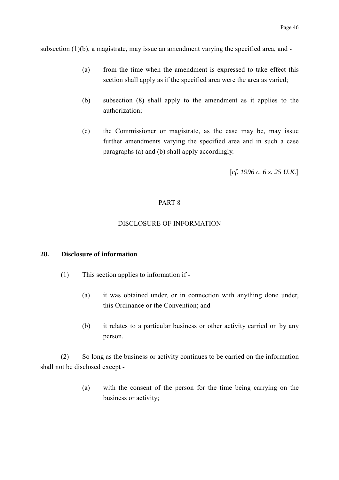subsection (1)(b), a magistrate, may issue an amendment varying the specified area, and -

- (a) from the time when the amendment is expressed to take effect this section shall apply as if the specified area were the area as varied;
- (b) subsection (8) shall apply to the amendment as it applies to the authorization;
- (c) the Commissioner or magistrate, as the case may be, may issue further amendments varying the specified area and in such a case paragraphs (a) and (b) shall apply accordingly.

[*cf. 1996 c. 6 s. 25 U.K.*]

# PART 8

## DISCLOSURE OF INFORMATION

### **28. Disclosure of information**

- (1) This section applies to information if
	- (a) it was obtained under, or in connection with anything done under, this Ordinance or the Convention; and
	- (b) it relates to a particular business or other activity carried on by any person.

(2) So long as the business or activity continues to be carried on the information shall not be disclosed except -

> (a) with the consent of the person for the time being carrying on the business or activity;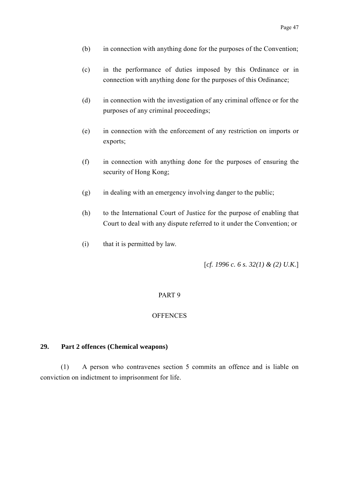- (b) in connection with anything done for the purposes of the Convention;
- (c) in the performance of duties imposed by this Ordinance or in connection with anything done for the purposes of this Ordinance;
- (d) in connection with the investigation of any criminal offence or for the purposes of any criminal proceedings;
- (e) in connection with the enforcement of any restriction on imports or exports;
- (f) in connection with anything done for the purposes of ensuring the security of Hong Kong;
- $(g)$  in dealing with an emergency involving danger to the public;
- (h) to the International Court of Justice for the purpose of enabling that Court to deal with any dispute referred to it under the Convention; or
- (i) that it is permitted by law.

[*cf. 1996 c. 6 s. 32(1) & (2) U.K.*]

#### PART 9

## **OFFENCES**

# **29. Part 2 offences (Chemical weapons)**

(1) A person who contravenes section 5 commits an offence and is liable on conviction on indictment to imprisonment for life.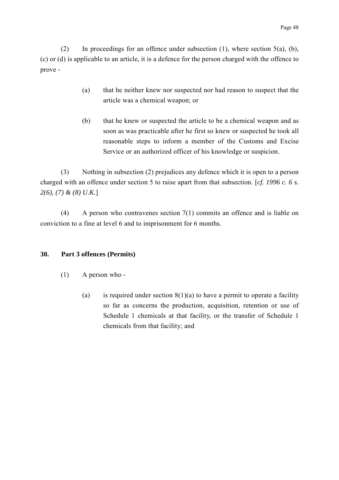(2) In proceedings for an offence under subsection (1), where section 5(a), (b), (c) or (d) is applicable to an article, it is a defence for the person charged with the offence to prove -

- (a) that he neither knew nor suspected nor had reason to suspect that the article was a chemical weapon; or
- (b) that he knew or suspected the article to be a chemical weapon and as soon as was practicable after he first so knew or suspected he took all reasonable steps to inform a member of the Customs and Excise Service or an authorized officer of his knowledge or suspicion.

(3) Nothing in subsection (2) prejudices any defence which it is open to a person charged with an offence under section 5 to raise apart from that subsection. [*cf. 1996 c. 6 s. 2(6), (7) & (8) U.K.*]

(4) A person who contravenes section 7(1) commits an offence and is liable on conviction to a fine at level 6 and to imprisonment for 6 months.

# **30. Part 3 offences (Permits)**

- (1) A person who
	- (a) is required under section  $8(1)(a)$  to have a permit to operate a facility so far as concerns the production, acquisition, retention or use of Schedule 1 chemicals at that facility, or the transfer of Schedule 1 chemicals from that facility; and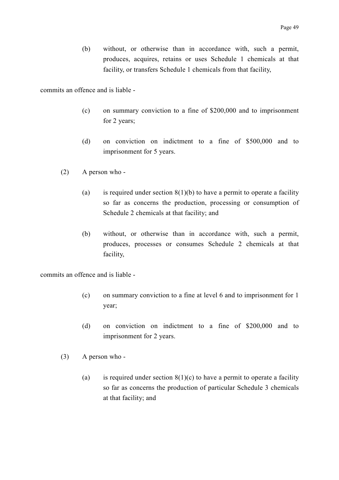(b) without, or otherwise than in accordance with, such a permit, produces, acquires, retains or uses Schedule 1 chemicals at that facility, or transfers Schedule 1 chemicals from that facility,

commits an offence and is liable -

- (c) on summary conviction to a fine of \$200,000 and to imprisonment for 2 years;
- (d) on conviction on indictment to a fine of \$500,000 and to imprisonment for 5 years.
- (2) A person who
	- (a) is required under section  $8(1)(b)$  to have a permit to operate a facility so far as concerns the production, processing or consumption of Schedule 2 chemicals at that facility; and
	- (b) without, or otherwise than in accordance with, such a permit, produces, processes or consumes Schedule 2 chemicals at that facility,

commits an offence and is liable -

- (c) on summary conviction to a fine at level 6 and to imprisonment for 1 year;
- (d) on conviction on indictment to a fine of \$200,000 and to imprisonment for 2 years.
- (3) A person who
	- (a) is required under section  $8(1)(c)$  to have a permit to operate a facility so far as concerns the production of particular Schedule 3 chemicals at that facility; and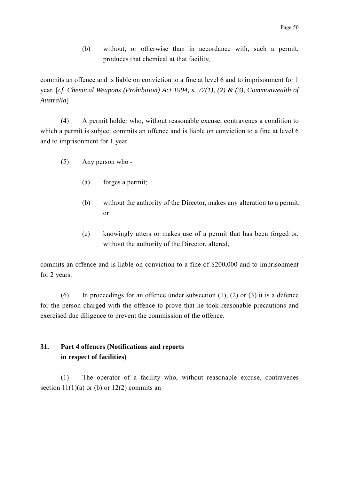(b) without, or otherwise than in accordance with, such a permit, produces that chemical at that facility,

commits an offence and is liable on conviction to a fine at level 6 and to imprisonment for 1 year. [*cf. Chemical Weapons (Prohibition) Act 1994, s. 77(1), (2) & (3), Commonwealth of Australia*]

(4) A permit holder who, without reasonable excuse, contravenes a condition to which a permit is subject commits an offence and is liable on conviction to a fine at level 6 and to imprisonment for 1 year.

- (5) Any person who
	- (a) forges a permit;
	- (b) without the authority of the Director, makes any alteration to a permit; or
	- (c) knowingly utters or makes use of a permit that has been forged or, without the authority of the Director, altered,

commits an offence and is liable on conviction to a fine of \$200,000 and to imprisonment for 2 years.

(6) In proceedings for an offence under subsection  $(1)$ ,  $(2)$  or  $(3)$  it is a defence for the person charged with the offence to prove that he took reasonable precautions and exercised due diligence to prevent the commission of the offence.

# **31. Part 4 offences (Notifications and reports in respect of facilities)**

(1) The operator of a facility who, without reasonable excuse, contravenes section  $11(1)(a)$  or (b) or  $12(2)$  commits an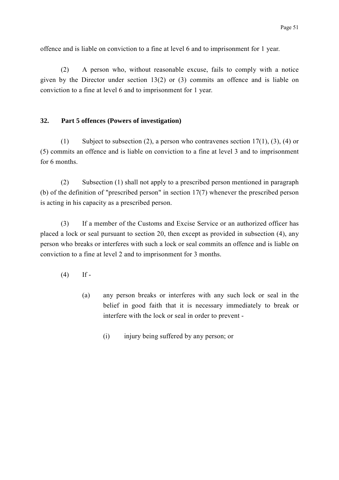offence and is liable on conviction to a fine at level 6 and to imprisonment for 1 year.

(2) A person who, without reasonable excuse, fails to comply with a notice given by the Director under section 13(2) or (3) commits an offence and is liable on conviction to a fine at level 6 and to imprisonment for 1 year.

# **32. Part 5 offences (Powers of investigation)**

(1) Subject to subsection (2), a person who contravenes section 17(1), (3), (4) or (5) commits an offence and is liable on conviction to a fine at level 3 and to imprisonment for 6 months.

(2) Subsection (1) shall not apply to a prescribed person mentioned in paragraph (b) of the definition of "prescribed person" in section 17(7) whenever the prescribed person is acting in his capacity as a prescribed person.

(3) If a member of the Customs and Excise Service or an authorized officer has placed a lock or seal pursuant to section 20, then except as provided in subsection (4), any person who breaks or interferes with such a lock or seal commits an offence and is liable on conviction to a fine at level 2 and to imprisonment for 3 months.

- $(4)$  If -
	- (a) any person breaks or interferes with any such lock or seal in the belief in good faith that it is necessary immediately to break or interfere with the lock or seal in order to prevent -
		- (i) injury being suffered by any person; or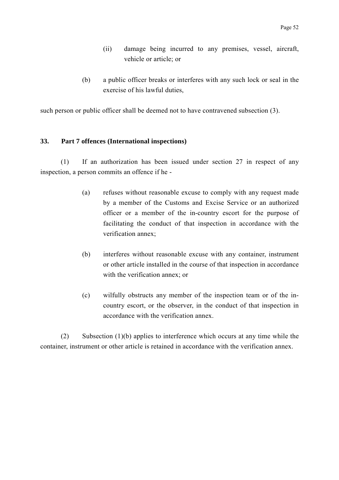- (ii) damage being incurred to any premises, vessel, aircraft, vehicle or article; or
- (b) a public officer breaks or interferes with any such lock or seal in the exercise of his lawful duties,

such person or public officer shall be deemed not to have contravened subsection (3).

# **33. Part 7 offences (International inspections)**

(1) If an authorization has been issued under section 27 in respect of any inspection, a person commits an offence if he -

- (a) refuses without reasonable excuse to comply with any request made by a member of the Customs and Excise Service or an authorized officer or a member of the in-country escort for the purpose of facilitating the conduct of that inspection in accordance with the verification annex;
- (b) interferes without reasonable excuse with any container, instrument or other article installed in the course of that inspection in accordance with the verification annex; or
- (c) wilfully obstructs any member of the inspection team or of the incountry escort, or the observer, in the conduct of that inspection in accordance with the verification annex.

(2) Subsection (1)(b) applies to interference which occurs at any time while the container, instrument or other article is retained in accordance with the verification annex.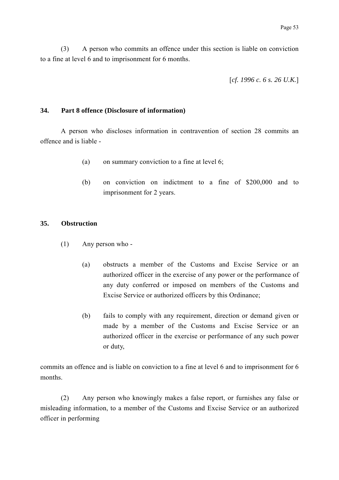(3) A person who commits an offence under this section is liable on conviction to a fine at level 6 and to imprisonment for 6 months.

[*cf. 1996 c. 6 s. 26 U.K.*]

### **34. Part 8 offence (Disclosure of information)**

A person who discloses information in contravention of section 28 commits an offence and is liable -

- (a) on summary conviction to a fine at level 6;
- (b) on conviction on indictment to a fine of \$200,000 and to imprisonment for 2 years.

### **35. Obstruction**

- (1) Any person who
	- (a) obstructs a member of the Customs and Excise Service or an authorized officer in the exercise of any power or the performance of any duty conferred or imposed on members of the Customs and Excise Service or authorized officers by this Ordinance;
	- (b) fails to comply with any requirement, direction or demand given or made by a member of the Customs and Excise Service or an authorized officer in the exercise or performance of any such power or duty,

commits an offence and is liable on conviction to a fine at level 6 and to imprisonment for 6 months.

(2) Any person who knowingly makes a false report, or furnishes any false or misleading information, to a member of the Customs and Excise Service or an authorized officer in performing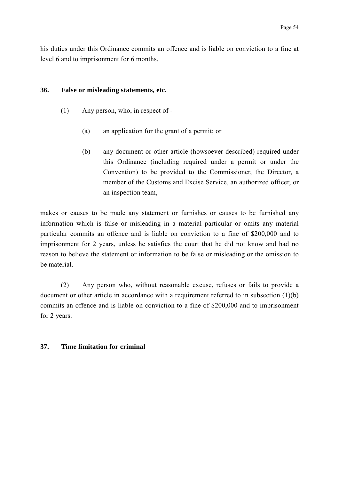his duties under this Ordinance commits an offence and is liable on conviction to a fine at level 6 and to imprisonment for 6 months.

#### **36. False or misleading statements, etc.**

- (1) Any person, who, in respect of
	- (a) an application for the grant of a permit; or
	- (b) any document or other article (howsoever described) required under this Ordinance (including required under a permit or under the Convention) to be provided to the Commissioner, the Director, a member of the Customs and Excise Service, an authorized officer, or an inspection team,

makes or causes to be made any statement or furnishes or causes to be furnished any information which is false or misleading in a material particular or omits any material particular commits an offence and is liable on conviction to a fine of \$200,000 and to imprisonment for 2 years, unless he satisfies the court that he did not know and had no reason to believe the statement or information to be false or misleading or the omission to be material.

(2) Any person who, without reasonable excuse, refuses or fails to provide a document or other article in accordance with a requirement referred to in subsection (1)(b) commits an offence and is liable on conviction to a fine of \$200,000 and to imprisonment for 2 years.

# **37. Time limitation for criminal**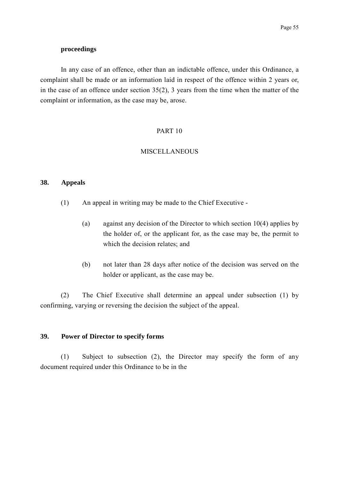#### **proceedings**

In any case of an offence, other than an indictable offence, under this Ordinance, a complaint shall be made or an information laid in respect of the offence within 2 years or, in the case of an offence under section 35(2), 3 years from the time when the matter of the complaint or information, as the case may be, arose.

## PART 10

#### MISCELLANEOUS

#### **38. Appeals**

- (1) An appeal in writing may be made to the Chief Executive
	- (a) against any decision of the Director to which section 10(4) applies by the holder of, or the applicant for, as the case may be, the permit to which the decision relates; and
	- (b) not later than 28 days after notice of the decision was served on the holder or applicant, as the case may be.

(2) The Chief Executive shall determine an appeal under subsection (1) by confirming, varying or reversing the decision the subject of the appeal.

## **39. Power of Director to specify forms**

(1) Subject to subsection (2), the Director may specify the form of any document required under this Ordinance to be in the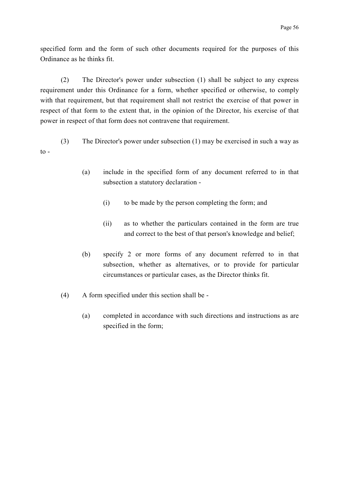specified form and the form of such other documents required for the purposes of this Ordinance as he thinks fit.

(2) The Director's power under subsection (1) shall be subject to any express requirement under this Ordinance for a form, whether specified or otherwise, to comply with that requirement, but that requirement shall not restrict the exercise of that power in respect of that form to the extent that, in the opinion of the Director, his exercise of that power in respect of that form does not contravene that requirement.

(3) The Director's power under subsection (1) may be exercised in such a way as  $\mathfrak{t}$ .

- (a) include in the specified form of any document referred to in that subsection a statutory declaration -
	- (i) to be made by the person completing the form; and
	- (ii) as to whether the particulars contained in the form are true and correct to the best of that person's knowledge and belief;
- (b) specify 2 or more forms of any document referred to in that subsection, whether as alternatives, or to provide for particular circumstances or particular cases, as the Director thinks fit.
- (4) A form specified under this section shall be
	- (a) completed in accordance with such directions and instructions as are specified in the form;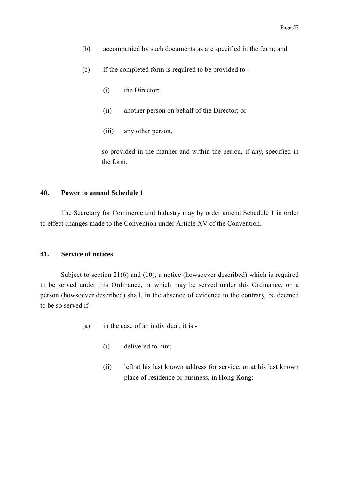- (b) accompanied by such documents as are specified in the form; and
- (c) if the completed form is required to be provided to
	- (i) the Director;
	- (ii) another person on behalf of the Director; or
	- (iii) any other person,

so provided in the manner and within the period, if any, specified in the form.

## **40. Power to amend Schedule 1**

The Secretary for Commerce and Industry may by order amend Schedule 1 in order to effect changes made to the Convention under Article XV of the Convention.

## **41. Service of notices**

Subject to section 21(6) and (10), a notice (howsoever described) which is required to be served under this Ordinance, or which may be served under this Ordinance, on a person (howsoever described) shall, in the absence of evidence to the contrary, be deemed to be so served if -

- (a) in the case of an individual, it is
	- (i) delivered to him;
	- (ii) left at his last known address for service, or at his last known place of residence or business, in Hong Kong;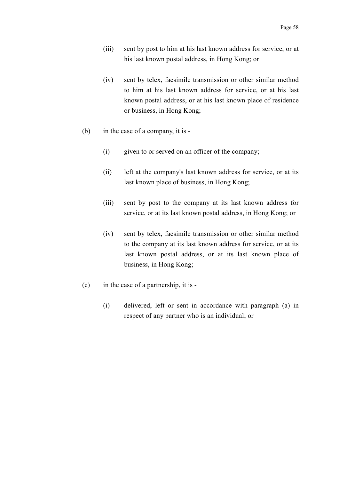- (iii) sent by post to him at his last known address for service, or at his last known postal address, in Hong Kong; or
- (iv) sent by telex, facsimile transmission or other similar method to him at his last known address for service, or at his last known postal address, or at his last known place of residence or business, in Hong Kong;
- (b) in the case of a company, it is
	- (i) given to or served on an officer of the company;
	- (ii) left at the company's last known address for service, or at its last known place of business, in Hong Kong;
	- (iii) sent by post to the company at its last known address for service, or at its last known postal address, in Hong Kong; or
	- (iv) sent by telex, facsimile transmission or other similar method to the company at its last known address for service, or at its last known postal address, or at its last known place of business, in Hong Kong;
- (c) in the case of a partnership, it is
	- (i) delivered, left or sent in accordance with paragraph (a) in respect of any partner who is an individual; or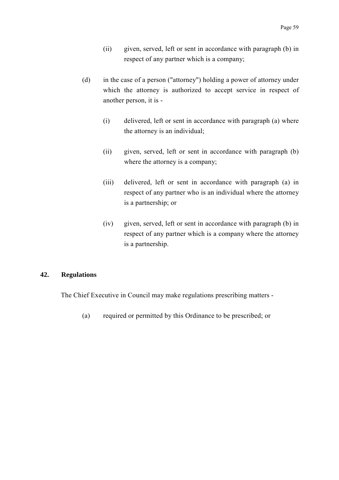- (ii) given, served, left or sent in accordance with paragraph (b) in respect of any partner which is a company;
- (d) in the case of a person ("attorney") holding a power of attorney under which the attorney is authorized to accept service in respect of another person, it is -
	- (i) delivered, left or sent in accordance with paragraph (a) where the attorney is an individual;
	- (ii) given, served, left or sent in accordance with paragraph (b) where the attorney is a company;
	- (iii) delivered, left or sent in accordance with paragraph (a) in respect of any partner who is an individual where the attorney is a partnership; or
	- (iv) given, served, left or sent in accordance with paragraph (b) in respect of any partner which is a company where the attorney is a partnership.

# **42. Regulations**

The Chief Executive in Council may make regulations prescribing matters -

(a) required or permitted by this Ordinance to be prescribed; or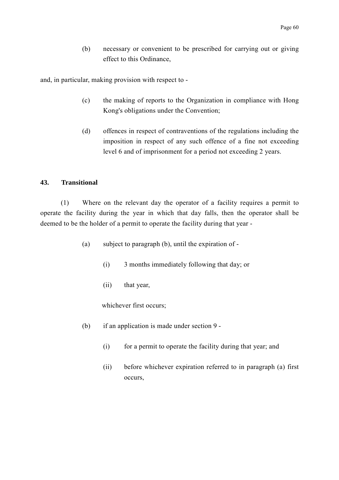(b) necessary or convenient to be prescribed for carrying out or giving effect to this Ordinance,

and, in particular, making provision with respect to -

- (c) the making of reports to the Organization in compliance with Hong Kong's obligations under the Convention;
- (d) offences in respect of contraventions of the regulations including the imposition in respect of any such offence of a fine not exceeding level 6 and of imprisonment for a period not exceeding 2 years.

### **43. Transitional**

(1) Where on the relevant day the operator of a facility requires a permit to operate the facility during the year in which that day falls, then the operator shall be deemed to be the holder of a permit to operate the facility during that year -

- (a) subject to paragraph (b), until the expiration of
	- (i) 3 months immediately following that day; or
	- (ii) that year,

whichever first occurs;

- (b) if an application is made under section 9
	- (i) for a permit to operate the facility during that year; and
	- (ii) before whichever expiration referred to in paragraph (a) first occurs,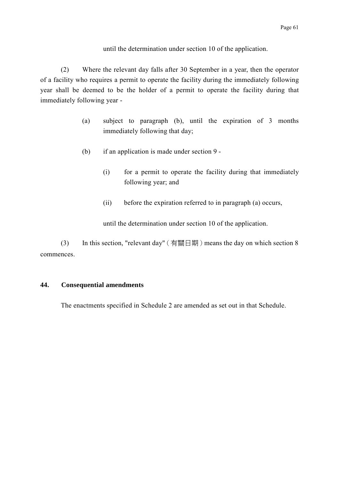until the determination under section 10 of the application.

(2) Where the relevant day falls after 30 September in a year, then the operator of a facility who requires a permit to operate the facility during the immediately following year shall be deemed to be the holder of a permit to operate the facility during that immediately following year -

- (a) subject to paragraph (b), until the expiration of 3 months immediately following that day;
- (b) if an application is made under section 9
	- (i) for a permit to operate the facility during that immediately following year; and
	- (ii) before the expiration referred to in paragraph (a) occurs,

until the determination under section 10 of the application.

(3) In this section, "relevant day" (有關日期) means the day on which section 8 commences.

## **44. Consequential amendments**

The enactments specified in Schedule 2 are amended as set out in that Schedule.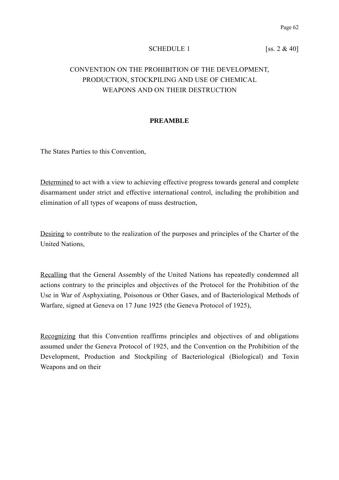#### SCHEDULE 1 [ss.  $2 \& 40$ ]

# CONVENTION ON THE PROHIBITION OF THE DEVELOPMENT, PRODUCTION, STOCKPILING AND USE OF CHEMICAL WEAPONS AND ON THEIR DESTRUCTION

### **PREAMBLE**

The States Parties to this Convention,

Determined to act with a view to achieving effective progress towards general and complete disarmament under strict and effective international control, including the prohibition and elimination of all types of weapons of mass destruction,

Desiring to contribute to the realization of the purposes and principles of the Charter of the United Nations,

Recalling that the General Assembly of the United Nations has repeatedly condemned all actions contrary to the principles and objectives of the Protocol for the Prohibition of the Use in War of Asphyxiating, Poisonous or Other Gases, and of Bacteriological Methods of Warfare, signed at Geneva on 17 June 1925 (the Geneva Protocol of 1925),

Recognizing that this Convention reaffirms principles and objectives of and obligations assumed under the Geneva Protocol of 1925, and the Convention on the Prohibition of the Development, Production and Stockpiling of Bacteriological (Biological) and Toxin Weapons and on their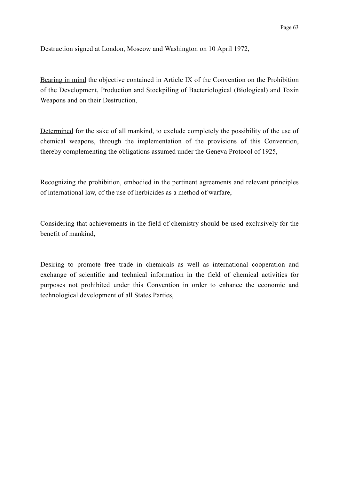Destruction signed at London, Moscow and Washington on 10 April 1972,

Bearing in mind the objective contained in Article IX of the Convention on the Prohibition of the Development, Production and Stockpiling of Bacteriological (Biological) and Toxin Weapons and on their Destruction,

Determined for the sake of all mankind, to exclude completely the possibility of the use of chemical weapons, through the implementation of the provisions of this Convention, thereby complementing the obligations assumed under the Geneva Protocol of 1925,

Recognizing the prohibition, embodied in the pertinent agreements and relevant principles of international law, of the use of herbicides as a method of warfare,

Considering that achievements in the field of chemistry should be used exclusively for the benefit of mankind,

Desiring to promote free trade in chemicals as well as international cooperation and exchange of scientific and technical information in the field of chemical activities for purposes not prohibited under this Convention in order to enhance the economic and technological development of all States Parties,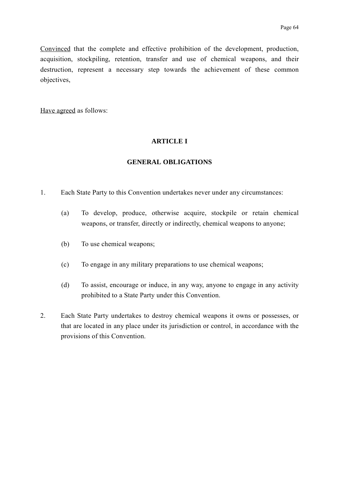Convinced that the complete and effective prohibition of the development, production, acquisition, stockpiling, retention, transfer and use of chemical weapons, and their destruction, represent a necessary step towards the achievement of these common objectives,

Have agreed as follows:

### **ARTICLE I**

## **GENERAL OBLIGATIONS**

- 1. Each State Party to this Convention undertakes never under any circumstances:
	- (a) To develop, produce, otherwise acquire, stockpile or retain chemical weapons, or transfer, directly or indirectly, chemical weapons to anyone;
	- (b) To use chemical weapons;
	- (c) To engage in any military preparations to use chemical weapons;
	- (d) To assist, encourage or induce, in any way, anyone to engage in any activity prohibited to a State Party under this Convention.
- 2. Each State Party undertakes to destroy chemical weapons it owns or possesses, or that are located in any place under its jurisdiction or control, in accordance with the provisions of this Convention.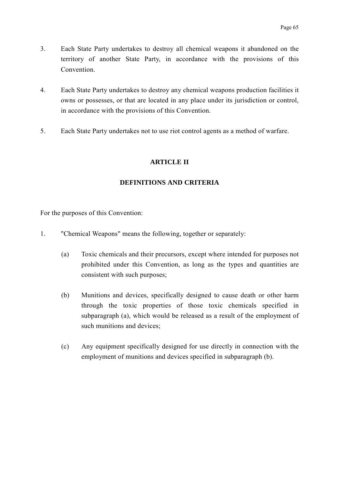- 3. Each State Party undertakes to destroy all chemical weapons it abandoned on the territory of another State Party, in accordance with the provisions of this Convention.
- 4. Each State Party undertakes to destroy any chemical weapons production facilities it owns or possesses, or that are located in any place under its jurisdiction or control, in accordance with the provisions of this Convention.
- 5. Each State Party undertakes not to use riot control agents as a method of warfare.

## **ARTICLE II**

## **DEFINITIONS AND CRITERIA**

For the purposes of this Convention:

- 1. "Chemical Weapons" means the following, together or separately:
	- (a) Toxic chemicals and their precursors, except where intended for purposes not prohibited under this Convention, as long as the types and quantities are consistent with such purposes;
	- (b) Munitions and devices, specifically designed to cause death or other harm through the toxic properties of those toxic chemicals specified in subparagraph (a), which would be released as a result of the employment of such munitions and devices;
	- (c) Any equipment specifically designed for use directly in connection with the employment of munitions and devices specified in subparagraph (b).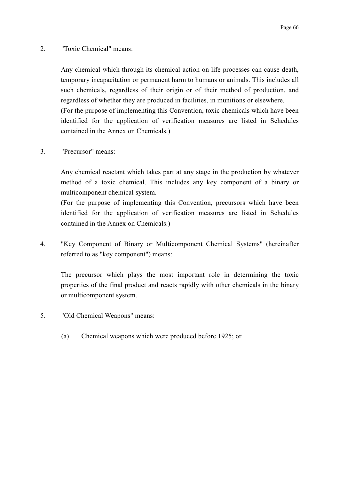2. "Toxic Chemical" means:

Any chemical which through its chemical action on life processes can cause death, temporary incapacitation or permanent harm to humans or animals. This includes all such chemicals, regardless of their origin or of their method of production, and regardless of whether they are produced in facilities, in munitions or elsewhere. (For the purpose of implementing this Convention, toxic chemicals which have been identified for the application of verification measures are listed in Schedules contained in the Annex on Chemicals.)

3. "Precursor" means:

Any chemical reactant which takes part at any stage in the production by whatever method of a toxic chemical. This includes any key component of a binary or multicomponent chemical system.

(For the purpose of implementing this Convention, precursors which have been identified for the application of verification measures are listed in Schedules contained in the Annex on Chemicals.)

4. "Key Component of Binary or Multicomponent Chemical Systems" (hereinafter referred to as "key component") means:

The precursor which plays the most important role in determining the toxic properties of the final product and reacts rapidly with other chemicals in the binary or multicomponent system.

- 5. "Old Chemical Weapons" means:
	- (a) Chemical weapons which were produced before 1925; or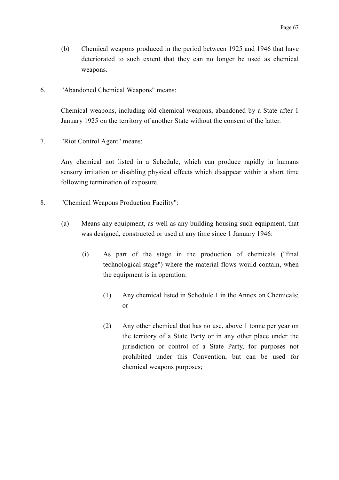- (b) Chemical weapons produced in the period between 1925 and 1946 that have deteriorated to such extent that they can no longer be used as chemical weapons.
- 6. "Abandoned Chemical Weapons" means:

Chemical weapons, including old chemical weapons, abandoned by a State after 1 January 1925 on the territory of another State without the consent of the latter.

7. "Riot Control Agent" means:

Any chemical not listed in a Schedule, which can produce rapidly in humans sensory irritation or disabling physical effects which disappear within a short time following termination of exposure.

- 8. "Chemical Weapons Production Facility":
	- (a) Means any equipment, as well as any building housing such equipment, that was designed, constructed or used at any time since 1 January 1946:
		- (i) As part of the stage in the production of chemicals ("final technological stage") where the material flows would contain, when the equipment is in operation:
			- (1) Any chemical listed in Schedule 1 in the Annex on Chemicals; or
			- (2) Any other chemical that has no use, above 1 tonne per year on the territory of a State Party or in any other place under the jurisdiction or control of a State Party, for purposes not prohibited under this Convention, but can be used for chemical weapons purposes;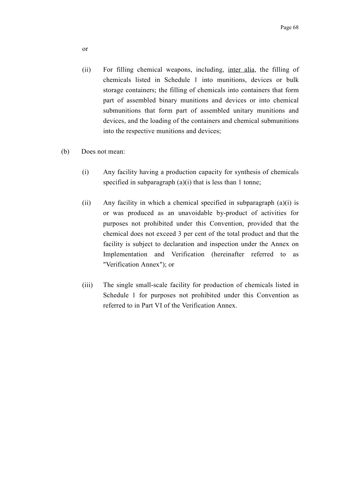- (ii) For filling chemical weapons, including, inter alia, the filling of chemicals listed in Schedule 1 into munitions, devices or bulk storage containers; the filling of chemicals into containers that form part of assembled binary munitions and devices or into chemical submunitions that form part of assembled unitary munitions and devices, and the loading of the containers and chemical submunitions into the respective munitions and devices;
- (b) Does not mean:
	- (i) Any facility having a production capacity for synthesis of chemicals specified in subparagraph (a)(i) that is less than 1 tonne;
	- (ii) Any facility in which a chemical specified in subparagraph (a)(i) is or was produced as an unavoidable by-product of activities for purposes not prohibited under this Convention, provided that the chemical does not exceed 3 per cent of the total product and that the facility is subject to declaration and inspection under the Annex on Implementation and Verification (hereinafter referred to as "Verification Annex"); or
	- (iii) The single small-scale facility for production of chemicals listed in Schedule 1 for purposes not prohibited under this Convention as referred to in Part VI of the Verification Annex.

or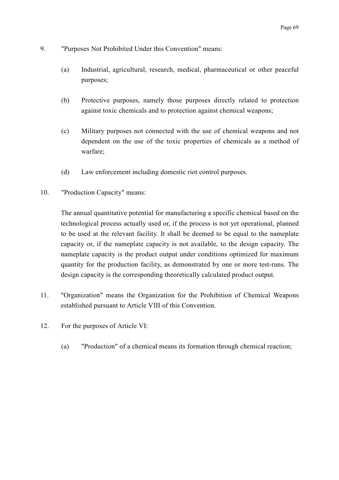- 9. "Purposes Not Prohibited Under this Convention" means:
	- (a) Industrial, agricultural, research, medical, pharmaceutical or other peaceful purposes;
	- (b) Protective purposes, namely those purposes directly related to protection against toxic chemicals and to protection against chemical weapons;
	- (c) Military purposes not connected with the use of chemical weapons and not dependent on the use of the toxic properties of chemicals as a method of warfare;
	- (d) Law enforcement including domestic riot control purposes.
- 10. "Production Capacity" means:

The annual quantitative potential for manufacturing a specific chemical based on the technological process actually used or, if the process is not yet operational, planned to be used at the relevant facility. It shall be deemed to be equal to the nameplate capacity or, if the nameplate capacity is not available, to the design capacity. The nameplate capacity is the product output under conditions optimized for maximum quantity for the production facility, as demonstrated by one or more test-runs. The design capacity is the corresponding theoretically calculated product output.

- 11. "Organization" means the Organization for the Prohibition of Chemical Weapons established pursuant to Article VIII of this Convention.
- 12. For the purposes of Article VI:
	- (a) "Production" of a chemical means its formation through chemical reaction;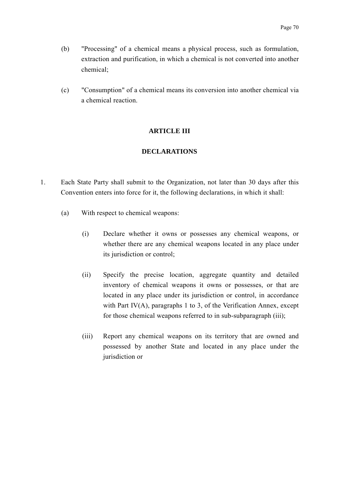- (b) "Processing" of a chemical means a physical process, such as formulation, extraction and purification, in which a chemical is not converted into another chemical;
- (c) "Consumption" of a chemical means its conversion into another chemical via a chemical reaction.

## **ARTICLE III**

### **DECLARATIONS**

- 1. Each State Party shall submit to the Organization, not later than 30 days after this Convention enters into force for it, the following declarations, in which it shall:
	- (a) With respect to chemical weapons:
		- (i) Declare whether it owns or possesses any chemical weapons, or whether there are any chemical weapons located in any place under its jurisdiction or control;
		- (ii) Specify the precise location, aggregate quantity and detailed inventory of chemical weapons it owns or possesses, or that are located in any place under its jurisdiction or control, in accordance with Part IV $(A)$ , paragraphs 1 to 3, of the Verification Annex, except for those chemical weapons referred to in sub-subparagraph (iii);
		- (iii) Report any chemical weapons on its territory that are owned and possessed by another State and located in any place under the jurisdiction or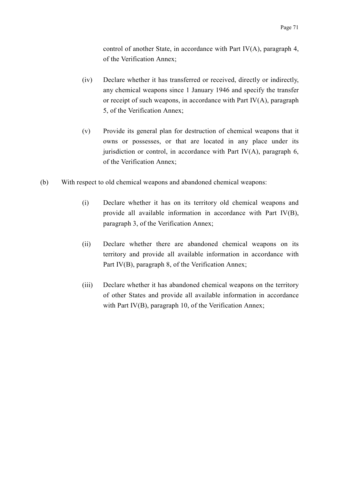control of another State, in accordance with Part IV(A), paragraph 4, of the Verification Annex;

- (iv) Declare whether it has transferred or received, directly or indirectly, any chemical weapons since 1 January 1946 and specify the transfer or receipt of such weapons, in accordance with Part  $IV(A)$ , paragraph 5, of the Verification Annex;
- (v) Provide its general plan for destruction of chemical weapons that it owns or possesses, or that are located in any place under its jurisdiction or control, in accordance with Part  $IV(A)$ , paragraph 6, of the Verification Annex;
- (b) With respect to old chemical weapons and abandoned chemical weapons:
	- (i) Declare whether it has on its territory old chemical weapons and provide all available information in accordance with Part IV(B), paragraph 3, of the Verification Annex;
	- (ii) Declare whether there are abandoned chemical weapons on its territory and provide all available information in accordance with Part IV(B), paragraph 8, of the Verification Annex;
	- (iii) Declare whether it has abandoned chemical weapons on the territory of other States and provide all available information in accordance with Part IV(B), paragraph 10, of the Verification Annex;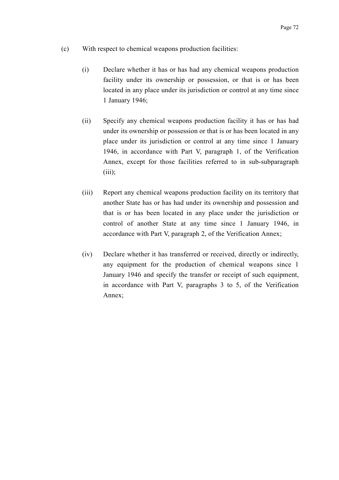- (c) With respect to chemical weapons production facilities:
	- (i) Declare whether it has or has had any chemical weapons production facility under its ownership or possession, or that is or has been located in any place under its jurisdiction or control at any time since 1 January 1946;
	- (ii) Specify any chemical weapons production facility it has or has had under its ownership or possession or that is or has been located in any place under its jurisdiction or control at any time since 1 January 1946, in accordance with Part V, paragraph 1, of the Verification Annex, except for those facilities referred to in sub-subparagraph  $(iii)$ ;
	- (iii) Report any chemical weapons production facility on its territory that another State has or has had under its ownership and possession and that is or has been located in any place under the jurisdiction or control of another State at any time since 1 January 1946, in accordance with Part V, paragraph 2, of the Verification Annex;
	- (iv) Declare whether it has transferred or received, directly or indirectly, any equipment for the production of chemical weapons since 1 January 1946 and specify the transfer or receipt of such equipment, in accordance with Part V, paragraphs 3 to 5, of the Verification Annex;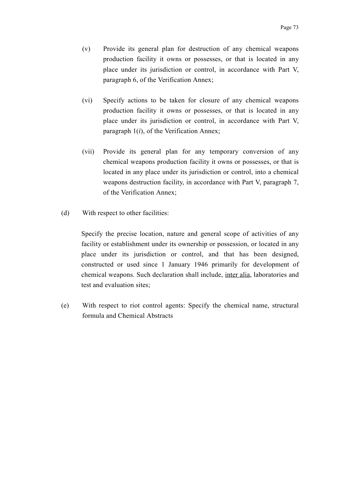- (v) Provide its general plan for destruction of any chemical weapons production facility it owns or possesses, or that is located in any place under its jurisdiction or control, in accordance with Part V, paragraph 6, of the Verification Annex;
- (vi) Specify actions to be taken for closure of any chemical weapons production facility it owns or possesses, or that is located in any place under its jurisdiction or control, in accordance with Part V, paragraph 1(*i*), of the Verification Annex;
- (vii) Provide its general plan for any temporary conversion of any chemical weapons production facility it owns or possesses, or that is located in any place under its jurisdiction or control, into a chemical weapons destruction facility, in accordance with Part V, paragraph 7, of the Verification Annex;
- (d) With respect to other facilities:

Specify the precise location, nature and general scope of activities of any facility or establishment under its ownership or possession, or located in any place under its jurisdiction or control, and that has been designed, constructed or used since 1 January 1946 primarily for development of chemical weapons. Such declaration shall include, inter alia, laboratories and test and evaluation sites;

(e) With respect to riot control agents: Specify the chemical name, structural formula and Chemical Abstracts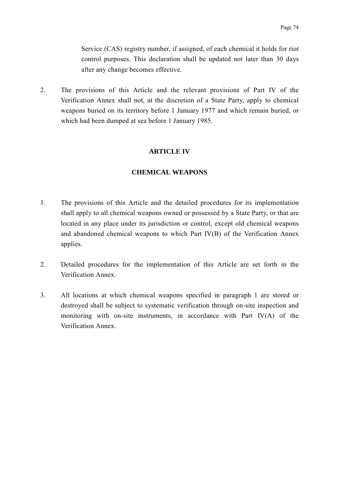Service (CAS) registry number, if assigned, of each chemical it holds for riot control purposes. This declaration shall be updated not later than 30 days after any change becomes effective.

2. The provisions of this Article and the relevant provisions of Part IV of the Verification Annex shall not, at the discretion of a State Party, apply to chemical weapons buried on its territory before 1 January 1977 and which remain buried, or which had been dumped at sea before 1 January 1985.

#### **ARTICLE IV**

### **CHEMICAL WEAPONS**

- 1. The provisions of this Article and the detailed procedures for its implementation shall apply to all chemical weapons owned or possessed by a State Party, or that are located in any place under its jurisdiction or control, except old chemical weapons and abandoned chemical weapons to which Part IV(B) of the Verification Annex applies.
- 2. Detailed procedures for the implementation of this Article are set forth in the Verification Annex.
- 3. All locations at which chemical weapons specified in paragraph 1 are stored or destroyed shall be subject to systematic verification through on-site inspection and monitoring with on-site instruments, in accordance with Part IV(A) of the Verification Annex.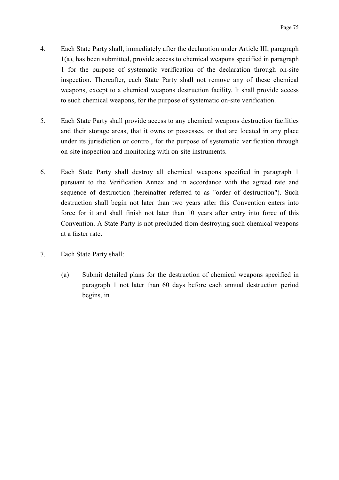- 4. Each State Party shall, immediately after the declaration under Article III, paragraph 1(a), has been submitted, provide access to chemical weapons specified in paragraph 1 for the purpose of systematic verification of the declaration through on-site inspection. Thereafter, each State Party shall not remove any of these chemical weapons, except to a chemical weapons destruction facility. It shall provide access to such chemical weapons, for the purpose of systematic on-site verification.
- 5. Each State Party shall provide access to any chemical weapons destruction facilities and their storage areas, that it owns or possesses, or that are located in any place under its jurisdiction or control, for the purpose of systematic verification through on-site inspection and monitoring with on-site instruments.
- 6. Each State Party shall destroy all chemical weapons specified in paragraph 1 pursuant to the Verification Annex and in accordance with the agreed rate and sequence of destruction (hereinafter referred to as "order of destruction"). Such destruction shall begin not later than two years after this Convention enters into force for it and shall finish not later than 10 years after entry into force of this Convention. A State Party is not precluded from destroying such chemical weapons at a faster rate.
- 7. Each State Party shall:
	- (a) Submit detailed plans for the destruction of chemical weapons specified in paragraph 1 not later than 60 days before each annual destruction period begins, in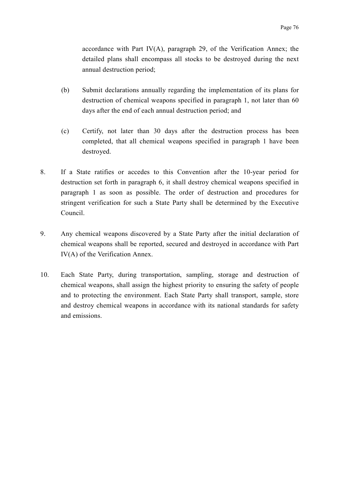accordance with Part IV(A), paragraph 29, of the Verification Annex; the detailed plans shall encompass all stocks to be destroyed during the next annual destruction period;

- (b) Submit declarations annually regarding the implementation of its plans for destruction of chemical weapons specified in paragraph 1, not later than 60 days after the end of each annual destruction period; and
- (c) Certify, not later than 30 days after the destruction process has been completed, that all chemical weapons specified in paragraph 1 have been destroyed.
- 8. If a State ratifies or accedes to this Convention after the 10-year period for destruction set forth in paragraph 6, it shall destroy chemical weapons specified in paragraph 1 as soon as possible. The order of destruction and procedures for stringent verification for such a State Party shall be determined by the Executive Council.
- 9. Any chemical weapons discovered by a State Party after the initial declaration of chemical weapons shall be reported, secured and destroyed in accordance with Part IV(A) of the Verification Annex.
- 10. Each State Party, during transportation, sampling, storage and destruction of chemical weapons, shall assign the highest priority to ensuring the safety of people and to protecting the environment. Each State Party shall transport, sample, store and destroy chemical weapons in accordance with its national standards for safety and emissions.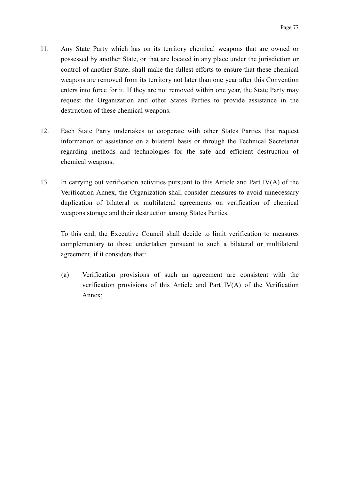- 11. Any State Party which has on its territory chemical weapons that are owned or possessed by another State, or that are located in any place under the jurisdiction or control of another State, shall make the fullest efforts to ensure that these chemical weapons are removed from its territory not later than one year after this Convention enters into force for it. If they are not removed within one year, the State Party may request the Organization and other States Parties to provide assistance in the destruction of these chemical weapons.
- 12. Each State Party undertakes to cooperate with other States Parties that request information or assistance on a bilateral basis or through the Technical Secretariat regarding methods and technologies for the safe and efficient destruction of chemical weapons.
- 13. In carrying out verification activities pursuant to this Article and Part IV(A) of the Verification Annex, the Organization shall consider measures to avoid unnecessary duplication of bilateral or multilateral agreements on verification of chemical weapons storage and their destruction among States Parties.

To this end, the Executive Council shall decide to limit verification to measures complementary to those undertaken pursuant to such a bilateral or multilateral agreement, if it considers that:

(a) Verification provisions of such an agreement are consistent with the verification provisions of this Article and Part IV(A) of the Verification Annex;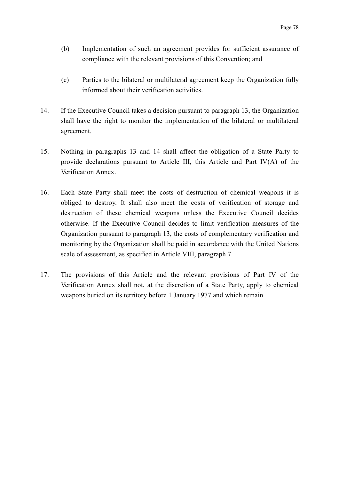- (b) Implementation of such an agreement provides for sufficient assurance of compliance with the relevant provisions of this Convention; and
- (c) Parties to the bilateral or multilateral agreement keep the Organization fully informed about their verification activities.
- 14. If the Executive Council takes a decision pursuant to paragraph 13, the Organization shall have the right to monitor the implementation of the bilateral or multilateral agreement.
- 15. Nothing in paragraphs 13 and 14 shall affect the obligation of a State Party to provide declarations pursuant to Article III, this Article and Part IV(A) of the Verification Annex.
- 16. Each State Party shall meet the costs of destruction of chemical weapons it is obliged to destroy. It shall also meet the costs of verification of storage and destruction of these chemical weapons unless the Executive Council decides otherwise. If the Executive Council decides to limit verification measures of the Organization pursuant to paragraph 13, the costs of complementary verification and monitoring by the Organization shall be paid in accordance with the United Nations scale of assessment, as specified in Article VIII, paragraph 7.
- 17. The provisions of this Article and the relevant provisions of Part IV of the Verification Annex shall not, at the discretion of a State Party, apply to chemical weapons buried on its territory before 1 January 1977 and which remain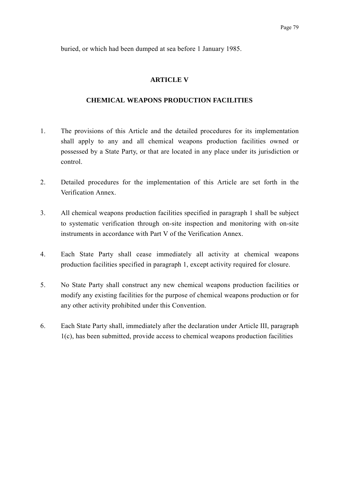buried, or which had been dumped at sea before 1 January 1985.

### **ARTICLE V**

#### **CHEMICAL WEAPONS PRODUCTION FACILITIES**

- 1. The provisions of this Article and the detailed procedures for its implementation shall apply to any and all chemical weapons production facilities owned or possessed by a State Party, or that are located in any place under its jurisdiction or control.
- 2. Detailed procedures for the implementation of this Article are set forth in the Verification Annex.
- 3. All chemical weapons production facilities specified in paragraph 1 shall be subject to systematic verification through on-site inspection and monitoring with on-site instruments in accordance with Part V of the Verification Annex.
- 4. Each State Party shall cease immediately all activity at chemical weapons production facilities specified in paragraph 1, except activity required for closure.
- 5. No State Party shall construct any new chemical weapons production facilities or modify any existing facilities for the purpose of chemical weapons production or for any other activity prohibited under this Convention.
- 6. Each State Party shall, immediately after the declaration under Article III, paragraph 1(c), has been submitted, provide access to chemical weapons production facilities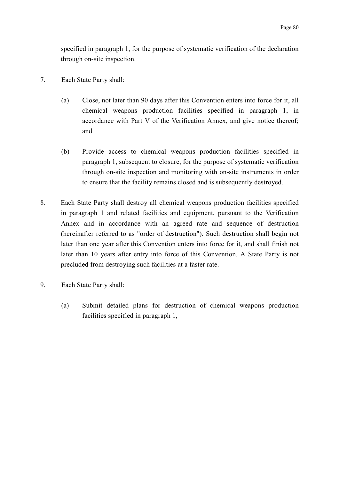specified in paragraph 1, for the purpose of systematic verification of the declaration through on-site inspection.

- 7. Each State Party shall:
	- (a) Close, not later than 90 days after this Convention enters into force for it, all chemical weapons production facilities specified in paragraph 1, in accordance with Part V of the Verification Annex, and give notice thereof; and
	- (b) Provide access to chemical weapons production facilities specified in paragraph 1, subsequent to closure, for the purpose of systematic verification through on-site inspection and monitoring with on-site instruments in order to ensure that the facility remains closed and is subsequently destroyed.
- 8. Each State Party shall destroy all chemical weapons production facilities specified in paragraph 1 and related facilities and equipment, pursuant to the Verification Annex and in accordance with an agreed rate and sequence of destruction (hereinafter referred to as "order of destruction"). Such destruction shall begin not later than one year after this Convention enters into force for it, and shall finish not later than 10 years after entry into force of this Convention. A State Party is not precluded from destroying such facilities at a faster rate.
- 9. Each State Party shall:
	- (a) Submit detailed plans for destruction of chemical weapons production facilities specified in paragraph 1,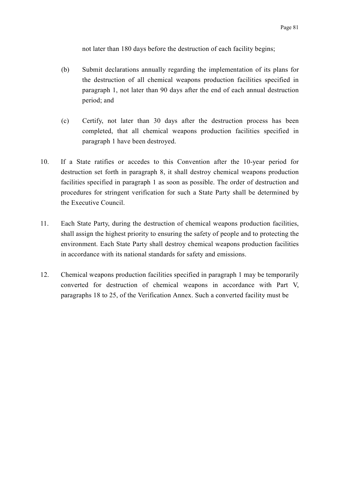not later than 180 days before the destruction of each facility begins;

- (b) Submit declarations annually regarding the implementation of its plans for the destruction of all chemical weapons production facilities specified in paragraph 1, not later than 90 days after the end of each annual destruction period; and
- (c) Certify, not later than 30 days after the destruction process has been completed, that all chemical weapons production facilities specified in paragraph 1 have been destroyed.
- 10. If a State ratifies or accedes to this Convention after the 10-year period for destruction set forth in paragraph 8, it shall destroy chemical weapons production facilities specified in paragraph 1 as soon as possible. The order of destruction and procedures for stringent verification for such a State Party shall be determined by the Executive Council.
- 11. Each State Party, during the destruction of chemical weapons production facilities, shall assign the highest priority to ensuring the safety of people and to protecting the environment. Each State Party shall destroy chemical weapons production facilities in accordance with its national standards for safety and emissions.
- 12. Chemical weapons production facilities specified in paragraph 1 may be temporarily converted for destruction of chemical weapons in accordance with Part V, paragraphs 18 to 25, of the Verification Annex. Such a converted facility must be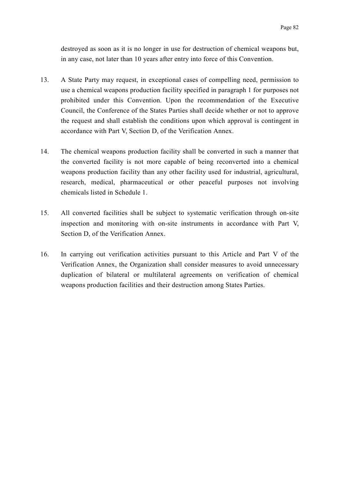destroyed as soon as it is no longer in use for destruction of chemical weapons but, in any case, not later than 10 years after entry into force of this Convention.

- 13. A State Party may request, in exceptional cases of compelling need, permission to use a chemical weapons production facility specified in paragraph 1 for purposes not prohibited under this Convention. Upon the recommendation of the Executive Council, the Conference of the States Parties shall decide whether or not to approve the request and shall establish the conditions upon which approval is contingent in accordance with Part V, Section D, of the Verification Annex.
- 14. The chemical weapons production facility shall be converted in such a manner that the converted facility is not more capable of being reconverted into a chemical weapons production facility than any other facility used for industrial, agricultural, research, medical, pharmaceutical or other peaceful purposes not involving chemicals listed in Schedule 1.
- 15. All converted facilities shall be subject to systematic verification through on-site inspection and monitoring with on-site instruments in accordance with Part V, Section D, of the Verification Annex.
- 16. In carrying out verification activities pursuant to this Article and Part V of the Verification Annex, the Organization shall consider measures to avoid unnecessary duplication of bilateral or multilateral agreements on verification of chemical weapons production facilities and their destruction among States Parties.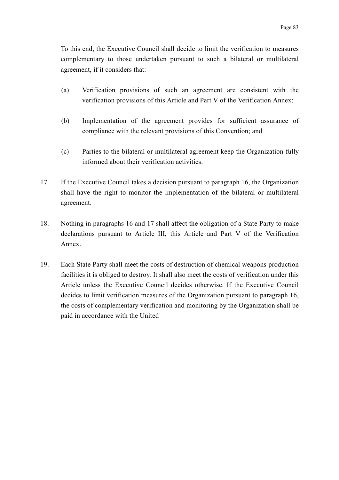To this end, the Executive Council shall decide to limit the verification to measures complementary to those undertaken pursuant to such a bilateral or multilateral agreement, if it considers that:

- (a) Verification provisions of such an agreement are consistent with the verification provisions of this Article and Part V of the Verification Annex;
- (b) Implementation of the agreement provides for sufficient assurance of compliance with the relevant provisions of this Convention; and
- (c) Parties to the bilateral or multilateral agreement keep the Organization fully informed about their verification activities.
- 17. If the Executive Council takes a decision pursuant to paragraph 16, the Organization shall have the right to monitor the implementation of the bilateral or multilateral agreement.
- 18. Nothing in paragraphs 16 and 17 shall affect the obligation of a State Party to make declarations pursuant to Article III, this Article and Part V of the Verification Annex.
- 19. Each State Party shall meet the costs of destruction of chemical weapons production facilities it is obliged to destroy. It shall also meet the costs of verification under this Article unless the Executive Council decides otherwise. If the Executive Council decides to limit verification measures of the Organization pursuant to paragraph 16, the costs of complementary verification and monitoring by the Organization shall be paid in accordance with the United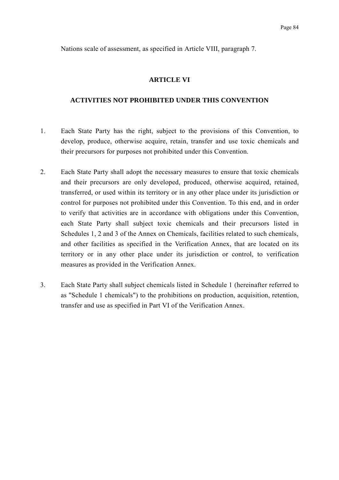Nations scale of assessment, as specified in Article VIII, paragraph 7.

### **ARTICLE VI**

#### **ACTIVITIES NOT PROHIBITED UNDER THIS CONVENTION**

- 1. Each State Party has the right, subject to the provisions of this Convention, to develop, produce, otherwise acquire, retain, transfer and use toxic chemicals and their precursors for purposes not prohibited under this Convention.
- 2. Each State Party shall adopt the necessary measures to ensure that toxic chemicals and their precursors are only developed, produced, otherwise acquired, retained, transferred, or used within its territory or in any other place under its jurisdiction or control for purposes not prohibited under this Convention. To this end, and in order to verify that activities are in accordance with obligations under this Convention, each State Party shall subject toxic chemicals and their precursors listed in Schedules 1, 2 and 3 of the Annex on Chemicals, facilities related to such chemicals, and other facilities as specified in the Verification Annex, that are located on its territory or in any other place under its jurisdiction or control, to verification measures as provided in the Verification Annex.
- 3. Each State Party shall subject chemicals listed in Schedule 1 (hereinafter referred to as "Schedule 1 chemicals") to the prohibitions on production, acquisition, retention, transfer and use as specified in Part VI of the Verification Annex.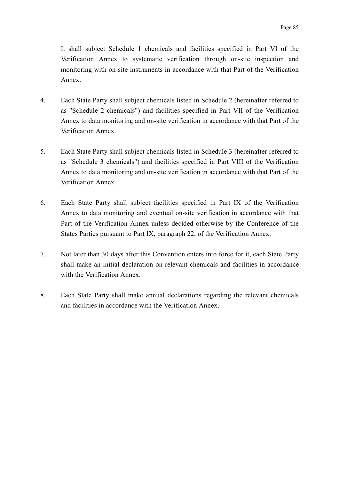It shall subject Schedule 1 chemicals and facilities specified in Part VI of the Verification Annex to systematic verification through on-site inspection and monitoring with on-site instruments in accordance with that Part of the Verification Annex.

- 4. Each State Party shall subject chemicals listed in Schedule 2 (hereinafter referred to as "Schedule 2 chemicals") and facilities specified in Part VII of the Verification Annex to data monitoring and on-site verification in accordance with that Part of the Verification Annex.
- 5. Each State Party shall subject chemicals listed in Schedule 3 (hereinafter referred to as "Schedule 3 chemicals") and facilities specified in Part VIII of the Verification Annex to data monitoring and on-site verification in accordance with that Part of the Verification Annex.
- 6. Each State Party shall subject facilities specified in Part IX of the Verification Annex to data monitoring and eventual on-site verification in accordance with that Part of the Verification Annex unless decided otherwise by the Conference of the States Parties pursuant to Part IX, paragraph 22, of the Verification Annex.
- 7. Not later than 30 days after this Convention enters into force for it, each State Party shall make an initial declaration on relevant chemicals and facilities in accordance with the Verification Annex.
- 8. Each State Party shall make annual declarations regarding the relevant chemicals and facilities in accordance with the Verification Annex.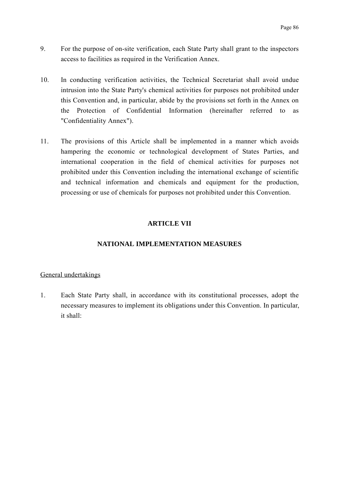- 9. For the purpose of on-site verification, each State Party shall grant to the inspectors access to facilities as required in the Verification Annex.
- 10. In conducting verification activities, the Technical Secretariat shall avoid undue intrusion into the State Party's chemical activities for purposes not prohibited under this Convention and, in particular, abide by the provisions set forth in the Annex on the Protection of Confidential Information (hereinafter referred to as "Confidentiality Annex").
- 11. The provisions of this Article shall be implemented in a manner which avoids hampering the economic or technological development of States Parties, and international cooperation in the field of chemical activities for purposes not prohibited under this Convention including the international exchange of scientific and technical information and chemicals and equipment for the production, processing or use of chemicals for purposes not prohibited under this Convention.

## **ARTICLE VII**

## **NATIONAL IMPLEMENTATION MEASURES**

## General undertakings

1. Each State Party shall, in accordance with its constitutional processes, adopt the necessary measures to implement its obligations under this Convention. In particular, it shall: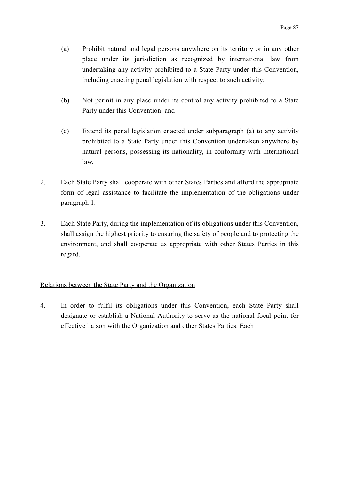- (a) Prohibit natural and legal persons anywhere on its territory or in any other place under its jurisdiction as recognized by international law from undertaking any activity prohibited to a State Party under this Convention, including enacting penal legislation with respect to such activity;
- (b) Not permit in any place under its control any activity prohibited to a State Party under this Convention; and
- (c) Extend its penal legislation enacted under subparagraph (a) to any activity prohibited to a State Party under this Convention undertaken anywhere by natural persons, possessing its nationality, in conformity with international law.
- 2. Each State Party shall cooperate with other States Parties and afford the appropriate form of legal assistance to facilitate the implementation of the obligations under paragraph 1.
- 3. Each State Party, during the implementation of its obligations under this Convention, shall assign the highest priority to ensuring the safety of people and to protecting the environment, and shall cooperate as appropriate with other States Parties in this regard.

## Relations between the State Party and the Organization

4. In order to fulfil its obligations under this Convention, each State Party shall designate or establish a National Authority to serve as the national focal point for effective liaison with the Organization and other States Parties. Each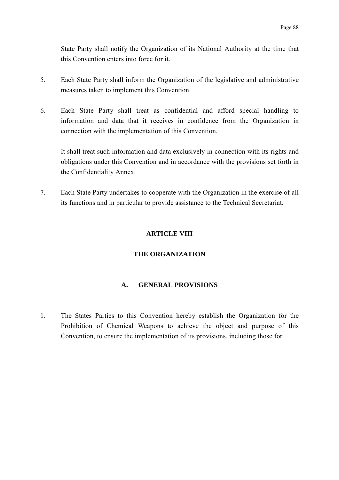State Party shall notify the Organization of its National Authority at the time that this Convention enters into force for it.

- 5. Each State Party shall inform the Organization of the legislative and administrative measures taken to implement this Convention.
- 6. Each State Party shall treat as confidential and afford special handling to information and data that it receives in confidence from the Organization in connection with the implementation of this Convention.

It shall treat such information and data exclusively in connection with its rights and obligations under this Convention and in accordance with the provisions set forth in the Confidentiality Annex.

7. Each State Party undertakes to cooperate with the Organization in the exercise of all its functions and in particular to provide assistance to the Technical Secretariat.

## **ARTICLE VIII**

## **THE ORGANIZATION**

## **A. GENERAL PROVISIONS**

1. The States Parties to this Convention hereby establish the Organization for the Prohibition of Chemical Weapons to achieve the object and purpose of this Convention, to ensure the implementation of its provisions, including those for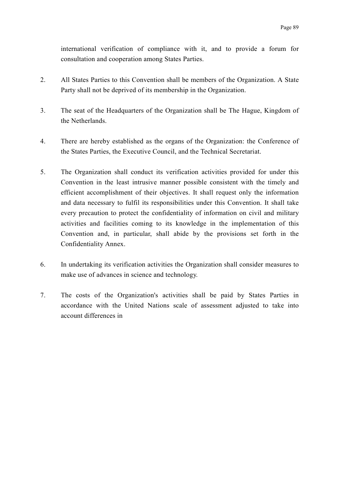international verification of compliance with it, and to provide a forum for consultation and cooperation among States Parties.

- 2. All States Parties to this Convention shall be members of the Organization. A State Party shall not be deprived of its membership in the Organization.
- 3. The seat of the Headquarters of the Organization shall be The Hague, Kingdom of the Netherlands.
- 4. There are hereby established as the organs of the Organization: the Conference of the States Parties, the Executive Council, and the Technical Secretariat.
- 5. The Organization shall conduct its verification activities provided for under this Convention in the least intrusive manner possible consistent with the timely and efficient accomplishment of their objectives. It shall request only the information and data necessary to fulfil its responsibilities under this Convention. It shall take every precaution to protect the confidentiality of information on civil and military activities and facilities coming to its knowledge in the implementation of this Convention and, in particular, shall abide by the provisions set forth in the Confidentiality Annex.
- 6. In undertaking its verification activities the Organization shall consider measures to make use of advances in science and technology.
- 7. The costs of the Organization's activities shall be paid by States Parties in accordance with the United Nations scale of assessment adjusted to take into account differences in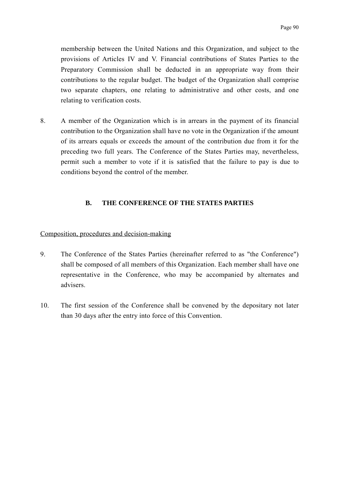membership between the United Nations and this Organization, and subject to the provisions of Articles IV and V. Financial contributions of States Parties to the Preparatory Commission shall be deducted in an appropriate way from their contributions to the regular budget. The budget of the Organization shall comprise two separate chapters, one relating to administrative and other costs, and one relating to verification costs.

8. A member of the Organization which is in arrears in the payment of its financial contribution to the Organization shall have no vote in the Organization if the amount of its arrears equals or exceeds the amount of the contribution due from it for the preceding two full years. The Conference of the States Parties may, nevertheless, permit such a member to vote if it is satisfied that the failure to pay is due to conditions beyond the control of the member.

## **B. THE CONFERENCE OF THE STATES PARTIES**

### Composition, procedures and decision-making

- 9. The Conference of the States Parties (hereinafter referred to as "the Conference") shall be composed of all members of this Organization. Each member shall have one representative in the Conference, who may be accompanied by alternates and advisers.
- 10. The first session of the Conference shall be convened by the depositary not later than 30 days after the entry into force of this Convention.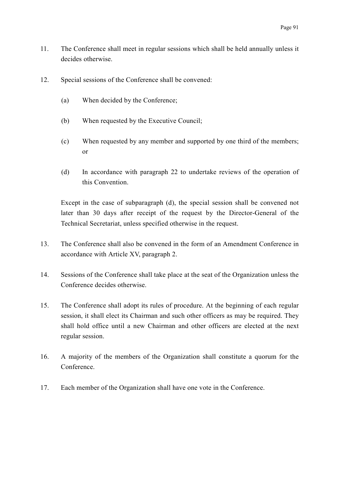- 11. The Conference shall meet in regular sessions which shall be held annually unless it decides otherwise.
- 12. Special sessions of the Conference shall be convened:
	- (a) When decided by the Conference;
	- (b) When requested by the Executive Council;
	- (c) When requested by any member and supported by one third of the members; or
	- (d) In accordance with paragraph 22 to undertake reviews of the operation of this Convention.

Except in the case of subparagraph (d), the special session shall be convened not later than 30 days after receipt of the request by the Director-General of the Technical Secretariat, unless specified otherwise in the request.

- 13. The Conference shall also be convened in the form of an Amendment Conference in accordance with Article XV, paragraph 2.
- 14. Sessions of the Conference shall take place at the seat of the Organization unless the Conference decides otherwise.
- 15. The Conference shall adopt its rules of procedure. At the beginning of each regular session, it shall elect its Chairman and such other officers as may be required. They shall hold office until a new Chairman and other officers are elected at the next regular session.
- 16. A majority of the members of the Organization shall constitute a quorum for the Conference.
- 17. Each member of the Organization shall have one vote in the Conference.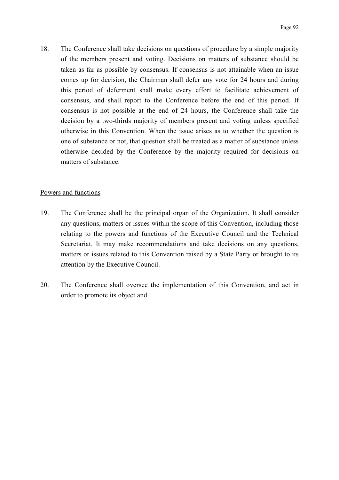18. The Conference shall take decisions on questions of procedure by a simple majority of the members present and voting. Decisions on matters of substance should be taken as far as possible by consensus. If consensus is not attainable when an issue comes up for decision, the Chairman shall defer any vote for 24 hours and during this period of deferment shall make every effort to facilitate achievement of consensus, and shall report to the Conference before the end of this period. If consensus is not possible at the end of 24 hours, the Conference shall take the decision by a two-thirds majority of members present and voting unless specified otherwise in this Convention. When the issue arises as to whether the question is one of substance or not, that question shall be treated as a matter of substance unless otherwise decided by the Conference by the majority required for decisions on matters of substance.

## Powers and functions

- 19. The Conference shall be the principal organ of the Organization. It shall consider any questions, matters or issues within the scope of this Convention, including those relating to the powers and functions of the Executive Council and the Technical Secretariat. It may make recommendations and take decisions on any questions, matters or issues related to this Convention raised by a State Party or brought to its attention by the Executive Council.
- 20. The Conference shall oversee the implementation of this Convention, and act in order to promote its object and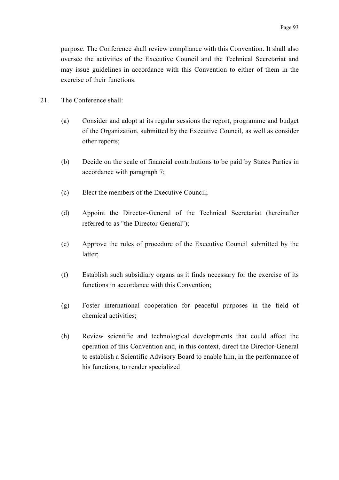purpose. The Conference shall review compliance with this Convention. It shall also oversee the activities of the Executive Council and the Technical Secretariat and may issue guidelines in accordance with this Convention to either of them in the exercise of their functions.

- 21. The Conference shall:
	- (a) Consider and adopt at its regular sessions the report, programme and budget of the Organization, submitted by the Executive Council, as well as consider other reports;
	- (b) Decide on the scale of financial contributions to be paid by States Parties in accordance with paragraph 7;
	- (c) Elect the members of the Executive Council;
	- (d) Appoint the Director-General of the Technical Secretariat (hereinafter referred to as "the Director-General");
	- (e) Approve the rules of procedure of the Executive Council submitted by the latter;
	- (f) Establish such subsidiary organs as it finds necessary for the exercise of its functions in accordance with this Convention;
	- (g) Foster international cooperation for peaceful purposes in the field of chemical activities;
	- (h) Review scientific and technological developments that could affect the operation of this Convention and, in this context, direct the Director-General to establish a Scientific Advisory Board to enable him, in the performance of his functions, to render specialized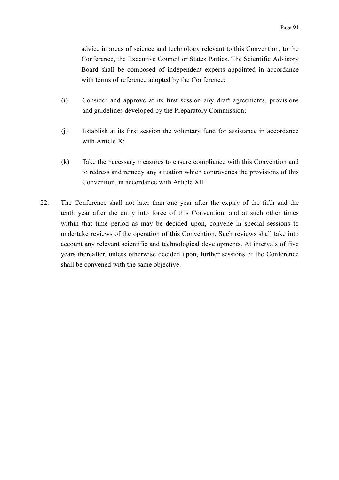advice in areas of science and technology relevant to this Convention, to the Conference, the Executive Council or States Parties. The Scientific Advisory Board shall be composed of independent experts appointed in accordance with terms of reference adopted by the Conference;

- (i) Consider and approve at its first session any draft agreements, provisions and guidelines developed by the Preparatory Commission;
- (j) Establish at its first session the voluntary fund for assistance in accordance with Article X;
- (k) Take the necessary measures to ensure compliance with this Convention and to redress and remedy any situation which contravenes the provisions of this Convention, in accordance with Article XII.
- 22. The Conference shall not later than one year after the expiry of the fifth and the tenth year after the entry into force of this Convention, and at such other times within that time period as may be decided upon, convene in special sessions to undertake reviews of the operation of this Convention. Such reviews shall take into account any relevant scientific and technological developments. At intervals of five years thereafter, unless otherwise decided upon, further sessions of the Conference shall be convened with the same objective.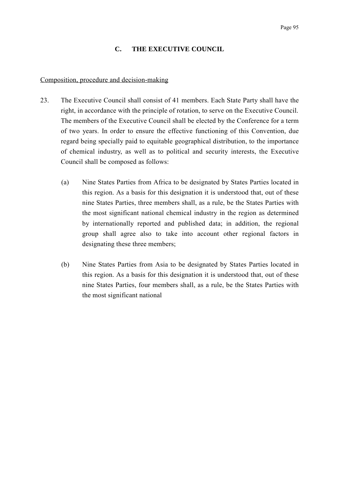## **C. THE EXECUTIVE COUNCIL**

#### Composition, procedure and decision-making

- 23. The Executive Council shall consist of 41 members. Each State Party shall have the right, in accordance with the principle of rotation, to serve on the Executive Council. The members of the Executive Council shall be elected by the Conference for a term of two years. In order to ensure the effective functioning of this Convention, due regard being specially paid to equitable geographical distribution, to the importance of chemical industry, as well as to political and security interests, the Executive Council shall be composed as follows:
	- (a) Nine States Parties from Africa to be designated by States Parties located in this region. As a basis for this designation it is understood that, out of these nine States Parties, three members shall, as a rule, be the States Parties with the most significant national chemical industry in the region as determined by internationally reported and published data; in addition, the regional group shall agree also to take into account other regional factors in designating these three members;
	- (b) Nine States Parties from Asia to be designated by States Parties located in this region. As a basis for this designation it is understood that, out of these nine States Parties, four members shall, as a rule, be the States Parties with the most significant national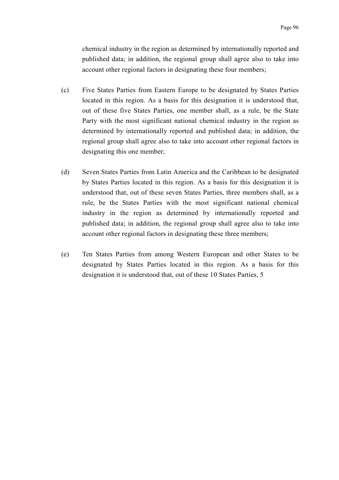chemical industry in the region as determined by internationally reported and published data; in addition, the regional group shall agree also to take into account other regional factors in designating these four members;

- (c) Five States Parties from Eastern Europe to be designated by States Parties located in this region. As a basis for this designation it is understood that, out of these five States Parties, one member shall, as a rule, be the State Party with the most significant national chemical industry in the region as determined by internationally reported and published data; in addition, the regional group shall agree also to take into account other regional factors in designating this one member;
- (d) Seven States Parties from Latin America and the Caribbean to be designated by States Parties located in this region. As a basis for this designation it is understood that, out of these seven States Parties, three members shall, as a rule, be the States Parties with the most significant national chemical industry in the region as determined by internationally reported and published data; in addition, the regional group shall agree also to take into account other regional factors in designating these three members;
- (e) Ten States Parties from among Western European and other States to be designated by States Parties located in this region. As a basis for this designation it is understood that, out of these 10 States Parties, 5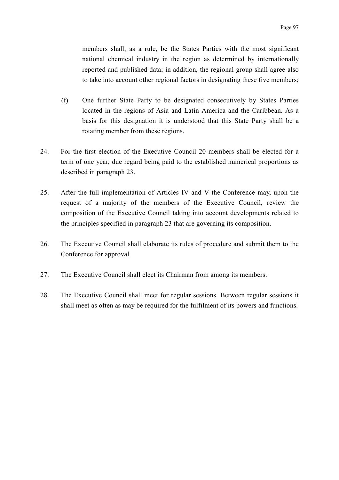members shall, as a rule, be the States Parties with the most significant national chemical industry in the region as determined by internationally reported and published data; in addition, the regional group shall agree also to take into account other regional factors in designating these five members;

- (f) One further State Party to be designated consecutively by States Parties located in the regions of Asia and Latin America and the Caribbean. As a basis for this designation it is understood that this State Party shall be a rotating member from these regions.
- 24. For the first election of the Executive Council 20 members shall be elected for a term of one year, due regard being paid to the established numerical proportions as described in paragraph 23.
- 25. After the full implementation of Articles IV and V the Conference may, upon the request of a majority of the members of the Executive Council, review the composition of the Executive Council taking into account developments related to the principles specified in paragraph 23 that are governing its composition.
- 26. The Executive Council shall elaborate its rules of procedure and submit them to the Conference for approval.
- 27. The Executive Council shall elect its Chairman from among its members.
- 28. The Executive Council shall meet for regular sessions. Between regular sessions it shall meet as often as may be required for the fulfilment of its powers and functions.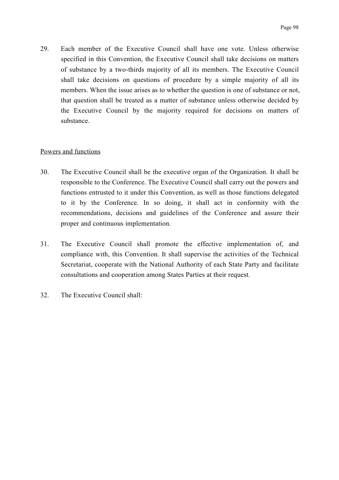29. Each member of the Executive Council shall have one vote. Unless otherwise specified in this Convention, the Executive Council shall take decisions on matters of substance by a two-thirds majority of all its members. The Executive Council shall take decisions on questions of procedure by a simple majority of all its members. When the issue arises as to whether the question is one of substance or not, that question shall be treated as a matter of substance unless otherwise decided by the Executive Council by the majority required for decisions on matters of substance.

### Powers and functions

- 30. The Executive Council shall be the executive organ of the Organization. It shall be responsible to the Conference. The Executive Council shall carry out the powers and functions entrusted to it under this Convention, as well as those functions delegated to it by the Conference. In so doing, it shall act in conformity with the recommendations, decisions and guidelines of the Conference and assure their proper and continuous implementation.
- 31. The Executive Council shall promote the effective implementation of, and compliance with, this Convention. It shall supervise the activities of the Technical Secretariat, cooperate with the National Authority of each State Party and facilitate consultations and cooperation among States Parties at their request.
- 32. The Executive Council shall: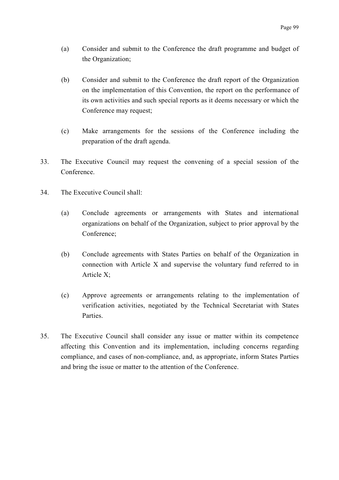- (a) Consider and submit to the Conference the draft programme and budget of the Organization;
- (b) Consider and submit to the Conference the draft report of the Organization on the implementation of this Convention, the report on the performance of its own activities and such special reports as it deems necessary or which the Conference may request;
- (c) Make arrangements for the sessions of the Conference including the preparation of the draft agenda.
- 33. The Executive Council may request the convening of a special session of the Conference.
- 34. The Executive Council shall:
	- (a) Conclude agreements or arrangements with States and international organizations on behalf of the Organization, subject to prior approval by the Conference;
	- (b) Conclude agreements with States Parties on behalf of the Organization in connection with Article X and supervise the voluntary fund referred to in Article X;
	- (c) Approve agreements or arrangements relating to the implementation of verification activities, negotiated by the Technical Secretariat with States **Parties**
- 35. The Executive Council shall consider any issue or matter within its competence affecting this Convention and its implementation, including concerns regarding compliance, and cases of non-compliance, and, as appropriate, inform States Parties and bring the issue or matter to the attention of the Conference.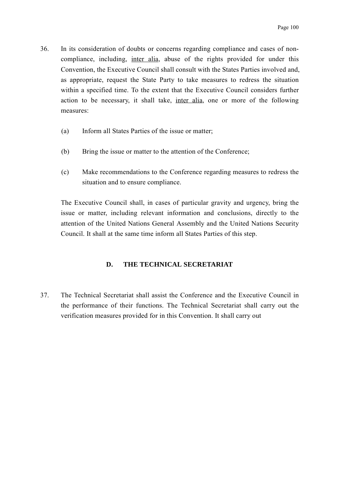- 36. In its consideration of doubts or concerns regarding compliance and cases of noncompliance, including, inter alia, abuse of the rights provided for under this Convention, the Executive Council shall consult with the States Parties involved and, as appropriate, request the State Party to take measures to redress the situation within a specified time. To the extent that the Executive Council considers further action to be necessary, it shall take, inter alia, one or more of the following measures:
	- (a) Inform all States Parties of the issue or matter;
	- (b) Bring the issue or matter to the attention of the Conference;
	- (c) Make recommendations to the Conference regarding measures to redress the situation and to ensure compliance.

The Executive Council shall, in cases of particular gravity and urgency, bring the issue or matter, including relevant information and conclusions, directly to the attention of the United Nations General Assembly and the United Nations Security Council. It shall at the same time inform all States Parties of this step.

# **D. THE TECHNICAL SECRETARIAT**

37. The Technical Secretariat shall assist the Conference and the Executive Council in the performance of their functions. The Technical Secretariat shall carry out the verification measures provided for in this Convention. It shall carry out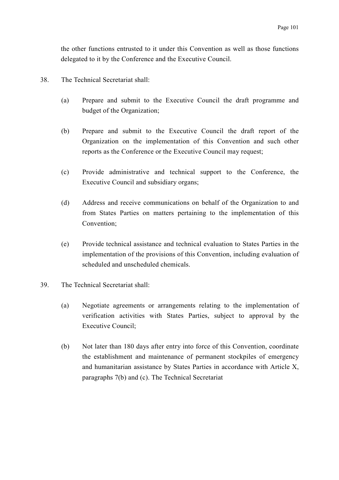the other functions entrusted to it under this Convention as well as those functions delegated to it by the Conference and the Executive Council.

- 38. The Technical Secretariat shall:
	- (a) Prepare and submit to the Executive Council the draft programme and budget of the Organization;
	- (b) Prepare and submit to the Executive Council the draft report of the Organization on the implementation of this Convention and such other reports as the Conference or the Executive Council may request;
	- (c) Provide administrative and technical support to the Conference, the Executive Council and subsidiary organs;
	- (d) Address and receive communications on behalf of the Organization to and from States Parties on matters pertaining to the implementation of this Convention;
	- (e) Provide technical assistance and technical evaluation to States Parties in the implementation of the provisions of this Convention, including evaluation of scheduled and unscheduled chemicals.
- 39. The Technical Secretariat shall:
	- (a) Negotiate agreements or arrangements relating to the implementation of verification activities with States Parties, subject to approval by the Executive Council;
	- (b) Not later than 180 days after entry into force of this Convention, coordinate the establishment and maintenance of permanent stockpiles of emergency and humanitarian assistance by States Parties in accordance with Article X, paragraphs 7(b) and (c). The Technical Secretariat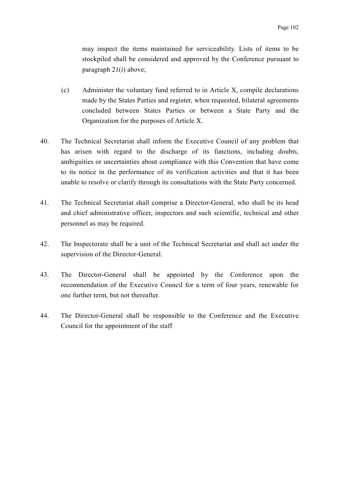may inspect the items maintained for serviceability. Lists of items to be stockpiled shall be considered and approved by the Conference pursuant to paragraph 21(*i*) above;

- (c) Administer the voluntary fund referred to in Article X, compile declarations made by the States Parties and register, when requested, bilateral agreements concluded between States Parties or between a State Party and the Organization for the purposes of Article X.
- 40. The Technical Secretariat shall inform the Executive Council of any problem that has arisen with regard to the discharge of its functions, including doubts, ambiguities or uncertainties about compliance with this Convention that have come to its notice in the performance of its verification activities and that it has been unable to resolve or clarify through its consultations with the State Party concerned.
- 41. The Technical Secretariat shall comprise a Director-General, who shall be its head and chief administrative officer, inspectors and such scientific, technical and other personnel as may be required.
- 42. The Inspectorate shall be a unit of the Technical Secretariat and shall act under the supervision of the Director-General.
- 43. The Director-General shall be appointed by the Conference upon the recommendation of the Executive Council for a term of four years, renewable for one further term, but not thereafter.
- 44. The Director-General shall be responsible to the Conference and the Executive Council for the appointment of the staff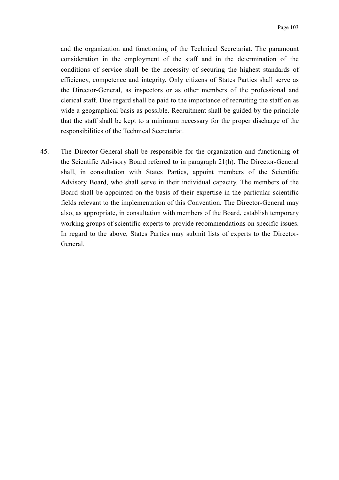and the organization and functioning of the Technical Secretariat. The paramount consideration in the employment of the staff and in the determination of the conditions of service shall be the necessity of securing the highest standards of efficiency, competence and integrity. Only citizens of States Parties shall serve as the Director-General, as inspectors or as other members of the professional and clerical staff. Due regard shall be paid to the importance of recruiting the staff on as wide a geographical basis as possible. Recruitment shall be guided by the principle that the staff shall be kept to a minimum necessary for the proper discharge of the responsibilities of the Technical Secretariat.

45. The Director-General shall be responsible for the organization and functioning of the Scientific Advisory Board referred to in paragraph 21(h). The Director-General shall, in consultation with States Parties, appoint members of the Scientific Advisory Board, who shall serve in their individual capacity. The members of the Board shall be appointed on the basis of their expertise in the particular scientific fields relevant to the implementation of this Convention. The Director-General may also, as appropriate, in consultation with members of the Board, establish temporary working groups of scientific experts to provide recommendations on specific issues. In regard to the above, States Parties may submit lists of experts to the Director-General.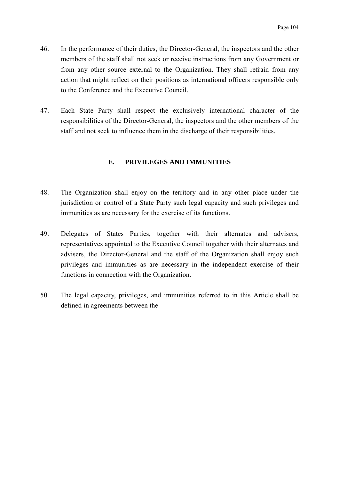- 46. In the performance of their duties, the Director-General, the inspectors and the other members of the staff shall not seek or receive instructions from any Government or from any other source external to the Organization. They shall refrain from any action that might reflect on their positions as international officers responsible only to the Conference and the Executive Council.
- 47. Each State Party shall respect the exclusively international character of the responsibilities of the Director-General, the inspectors and the other members of the staff and not seek to influence them in the discharge of their responsibilities.

# **E. PRIVILEGES AND IMMUNITIES**

- 48. The Organization shall enjoy on the territory and in any other place under the jurisdiction or control of a State Party such legal capacity and such privileges and immunities as are necessary for the exercise of its functions.
- 49. Delegates of States Parties, together with their alternates and advisers, representatives appointed to the Executive Council together with their alternates and advisers, the Director-General and the staff of the Organization shall enjoy such privileges and immunities as are necessary in the independent exercise of their functions in connection with the Organization.
- 50. The legal capacity, privileges, and immunities referred to in this Article shall be defined in agreements between the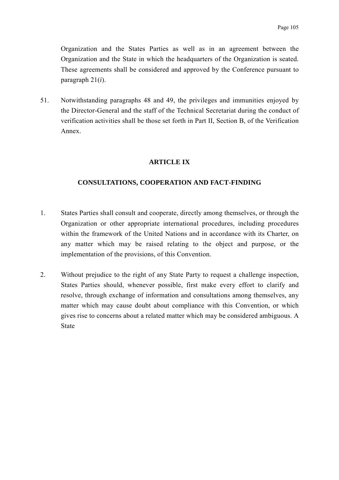Organization and the States Parties as well as in an agreement between the Organization and the State in which the headquarters of the Organization is seated. These agreements shall be considered and approved by the Conference pursuant to paragraph 21(*i*).

51. Notwithstanding paragraphs 48 and 49, the privileges and immunities enjoyed by the Director-General and the staff of the Technical Secretariat during the conduct of verification activities shall be those set forth in Part II, Section B, of the Verification Annex.

# **ARTICLE IX**

### **CONSULTATIONS, COOPERATION AND FACT-FINDING**

- 1. States Parties shall consult and cooperate, directly among themselves, or through the Organization or other appropriate international procedures, including procedures within the framework of the United Nations and in accordance with its Charter, on any matter which may be raised relating to the object and purpose, or the implementation of the provisions, of this Convention.
- 2. Without prejudice to the right of any State Party to request a challenge inspection, States Parties should, whenever possible, first make every effort to clarify and resolve, through exchange of information and consultations among themselves, any matter which may cause doubt about compliance with this Convention, or which gives rise to concerns about a related matter which may be considered ambiguous. A State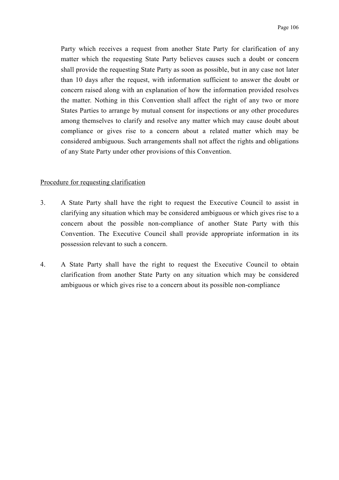Party which receives a request from another State Party for clarification of any matter which the requesting State Party believes causes such a doubt or concern shall provide the requesting State Party as soon as possible, but in any case not later than 10 days after the request, with information sufficient to answer the doubt or concern raised along with an explanation of how the information provided resolves the matter. Nothing in this Convention shall affect the right of any two or more States Parties to arrange by mutual consent for inspections or any other procedures among themselves to clarify and resolve any matter which may cause doubt about compliance or gives rise to a concern about a related matter which may be considered ambiguous. Such arrangements shall not affect the rights and obligations of any State Party under other provisions of this Convention.

### Procedure for requesting clarification

- 3. A State Party shall have the right to request the Executive Council to assist in clarifying any situation which may be considered ambiguous or which gives rise to a concern about the possible non-compliance of another State Party with this Convention. The Executive Council shall provide appropriate information in its possession relevant to such a concern.
- 4. A State Party shall have the right to request the Executive Council to obtain clarification from another State Party on any situation which may be considered ambiguous or which gives rise to a concern about its possible non-compliance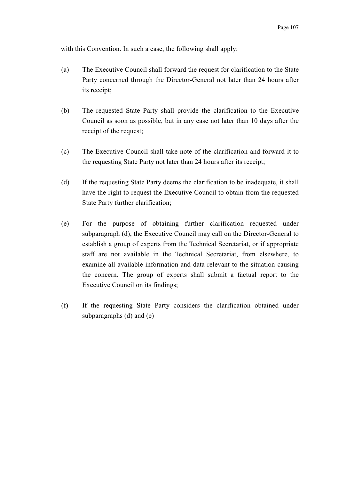with this Convention. In such a case, the following shall apply:

- (a) The Executive Council shall forward the request for clarification to the State Party concerned through the Director-General not later than 24 hours after its receipt;
- (b) The requested State Party shall provide the clarification to the Executive Council as soon as possible, but in any case not later than 10 days after the receipt of the request;
- (c) The Executive Council shall take note of the clarification and forward it to the requesting State Party not later than 24 hours after its receipt;
- (d) If the requesting State Party deems the clarification to be inadequate, it shall have the right to request the Executive Council to obtain from the requested State Party further clarification;
- (e) For the purpose of obtaining further clarification requested under subparagraph (d), the Executive Council may call on the Director-General to establish a group of experts from the Technical Secretariat, or if appropriate staff are not available in the Technical Secretariat, from elsewhere, to examine all available information and data relevant to the situation causing the concern. The group of experts shall submit a factual report to the Executive Council on its findings;
- (f) If the requesting State Party considers the clarification obtained under subparagraphs (d) and (e)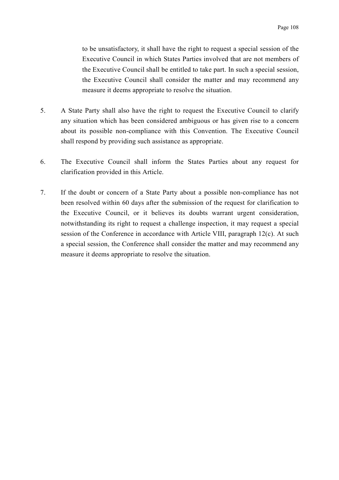to be unsatisfactory, it shall have the right to request a special session of the Executive Council in which States Parties involved that are not members of the Executive Council shall be entitled to take part. In such a special session, the Executive Council shall consider the matter and may recommend any measure it deems appropriate to resolve the situation.

- 5. A State Party shall also have the right to request the Executive Council to clarify any situation which has been considered ambiguous or has given rise to a concern about its possible non-compliance with this Convention. The Executive Council shall respond by providing such assistance as appropriate.
- 6. The Executive Council shall inform the States Parties about any request for clarification provided in this Article.
- 7. If the doubt or concern of a State Party about a possible non-compliance has not been resolved within 60 days after the submission of the request for clarification to the Executive Council, or it believes its doubts warrant urgent consideration, notwithstanding its right to request a challenge inspection, it may request a special session of the Conference in accordance with Article VIII, paragraph 12(c). At such a special session, the Conference shall consider the matter and may recommend any measure it deems appropriate to resolve the situation.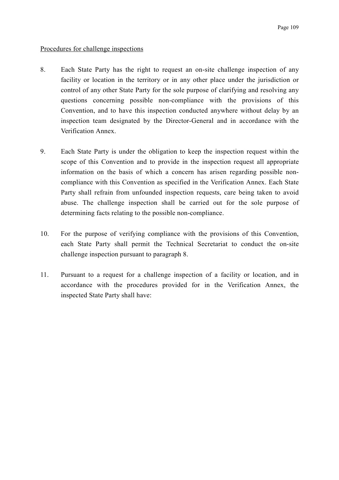## Procedures for challenge inspections

- 8. Each State Party has the right to request an on-site challenge inspection of any facility or location in the territory or in any other place under the jurisdiction or control of any other State Party for the sole purpose of clarifying and resolving any questions concerning possible non-compliance with the provisions of this Convention, and to have this inspection conducted anywhere without delay by an inspection team designated by the Director-General and in accordance with the Verification Annex.
- 9. Each State Party is under the obligation to keep the inspection request within the scope of this Convention and to provide in the inspection request all appropriate information on the basis of which a concern has arisen regarding possible noncompliance with this Convention as specified in the Verification Annex. Each State Party shall refrain from unfounded inspection requests, care being taken to avoid abuse. The challenge inspection shall be carried out for the sole purpose of determining facts relating to the possible non-compliance.
- 10. For the purpose of verifying compliance with the provisions of this Convention, each State Party shall permit the Technical Secretariat to conduct the on-site challenge inspection pursuant to paragraph 8.
- 11. Pursuant to a request for a challenge inspection of a facility or location, and in accordance with the procedures provided for in the Verification Annex, the inspected State Party shall have: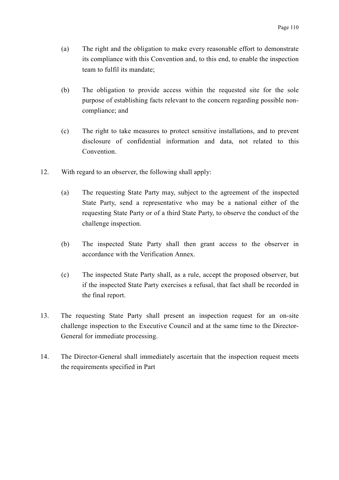- (a) The right and the obligation to make every reasonable effort to demonstrate its compliance with this Convention and, to this end, to enable the inspection team to fulfil its mandate;
- (b) The obligation to provide access within the requested site for the sole purpose of establishing facts relevant to the concern regarding possible noncompliance; and
- (c) The right to take measures to protect sensitive installations, and to prevent disclosure of confidential information and data, not related to this Convention.
- 12. With regard to an observer, the following shall apply:
	- (a) The requesting State Party may, subject to the agreement of the inspected State Party, send a representative who may be a national either of the requesting State Party or of a third State Party, to observe the conduct of the challenge inspection.
	- (b) The inspected State Party shall then grant access to the observer in accordance with the Verification Annex.
	- (c) The inspected State Party shall, as a rule, accept the proposed observer, but if the inspected State Party exercises a refusal, that fact shall be recorded in the final report.
- 13. The requesting State Party shall present an inspection request for an on-site challenge inspection to the Executive Council and at the same time to the Director-General for immediate processing.
- 14. The Director-General shall immediately ascertain that the inspection request meets the requirements specified in Part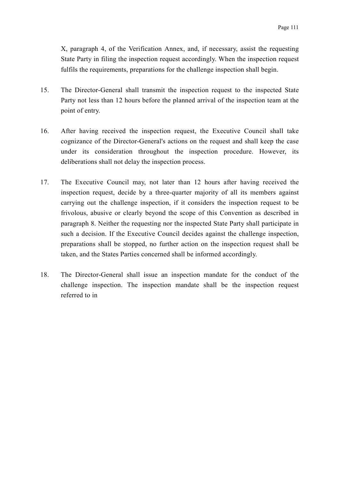X, paragraph 4, of the Verification Annex, and, if necessary, assist the requesting State Party in filing the inspection request accordingly. When the inspection request fulfils the requirements, preparations for the challenge inspection shall begin.

- 15. The Director-General shall transmit the inspection request to the inspected State Party not less than 12 hours before the planned arrival of the inspection team at the point of entry.
- 16. After having received the inspection request, the Executive Council shall take cognizance of the Director-General's actions on the request and shall keep the case under its consideration throughout the inspection procedure. However, its deliberations shall not delay the inspection process.
- 17. The Executive Council may, not later than 12 hours after having received the inspection request, decide by a three-quarter majority of all its members against carrying out the challenge inspection, if it considers the inspection request to be frivolous, abusive or clearly beyond the scope of this Convention as described in paragraph 8. Neither the requesting nor the inspected State Party shall participate in such a decision. If the Executive Council decides against the challenge inspection, preparations shall be stopped, no further action on the inspection request shall be taken, and the States Parties concerned shall be informed accordingly.
- 18. The Director-General shall issue an inspection mandate for the conduct of the challenge inspection. The inspection mandate shall be the inspection request referred to in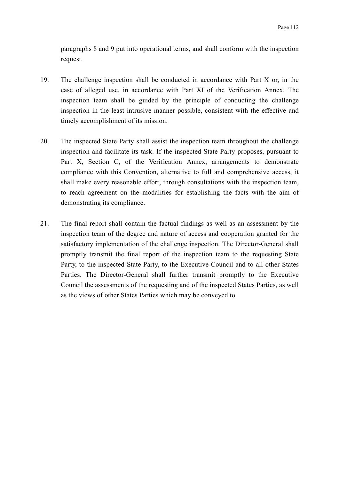paragraphs 8 and 9 put into operational terms, and shall conform with the inspection request.

- 19. The challenge inspection shall be conducted in accordance with Part X or, in the case of alleged use, in accordance with Part XI of the Verification Annex. The inspection team shall be guided by the principle of conducting the challenge inspection in the least intrusive manner possible, consistent with the effective and timely accomplishment of its mission.
- 20. The inspected State Party shall assist the inspection team throughout the challenge inspection and facilitate its task. If the inspected State Party proposes, pursuant to Part X, Section C, of the Verification Annex, arrangements to demonstrate compliance with this Convention, alternative to full and comprehensive access, it shall make every reasonable effort, through consultations with the inspection team, to reach agreement on the modalities for establishing the facts with the aim of demonstrating its compliance.
- 21. The final report shall contain the factual findings as well as an assessment by the inspection team of the degree and nature of access and cooperation granted for the satisfactory implementation of the challenge inspection. The Director-General shall promptly transmit the final report of the inspection team to the requesting State Party, to the inspected State Party, to the Executive Council and to all other States Parties. The Director-General shall further transmit promptly to the Executive Council the assessments of the requesting and of the inspected States Parties, as well as the views of other States Parties which may be conveyed to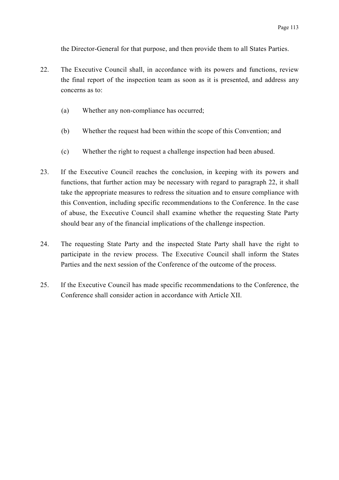the Director-General for that purpose, and then provide them to all States Parties.

- 22. The Executive Council shall, in accordance with its powers and functions, review the final report of the inspection team as soon as it is presented, and address any concerns as to:
	- (a) Whether any non-compliance has occurred;
	- (b) Whether the request had been within the scope of this Convention; and
	- (c) Whether the right to request a challenge inspection had been abused.
- 23. If the Executive Council reaches the conclusion, in keeping with its powers and functions, that further action may be necessary with regard to paragraph 22, it shall take the appropriate measures to redress the situation and to ensure compliance with this Convention, including specific recommendations to the Conference. In the case of abuse, the Executive Council shall examine whether the requesting State Party should bear any of the financial implications of the challenge inspection.
- 24. The requesting State Party and the inspected State Party shall have the right to participate in the review process. The Executive Council shall inform the States Parties and the next session of the Conference of the outcome of the process.
- 25. If the Executive Council has made specific recommendations to the Conference, the Conference shall consider action in accordance with Article XII.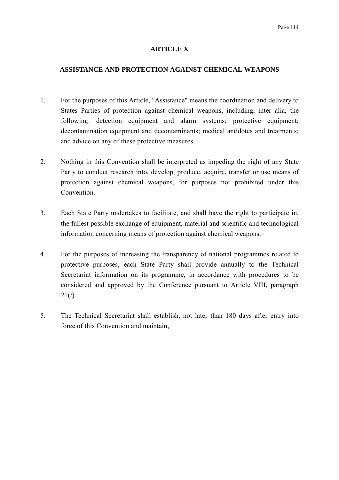## **ARTICLE X**

### **ASSISTANCE AND PROTECTION AGAINST CHEMICAL WEAPONS**

- 1. For the purposes of this Article, "Assistance" means the coordination and delivery to States Parties of protection against chemical weapons, including, inter alia, the following: detection equipment and alarm systems; protective equipment; decontamination equipment and decontaminants; medical antidotes and treatments; and advice on any of these protective measures.
- 2. Nothing in this Convention shall be interpreted as impeding the right of any State Party to conduct research into, develop, produce, acquire, transfer or use means of protection against chemical weapons, for purposes not prohibited under this Convention.
- 3. Each State Party undertakes to facilitate, and shall have the right to participate in, the fullest possible exchange of equipment, material and scientific and technological information concerning means of protection against chemical weapons.
- 4. For the purposes of increasing the transparency of national programmes related to protective purposes, each State Party shall provide annually to the Technical Secretariat information on its programme, in accordance with procedures to be considered and approved by the Conference pursuant to Article VIII, paragraph 21(*i*).
- 5. The Technical Secretariat shall establish, not later than 180 days after entry into force of this Convention and maintain,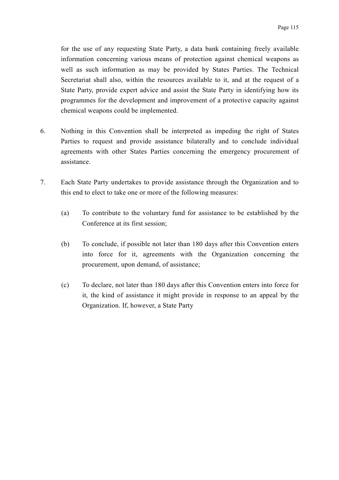for the use of any requesting State Party, a data bank containing freely available information concerning various means of protection against chemical weapons as well as such information as may be provided by States Parties. The Technical Secretariat shall also, within the resources available to it, and at the request of a State Party, provide expert advice and assist the State Party in identifying how its programmes for the development and improvement of a protective capacity against chemical weapons could be implemented.

- 6. Nothing in this Convention shall be interpreted as impeding the right of States Parties to request and provide assistance bilaterally and to conclude individual agreements with other States Parties concerning the emergency procurement of assistance.
- 7. Each State Party undertakes to provide assistance through the Organization and to this end to elect to take one or more of the following measures:
	- (a) To contribute to the voluntary fund for assistance to be established by the Conference at its first session;
	- (b) To conclude, if possible not later than 180 days after this Convention enters into force for it, agreements with the Organization concerning the procurement, upon demand, of assistance;
	- (c) To declare, not later than 180 days after this Convention enters into force for it, the kind of assistance it might provide in response to an appeal by the Organization. If, however, a State Party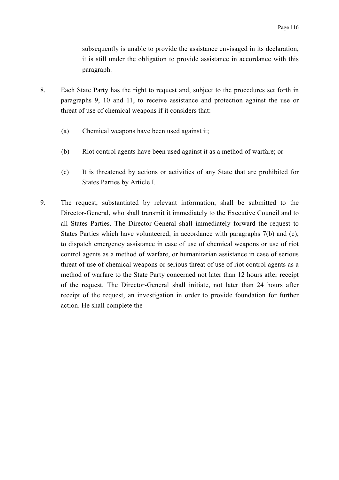subsequently is unable to provide the assistance envisaged in its declaration, it is still under the obligation to provide assistance in accordance with this paragraph.

- 8. Each State Party has the right to request and, subject to the procedures set forth in paragraphs 9, 10 and 11, to receive assistance and protection against the use or threat of use of chemical weapons if it considers that:
	- (a) Chemical weapons have been used against it;
	- (b) Riot control agents have been used against it as a method of warfare; or
	- (c) It is threatened by actions or activities of any State that are prohibited for States Parties by Article I.
- 9. The request, substantiated by relevant information, shall be submitted to the Director-General, who shall transmit it immediately to the Executive Council and to all States Parties. The Director-General shall immediately forward the request to States Parties which have volunteered, in accordance with paragraphs 7(b) and (c), to dispatch emergency assistance in case of use of chemical weapons or use of riot control agents as a method of warfare, or humanitarian assistance in case of serious threat of use of chemical weapons or serious threat of use of riot control agents as a method of warfare to the State Party concerned not later than 12 hours after receipt of the request. The Director-General shall initiate, not later than 24 hours after receipt of the request, an investigation in order to provide foundation for further action. He shall complete the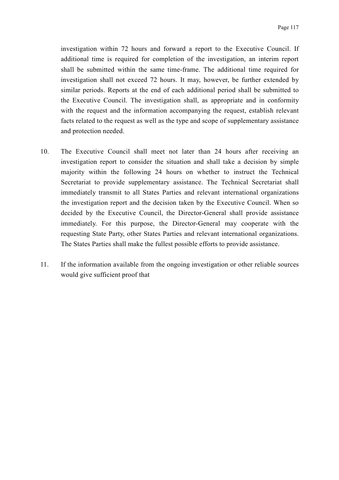investigation within 72 hours and forward a report to the Executive Council. If additional time is required for completion of the investigation, an interim report shall be submitted within the same time-frame. The additional time required for investigation shall not exceed 72 hours. It may, however, be further extended by similar periods. Reports at the end of each additional period shall be submitted to the Executive Council. The investigation shall, as appropriate and in conformity with the request and the information accompanying the request, establish relevant facts related to the request as well as the type and scope of supplementary assistance and protection needed.

- 10. The Executive Council shall meet not later than 24 hours after receiving an investigation report to consider the situation and shall take a decision by simple majority within the following 24 hours on whether to instruct the Technical Secretariat to provide supplementary assistance. The Technical Secretariat shall immediately transmit to all States Parties and relevant international organizations the investigation report and the decision taken by the Executive Council. When so decided by the Executive Council, the Director-General shall provide assistance immediately. For this purpose, the Director-General may cooperate with the requesting State Party, other States Parties and relevant international organizations. The States Parties shall make the fullest possible efforts to provide assistance.
- 11. If the information available from the ongoing investigation or other reliable sources would give sufficient proof that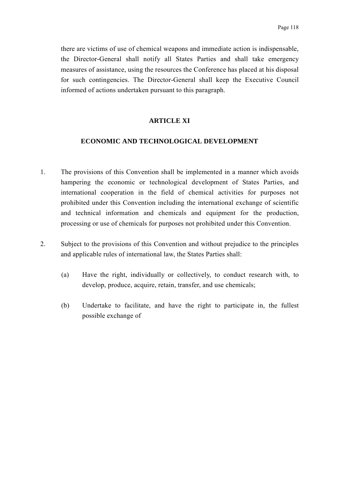there are victims of use of chemical weapons and immediate action is indispensable, the Director-General shall notify all States Parties and shall take emergency measures of assistance, using the resources the Conference has placed at his disposal for such contingencies. The Director-General shall keep the Executive Council informed of actions undertaken pursuant to this paragraph.

## **ARTICLE XI**

#### **ECONOMIC AND TECHNOLOGICAL DEVELOPMENT**

- 1. The provisions of this Convention shall be implemented in a manner which avoids hampering the economic or technological development of States Parties, and international cooperation in the field of chemical activities for purposes not prohibited under this Convention including the international exchange of scientific and technical information and chemicals and equipment for the production, processing or use of chemicals for purposes not prohibited under this Convention.
- 2. Subject to the provisions of this Convention and without prejudice to the principles and applicable rules of international law, the States Parties shall:
	- (a) Have the right, individually or collectively, to conduct research with, to develop, produce, acquire, retain, transfer, and use chemicals;
	- (b) Undertake to facilitate, and have the right to participate in, the fullest possible exchange of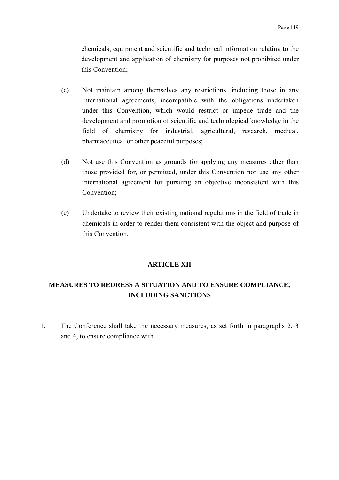chemicals, equipment and scientific and technical information relating to the development and application of chemistry for purposes not prohibited under this Convention;

- (c) Not maintain among themselves any restrictions, including those in any international agreements, incompatible with the obligations undertaken under this Convention, which would restrict or impede trade and the development and promotion of scientific and technological knowledge in the field of chemistry for industrial, agricultural, research, medical, pharmaceutical or other peaceful purposes;
- (d) Not use this Convention as grounds for applying any measures other than those provided for, or permitted, under this Convention nor use any other international agreement for pursuing an objective inconsistent with this Convention;
- (e) Undertake to review their existing national regulations in the field of trade in chemicals in order to render them consistent with the object and purpose of this Convention.

### **ARTICLE XII**

# **MEASURES TO REDRESS A SITUATION AND TO ENSURE COMPLIANCE, INCLUDING SANCTIONS**

1. The Conference shall take the necessary measures, as set forth in paragraphs 2, 3 and 4, to ensure compliance with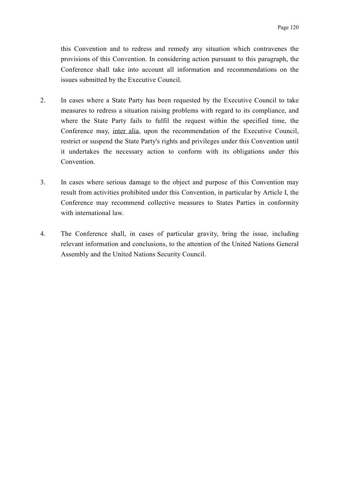this Convention and to redress and remedy any situation which contravenes the provisions of this Convention. In considering action pursuant to this paragraph, the Conference shall take into account all information and recommendations on the issues submitted by the Executive Council.

- 2. In cases where a State Party has been requested by the Executive Council to take measures to redress a situation raising problems with regard to its compliance, and where the State Party fails to fulfil the request within the specified time, the Conference may, inter alia, upon the recommendation of the Executive Council, restrict or suspend the State Party's rights and privileges under this Convention until it undertakes the necessary action to conform with its obligations under this **Convention**
- 3. In cases where serious damage to the object and purpose of this Convention may result from activities prohibited under this Convention, in particular by Article I, the Conference may recommend collective measures to States Parties in conformity with international law.
- 4. The Conference shall, in cases of particular gravity, bring the issue, including relevant information and conclusions, to the attention of the United Nations General Assembly and the United Nations Security Council.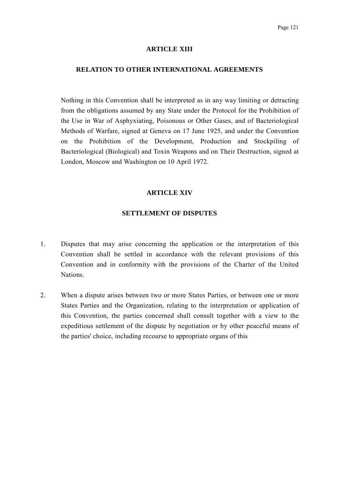#### **ARTICLE XIII**

#### **RELATION TO OTHER INTERNATIONAL AGREEMENTS**

Nothing in this Convention shall be interpreted as in any way limiting or detracting from the obligations assumed by any State under the Protocol for the Prohibition of the Use in War of Asphyxiating, Poisonous or Other Gases, and of Bacteriological Methods of Warfare, signed at Geneva on 17 June 1925, and under the Convention on the Prohibition of the Development, Production and Stockpiling of Bacteriological (Biological) and Toxin Weapons and on Their Destruction, signed at London, Moscow and Washington on 10 April 1972.

## **ARTICLE XIV**

#### **SETTLEMENT OF DISPUTES**

- 1. Disputes that may arise concerning the application or the interpretation of this Convention shall be settled in accordance with the relevant provisions of this Convention and in conformity with the provisions of the Charter of the United Nations.
- 2. When a dispute arises between two or more States Parties, or between one or more States Parties and the Organization, relating to the interpretation or application of this Convention, the parties concerned shall consult together with a view to the expeditious settlement of the dispute by negotiation or by other peaceful means of the parties' choice, including recourse to appropriate organs of this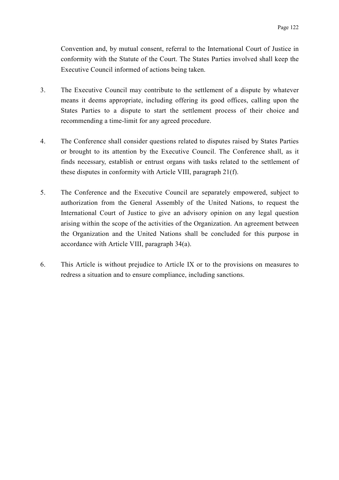Convention and, by mutual consent, referral to the International Court of Justice in conformity with the Statute of the Court. The States Parties involved shall keep the Executive Council informed of actions being taken.

- 3. The Executive Council may contribute to the settlement of a dispute by whatever means it deems appropriate, including offering its good offices, calling upon the States Parties to a dispute to start the settlement process of their choice and recommending a time-limit for any agreed procedure.
- 4. The Conference shall consider questions related to disputes raised by States Parties or brought to its attention by the Executive Council. The Conference shall, as it finds necessary, establish or entrust organs with tasks related to the settlement of these disputes in conformity with Article VIII, paragraph 21(f).
- 5. The Conference and the Executive Council are separately empowered, subject to authorization from the General Assembly of the United Nations, to request the International Court of Justice to give an advisory opinion on any legal question arising within the scope of the activities of the Organization. An agreement between the Organization and the United Nations shall be concluded for this purpose in accordance with Article VIII, paragraph 34(a).
- 6. This Article is without prejudice to Article IX or to the provisions on measures to redress a situation and to ensure compliance, including sanctions.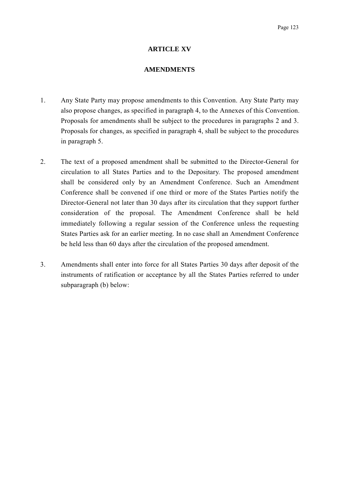### **ARTICLE XV**

#### **AMENDMENTS**

- 1. Any State Party may propose amendments to this Convention. Any State Party may also propose changes, as specified in paragraph 4, to the Annexes of this Convention. Proposals for amendments shall be subject to the procedures in paragraphs 2 and 3. Proposals for changes, as specified in paragraph 4, shall be subject to the procedures in paragraph 5.
- 2. The text of a proposed amendment shall be submitted to the Director-General for circulation to all States Parties and to the Depositary. The proposed amendment shall be considered only by an Amendment Conference. Such an Amendment Conference shall be convened if one third or more of the States Parties notify the Director-General not later than 30 days after its circulation that they support further consideration of the proposal. The Amendment Conference shall be held immediately following a regular session of the Conference unless the requesting States Parties ask for an earlier meeting. In no case shall an Amendment Conference be held less than 60 days after the circulation of the proposed amendment.
- 3. Amendments shall enter into force for all States Parties 30 days after deposit of the instruments of ratification or acceptance by all the States Parties referred to under subparagraph (b) below: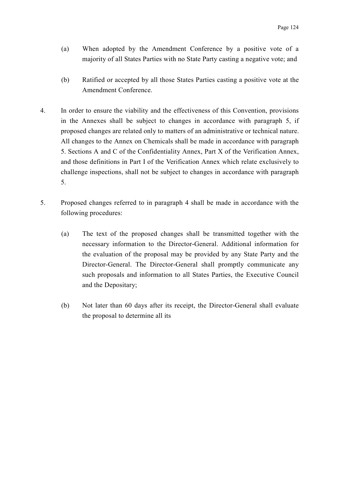- (a) When adopted by the Amendment Conference by a positive vote of a majority of all States Parties with no State Party casting a negative vote; and
- (b) Ratified or accepted by all those States Parties casting a positive vote at the Amendment Conference.
- 4. In order to ensure the viability and the effectiveness of this Convention, provisions in the Annexes shall be subject to changes in accordance with paragraph 5, if proposed changes are related only to matters of an administrative or technical nature. All changes to the Annex on Chemicals shall be made in accordance with paragraph 5. Sections A and C of the Confidentiality Annex, Part X of the Verification Annex, and those definitions in Part I of the Verification Annex which relate exclusively to challenge inspections, shall not be subject to changes in accordance with paragraph 5.
- 5. Proposed changes referred to in paragraph 4 shall be made in accordance with the following procedures:
	- (a) The text of the proposed changes shall be transmitted together with the necessary information to the Director-General. Additional information for the evaluation of the proposal may be provided by any State Party and the Director-General. The Director-General shall promptly communicate any such proposals and information to all States Parties, the Executive Council and the Depositary;
	- (b) Not later than 60 days after its receipt, the Director-General shall evaluate the proposal to determine all its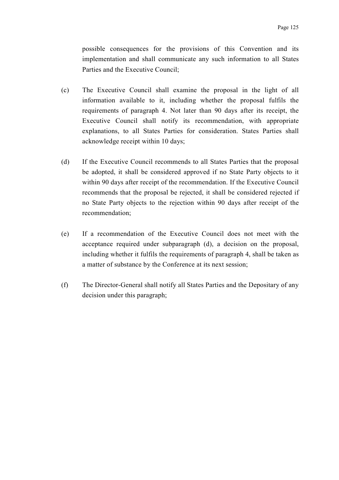possible consequences for the provisions of this Convention and its implementation and shall communicate any such information to all States Parties and the Executive Council;

- (c) The Executive Council shall examine the proposal in the light of all information available to it, including whether the proposal fulfils the requirements of paragraph 4. Not later than 90 days after its receipt, the Executive Council shall notify its recommendation, with appropriate explanations, to all States Parties for consideration. States Parties shall acknowledge receipt within 10 days;
- (d) If the Executive Council recommends to all States Parties that the proposal be adopted, it shall be considered approved if no State Party objects to it within 90 days after receipt of the recommendation. If the Executive Council recommends that the proposal be rejected, it shall be considered rejected if no State Party objects to the rejection within 90 days after receipt of the recommendation;
- (e) If a recommendation of the Executive Council does not meet with the acceptance required under subparagraph (d), a decision on the proposal, including whether it fulfils the requirements of paragraph 4, shall be taken as a matter of substance by the Conference at its next session;
- (f) The Director-General shall notify all States Parties and the Depositary of any decision under this paragraph;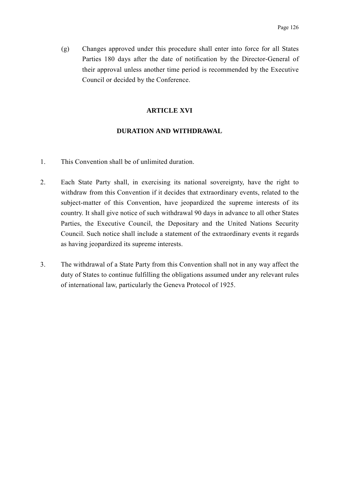(g) Changes approved under this procedure shall enter into force for all States Parties 180 days after the date of notification by the Director-General of their approval unless another time period is recommended by the Executive Council or decided by the Conference.

## **ARTICLE XVI**

### **DURATION AND WITHDRAWAL**

- 1. This Convention shall be of unlimited duration.
- 2. Each State Party shall, in exercising its national sovereignty, have the right to withdraw from this Convention if it decides that extraordinary events, related to the subject-matter of this Convention, have jeopardized the supreme interests of its country. It shall give notice of such withdrawal 90 days in advance to all other States Parties, the Executive Council, the Depositary and the United Nations Security Council. Such notice shall include a statement of the extraordinary events it regards as having jeopardized its supreme interests.
- 3. The withdrawal of a State Party from this Convention shall not in any way affect the duty of States to continue fulfilling the obligations assumed under any relevant rules of international law, particularly the Geneva Protocol of 1925.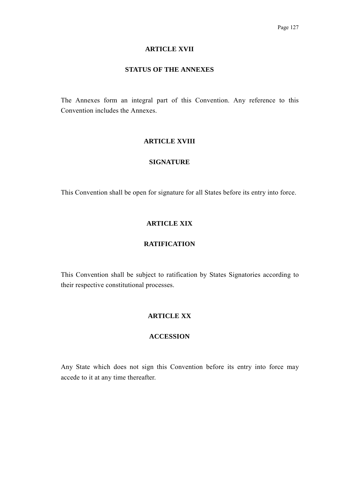### **ARTICLE XVII**

#### **STATUS OF THE ANNEXES**

The Annexes form an integral part of this Convention. Any reference to this Convention includes the Annexes.

### **ARTICLE XVIII**

## **SIGNATURE**

This Convention shall be open for signature for all States before its entry into force.

# **ARTICLE XIX**

# **RATIFICATION**

This Convention shall be subject to ratification by States Signatories according to their respective constitutional processes.

## **ARTICLE XX**

# **ACCESSION**

Any State which does not sign this Convention before its entry into force may accede to it at any time thereafter.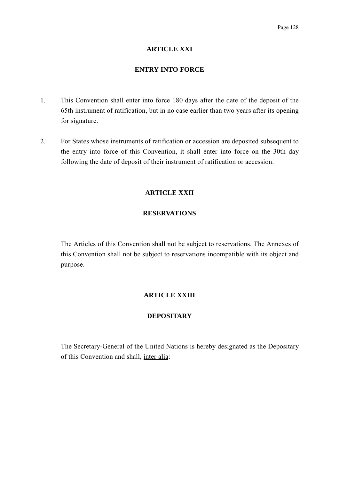## **ARTICLE XXI**

## **ENTRY INTO FORCE**

- 1. This Convention shall enter into force 180 days after the date of the deposit of the 65th instrument of ratification, but in no case earlier than two years after its opening for signature.
- 2. For States whose instruments of ratification or accession are deposited subsequent to the entry into force of this Convention, it shall enter into force on the 30th day following the date of deposit of their instrument of ratification or accession.

# **ARTICLE XXII**

# **RESERVATIONS**

The Articles of this Convention shall not be subject to reservations. The Annexes of this Convention shall not be subject to reservations incompatible with its object and purpose.

# **ARTICLE XXIII**

# **DEPOSITARY**

The Secretary-General of the United Nations is hereby designated as the Depositary of this Convention and shall, inter alia: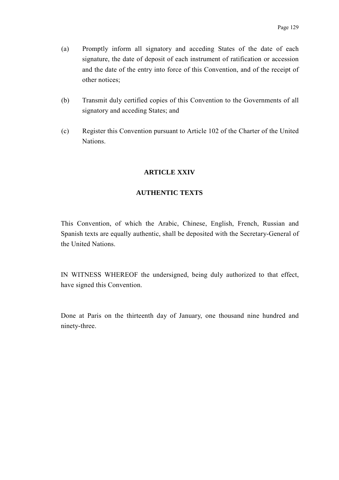- (a) Promptly inform all signatory and acceding States of the date of each signature, the date of deposit of each instrument of ratification or accession and the date of the entry into force of this Convention, and of the receipt of other notices;
- (b) Transmit duly certified copies of this Convention to the Governments of all signatory and acceding States; and
- (c) Register this Convention pursuant to Article 102 of the Charter of the United **Nations**

# **ARTICLE XXIV**

# **AUTHENTIC TEXTS**

This Convention, of which the Arabic, Chinese, English, French, Russian and Spanish texts are equally authentic, shall be deposited with the Secretary-General of the United Nations.

IN WITNESS WHEREOF the undersigned, being duly authorized to that effect, have signed this Convention.

Done at Paris on the thirteenth day of January, one thousand nine hundred and ninety-three.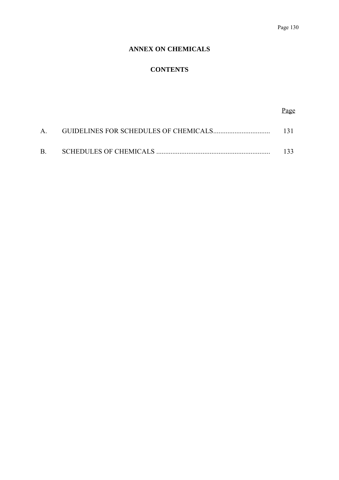## Page 130

# **ANNEX ON CHEMICALS**

# **CONTENTS**

# Page

|           | - 13 L |
|-----------|--------|
| <b>B.</b> | 133.   |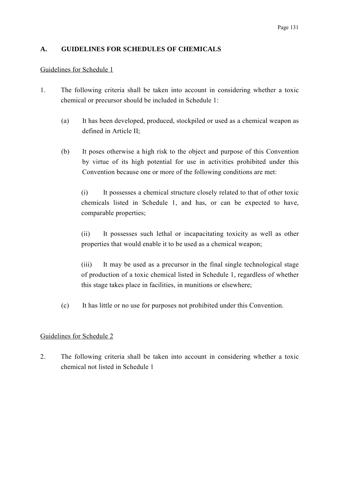# **A. GUIDELINES FOR SCHEDULES OF CHEMICALS**

# Guidelines for Schedule 1

- 1. The following criteria shall be taken into account in considering whether a toxic chemical or precursor should be included in Schedule 1:
	- (a) It has been developed, produced, stockpiled or used as a chemical weapon as defined in Article II;
	- (b) It poses otherwise a high risk to the object and purpose of this Convention by virtue of its high potential for use in activities prohibited under this Convention because one or more of the following conditions are met:

(i) It possesses a chemical structure closely related to that of other toxic chemicals listed in Schedule 1, and has, or can be expected to have, comparable properties;

(ii) It possesses such lethal or incapacitating toxicity as well as other properties that would enable it to be used as a chemical weapon;

(iii) It may be used as a precursor in the final single technological stage of production of a toxic chemical listed in Schedule 1, regardless of whether this stage takes place in facilities, in munitions or elsewhere;

(c) It has little or no use for purposes not prohibited under this Convention.

# Guidelines for Schedule 2

2. The following criteria shall be taken into account in considering whether a toxic chemical not listed in Schedule 1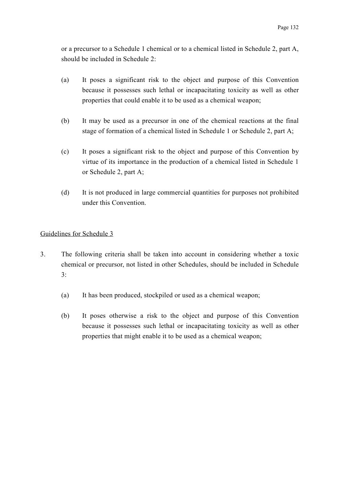or a precursor to a Schedule 1 chemical or to a chemical listed in Schedule 2, part A, should be included in Schedule 2:

- (a) It poses a significant risk to the object and purpose of this Convention because it possesses such lethal or incapacitating toxicity as well as other properties that could enable it to be used as a chemical weapon;
- (b) It may be used as a precursor in one of the chemical reactions at the final stage of formation of a chemical listed in Schedule 1 or Schedule 2, part A;
- (c) It poses a significant risk to the object and purpose of this Convention by virtue of its importance in the production of a chemical listed in Schedule 1 or Schedule 2, part A;
- (d) It is not produced in large commercial quantities for purposes not prohibited under this Convention.

# Guidelines for Schedule 3

- 3. The following criteria shall be taken into account in considering whether a toxic chemical or precursor, not listed in other Schedules, should be included in Schedule 3:
	- (a) It has been produced, stockpiled or used as a chemical weapon;
	- (b) It poses otherwise a risk to the object and purpose of this Convention because it possesses such lethal or incapacitating toxicity as well as other properties that might enable it to be used as a chemical weapon;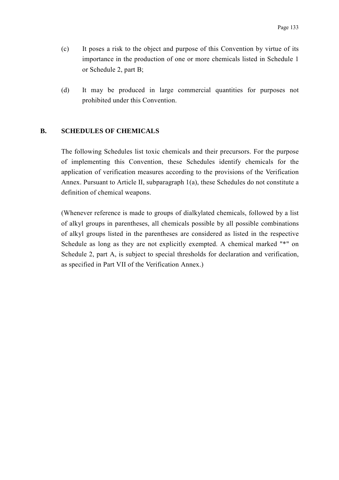- (c) It poses a risk to the object and purpose of this Convention by virtue of its importance in the production of one or more chemicals listed in Schedule 1 or Schedule 2, part B;
- (d) It may be produced in large commercial quantities for purposes not prohibited under this Convention.

#### **B. SCHEDULES OF CHEMICALS**

The following Schedules list toxic chemicals and their precursors. For the purpose of implementing this Convention, these Schedules identify chemicals for the application of verification measures according to the provisions of the Verification Annex. Pursuant to Article II, subparagraph 1(a), these Schedules do not constitute a definition of chemical weapons.

(Whenever reference is made to groups of dialkylated chemicals, followed by a list of alkyl groups in parentheses, all chemicals possible by all possible combinations of alkyl groups listed in the parentheses are considered as listed in the respective Schedule as long as they are not explicitly exempted. A chemical marked "\*" on Schedule 2, part A, is subject to special thresholds for declaration and verification, as specified in Part VII of the Verification Annex.)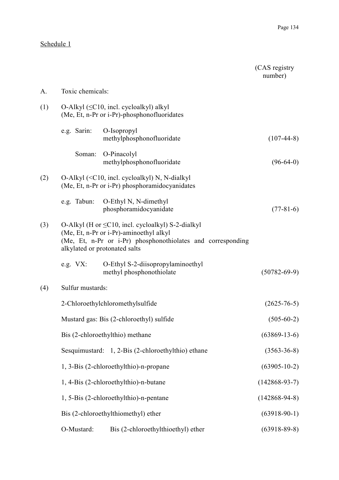# Schedule 1

|     |                  |                                                                                                                                                                                                    | (CAS registry)<br>number) |
|-----|------------------|----------------------------------------------------------------------------------------------------------------------------------------------------------------------------------------------------|---------------------------|
| A.  | Toxic chemicals: |                                                                                                                                                                                                    |                           |
| (1) |                  | O-Alkyl $(\leq C10$ , incl. cycloalkyl) alkyl<br>(Me, Et, n-Pr or i-Pr)-phosphonofluoridates                                                                                                       |                           |
|     | e.g. Sarin:      | O-Isopropyl<br>methylphosphonofluoridate                                                                                                                                                           | $(107-44-8)$              |
|     | Soman:           | O-Pinacolyl<br>methylphosphonofluoridate                                                                                                                                                           | $(96-64-0)$               |
| (2) |                  | O-Alkyl $(C10, incl. cycloalkyl) N, N-dialkyl$<br>(Me, Et, n-Pr or i-Pr) phosphoramidocyanidates                                                                                                   |                           |
|     |                  | e.g. Tabun: O-Ethyl N, N-dimethyl<br>phosphoramidocyanidate                                                                                                                                        | $(77-81-6)$               |
| (3) |                  | O-Alkyl (H or $\leq$ C10, incl. cycloalkyl) S-2-dialkyl<br>(Me, Et, n-Pr or i-Pr)-aminoethyl alkyl<br>(Me, Et, n-Pr or i-Pr) phosphonothiolates and corresponding<br>alkylated or protonated salts |                           |
|     | e.g. $VX$ :      | O-Ethyl S-2-diisopropylaminoethyl<br>methyl phosphonothiolate                                                                                                                                      | $(50782 - 69 - 9)$        |
| (4) | Sulfur mustards: |                                                                                                                                                                                                    |                           |
|     |                  | 2-Chloroethylchloromethylsulfide                                                                                                                                                                   | $(2625 - 76 - 5)$         |
|     |                  | Mustard gas: Bis (2-chloroethyl) sulfide                                                                                                                                                           | $(505-60-2)$              |
|     |                  | Bis (2-chloroethylthio) methane                                                                                                                                                                    | $(63869 - 13 - 6)$        |
|     |                  | Sesquimustard: 1, 2-Bis (2-chloroethylthio) ethane                                                                                                                                                 | $(3563 - 36 - 8)$         |
|     |                  | 1, 3-Bis (2-chloroethylthio)-n-propane                                                                                                                                                             | $(63905 - 10 - 2)$        |
|     |                  | 1, 4-Bis (2-chloroethylthio)-n-butane                                                                                                                                                              | $(142868-93-7)$           |
|     |                  | 1, 5-Bis (2-chloroethylthio)-n-pentane                                                                                                                                                             | $(142868 - 94 - 8)$       |
|     |                  | Bis (2-chloroethylthiomethyl) ether                                                                                                                                                                | $(63918-90-1)$            |
|     | O-Mustard:       | Bis (2-chloroethylthioethyl) ether                                                                                                                                                                 | $(63918-89-8)$            |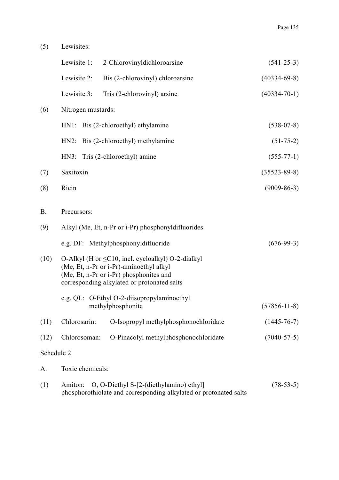(5) Lewisites:

|            |                    | Lewisite 1: 2-Chlorovinyldichloroarsine                                                                                                                                                      | $(541-25-3)$       |
|------------|--------------------|----------------------------------------------------------------------------------------------------------------------------------------------------------------------------------------------|--------------------|
|            | Lewisite 2:        | Bis (2-chlorovinyl) chloroarsine                                                                                                                                                             | $(40334-69-8)$     |
|            | Lewisite 3:        | Tris (2-chlorovinyl) arsine                                                                                                                                                                  | $(40334 - 70 - 1)$ |
| (6)        | Nitrogen mustards: |                                                                                                                                                                                              |                    |
|            |                    | HN1: Bis (2-chloroethyl) ethylamine                                                                                                                                                          | $(538-07-8)$       |
|            |                    | HN2: Bis (2-chloroethyl) methylamine                                                                                                                                                         | $(51-75-2)$        |
|            |                    | HN3: Tris (2-chloroethyl) amine                                                                                                                                                              | $(555-77-1)$       |
| (7)        | Saxitoxin          |                                                                                                                                                                                              | $(35523 - 89 - 8)$ |
| (8)        | Ricin              |                                                                                                                                                                                              | $(9009 - 86 - 3)$  |
| <b>B.</b>  | Precursors:        |                                                                                                                                                                                              |                    |
| (9)        |                    | Alkyl (Me, Et, n-Pr or i-Pr) phosphonyldifluorides                                                                                                                                           |                    |
|            |                    | e.g. DF: Methylphosphonyldifluoride                                                                                                                                                          | $(676-99-3)$       |
| (10)       |                    | O-Alkyl (H or $\leq$ C10, incl. cycloalkyl) O-2-dialkyl<br>(Me, Et, n-Pr or i-Pr)-aminoethyl alkyl<br>(Me, Et, n-Pr or i-Pr) phosphonites and<br>corresponding alkylated or protonated salts |                    |
|            |                    | e.g. QL: O-Ethyl O-2-diisopropylaminoethyl<br>methylphosphonite                                                                                                                              | $(57856 - 11 - 8)$ |
| (11)       | Chlorosarin:       | O-Isopropyl methylphosphonochloridate                                                                                                                                                        | $(1445 - 76 - 7)$  |
| (12)       | Chlorosoman:       | O-Pinacolyl methylphosphonochloridate                                                                                                                                                        | $(7040 - 57 - 5)$  |
| Schedule 2 |                    |                                                                                                                                                                                              |                    |
| A.         | Toxic chemicals:   |                                                                                                                                                                                              |                    |
| (1)        | Amiton:            | O, O-Diethyl S-[2-(diethylamino) ethyl]<br>phosphorothiolate and corresponding alkylated or protonated salts                                                                                 | $(78-53-5)$        |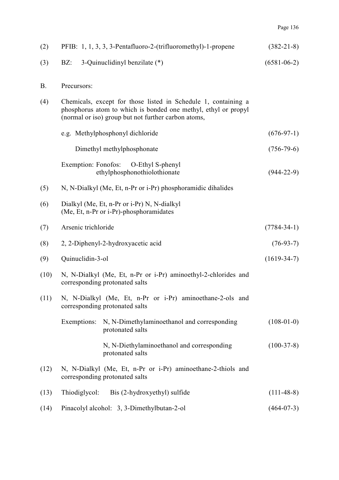| Р.<br>$d^{ge}$ | 'n |
|----------------|----|
|                |    |

| (2)       | PFIB: 1, 1, 3, 3, 3-Pentafluoro-2-(trifluoromethyl)-1-propene                                                                                                                           | $(382 - 21 - 8)$  |
|-----------|-----------------------------------------------------------------------------------------------------------------------------------------------------------------------------------------|-------------------|
| (3)       | 3-Quinuclidinyl benzilate (*)<br>$BZ$ :                                                                                                                                                 | $(6581 - 06 - 2)$ |
| <b>B.</b> | Precursors:                                                                                                                                                                             |                   |
| (4)       | Chemicals, except for those listed in Schedule 1, containing a<br>phosphorus atom to which is bonded one methyl, ethyl or propyl<br>(normal or iso) group but not further carbon atoms, |                   |
|           | e.g. Methylphosphonyl dichloride                                                                                                                                                        | $(676-97-1)$      |
|           | Dimethyl methylphosphonate                                                                                                                                                              | $(756 - 79 - 6)$  |
|           | Exemption: Fonofos: O-Ethyl S-phenyl<br>ethylphosphonothiolothionate                                                                                                                    | $(944-22-9)$      |
| (5)       | N, N-Dialkyl (Me, Et, n-Pr or i-Pr) phosphoramidic dihalides                                                                                                                            |                   |
| (6)       | Dialkyl (Me, Et, n-Pr or i-Pr) N, N-dialkyl<br>(Me, Et, n-Pr or i-Pr)-phosphoramidates                                                                                                  |                   |
| (7)       | Arsenic trichloride                                                                                                                                                                     | $(7784 - 34 - 1)$ |
| (8)       | 2, 2-Diphenyl-2-hydroxyacetic acid                                                                                                                                                      | $(76-93-7)$       |
| (9)       | Quinuclidin-3-ol                                                                                                                                                                        | $(1619-34-7)$     |
| (10)      | N, N-Dialkyl (Me, Et, n-Pr or i-Pr) aminoethyl-2-chlorides and<br>corresponding protonated salts                                                                                        |                   |
| (11)      | N, N-Dialkyl (Me, Et, n-Pr or i-Pr) aminoethane-2-ols and<br>corresponding protonated salts                                                                                             |                   |
|           | Exemptions:<br>N, N-Dimethylaminoethanol and corresponding<br>protonated salts                                                                                                          | $(108-01-0)$      |
|           | N, N-Diethylaminoethanol and corresponding<br>protonated salts                                                                                                                          | $(100-37-8)$      |
| (12)      | N, N-Dialkyl (Me, Et, n-Pr or i-Pr) aminoethane-2-thiols and<br>corresponding protonated salts                                                                                          |                   |
| (13)      | Thiodiglycol:<br>Bis (2-hydroxyethyl) sulfide                                                                                                                                           | $(111-48-8)$      |
| (14)      | Pinacolyl alcohol: 3, 3-Dimethylbutan-2-ol                                                                                                                                              | $(464-07-3)$      |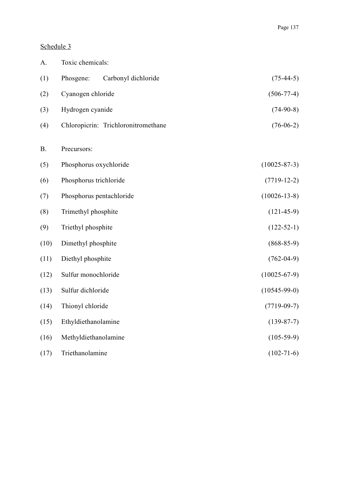### Schedule 3

| A.        | Toxic chemicals:                    |                    |
|-----------|-------------------------------------|--------------------|
| (1)       | Phosgene:<br>Carbonyl dichloride    | $(75-44-5)$        |
| (2)       | Cyanogen chloride                   | $(506 - 77 - 4)$   |
| (3)       | Hydrogen cyanide                    | $(74-90-8)$        |
| (4)       | Chloropicrin: Trichloronitromethane | $(76-06-2)$        |
| <b>B.</b> | Precursors:                         |                    |
| (5)       | Phosphorus oxychloride              | $(10025 - 87 - 3)$ |
| (6)       | Phosphorus trichloride              | $(7719-12-2)$      |
| (7)       | Phosphorus pentachloride            | $(10026 - 13 - 8)$ |
| (8)       | Trimethyl phosphite                 | $(121-45-9)$       |
| (9)       | Triethyl phosphite                  | $(122 - 52 - 1)$   |
| (10)      | Dimethyl phosphite                  | $(868 - 85 - 9)$   |
| (11)      | Diethyl phosphite                   | $(762-04-9)$       |
| (12)      | Sulfur monochloride                 | $(10025 - 67 - 9)$ |
| (13)      | Sulfur dichloride                   | $(10545-99-0)$     |
| (14)      | Thionyl chloride                    | $(7719-09-7)$      |
| (15)      | Ethyldiethanolamine                 | $(139-87-7)$       |
| (16)      | Methyldiethanolamine                | $(105-59-9)$       |
| (17)      | Triethanolamine                     | $(102 - 71 - 6)$   |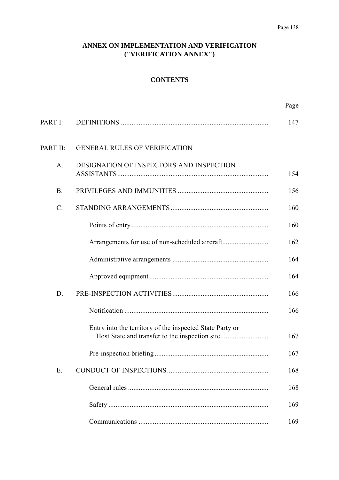### **ANNEX ON IMPLEMENTATION AND VERIFICATION ("VERIFICATION ANNEX")**

### **CONTENTS**

|                 |                                                          | Page |
|-----------------|----------------------------------------------------------|------|
| PART I:         |                                                          | 147  |
| <b>PART II:</b> | <b>GENERAL RULES OF VERIFICATION</b>                     |      |
| A.              | DESIGNATION OF INSPECTORS AND INSPECTION                 | 154  |
| <b>B.</b>       |                                                          | 156  |
| $\mathcal{C}$ . |                                                          | 160  |
|                 |                                                          | 160  |
|                 |                                                          | 162  |
|                 |                                                          | 164  |
|                 |                                                          | 164  |
| D.              |                                                          | 166  |
|                 |                                                          | 166  |
|                 | Entry into the territory of the inspected State Party or | 167  |
|                 |                                                          | 167  |
| Ε.              |                                                          | 168  |
|                 |                                                          | 168  |
|                 |                                                          | 169  |
|                 |                                                          | 169  |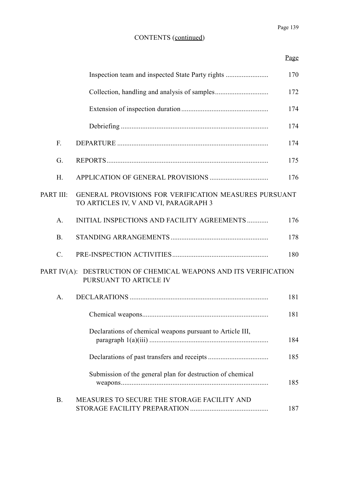|                 |                                                                                                       | 170 |
|-----------------|-------------------------------------------------------------------------------------------------------|-----|
|                 |                                                                                                       | 172 |
|                 |                                                                                                       | 174 |
|                 |                                                                                                       | 174 |
| $F_{\cdot}$     |                                                                                                       | 174 |
| G.              |                                                                                                       | 175 |
| H.              |                                                                                                       | 176 |
| PART III:       | <b>GENERAL PROVISIONS FOR VERIFICATION MEASURES PURSUANT</b><br>TO ARTICLES IV, V AND VI, PARAGRAPH 3 |     |
| $A$ .           | INITIAL INSPECTIONS AND FACILITY AGREEMENTS                                                           | 176 |
| <b>B</b> .      |                                                                                                       | 178 |
| $\mathcal{C}$ . |                                                                                                       | 180 |
|                 | PART IV(A): DESTRUCTION OF CHEMICAL WEAPONS AND ITS VERIFICATION<br>PURSUANT TO ARTICLE IV            |     |
| $A_{\cdot}$     |                                                                                                       | 181 |
|                 |                                                                                                       | 181 |
|                 | Declarations of chemical weapons pursuant to Article III,                                             | 184 |
|                 |                                                                                                       | 185 |
|                 | Submission of the general plan for destruction of chemical                                            | 185 |
| <b>B.</b>       | MEASURES TO SECURE THE STORAGE FACILITY AND                                                           | 187 |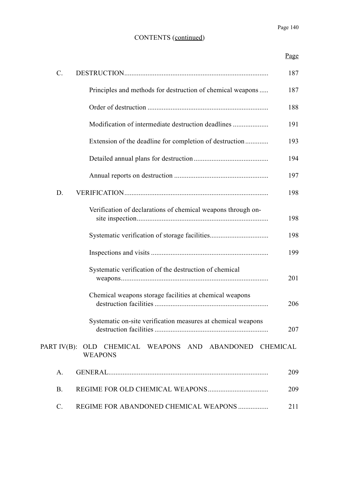Page

| $\mathcal{C}$ . |                                                               | 187 |
|-----------------|---------------------------------------------------------------|-----|
|                 | Principles and methods for destruction of chemical weapons    | 187 |
|                 |                                                               | 188 |
|                 |                                                               | 191 |
|                 | Extension of the deadline for completion of destruction       | 193 |
|                 |                                                               | 194 |
|                 |                                                               | 197 |
| D.              |                                                               | 198 |
|                 | Verification of declarations of chemical weapons through on-  | 198 |
|                 |                                                               | 198 |
|                 |                                                               | 199 |
|                 | Systematic verification of the destruction of chemical        | 201 |
|                 | Chemical weapons storage facilities at chemical weapons       | 206 |
|                 | Systematic on-site verification measures at chemical weapons  | 207 |
| PART IV(B):     | OLD CHEMICAL WEAPONS AND ABANDONED CHEMICAL<br><b>WEAPONS</b> |     |
| A.              |                                                               | 209 |
| <b>B.</b>       |                                                               | 209 |
| $\mathcal{C}$ . | REGIME FOR ABANDONED CHEMICAL WEAPONS                         | 211 |
|                 |                                                               |     |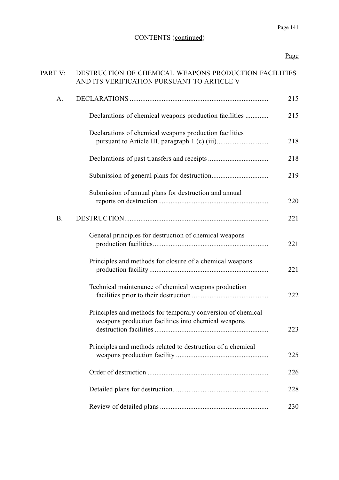# Page

| PART V:   | DESTRUCTION OF CHEMICAL WEAPONS PRODUCTION FACILITIES<br>AND ITS VERIFICATION PURSUANT TO ARTICLE V                |     |
|-----------|--------------------------------------------------------------------------------------------------------------------|-----|
| A.        |                                                                                                                    | 215 |
|           | Declarations of chemical weapons production facilities                                                             | 215 |
|           | Declarations of chemical weapons production facilities                                                             | 218 |
|           |                                                                                                                    | 218 |
|           |                                                                                                                    | 219 |
|           | Submission of annual plans for destruction and annual                                                              | 220 |
| <b>B.</b> |                                                                                                                    | 221 |
|           | General principles for destruction of chemical weapons                                                             | 221 |
|           | Principles and methods for closure of a chemical weapons                                                           | 221 |
|           | Technical maintenance of chemical weapons production                                                               | 222 |
|           | Principles and methods for temporary conversion of chemical<br>weapons production facilities into chemical weapons | 223 |
|           | Principles and methods related to destruction of a chemical                                                        | 225 |
|           |                                                                                                                    | 226 |
|           |                                                                                                                    | 228 |
|           |                                                                                                                    | 230 |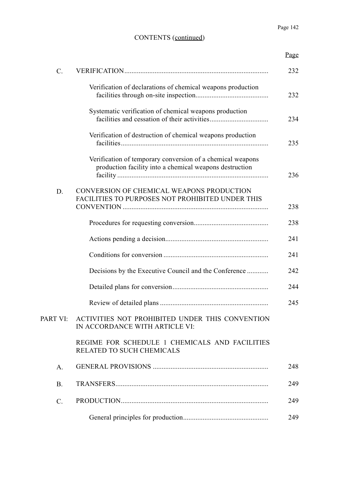|                 |                                                                                                                       | Page |
|-----------------|-----------------------------------------------------------------------------------------------------------------------|------|
| $\mathcal{C}$ . |                                                                                                                       | 232  |
|                 | Verification of declarations of chemical weapons production                                                           | 232  |
|                 | Systematic verification of chemical weapons production                                                                | 234  |
|                 | Verification of destruction of chemical weapons production                                                            | 235  |
|                 | Verification of temporary conversion of a chemical weapons<br>production facility into a chemical weapons destruction | 236  |
| D.              | CONVERSION OF CHEMICAL WEAPONS PRODUCTION<br>FACILITIES TO PURPOSES NOT PROHIBITED UNDER THIS                         | 238  |
|                 |                                                                                                                       | 238  |
|                 |                                                                                                                       | 241  |
|                 |                                                                                                                       | 241  |
|                 | Decisions by the Executive Council and the Conference                                                                 | 242  |
|                 |                                                                                                                       | 244  |
|                 |                                                                                                                       | 245  |
| PART VI:        | ACTIVITIES NOT PROHIBITED UNDER THIS CONVENTION<br>IN ACCORDANCE WITH ARTICLE VI:                                     |      |
|                 | REGIME FOR SCHEDULE 1 CHEMICALS AND FACILITIES<br>RELATED TO SUCH CHEMICALS                                           |      |
| $A$ .           |                                                                                                                       | 248  |
| <b>B.</b>       |                                                                                                                       | 249  |
| $\mathcal{C}$ . |                                                                                                                       | 249  |
|                 |                                                                                                                       | 249  |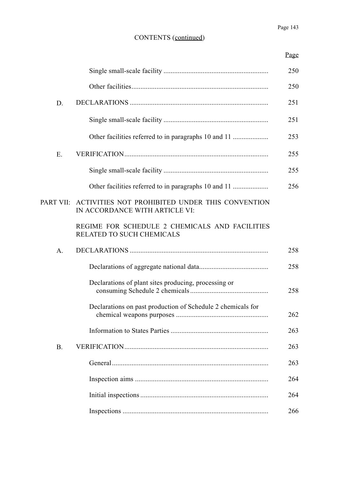Page

|           |                                                                                             | 250 |
|-----------|---------------------------------------------------------------------------------------------|-----|
|           |                                                                                             | 250 |
| D.        |                                                                                             | 251 |
|           |                                                                                             | 251 |
|           | Other facilities referred to in paragraphs 10 and 11                                        | 253 |
| E.        |                                                                                             | 255 |
|           |                                                                                             | 255 |
|           |                                                                                             | 256 |
|           | PART VII: ACTIVITIES NOT PROHIBITED UNDER THIS CONVENTION<br>IN ACCORDANCE WITH ARTICLE VI: |     |
|           | REGIME FOR SCHEDULE 2 CHEMICALS AND FACILITIES<br>RELATED TO SUCH CHEMICALS                 |     |
| A.        |                                                                                             | 258 |
|           |                                                                                             | 258 |
|           | Declarations of plant sites producing, processing or                                        | 258 |
|           | Declarations on past production of Schedule 2 chemicals for                                 | 262 |
|           |                                                                                             | 263 |
| <b>B.</b> |                                                                                             | 263 |
|           |                                                                                             | 263 |
|           |                                                                                             | 264 |
|           |                                                                                             | 264 |
|           |                                                                                             | 266 |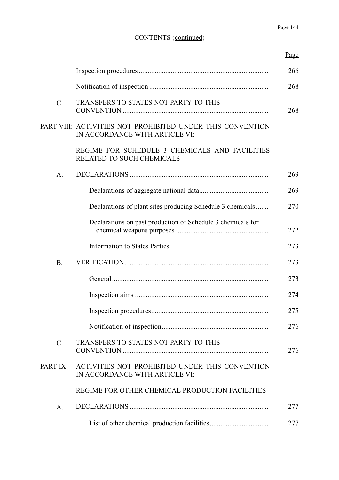|                 |                                                                                              | Page |
|-----------------|----------------------------------------------------------------------------------------------|------|
|                 |                                                                                              | 266  |
|                 |                                                                                              | 268  |
| $\mathcal{C}$ . | TRANSFERS TO STATES NOT PARTY TO THIS                                                        | 268  |
|                 | PART VIII: ACTIVITIES NOT PROHIBITED UNDER THIS CONVENTION<br>IN ACCORDANCE WITH ARTICLE VI: |      |
|                 | REGIME FOR SCHEDULE 3 CHEMICALS AND FACILITIES<br>RELATED TO SUCH CHEMICALS                  |      |
| A.              |                                                                                              | 269  |
|                 |                                                                                              | 269  |
|                 | Declarations of plant sites producing Schedule 3 chemicals                                   | 270  |
|                 | Declarations on past production of Schedule 3 chemicals for                                  | 272  |
|                 | <b>Information to States Parties</b>                                                         | 273  |
| B.              |                                                                                              | 273  |
|                 |                                                                                              | 273  |
|                 |                                                                                              | 274  |
|                 |                                                                                              | 275  |
|                 |                                                                                              | 276  |
| $C$ .           | TRANSFERS TO STATES NOT PARTY TO THIS                                                        | 276  |
| PART IX:        | ACTIVITIES NOT PROHIBITED UNDER THIS CONVENTION<br>IN ACCORDANCE WITH ARTICLE VI:            |      |
|                 | REGIME FOR OTHER CHEMICAL PRODUCTION FACILITIES                                              |      |
| A.              |                                                                                              | 277  |
|                 |                                                                                              | 277  |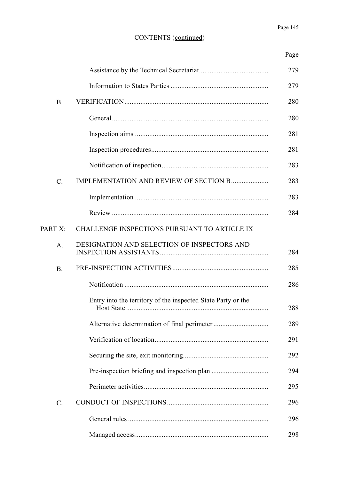|           |                                                              | Page |
|-----------|--------------------------------------------------------------|------|
|           |                                                              | 279  |
|           |                                                              | 279  |
| <b>B.</b> |                                                              | 280  |
|           |                                                              | 280  |
|           |                                                              | 281  |
|           |                                                              | 281  |
|           |                                                              | 283  |
| $C$ .     | IMPLEMENTATION AND REVIEW OF SECTION B                       | 283  |
|           |                                                              | 283  |
|           |                                                              | 284  |
| PART X:   | CHALLENGE INSPECTIONS PURSUANT TO ARTICLE IX                 |      |
| $A$ .     | <b>DESIGNATION AND SELECTION OF INSPECTORS AND</b>           | 284  |
| B.        |                                                              | 285  |
|           |                                                              | 286  |
|           | Entry into the territory of the inspected State Party or the | 288  |
|           |                                                              | 289  |
|           |                                                              | 291  |
|           |                                                              | 292  |
|           |                                                              | 294  |
|           |                                                              | 295  |
| $C$ .     |                                                              | 296  |
|           |                                                              | 296  |
|           |                                                              | 298  |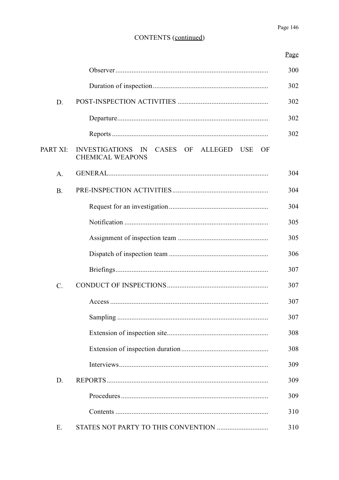|                 |                                                                                      | Page |
|-----------------|--------------------------------------------------------------------------------------|------|
|                 |                                                                                      | 300  |
|                 |                                                                                      | 302  |
| D.              |                                                                                      | 302  |
|                 |                                                                                      | 302  |
|                 |                                                                                      | 302  |
| PART XI:        | <b>INVESTIGATIONS</b><br>CASES OF ALLEGED USE<br>IN<br>OF<br><b>CHEMICAL WEAPONS</b> |      |
| $A$ .           |                                                                                      | 304  |
| B.              |                                                                                      | 304  |
|                 |                                                                                      | 304  |
|                 |                                                                                      | 305  |
|                 |                                                                                      | 305  |
|                 |                                                                                      | 306  |
|                 |                                                                                      | 307  |
| $\mathcal{C}$ . |                                                                                      | 307  |
|                 |                                                                                      | 307  |
|                 |                                                                                      | 307  |
|                 |                                                                                      | 308  |
|                 |                                                                                      | 308  |
|                 |                                                                                      | 309  |
| D.              |                                                                                      | 309  |
|                 |                                                                                      | 309  |
|                 |                                                                                      | 310  |
| Ε.              |                                                                                      | 310  |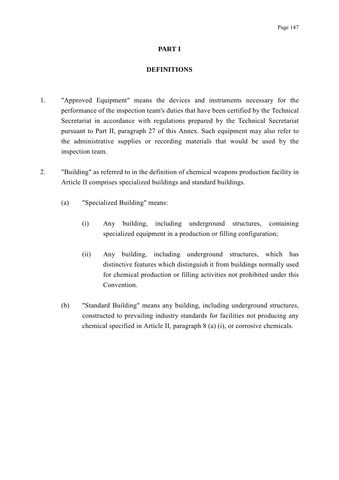#### **PART I**

#### **DEFINITIONS**

- 1. "Approved Equipment" means the devices and instruments necessary for the performance of the inspection team's duties that have been certified by the Technical Secretariat in accordance with regulations prepared by the Technical Secretariat pursuant to Part II, paragraph 27 of this Annex. Such equipment may also refer to the administrative supplies or recording materials that would be used by the inspection team.
- 2. "Building" as referred to in the definition of chemical weapons production facility in Article II comprises specialized buildings and standard buildings.
	- (a) "Specialized Building" means:
		- (i) Any building, including underground structures, containing specialized equipment in a production or filling configuration;
		- (ii) Any building, including underground structures, which has distinctive features which distinguish it from buildings normally used for chemical production or filling activities not prohibited under this **Convention**
	- (b) "Standard Building" means any building, including underground structures, constructed to prevailing industry standards for facilities not producing any chemical specified in Article II, paragraph 8 (a) (i), or corrosive chemicals.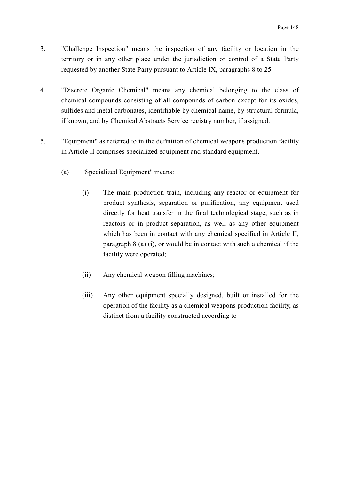- 3. "Challenge Inspection" means the inspection of any facility or location in the territory or in any other place under the jurisdiction or control of a State Party requested by another State Party pursuant to Article IX, paragraphs 8 to 25.
- 4. "Discrete Organic Chemical" means any chemical belonging to the class of chemical compounds consisting of all compounds of carbon except for its oxides, sulfides and metal carbonates, identifiable by chemical name, by structural formula, if known, and by Chemical Abstracts Service registry number, if assigned.
- 5. "Equipment" as referred to in the definition of chemical weapons production facility in Article II comprises specialized equipment and standard equipment.
	- (a) "Specialized Equipment" means:
		- (i) The main production train, including any reactor or equipment for product synthesis, separation or purification, any equipment used directly for heat transfer in the final technological stage, such as in reactors or in product separation, as well as any other equipment which has been in contact with any chemical specified in Article II, paragraph 8 (a) (i), or would be in contact with such a chemical if the facility were operated;
		- (ii) Any chemical weapon filling machines;
		- (iii) Any other equipment specially designed, built or installed for the operation of the facility as a chemical weapons production facility, as distinct from a facility constructed according to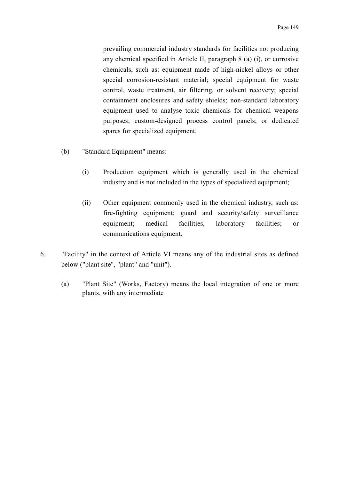prevailing commercial industry standards for facilities not producing any chemical specified in Article II, paragraph 8 (a) (i), or corrosive chemicals, such as: equipment made of high-nickel alloys or other special corrosion-resistant material; special equipment for waste control, waste treatment, air filtering, or solvent recovery; special containment enclosures and safety shields; non-standard laboratory equipment used to analyse toxic chemicals for chemical weapons purposes; custom-designed process control panels; or dedicated spares for specialized equipment.

- (b) "Standard Equipment" means:
	- (i) Production equipment which is generally used in the chemical industry and is not included in the types of specialized equipment;
	- (ii) Other equipment commonly used in the chemical industry, such as: fire-fighting equipment; guard and security/safety surveillance equipment; medical facilities, laboratory facilities; or communications equipment.
- 6. "Facility" in the context of Article VI means any of the industrial sites as defined below ("plant site", "plant" and "unit").
	- (a) "Plant Site" (Works, Factory) means the local integration of one or more plants, with any intermediate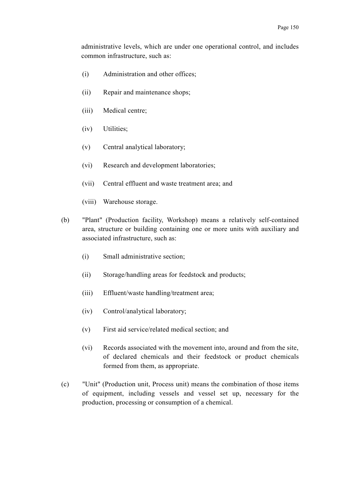administrative levels, which are under one operational control, and includes common infrastructure, such as:

- (i) Administration and other offices;
- (ii) Repair and maintenance shops;
- (iii) Medical centre;
- (iv) Utilities;
- (v) Central analytical laboratory;
- (vi) Research and development laboratories;
- (vii) Central effluent and waste treatment area; and
- (viii) Warehouse storage.
- (b) "Plant" (Production facility, Workshop) means a relatively self-contained area, structure or building containing one or more units with auxiliary and associated infrastructure, such as:
	- (i) Small administrative section;
	- (ii) Storage/handling areas for feedstock and products;
	- (iii) Effluent/waste handling/treatment area;
	- (iv) Control/analytical laboratory;
	- (v) First aid service/related medical section; and
	- (vi) Records associated with the movement into, around and from the site, of declared chemicals and their feedstock or product chemicals formed from them, as appropriate.
- (c) "Unit" (Production unit, Process unit) means the combination of those items of equipment, including vessels and vessel set up, necessary for the production, processing or consumption of a chemical.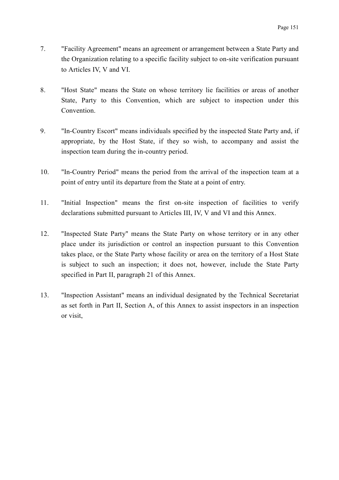- 7. "Facility Agreement" means an agreement or arrangement between a State Party and the Organization relating to a specific facility subject to on-site verification pursuant to Articles IV, V and VI.
- 8. "Host State" means the State on whose territory lie facilities or areas of another State, Party to this Convention, which are subject to inspection under this **Convention**
- 9. "In-Country Escort" means individuals specified by the inspected State Party and, if appropriate, by the Host State, if they so wish, to accompany and assist the inspection team during the in-country period.
- 10. "In-Country Period" means the period from the arrival of the inspection team at a point of entry until its departure from the State at a point of entry.
- 11. "Initial Inspection" means the first on-site inspection of facilities to verify declarations submitted pursuant to Articles III, IV, V and VI and this Annex.
- 12. "Inspected State Party" means the State Party on whose territory or in any other place under its jurisdiction or control an inspection pursuant to this Convention takes place, or the State Party whose facility or area on the territory of a Host State is subject to such an inspection; it does not, however, include the State Party specified in Part II, paragraph 21 of this Annex.
- 13. "Inspection Assistant" means an individual designated by the Technical Secretariat as set forth in Part II, Section A, of this Annex to assist inspectors in an inspection or visit,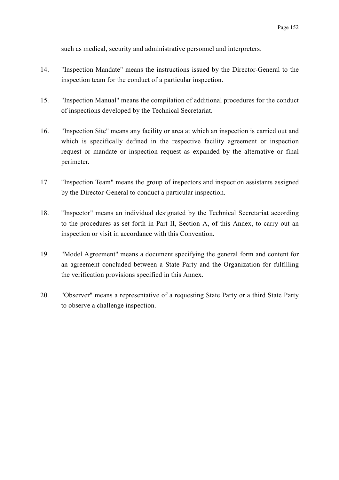such as medical, security and administrative personnel and interpreters.

- 14. "Inspection Mandate" means the instructions issued by the Director-General to the inspection team for the conduct of a particular inspection.
- 15. "Inspection Manual" means the compilation of additional procedures for the conduct of inspections developed by the Technical Secretariat.
- 16. "Inspection Site" means any facility or area at which an inspection is carried out and which is specifically defined in the respective facility agreement or inspection request or mandate or inspection request as expanded by the alternative or final perimeter.
- 17. "Inspection Team" means the group of inspectors and inspection assistants assigned by the Director-General to conduct a particular inspection.
- 18. "Inspector" means an individual designated by the Technical Secretariat according to the procedures as set forth in Part II, Section A, of this Annex, to carry out an inspection or visit in accordance with this Convention.
- 19. "Model Agreement" means a document specifying the general form and content for an agreement concluded between a State Party and the Organization for fulfilling the verification provisions specified in this Annex.
- 20. "Observer" means a representative of a requesting State Party or a third State Party to observe a challenge inspection.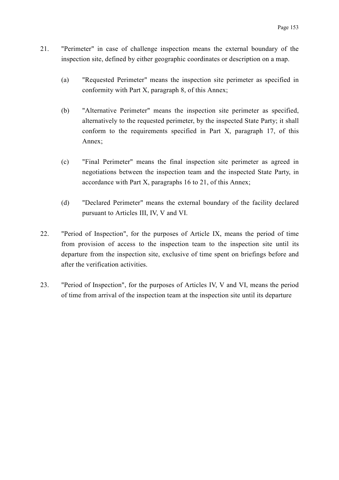- 21. "Perimeter" in case of challenge inspection means the external boundary of the inspection site, defined by either geographic coordinates or description on a map.
	- (a) "Requested Perimeter" means the inspection site perimeter as specified in conformity with Part X, paragraph 8, of this Annex;
	- (b) "Alternative Perimeter" means the inspection site perimeter as specified, alternatively to the requested perimeter, by the inspected State Party; it shall conform to the requirements specified in Part X, paragraph 17, of this Annex;
	- (c) "Final Perimeter" means the final inspection site perimeter as agreed in negotiations between the inspection team and the inspected State Party, in accordance with Part X, paragraphs 16 to 21, of this Annex;
	- (d) "Declared Perimeter" means the external boundary of the facility declared pursuant to Articles III, IV, V and VI.
- 22. "Period of Inspection", for the purposes of Article IX, means the period of time from provision of access to the inspection team to the inspection site until its departure from the inspection site, exclusive of time spent on briefings before and after the verification activities.
- 23. "Period of Inspection", for the purposes of Articles IV, V and VI, means the period of time from arrival of the inspection team at the inspection site until its departure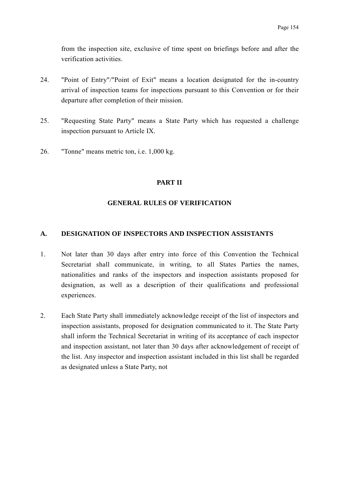from the inspection site, exclusive of time spent on briefings before and after the verification activities.

- 24. "Point of Entry"/"Point of Exit" means a location designated for the in-country arrival of inspection teams for inspections pursuant to this Convention or for their departure after completion of their mission.
- 25. "Requesting State Party" means a State Party which has requested a challenge inspection pursuant to Article IX.
- 26. "Tonne" means metric ton, i.e. 1,000 kg.

#### **PART II**

### **GENERAL RULES OF VERIFICATION**

#### **A. DESIGNATION OF INSPECTORS AND INSPECTION ASSISTANTS**

- 1. Not later than 30 days after entry into force of this Convention the Technical Secretariat shall communicate, in writing, to all States Parties the names, nationalities and ranks of the inspectors and inspection assistants proposed for designation, as well as a description of their qualifications and professional experiences.
- 2. Each State Party shall immediately acknowledge receipt of the list of inspectors and inspection assistants, proposed for designation communicated to it. The State Party shall inform the Technical Secretariat in writing of its acceptance of each inspector and inspection assistant, not later than 30 days after acknowledgement of receipt of the list. Any inspector and inspection assistant included in this list shall be regarded as designated unless a State Party, not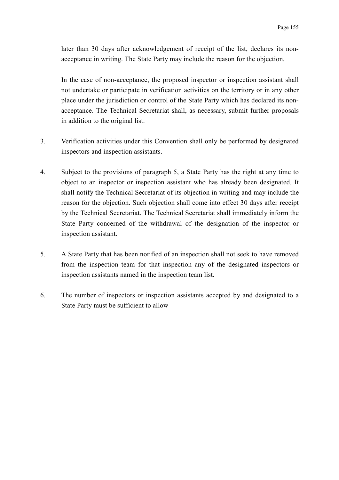later than 30 days after acknowledgement of receipt of the list, declares its nonacceptance in writing. The State Party may include the reason for the objection.

In the case of non-acceptance, the proposed inspector or inspection assistant shall not undertake or participate in verification activities on the territory or in any other place under the jurisdiction or control of the State Party which has declared its nonacceptance. The Technical Secretariat shall, as necessary, submit further proposals in addition to the original list.

- 3. Verification activities under this Convention shall only be performed by designated inspectors and inspection assistants.
- 4. Subject to the provisions of paragraph 5, a State Party has the right at any time to object to an inspector or inspection assistant who has already been designated. It shall notify the Technical Secretariat of its objection in writing and may include the reason for the objection. Such objection shall come into effect 30 days after receipt by the Technical Secretariat. The Technical Secretariat shall immediately inform the State Party concerned of the withdrawal of the designation of the inspector or inspection assistant.
- 5. A State Party that has been notified of an inspection shall not seek to have removed from the inspection team for that inspection any of the designated inspectors or inspection assistants named in the inspection team list.
- 6. The number of inspectors or inspection assistants accepted by and designated to a State Party must be sufficient to allow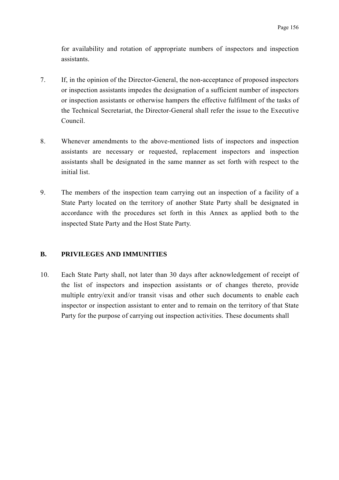for availability and rotation of appropriate numbers of inspectors and inspection assistants.

- 7. If, in the opinion of the Director-General, the non-acceptance of proposed inspectors or inspection assistants impedes the designation of a sufficient number of inspectors or inspection assistants or otherwise hampers the effective fulfilment of the tasks of the Technical Secretariat, the Director-General shall refer the issue to the Executive Council.
- 8. Whenever amendments to the above-mentioned lists of inspectors and inspection assistants are necessary or requested, replacement inspectors and inspection assistants shall be designated in the same manner as set forth with respect to the initial list.
- 9. The members of the inspection team carrying out an inspection of a facility of a State Party located on the territory of another State Party shall be designated in accordance with the procedures set forth in this Annex as applied both to the inspected State Party and the Host State Party.

### **B. PRIVILEGES AND IMMUNITIES**

10. Each State Party shall, not later than 30 days after acknowledgement of receipt of the list of inspectors and inspection assistants or of changes thereto, provide multiple entry/exit and/or transit visas and other such documents to enable each inspector or inspection assistant to enter and to remain on the territory of that State Party for the purpose of carrying out inspection activities. These documents shall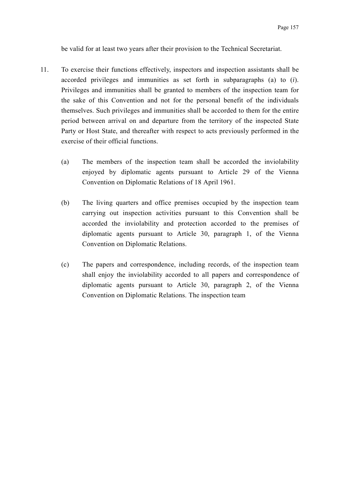be valid for at least two years after their provision to the Technical Secretariat.

- 11. To exercise their functions effectively, inspectors and inspection assistants shall be accorded privileges and immunities as set forth in subparagraphs (a) to (*i*). Privileges and immunities shall be granted to members of the inspection team for the sake of this Convention and not for the personal benefit of the individuals themselves. Such privileges and immunities shall be accorded to them for the entire period between arrival on and departure from the territory of the inspected State Party or Host State, and thereafter with respect to acts previously performed in the exercise of their official functions.
	- (a) The members of the inspection team shall be accorded the inviolability enjoyed by diplomatic agents pursuant to Article 29 of the Vienna Convention on Diplomatic Relations of 18 April 1961.
	- (b) The living quarters and office premises occupied by the inspection team carrying out inspection activities pursuant to this Convention shall be accorded the inviolability and protection accorded to the premises of diplomatic agents pursuant to Article 30, paragraph 1, of the Vienna Convention on Diplomatic Relations.
	- (c) The papers and correspondence, including records, of the inspection team shall enjoy the inviolability accorded to all papers and correspondence of diplomatic agents pursuant to Article 30, paragraph 2, of the Vienna Convention on Diplomatic Relations. The inspection team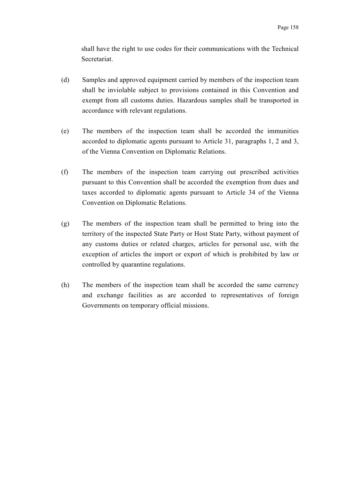shall have the right to use codes for their communications with the Technical Secretariat.

- (d) Samples and approved equipment carried by members of the inspection team shall be inviolable subject to provisions contained in this Convention and exempt from all customs duties. Hazardous samples shall be transported in accordance with relevant regulations.
- (e) The members of the inspection team shall be accorded the immunities accorded to diplomatic agents pursuant to Article 31, paragraphs 1, 2 and 3, of the Vienna Convention on Diplomatic Relations.
- (f) The members of the inspection team carrying out prescribed activities pursuant to this Convention shall be accorded the exemption from dues and taxes accorded to diplomatic agents pursuant to Article 34 of the Vienna Convention on Diplomatic Relations.
- (g) The members of the inspection team shall be permitted to bring into the territory of the inspected State Party or Host State Party, without payment of any customs duties or related charges, articles for personal use, with the exception of articles the import or export of which is prohibited by law or controlled by quarantine regulations.
- (h) The members of the inspection team shall be accorded the same currency and exchange facilities as are accorded to representatives of foreign Governments on temporary official missions.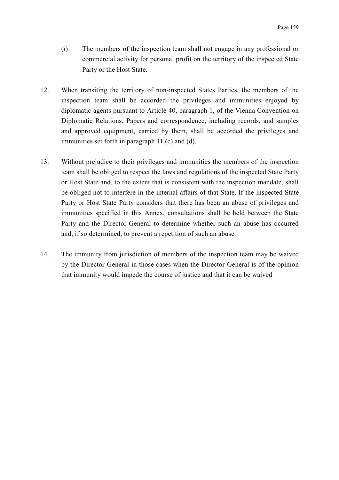- (*i*) The members of the inspection team shall not engage in any professional or commercial activity for personal profit on the territory of the inspected State Party or the Host State.
- 12. When transiting the territory of non-inspected States Parties, the members of the inspection team shall be accorded the privileges and immunities enjoyed by diplomatic agents pursuant to Article 40, paragraph 1, of the Vienna Convention on Diplomatic Relations. Papers and correspondence, including records, and samples and approved equipment, carried by them, shall be accorded the privileges and immunities set forth in paragraph 11 (c) and (d).
- 13. Without prejudice to their privileges and immunities the members of the inspection team shall be obliged to respect the laws and regulations of the inspected State Party or Host State and, to the extent that is consistent with the inspection mandate, shall be obliged not to interfere in the internal affairs of that State. If the inspected State Party or Host State Party considers that there has been an abuse of privileges and immunities specified in this Annex, consultations shall be held between the State Party and the Director-General to determine whether such an abuse has occurred and, if so determined, to prevent a repetition of such an abuse.
- 14. The immunity from jurisdiction of members of the inspection team may be waived by the Director-General in those cases when the Director-General is of the opinion that immunity would impede the course of justice and that it can be waived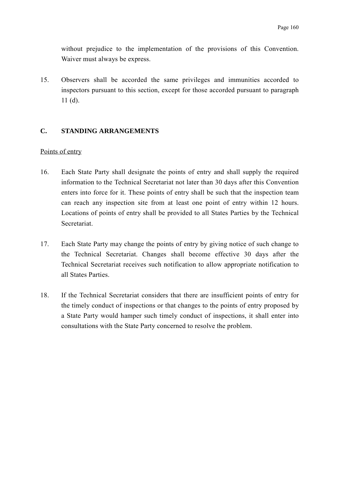without prejudice to the implementation of the provisions of this Convention. Waiver must always be express.

15. Observers shall be accorded the same privileges and immunities accorded to inspectors pursuant to this section, except for those accorded pursuant to paragraph 11 (d).

### **C. STANDING ARRANGEMENTS**

#### Points of entry

- 16. Each State Party shall designate the points of entry and shall supply the required information to the Technical Secretariat not later than 30 days after this Convention enters into force for it. These points of entry shall be such that the inspection team can reach any inspection site from at least one point of entry within 12 hours. Locations of points of entry shall be provided to all States Parties by the Technical Secretariat.
- 17. Each State Party may change the points of entry by giving notice of such change to the Technical Secretariat. Changes shall become effective 30 days after the Technical Secretariat receives such notification to allow appropriate notification to all States Parties.
- 18. If the Technical Secretariat considers that there are insufficient points of entry for the timely conduct of inspections or that changes to the points of entry proposed by a State Party would hamper such timely conduct of inspections, it shall enter into consultations with the State Party concerned to resolve the problem.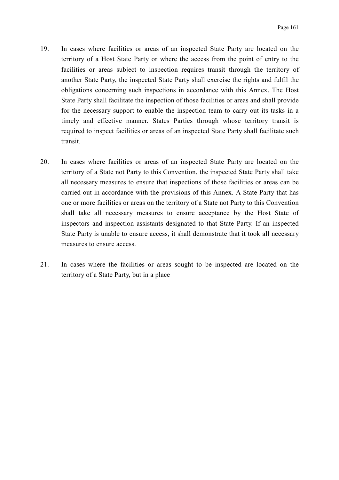- 19. In cases where facilities or areas of an inspected State Party are located on the territory of a Host State Party or where the access from the point of entry to the facilities or areas subject to inspection requires transit through the territory of another State Party, the inspected State Party shall exercise the rights and fulfil the obligations concerning such inspections in accordance with this Annex. The Host State Party shall facilitate the inspection of those facilities or areas and shall provide for the necessary support to enable the inspection team to carry out its tasks in a timely and effective manner. States Parties through whose territory transit is required to inspect facilities or areas of an inspected State Party shall facilitate such transit.
- 20. In cases where facilities or areas of an inspected State Party are located on the territory of a State not Party to this Convention, the inspected State Party shall take all necessary measures to ensure that inspections of those facilities or areas can be carried out in accordance with the provisions of this Annex. A State Party that has one or more facilities or areas on the territory of a State not Party to this Convention shall take all necessary measures to ensure acceptance by the Host State of inspectors and inspection assistants designated to that State Party. If an inspected State Party is unable to ensure access, it shall demonstrate that it took all necessary measures to ensure access.
- 21. In cases where the facilities or areas sought to be inspected are located on the territory of a State Party, but in a place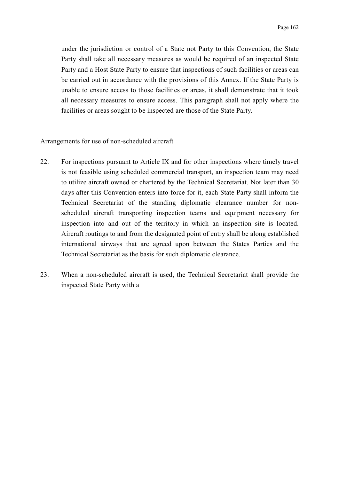under the jurisdiction or control of a State not Party to this Convention, the State Party shall take all necessary measures as would be required of an inspected State Party and a Host State Party to ensure that inspections of such facilities or areas can be carried out in accordance with the provisions of this Annex. If the State Party is unable to ensure access to those facilities or areas, it shall demonstrate that it took all necessary measures to ensure access. This paragraph shall not apply where the facilities or areas sought to be inspected are those of the State Party.

#### Arrangements for use of non-scheduled aircraft

- 22. For inspections pursuant to Article IX and for other inspections where timely travel is not feasible using scheduled commercial transport, an inspection team may need to utilize aircraft owned or chartered by the Technical Secretariat. Not later than 30 days after this Convention enters into force for it, each State Party shall inform the Technical Secretariat of the standing diplomatic clearance number for nonscheduled aircraft transporting inspection teams and equipment necessary for inspection into and out of the territory in which an inspection site is located. Aircraft routings to and from the designated point of entry shall be along established international airways that are agreed upon between the States Parties and the Technical Secretariat as the basis for such diplomatic clearance.
- 23. When a non-scheduled aircraft is used, the Technical Secretariat shall provide the inspected State Party with a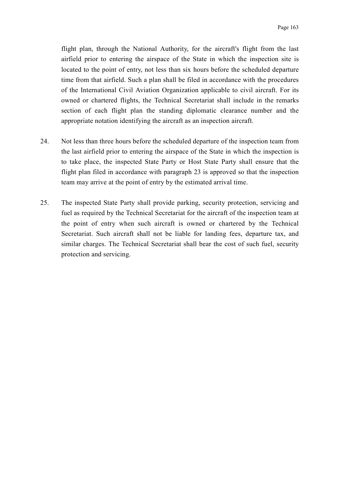flight plan, through the National Authority, for the aircraft's flight from the last airfield prior to entering the airspace of the State in which the inspection site is located to the point of entry, not less than six hours before the scheduled departure time from that airfield. Such a plan shall be filed in accordance with the procedures of the International Civil Aviation Organization applicable to civil aircraft. For its owned or chartered flights, the Technical Secretariat shall include in the remarks section of each flight plan the standing diplomatic clearance number and the appropriate notation identifying the aircraft as an inspection aircraft.

- 24. Not less than three hours before the scheduled departure of the inspection team from the last airfield prior to entering the airspace of the State in which the inspection is to take place, the inspected State Party or Host State Party shall ensure that the flight plan filed in accordance with paragraph 23 is approved so that the inspection team may arrive at the point of entry by the estimated arrival time.
- 25. The inspected State Party shall provide parking, security protection, servicing and fuel as required by the Technical Secretariat for the aircraft of the inspection team at the point of entry when such aircraft is owned or chartered by the Technical Secretariat. Such aircraft shall not be liable for landing fees, departure tax, and similar charges. The Technical Secretariat shall bear the cost of such fuel, security protection and servicing.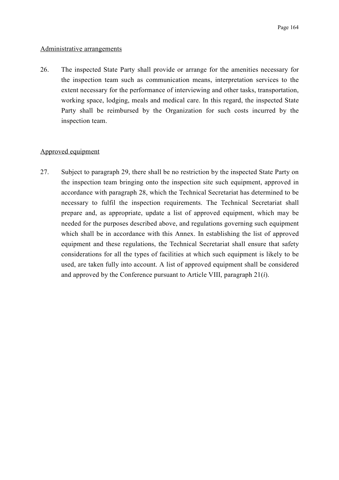#### Administrative arrangements

26. The inspected State Party shall provide or arrange for the amenities necessary for the inspection team such as communication means, interpretation services to the extent necessary for the performance of interviewing and other tasks, transportation, working space, lodging, meals and medical care. In this regard, the inspected State Party shall be reimbursed by the Organization for such costs incurred by the inspection team.

#### Approved equipment

27. Subject to paragraph 29, there shall be no restriction by the inspected State Party on the inspection team bringing onto the inspection site such equipment, approved in accordance with paragraph 28, which the Technical Secretariat has determined to be necessary to fulfil the inspection requirements. The Technical Secretariat shall prepare and, as appropriate, update a list of approved equipment, which may be needed for the purposes described above, and regulations governing such equipment which shall be in accordance with this Annex. In establishing the list of approved equipment and these regulations, the Technical Secretariat shall ensure that safety considerations for all the types of facilities at which such equipment is likely to be used, are taken fully into account. A list of approved equipment shall be considered and approved by the Conference pursuant to Article VIII, paragraph 21(*i*).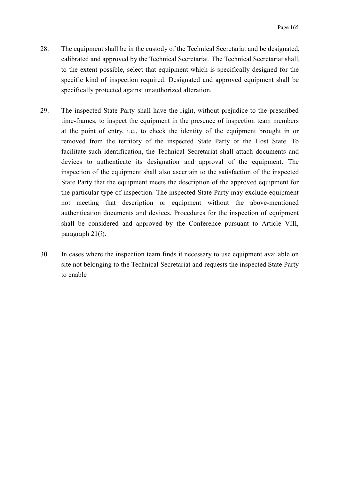- 28. The equipment shall be in the custody of the Technical Secretariat and be designated, calibrated and approved by the Technical Secretariat. The Technical Secretariat shall, to the extent possible, select that equipment which is specifically designed for the specific kind of inspection required. Designated and approved equipment shall be specifically protected against unauthorized alteration.
- 29. The inspected State Party shall have the right, without prejudice to the prescribed time-frames, to inspect the equipment in the presence of inspection team members at the point of entry, i.e., to check the identity of the equipment brought in or removed from the territory of the inspected State Party or the Host State. To facilitate such identification, the Technical Secretariat shall attach documents and devices to authenticate its designation and approval of the equipment. The inspection of the equipment shall also ascertain to the satisfaction of the inspected State Party that the equipment meets the description of the approved equipment for the particular type of inspection. The inspected State Party may exclude equipment not meeting that description or equipment without the above-mentioned authentication documents and devices. Procedures for the inspection of equipment shall be considered and approved by the Conference pursuant to Article VIII, paragraph 21(*i*).
- 30. In cases where the inspection team finds it necessary to use equipment available on site not belonging to the Technical Secretariat and requests the inspected State Party to enable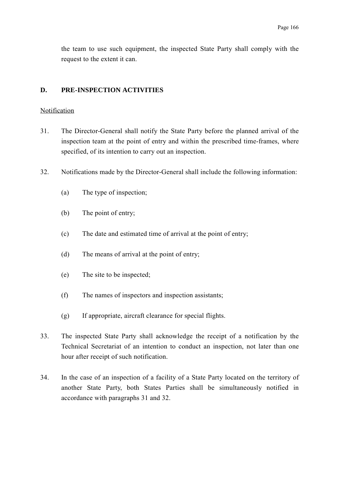the team to use such equipment, the inspected State Party shall comply with the request to the extent it can.

#### **D. PRE-INSPECTION ACTIVITIES**

#### Notification

- 31. The Director-General shall notify the State Party before the planned arrival of the inspection team at the point of entry and within the prescribed time-frames, where specified, of its intention to carry out an inspection.
- 32. Notifications made by the Director-General shall include the following information:
	- (a) The type of inspection;
	- (b) The point of entry;
	- (c) The date and estimated time of arrival at the point of entry;
	- (d) The means of arrival at the point of entry;
	- (e) The site to be inspected;
	- (f) The names of inspectors and inspection assistants;
	- (g) If appropriate, aircraft clearance for special flights.
- 33. The inspected State Party shall acknowledge the receipt of a notification by the Technical Secretariat of an intention to conduct an inspection, not later than one hour after receipt of such notification.
- 34. In the case of an inspection of a facility of a State Party located on the territory of another State Party, both States Parties shall be simultaneously notified in accordance with paragraphs 31 and 32.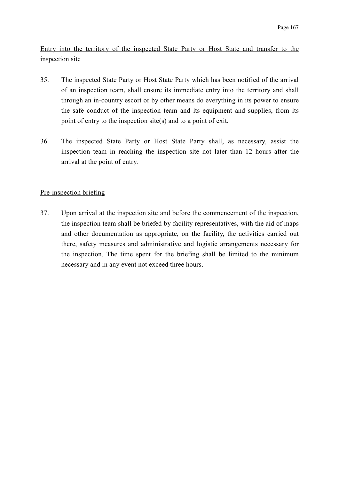Entry into the territory of the inspected State Party or Host State and transfer to the inspection site

- 35. The inspected State Party or Host State Party which has been notified of the arrival of an inspection team, shall ensure its immediate entry into the territory and shall through an in-country escort or by other means do everything in its power to ensure the safe conduct of the inspection team and its equipment and supplies, from its point of entry to the inspection site(s) and to a point of exit.
- 36. The inspected State Party or Host State Party shall, as necessary, assist the inspection team in reaching the inspection site not later than 12 hours after the arrival at the point of entry.

### Pre-inspection briefing

37. Upon arrival at the inspection site and before the commencement of the inspection, the inspection team shall be briefed by facility representatives, with the aid of maps and other documentation as appropriate, on the facility, the activities carried out there, safety measures and administrative and logistic arrangements necessary for the inspection. The time spent for the briefing shall be limited to the minimum necessary and in any event not exceed three hours.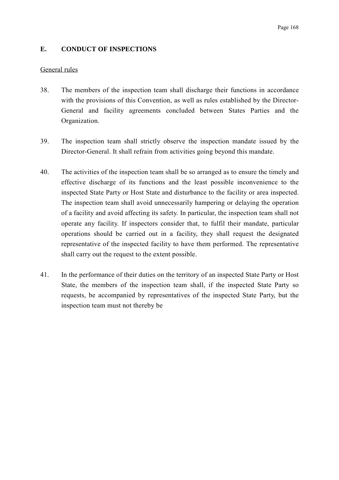### **E. CONDUCT OF INSPECTIONS**

#### General rules

- 38. The members of the inspection team shall discharge their functions in accordance with the provisions of this Convention, as well as rules established by the Director-General and facility agreements concluded between States Parties and the Organization.
- 39. The inspection team shall strictly observe the inspection mandate issued by the Director-General. It shall refrain from activities going beyond this mandate.
- 40. The activities of the inspection team shall be so arranged as to ensure the timely and effective discharge of its functions and the least possible inconvenience to the inspected State Party or Host State and disturbance to the facility or area inspected. The inspection team shall avoid unnecessarily hampering or delaying the operation of a facility and avoid affecting its safety. In particular, the inspection team shall not operate any facility. If inspectors consider that, to fulfil their mandate, particular operations should be carried out in a facility, they shall request the designated representative of the inspected facility to have them performed. The representative shall carry out the request to the extent possible.
- 41. In the performance of their duties on the territory of an inspected State Party or Host State, the members of the inspection team shall, if the inspected State Party so requests, be accompanied by representatives of the inspected State Party, but the inspection team must not thereby be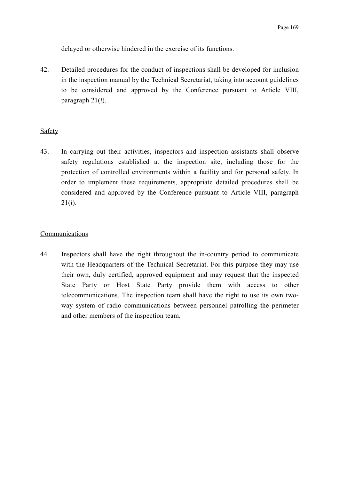delayed or otherwise hindered in the exercise of its functions.

42. Detailed procedures for the conduct of inspections shall be developed for inclusion in the inspection manual by the Technical Secretariat, taking into account guidelines to be considered and approved by the Conference pursuant to Article VIII, paragraph 21(*i*).

#### Safety

43. In carrying out their activities, inspectors and inspection assistants shall observe safety regulations established at the inspection site, including those for the protection of controlled environments within a facility and for personal safety. In order to implement these requirements, appropriate detailed procedures shall be considered and approved by the Conference pursuant to Article VIII, paragraph 21(*i*).

## Communications

44. Inspectors shall have the right throughout the in-country period to communicate with the Headquarters of the Technical Secretariat. For this purpose they may use their own, duly certified, approved equipment and may request that the inspected State Party or Host State Party provide them with access to other telecommunications. The inspection team shall have the right to use its own twoway system of radio communications between personnel patrolling the perimeter and other members of the inspection team.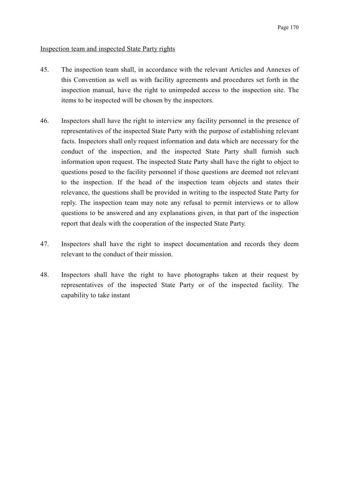## Inspection team and inspected State Party rights

- 45. The inspection team shall, in accordance with the relevant Articles and Annexes of this Convention as well as with facility agreements and procedures set forth in the inspection manual, have the right to unimpeded access to the inspection site. The items to be inspected will be chosen by the inspectors.
- 46. Inspectors shall have the right to interview any facility personnel in the presence of representatives of the inspected State Party with the purpose of establishing relevant facts. Inspectors shall only request information and data which are necessary for the conduct of the inspection, and the inspected State Party shall furnish such information upon request. The inspected State Party shall have the right to object to questions posed to the facility personnel if those questions are deemed not relevant to the inspection. If the head of the inspection team objects and states their relevance, the questions shall be provided in writing to the inspected State Party for reply. The inspection team may note any refusal to permit interviews or to allow questions to be answered and any explanations given, in that part of the inspection report that deals with the cooperation of the inspected State Party.
- 47. Inspectors shall have the right to inspect documentation and records they deem relevant to the conduct of their mission.
- 48. Inspectors shall have the right to have photographs taken at their request by representatives of the inspected State Party or of the inspected facility. The capability to take instant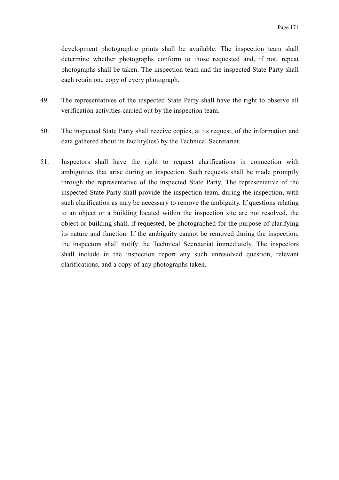development photographic prints shall be available. The inspection team shall determine whether photographs conform to those requested and, if not, repeat photographs shall be taken. The inspection team and the inspected State Party shall each retain one copy of every photograph.

- 49. The representatives of the inspected State Party shall have the right to observe all verification activities carried out by the inspection team.
- 50. The inspected State Party shall receive copies, at its request, of the information and data gathered about its facility(ies) by the Technical Secretariat.
- 51. Inspectors shall have the right to request clarifications in connection with ambiguities that arise during an inspection. Such requests shall be made promptly through the representative of the inspected State Party. The representative of the inspected State Party shall provide the inspection team, during the inspection, with such clarification as may be necessary to remove the ambiguity. If questions relating to an object or a building located within the inspection site are not resolved, the object or building shall, if requested, be photographed for the purpose of clarifying its nature and function. If the ambiguity cannot be removed during the inspection, the inspectors shall notify the Technical Secretariat immediately. The inspectors shall include in the inspection report any such unresolved question, relevant clarifications, and a copy of any photographs taken.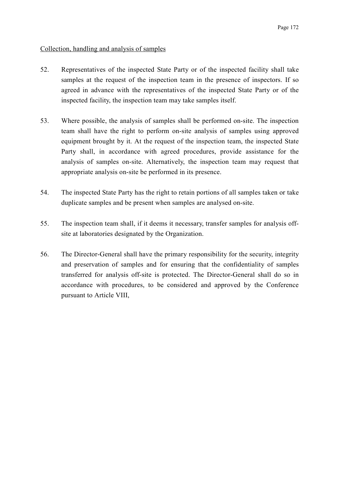# Collection, handling and analysis of samples

- 52. Representatives of the inspected State Party or of the inspected facility shall take samples at the request of the inspection team in the presence of inspectors. If so agreed in advance with the representatives of the inspected State Party or of the inspected facility, the inspection team may take samples itself.
- 53. Where possible, the analysis of samples shall be performed on-site. The inspection team shall have the right to perform on-site analysis of samples using approved equipment brought by it. At the request of the inspection team, the inspected State Party shall, in accordance with agreed procedures, provide assistance for the analysis of samples on-site. Alternatively, the inspection team may request that appropriate analysis on-site be performed in its presence.
- 54. The inspected State Party has the right to retain portions of all samples taken or take duplicate samples and be present when samples are analysed on-site.
- 55. The inspection team shall, if it deems it necessary, transfer samples for analysis offsite at laboratories designated by the Organization.
- 56. The Director-General shall have the primary responsibility for the security, integrity and preservation of samples and for ensuring that the confidentiality of samples transferred for analysis off-site is protected. The Director-General shall do so in accordance with procedures, to be considered and approved by the Conference pursuant to Article VIII,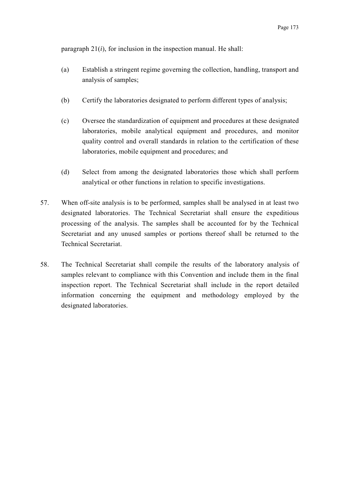paragraph 21(*i*), for inclusion in the inspection manual. He shall:

- (a) Establish a stringent regime governing the collection, handling, transport and analysis of samples;
- (b) Certify the laboratories designated to perform different types of analysis;
- (c) Oversee the standardization of equipment and procedures at these designated laboratories, mobile analytical equipment and procedures, and monitor quality control and overall standards in relation to the certification of these laboratories, mobile equipment and procedures; and
- (d) Select from among the designated laboratories those which shall perform analytical or other functions in relation to specific investigations.
- 57. When off-site analysis is to be performed, samples shall be analysed in at least two designated laboratories. The Technical Secretariat shall ensure the expeditious processing of the analysis. The samples shall be accounted for by the Technical Secretariat and any unused samples or portions thereof shall be returned to the Technical Secretariat.
- 58. The Technical Secretariat shall compile the results of the laboratory analysis of samples relevant to compliance with this Convention and include them in the final inspection report. The Technical Secretariat shall include in the report detailed information concerning the equipment and methodology employed by the designated laboratories.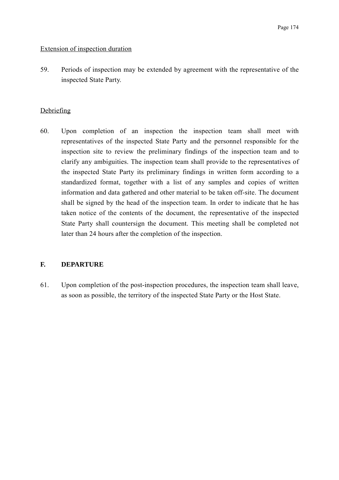## Extension of inspection duration

59. Periods of inspection may be extended by agreement with the representative of the inspected State Party.

# **Debriefing**

60. Upon completion of an inspection the inspection team shall meet with representatives of the inspected State Party and the personnel responsible for the inspection site to review the preliminary findings of the inspection team and to clarify any ambiguities. The inspection team shall provide to the representatives of the inspected State Party its preliminary findings in written form according to a standardized format, together with a list of any samples and copies of written information and data gathered and other material to be taken off-site. The document shall be signed by the head of the inspection team. In order to indicate that he has taken notice of the contents of the document, the representative of the inspected State Party shall countersign the document. This meeting shall be completed not later than 24 hours after the completion of the inspection.

# **F. DEPARTURE**

61. Upon completion of the post-inspection procedures, the inspection team shall leave, as soon as possible, the territory of the inspected State Party or the Host State.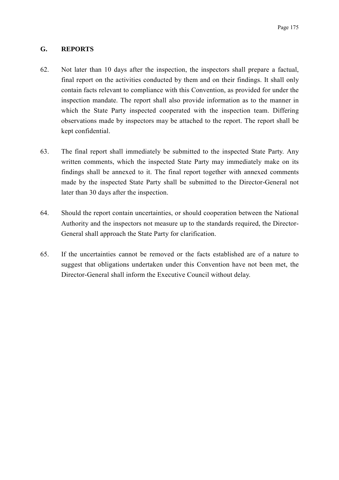## **G. REPORTS**

- 62. Not later than 10 days after the inspection, the inspectors shall prepare a factual, final report on the activities conducted by them and on their findings. It shall only contain facts relevant to compliance with this Convention, as provided for under the inspection mandate. The report shall also provide information as to the manner in which the State Party inspected cooperated with the inspection team. Differing observations made by inspectors may be attached to the report. The report shall be kept confidential.
- 63. The final report shall immediately be submitted to the inspected State Party. Any written comments, which the inspected State Party may immediately make on its findings shall be annexed to it. The final report together with annexed comments made by the inspected State Party shall be submitted to the Director-General not later than 30 days after the inspection.
- 64. Should the report contain uncertainties, or should cooperation between the National Authority and the inspectors not measure up to the standards required, the Director-General shall approach the State Party for clarification.
- 65. If the uncertainties cannot be removed or the facts established are of a nature to suggest that obligations undertaken under this Convention have not been met, the Director-General shall inform the Executive Council without delay.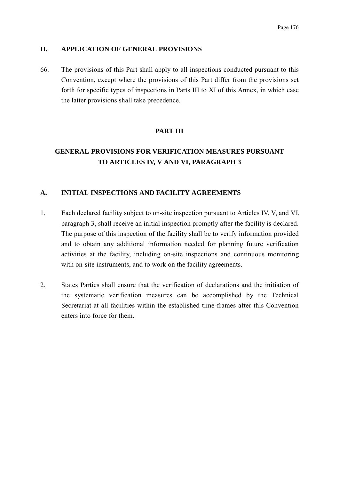## **H. APPLICATION OF GENERAL PROVISIONS**

66. The provisions of this Part shall apply to all inspections conducted pursuant to this Convention, except where the provisions of this Part differ from the provisions set forth for specific types of inspections in Parts III to XI of this Annex, in which case the latter provisions shall take precedence.

# **PART III**

# **GENERAL PROVISIONS FOR VERIFICATION MEASURES PURSUANT TO ARTICLES IV, V AND VI, PARAGRAPH 3**

# **A. INITIAL INSPECTIONS AND FACILITY AGREEMENTS**

- 1. Each declared facility subject to on-site inspection pursuant to Articles IV, V, and VI, paragraph 3, shall receive an initial inspection promptly after the facility is declared. The purpose of this inspection of the facility shall be to verify information provided and to obtain any additional information needed for planning future verification activities at the facility, including on-site inspections and continuous monitoring with on-site instruments, and to work on the facility agreements.
- 2. States Parties shall ensure that the verification of declarations and the initiation of the systematic verification measures can be accomplished by the Technical Secretariat at all facilities within the established time-frames after this Convention enters into force for them.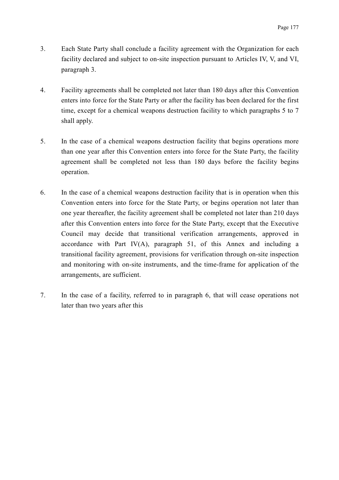- 3. Each State Party shall conclude a facility agreement with the Organization for each facility declared and subject to on-site inspection pursuant to Articles IV, V, and VI, paragraph 3.
- 4. Facility agreements shall be completed not later than 180 days after this Convention enters into force for the State Party or after the facility has been declared for the first time, except for a chemical weapons destruction facility to which paragraphs 5 to 7 shall apply.
- 5. In the case of a chemical weapons destruction facility that begins operations more than one year after this Convention enters into force for the State Party, the facility agreement shall be completed not less than 180 days before the facility begins operation.
- 6. In the case of a chemical weapons destruction facility that is in operation when this Convention enters into force for the State Party, or begins operation not later than one year thereafter, the facility agreement shall be completed not later than 210 days after this Convention enters into force for the State Party, except that the Executive Council may decide that transitional verification arrangements, approved in accordance with Part IV(A), paragraph 51, of this Annex and including a transitional facility agreement, provisions for verification through on-site inspection and monitoring with on-site instruments, and the time-frame for application of the arrangements, are sufficient.
- 7. In the case of a facility, referred to in paragraph 6, that will cease operations not later than two years after this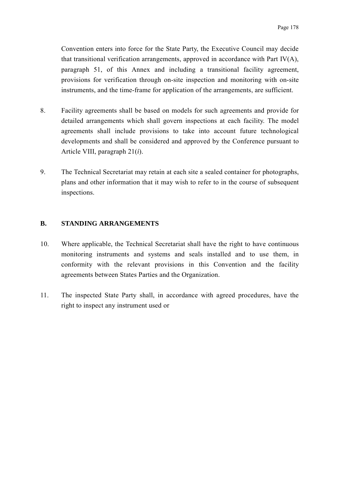Convention enters into force for the State Party, the Executive Council may decide that transitional verification arrangements, approved in accordance with Part IV(A), paragraph 51, of this Annex and including a transitional facility agreement, provisions for verification through on-site inspection and monitoring with on-site instruments, and the time-frame for application of the arrangements, are sufficient.

- 8. Facility agreements shall be based on models for such agreements and provide for detailed arrangements which shall govern inspections at each facility. The model agreements shall include provisions to take into account future technological developments and shall be considered and approved by the Conference pursuant to Article VIII, paragraph 21(*i*).
- 9. The Technical Secretariat may retain at each site a sealed container for photographs, plans and other information that it may wish to refer to in the course of subsequent inspections.

## **B. STANDING ARRANGEMENTS**

- 10. Where applicable, the Technical Secretariat shall have the right to have continuous monitoring instruments and systems and seals installed and to use them, in conformity with the relevant provisions in this Convention and the facility agreements between States Parties and the Organization.
- 11. The inspected State Party shall, in accordance with agreed procedures, have the right to inspect any instrument used or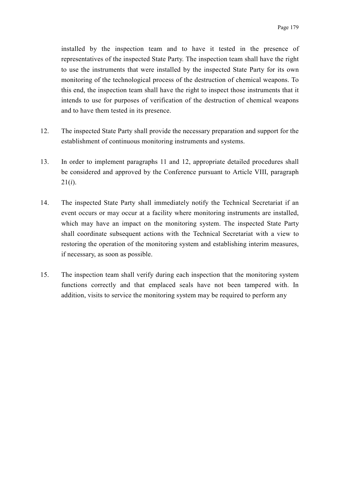installed by the inspection team and to have it tested in the presence of representatives of the inspected State Party. The inspection team shall have the right to use the instruments that were installed by the inspected State Party for its own monitoring of the technological process of the destruction of chemical weapons. To this end, the inspection team shall have the right to inspect those instruments that it intends to use for purposes of verification of the destruction of chemical weapons and to have them tested in its presence.

- 12. The inspected State Party shall provide the necessary preparation and support for the establishment of continuous monitoring instruments and systems.
- 13. In order to implement paragraphs 11 and 12, appropriate detailed procedures shall be considered and approved by the Conference pursuant to Article VIII, paragraph 21(*i*).
- 14. The inspected State Party shall immediately notify the Technical Secretariat if an event occurs or may occur at a facility where monitoring instruments are installed, which may have an impact on the monitoring system. The inspected State Party shall coordinate subsequent actions with the Technical Secretariat with a view to restoring the operation of the monitoring system and establishing interim measures, if necessary, as soon as possible.
- 15. The inspection team shall verify during each inspection that the monitoring system functions correctly and that emplaced seals have not been tampered with. In addition, visits to service the monitoring system may be required to perform any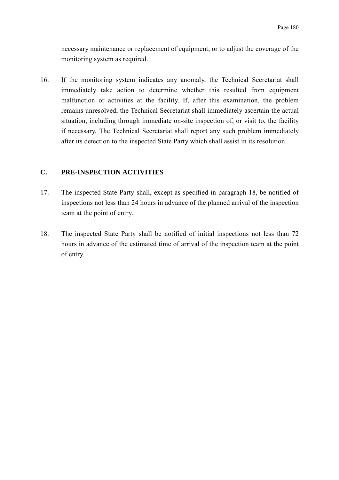necessary maintenance or replacement of equipment, or to adjust the coverage of the monitoring system as required.

16. If the monitoring system indicates any anomaly, the Technical Secretariat shall immediately take action to determine whether this resulted from equipment malfunction or activities at the facility. If, after this examination, the problem remains unresolved, the Technical Secretariat shall immediately ascertain the actual situation, including through immediate on-site inspection of, or visit to, the facility if necessary. The Technical Secretariat shall report any such problem immediately after its detection to the inspected State Party which shall assist in its resolution.

# **C. PRE-INSPECTION ACTIVITIES**

- 17. The inspected State Party shall, except as specified in paragraph 18, be notified of inspections not less than 24 hours in advance of the planned arrival of the inspection team at the point of entry.
- 18. The inspected State Party shall be notified of initial inspections not less than 72 hours in advance of the estimated time of arrival of the inspection team at the point of entry.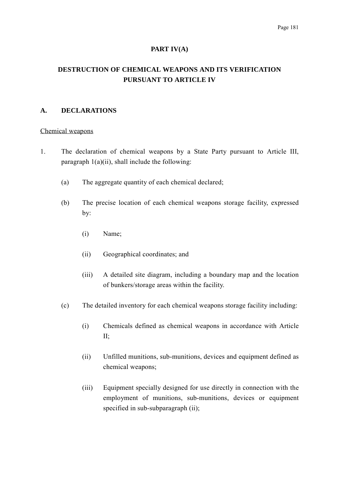#### **PART IV(A)**

# **DESTRUCTION OF CHEMICAL WEAPONS AND ITS VERIFICATION PURSUANT TO ARTICLE IV**

## **A. DECLARATIONS**

#### Chemical weapons

- 1. The declaration of chemical weapons by a State Party pursuant to Article III, paragraph  $1(a)(ii)$ , shall include the following:
	- (a) The aggregate quantity of each chemical declared;
	- (b) The precise location of each chemical weapons storage facility, expressed by:
		- (i) Name;
		- (ii) Geographical coordinates; and
		- (iii) A detailed site diagram, including a boundary map and the location of bunkers/storage areas within the facility.
	- (c) The detailed inventory for each chemical weapons storage facility including:
		- (i) Chemicals defined as chemical weapons in accordance with Article II;
		- (ii) Unfilled munitions, sub-munitions, devices and equipment defined as chemical weapons;
		- (iii) Equipment specially designed for use directly in connection with the employment of munitions, sub-munitions, devices or equipment specified in sub-subparagraph (ii);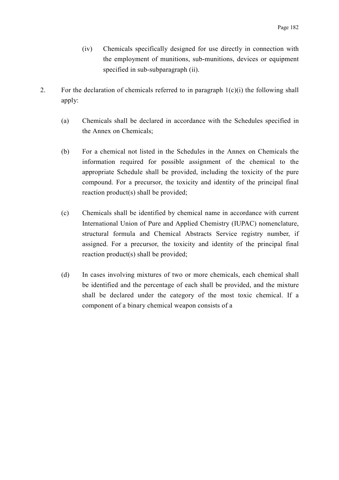- (iv) Chemicals specifically designed for use directly in connection with the employment of munitions, sub-munitions, devices or equipment specified in sub-subparagraph (ii).
- 2. For the declaration of chemicals referred to in paragraph  $1(c)(i)$  the following shall apply:
	- (a) Chemicals shall be declared in accordance with the Schedules specified in the Annex on Chemicals;
	- (b) For a chemical not listed in the Schedules in the Annex on Chemicals the information required for possible assignment of the chemical to the appropriate Schedule shall be provided, including the toxicity of the pure compound. For a precursor, the toxicity and identity of the principal final reaction product(s) shall be provided;
	- (c) Chemicals shall be identified by chemical name in accordance with current International Union of Pure and Applied Chemistry (IUPAC) nomenclature, structural formula and Chemical Abstracts Service registry number, if assigned. For a precursor, the toxicity and identity of the principal final reaction product(s) shall be provided;
	- (d) In cases involving mixtures of two or more chemicals, each chemical shall be identified and the percentage of each shall be provided, and the mixture shall be declared under the category of the most toxic chemical. If a component of a binary chemical weapon consists of a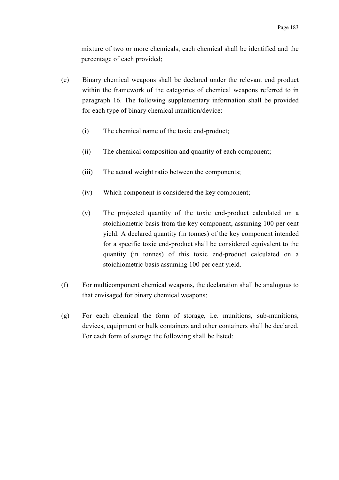mixture of two or more chemicals, each chemical shall be identified and the percentage of each provided;

- (e) Binary chemical weapons shall be declared under the relevant end product within the framework of the categories of chemical weapons referred to in paragraph 16. The following supplementary information shall be provided for each type of binary chemical munition/device:
	- (i) The chemical name of the toxic end-product;
	- (ii) The chemical composition and quantity of each component;
	- (iii) The actual weight ratio between the components;
	- (iv) Which component is considered the key component;
	- (v) The projected quantity of the toxic end-product calculated on a stoichiometric basis from the key component, assuming 100 per cent yield. A declared quantity (in tonnes) of the key component intended for a specific toxic end-product shall be considered equivalent to the quantity (in tonnes) of this toxic end-product calculated on a stoichiometric basis assuming 100 per cent yield.
- (f) For multicomponent chemical weapons, the declaration shall be analogous to that envisaged for binary chemical weapons;
- (g) For each chemical the form of storage, i.e. munitions, sub-munitions, devices, equipment or bulk containers and other containers shall be declared. For each form of storage the following shall be listed: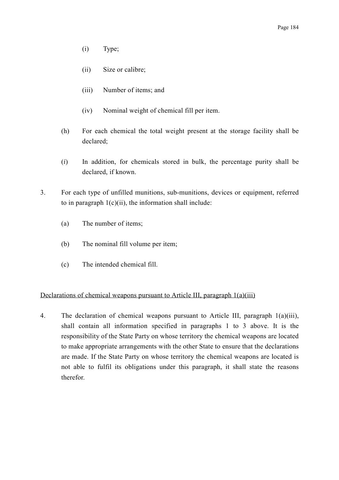- (i) Type;
- (ii) Size or calibre;
- (iii) Number of items; and
- (iv) Nominal weight of chemical fill per item.
- (h) For each chemical the total weight present at the storage facility shall be declared;
- (*i*) In addition, for chemicals stored in bulk, the percentage purity shall be declared, if known.
- 3. For each type of unfilled munitions, sub-munitions, devices or equipment, referred to in paragraph  $1(c)(ii)$ , the information shall include:
	- (a) The number of items;
	- (b) The nominal fill volume per item;
	- (c) The intended chemical fill.

#### Declarations of chemical weapons pursuant to Article III, paragraph 1(a)(iii)

4. The declaration of chemical weapons pursuant to Article III, paragraph 1(a)(iii), shall contain all information specified in paragraphs 1 to 3 above. It is the responsibility of the State Party on whose territory the chemical weapons are located to make appropriate arrangements with the other State to ensure that the declarations are made. If the State Party on whose territory the chemical weapons are located is not able to fulfil its obligations under this paragraph, it shall state the reasons therefor.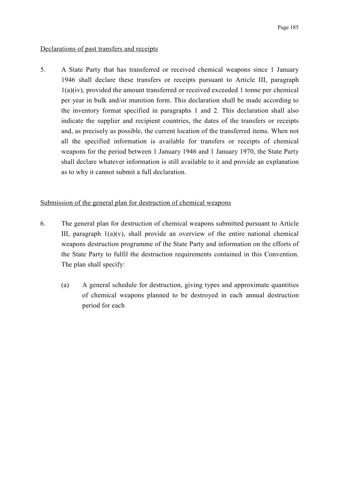## Declarations of past transfers and receipts

5. A State Party that has transferred or received chemical weapons since 1 January 1946 shall declare these transfers or receipts pursuant to Article III, paragraph 1(a)(iv), provided the amount transferred or received exceeded 1 tonne per chemical per year in bulk and/or munition form. This declaration shall be made according to the inventory format specified in paragraphs 1 and 2. This declaration shall also indicate the supplier and recipient countries, the dates of the transfers or receipts and, as precisely as possible, the current location of the transferred items. When not all the specified information is available for transfers or receipts of chemical weapons for the period between 1 January 1946 and 1 January 1970, the State Party shall declare whatever information is still available to it and provide an explanation as to why it cannot submit a full declaration.

## Submission of the general plan for destruction of chemical weapons

- 6. The general plan for destruction of chemical weapons submitted pursuant to Article III, paragraph  $1(a)(v)$ , shall provide an overview of the entire national chemical weapons destruction programme of the State Party and information on the efforts of the State Party to fulfil the destruction requirements contained in this Convention. The plan shall specify:
	- (a) A general schedule for destruction, giving types and approximate quantities of chemical weapons planned to be destroyed in each annual destruction period for each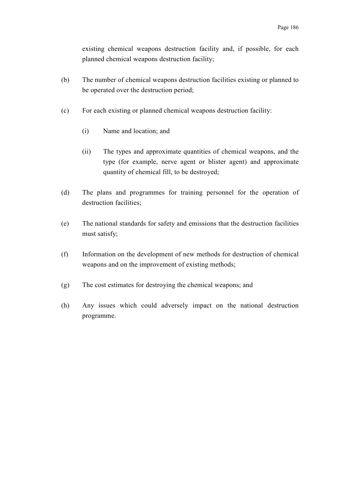existing chemical weapons destruction facility and, if possible, for each planned chemical weapons destruction facility;

- (b) The number of chemical weapons destruction facilities existing or planned to be operated over the destruction period;
- (c) For each existing or planned chemical weapons destruction facility:
	- (i) Name and location; and
	- (ii) The types and approximate quantities of chemical weapons, and the type (for example, nerve agent or blister agent) and approximate quantity of chemical fill, to be destroyed;
- (d) The plans and programmes for training personnel for the operation of destruction facilities;
- (e) The national standards for safety and emissions that the destruction facilities must satisfy;
- (f) Information on the development of new methods for destruction of chemical weapons and on the improvement of existing methods;
- (g) The cost estimates for destroying the chemical weapons; and
- (h) Any issues which could adversely impact on the national destruction programme.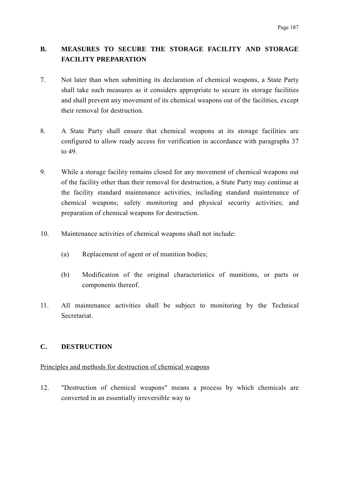# **B. MEASURES TO SECURE THE STORAGE FACILITY AND STORAGE FACILITY PREPARATION**

- 7. Not later than when submitting its declaration of chemical weapons, a State Party shall take such measures as it considers appropriate to secure its storage facilities and shall prevent any movement of its chemical weapons out of the facilities, except their removal for destruction.
- 8. A State Party shall ensure that chemical weapons at its storage facilities are configured to allow ready access for verification in accordance with paragraphs 37 to 49.
- 9. While a storage facility remains closed for any movement of chemical weapons out of the facility other than their removal for destruction, a State Party may continue at the facility standard maintenance activities, including standard maintenance of chemical weapons; safety monitoring and physical security activities; and preparation of chemical weapons for destruction.
- 10. Maintenance activities of chemical weapons shall not include:
	- (a) Replacement of agent or of munition bodies;
	- (b) Modification of the original characteristics of munitions, or parts or components thereof.
- 11. All maintenance activities shall be subject to monitoring by the Technical **Secretariat**

# **C. DESTRUCTION**

#### Principles and methods for destruction of chemical weapons

12. "Destruction of chemical weapons" means a process by which chemicals are converted in an essentially irreversible way to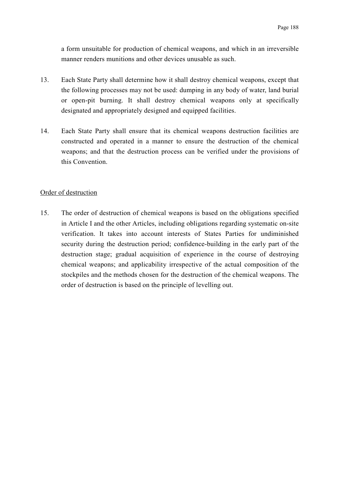a form unsuitable for production of chemical weapons, and which in an irreversible manner renders munitions and other devices unusable as such.

- 13. Each State Party shall determine how it shall destroy chemical weapons, except that the following processes may not be used: dumping in any body of water, land burial or open-pit burning. It shall destroy chemical weapons only at specifically designated and appropriately designed and equipped facilities.
- 14. Each State Party shall ensure that its chemical weapons destruction facilities are constructed and operated in a manner to ensure the destruction of the chemical weapons; and that the destruction process can be verified under the provisions of this Convention.

#### Order of destruction

15. The order of destruction of chemical weapons is based on the obligations specified in Article I and the other Articles, including obligations regarding systematic on-site verification. It takes into account interests of States Parties for undiminished security during the destruction period; confidence-building in the early part of the destruction stage; gradual acquisition of experience in the course of destroying chemical weapons; and applicability irrespective of the actual composition of the stockpiles and the methods chosen for the destruction of the chemical weapons. The order of destruction is based on the principle of levelling out.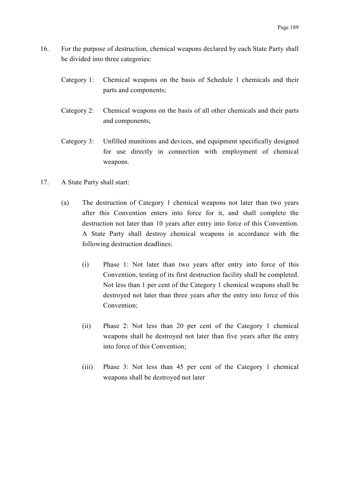- 16. For the purpose of destruction, chemical weapons declared by each State Party shall be divided into three categories:
	- Category 1: Chemical weapons on the basis of Schedule 1 chemicals and their parts and components;
	- Category 2: Chemical weapons on the basis of all other chemicals and their parts and components;
	- Category 3: Unfilled munitions and devices, and equipment specifically designed for use directly in connection with employment of chemical weapons.
- 17. A State Party shall start:
	- (a) The destruction of Category 1 chemical weapons not later than two years after this Convention enters into force for it, and shall complete the destruction not later than 10 years after entry into force of this Convention. A State Party shall destroy chemical weapons in accordance with the following destruction deadlines:
		- (i) Phase 1: Not later than two years after entry into force of this Convention, testing of its first destruction facility shall be completed. Not less than 1 per cent of the Category 1 chemical weapons shall be destroyed not later than three years after the entry into force of this Convention;
		- (ii) Phase 2: Not less than 20 per cent of the Category 1 chemical weapons shall be destroyed not later than five years after the entry into force of this Convention;
		- (iii) Phase 3: Not less than 45 per cent of the Category 1 chemical weapons shall be destroyed not later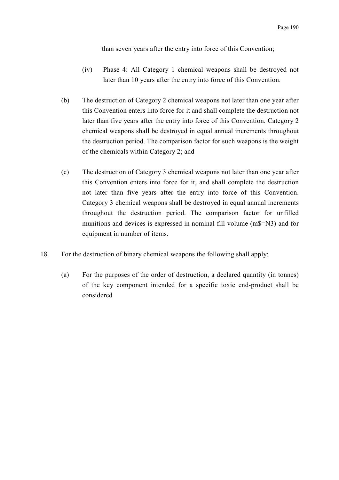than seven years after the entry into force of this Convention;

- (iv) Phase 4: All Category 1 chemical weapons shall be destroyed not later than 10 years after the entry into force of this Convention.
- (b) The destruction of Category 2 chemical weapons not later than one year after this Convention enters into force for it and shall complete the destruction not later than five years after the entry into force of this Convention. Category 2 chemical weapons shall be destroyed in equal annual increments throughout the destruction period. The comparison factor for such weapons is the weight of the chemicals within Category 2; and
- (c) The destruction of Category 3 chemical weapons not later than one year after this Convention enters into force for it, and shall complete the destruction not later than five years after the entry into force of this Convention. Category 3 chemical weapons shall be destroyed in equal annual increments throughout the destruction period. The comparison factor for unfilled munitions and devices is expressed in nominal fill volume (m\$=N3) and for equipment in number of items.
- 18. For the destruction of binary chemical weapons the following shall apply:
	- (a) For the purposes of the order of destruction, a declared quantity (in tonnes) of the key component intended for a specific toxic end-product shall be considered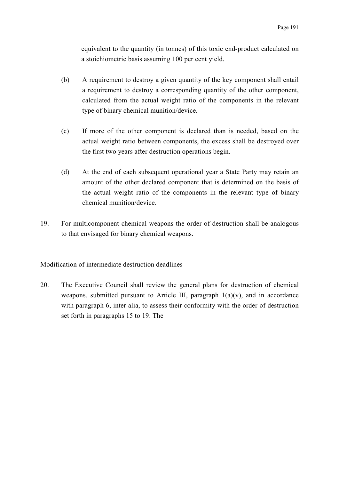equivalent to the quantity (in tonnes) of this toxic end-product calculated on a stoichiometric basis assuming 100 per cent yield.

- (b) A requirement to destroy a given quantity of the key component shall entail a requirement to destroy a corresponding quantity of the other component, calculated from the actual weight ratio of the components in the relevant type of binary chemical munition/device.
- (c) If more of the other component is declared than is needed, based on the actual weight ratio between components, the excess shall be destroyed over the first two years after destruction operations begin.
- (d) At the end of each subsequent operational year a State Party may retain an amount of the other declared component that is determined on the basis of the actual weight ratio of the components in the relevant type of binary chemical munition/device.
- 19. For multicomponent chemical weapons the order of destruction shall be analogous to that envisaged for binary chemical weapons.

# Modification of intermediate destruction deadlines

20. The Executive Council shall review the general plans for destruction of chemical weapons, submitted pursuant to Article III, paragraph  $1(a)(v)$ , and in accordance with paragraph 6, inter alia, to assess their conformity with the order of destruction set forth in paragraphs 15 to 19. The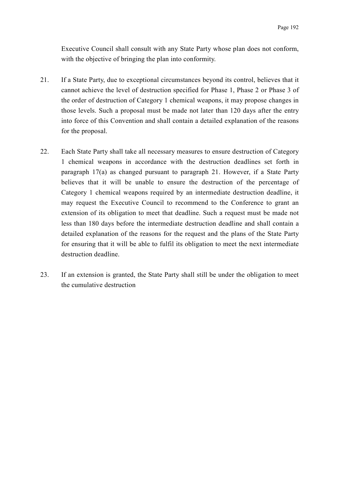Executive Council shall consult with any State Party whose plan does not conform, with the objective of bringing the plan into conformity.

- 21. If a State Party, due to exceptional circumstances beyond its control, believes that it cannot achieve the level of destruction specified for Phase 1, Phase 2 or Phase 3 of the order of destruction of Category 1 chemical weapons, it may propose changes in those levels. Such a proposal must be made not later than 120 days after the entry into force of this Convention and shall contain a detailed explanation of the reasons for the proposal.
- 22. Each State Party shall take all necessary measures to ensure destruction of Category 1 chemical weapons in accordance with the destruction deadlines set forth in paragraph 17(a) as changed pursuant to paragraph 21. However, if a State Party believes that it will be unable to ensure the destruction of the percentage of Category 1 chemical weapons required by an intermediate destruction deadline, it may request the Executive Council to recommend to the Conference to grant an extension of its obligation to meet that deadline. Such a request must be made not less than 180 days before the intermediate destruction deadline and shall contain a detailed explanation of the reasons for the request and the plans of the State Party for ensuring that it will be able to fulfil its obligation to meet the next intermediate destruction deadline.
- 23. If an extension is granted, the State Party shall still be under the obligation to meet the cumulative destruction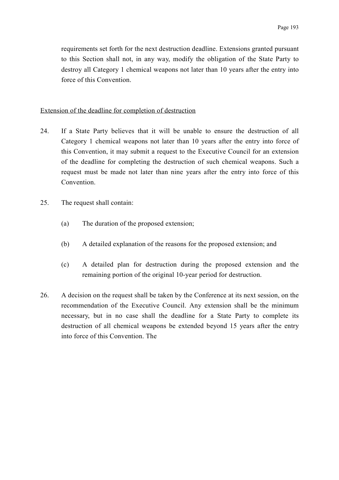requirements set forth for the next destruction deadline. Extensions granted pursuant to this Section shall not, in any way, modify the obligation of the State Party to destroy all Category 1 chemical weapons not later than 10 years after the entry into force of this Convention.

#### Extension of the deadline for completion of destruction

- 24. If a State Party believes that it will be unable to ensure the destruction of all Category 1 chemical weapons not later than 10 years after the entry into force of this Convention, it may submit a request to the Executive Council for an extension of the deadline for completing the destruction of such chemical weapons. Such a request must be made not later than nine years after the entry into force of this Convention.
- 25. The request shall contain:
	- (a) The duration of the proposed extension;
	- (b) A detailed explanation of the reasons for the proposed extension; and
	- (c) A detailed plan for destruction during the proposed extension and the remaining portion of the original 10-year period for destruction.
- 26. A decision on the request shall be taken by the Conference at its next session, on the recommendation of the Executive Council. Any extension shall be the minimum necessary, but in no case shall the deadline for a State Party to complete its destruction of all chemical weapons be extended beyond 15 years after the entry into force of this Convention. The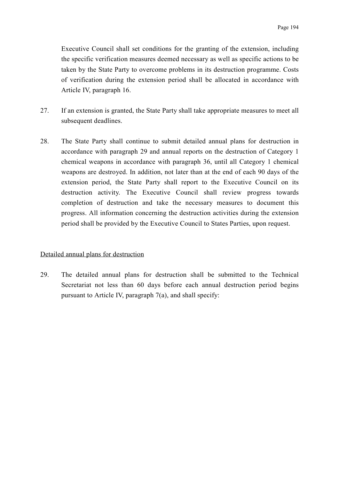Executive Council shall set conditions for the granting of the extension, including the specific verification measures deemed necessary as well as specific actions to be taken by the State Party to overcome problems in its destruction programme. Costs of verification during the extension period shall be allocated in accordance with Article IV, paragraph 16.

- 27. If an extension is granted, the State Party shall take appropriate measures to meet all subsequent deadlines.
- 28. The State Party shall continue to submit detailed annual plans for destruction in accordance with paragraph 29 and annual reports on the destruction of Category 1 chemical weapons in accordance with paragraph 36, until all Category 1 chemical weapons are destroyed. In addition, not later than at the end of each 90 days of the extension period, the State Party shall report to the Executive Council on its destruction activity. The Executive Council shall review progress towards completion of destruction and take the necessary measures to document this progress. All information concerning the destruction activities during the extension period shall be provided by the Executive Council to States Parties, upon request.

#### Detailed annual plans for destruction

29. The detailed annual plans for destruction shall be submitted to the Technical Secretariat not less than 60 days before each annual destruction period begins pursuant to Article IV, paragraph 7(a), and shall specify: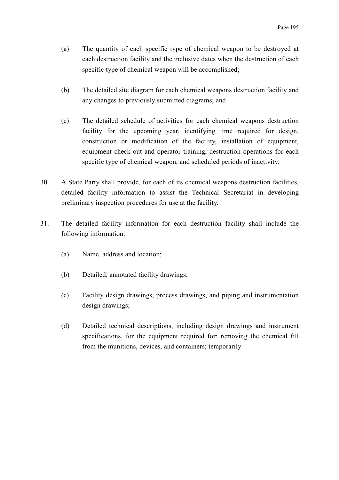- (a) The quantity of each specific type of chemical weapon to be destroyed at each destruction facility and the inclusive dates when the destruction of each specific type of chemical weapon will be accomplished;
- (b) The detailed site diagram for each chemical weapons destruction facility and any changes to previously submitted diagrams; and
- (c) The detailed schedule of activities for each chemical weapons destruction facility for the upcoming year, identifying time required for design, construction or modification of the facility, installation of equipment, equipment check-out and operator training, destruction operations for each specific type of chemical weapon, and scheduled periods of inactivity.
- 30. A State Party shall provide, for each of its chemical weapons destruction facilities, detailed facility information to assist the Technical Secretariat in developing preliminary inspection procedures for use at the facility.
- 31. The detailed facility information for each destruction facility shall include the following information:
	- (a) Name, address and location;
	- (b) Detailed, annotated facility drawings;
	- (c) Facility design drawings, process drawings, and piping and instrumentation design drawings;
	- (d) Detailed technical descriptions, including design drawings and instrument specifications, for the equipment required for: removing the chemical fill from the munitions, devices, and containers; temporarily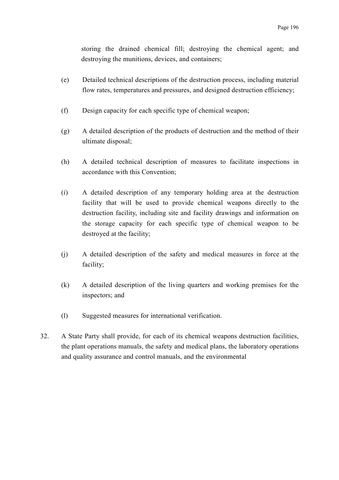storing the drained chemical fill; destroying the chemical agent; and destroying the munitions, devices, and containers;

- (e) Detailed technical descriptions of the destruction process, including material flow rates, temperatures and pressures, and designed destruction efficiency;
- (f) Design capacity for each specific type of chemical weapon;
- (g) A detailed description of the products of destruction and the method of their ultimate disposal;
- (h) A detailed technical description of measures to facilitate inspections in accordance with this Convention;
- (*i*) A detailed description of any temporary holding area at the destruction facility that will be used to provide chemical weapons directly to the destruction facility, including site and facility drawings and information on the storage capacity for each specific type of chemical weapon to be destroyed at the facility;
- (j) A detailed description of the safety and medical measures in force at the facility;
- (k) A detailed description of the living quarters and working premises for the inspectors; and
- (l) Suggested measures for international verification.
- 32. A State Party shall provide, for each of its chemical weapons destruction facilities, the plant operations manuals, the safety and medical plans, the laboratory operations and quality assurance and control manuals, and the environmental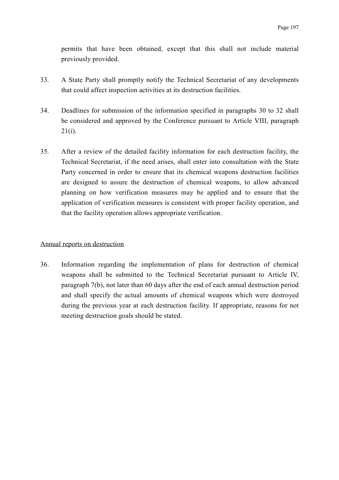permits that have been obtained, except that this shall not include material previously provided.

- 33. A State Party shall promptly notify the Technical Secretariat of any developments that could affect inspection activities at its destruction facilities.
- 34. Deadlines for submission of the information specified in paragraphs 30 to 32 shall be considered and approved by the Conference pursuant to Article VIII, paragraph 21(*i*).
- 35. After a review of the detailed facility information for each destruction facility, the Technical Secretariat, if the need arises, shall enter into consultation with the State Party concerned in order to ensure that its chemical weapons destruction facilities are designed to assure the destruction of chemical weapons, to allow advanced planning on how verification measures may be applied and to ensure that the application of verification measures is consistent with proper facility operation, and that the facility operation allows appropriate verification.

## Annual reports on destruction

36. Information regarding the implementation of plans for destruction of chemical weapons shall be submitted to the Technical Secretariat pursuant to Article IV, paragraph 7(b), not later than 60 days after the end of each annual destruction period and shall specify the actual amounts of chemical weapons which were destroyed during the previous year at each destruction facility. If appropriate, reasons for not meeting destruction goals should be stated.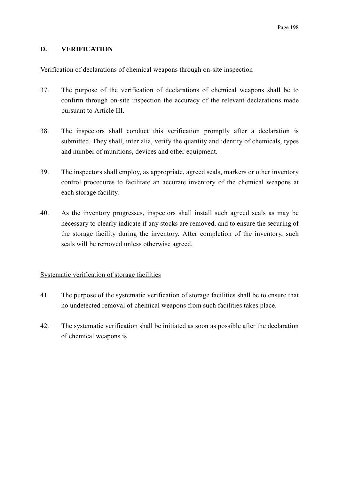# **D. VERIFICATION**

## Verification of declarations of chemical weapons through on-site inspection

- 37. The purpose of the verification of declarations of chemical weapons shall be to confirm through on-site inspection the accuracy of the relevant declarations made pursuant to Article III.
- 38. The inspectors shall conduct this verification promptly after a declaration is submitted. They shall, inter alia, verify the quantity and identity of chemicals, types and number of munitions, devices and other equipment.
- 39. The inspectors shall employ, as appropriate, agreed seals, markers or other inventory control procedures to facilitate an accurate inventory of the chemical weapons at each storage facility.
- 40. As the inventory progresses, inspectors shall install such agreed seals as may be necessary to clearly indicate if any stocks are removed, and to ensure the securing of the storage facility during the inventory. After completion of the inventory, such seals will be removed unless otherwise agreed.

#### Systematic verification of storage facilities

- 41. The purpose of the systematic verification of storage facilities shall be to ensure that no undetected removal of chemical weapons from such facilities takes place.
- 42. The systematic verification shall be initiated as soon as possible after the declaration of chemical weapons is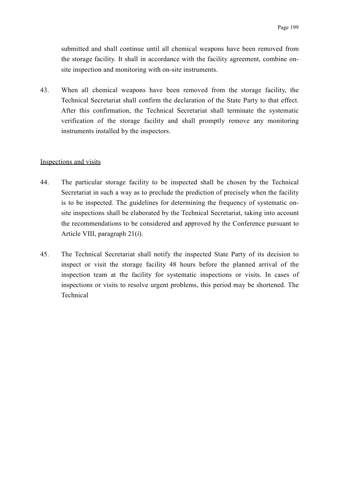submitted and shall continue until all chemical weapons have been removed from the storage facility. It shall in accordance with the facility agreement, combine onsite inspection and monitoring with on-site instruments.

43. When all chemical weapons have been removed from the storage facility, the Technical Secretariat shall confirm the declaration of the State Party to that effect. After this confirmation, the Technical Secretariat shall terminate the systematic verification of the storage facility and shall promptly remove any monitoring instruments installed by the inspectors.

#### Inspections and visits

- 44. The particular storage facility to be inspected shall be chosen by the Technical Secretariat in such a way as to preclude the prediction of precisely when the facility is to be inspected. The guidelines for determining the frequency of systematic onsite inspections shall be elaborated by the Technical Secretariat, taking into account the recommendations to be considered and approved by the Conference pursuant to Article VIII, paragraph 21(*i*).
- 45. The Technical Secretariat shall notify the inspected State Party of its decision to inspect or visit the storage facility 48 hours before the planned arrival of the inspection team at the facility for systematic inspections or visits. In cases of inspections or visits to resolve urgent problems, this period may be shortened. The Technical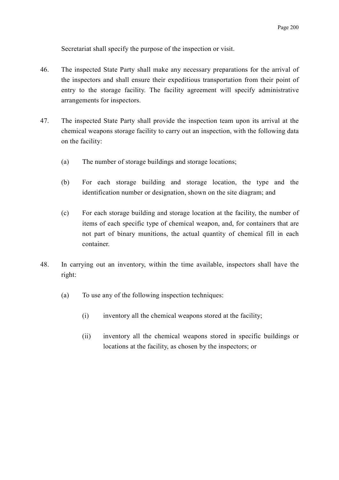Secretariat shall specify the purpose of the inspection or visit.

- 46. The inspected State Party shall make any necessary preparations for the arrival of the inspectors and shall ensure their expeditious transportation from their point of entry to the storage facility. The facility agreement will specify administrative arrangements for inspectors.
- 47. The inspected State Party shall provide the inspection team upon its arrival at the chemical weapons storage facility to carry out an inspection, with the following data on the facility:
	- (a) The number of storage buildings and storage locations;
	- (b) For each storage building and storage location, the type and the identification number or designation, shown on the site diagram; and
	- (c) For each storage building and storage location at the facility, the number of items of each specific type of chemical weapon, and, for containers that are not part of binary munitions, the actual quantity of chemical fill in each container.
- 48. In carrying out an inventory, within the time available, inspectors shall have the right:
	- (a) To use any of the following inspection techniques:
		- (i) inventory all the chemical weapons stored at the facility;
		- (ii) inventory all the chemical weapons stored in specific buildings or locations at the facility, as chosen by the inspectors; or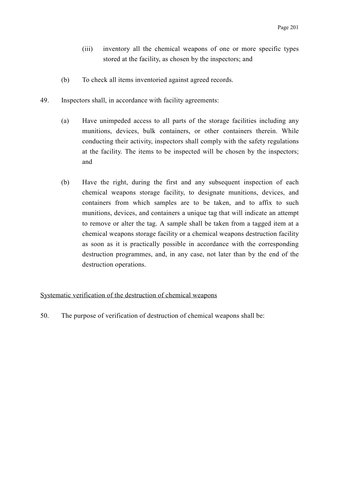- (iii) inventory all the chemical weapons of one or more specific types stored at the facility, as chosen by the inspectors; and
- (b) To check all items inventoried against agreed records.
- 49. Inspectors shall, in accordance with facility agreements:
	- (a) Have unimpeded access to all parts of the storage facilities including any munitions, devices, bulk containers, or other containers therein. While conducting their activity, inspectors shall comply with the safety regulations at the facility. The items to be inspected will be chosen by the inspectors; and
	- (b) Have the right, during the first and any subsequent inspection of each chemical weapons storage facility, to designate munitions, devices, and containers from which samples are to be taken, and to affix to such munitions, devices, and containers a unique tag that will indicate an attempt to remove or alter the tag. A sample shall be taken from a tagged item at a chemical weapons storage facility or a chemical weapons destruction facility as soon as it is practically possible in accordance with the corresponding destruction programmes, and, in any case, not later than by the end of the destruction operations.

#### Systematic verification of the destruction of chemical weapons

50. The purpose of verification of destruction of chemical weapons shall be: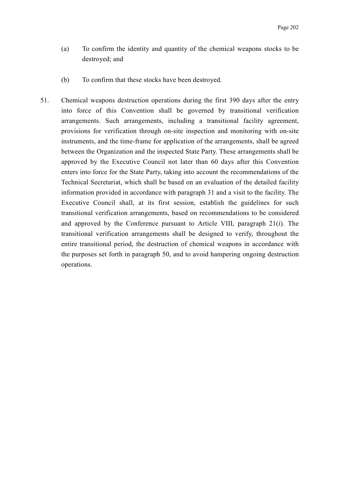- (a) To confirm the identity and quantity of the chemical weapons stocks to be destroyed; and
- (b) To confirm that these stocks have been destroyed.
- 51. Chemical weapons destruction operations during the first 390 days after the entry into force of this Convention shall be governed by transitional verification arrangements. Such arrangements, including a transitional facility agreement, provisions for verification through on-site inspection and monitoring with on-site instruments, and the time-frame for application of the arrangements, shall be agreed between the Organization and the inspected State Party. These arrangements shall be approved by the Executive Council not later than 60 days after this Convention enters into force for the State Party, taking into account the recommendations of the Technical Secretariat, which shall be based on an evaluation of the detailed facility information provided in accordance with paragraph 31 and a visit to the facility. The Executive Council shall, at its first session, establish the guidelines for such transitional verification arrangements, based on recommendations to be considered and approved by the Conference pursuant to Article VIII, paragraph 21(*i*). The transitional verification arrangements shall be designed to verify, throughout the entire transitional period, the destruction of chemical weapons in accordance with the purposes set forth in paragraph 50, and to avoid hampering ongoing destruction operations.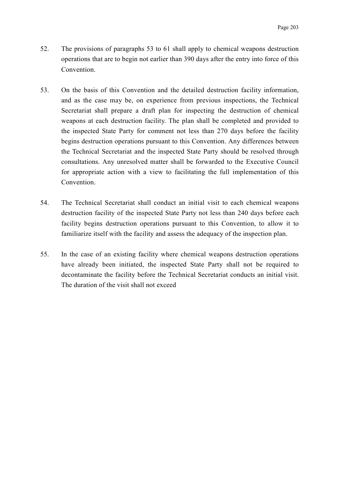- 52. The provisions of paragraphs 53 to 61 shall apply to chemical weapons destruction operations that are to begin not earlier than 390 days after the entry into force of this Convention.
- 53. On the basis of this Convention and the detailed destruction facility information, and as the case may be, on experience from previous inspections, the Technical Secretariat shall prepare a draft plan for inspecting the destruction of chemical weapons at each destruction facility. The plan shall be completed and provided to the inspected State Party for comment not less than 270 days before the facility begins destruction operations pursuant to this Convention. Any differences between the Technical Secretariat and the inspected State Party should be resolved through consultations. Any unresolved matter shall be forwarded to the Executive Council for appropriate action with a view to facilitating the full implementation of this Convention.
- 54. The Technical Secretariat shall conduct an initial visit to each chemical weapons destruction facility of the inspected State Party not less than 240 days before each facility begins destruction operations pursuant to this Convention, to allow it to familiarize itself with the facility and assess the adequacy of the inspection plan.
- 55. In the case of an existing facility where chemical weapons destruction operations have already been initiated, the inspected State Party shall not be required to decontaminate the facility before the Technical Secretariat conducts an initial visit. The duration of the visit shall not exceed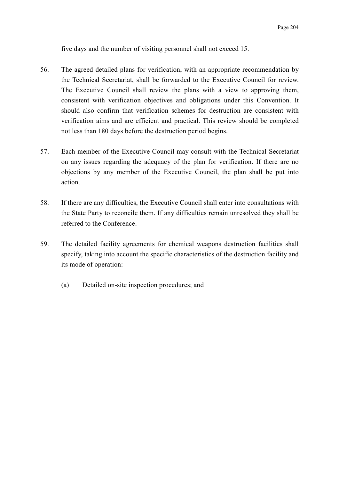five days and the number of visiting personnel shall not exceed 15.

- 56. The agreed detailed plans for verification, with an appropriate recommendation by the Technical Secretariat, shall be forwarded to the Executive Council for review. The Executive Council shall review the plans with a view to approving them, consistent with verification objectives and obligations under this Convention. It should also confirm that verification schemes for destruction are consistent with verification aims and are efficient and practical. This review should be completed not less than 180 days before the destruction period begins.
- 57. Each member of the Executive Council may consult with the Technical Secretariat on any issues regarding the adequacy of the plan for verification. If there are no objections by any member of the Executive Council, the plan shall be put into action.
- 58. If there are any difficulties, the Executive Council shall enter into consultations with the State Party to reconcile them. If any difficulties remain unresolved they shall be referred to the Conference.
- 59. The detailed facility agreements for chemical weapons destruction facilities shall specify, taking into account the specific characteristics of the destruction facility and its mode of operation:
	- (a) Detailed on-site inspection procedures; and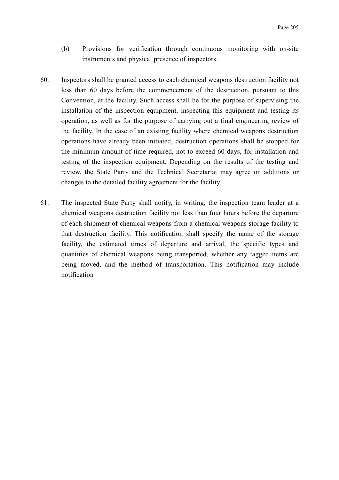- (b) Provisions for verification through continuous monitoring with on-site instruments and physical presence of inspectors.
- 60. Inspectors shall be granted access to each chemical weapons destruction facility not less than 60 days before the commencement of the destruction, pursuant to this Convention, at the facility. Such access shall be for the purpose of supervising the installation of the inspection equipment, inspecting this equipment and testing its operation, as well as for the purpose of carrying out a final engineering review of the facility. In the case of an existing facility where chemical weapons destruction operations have already been initiated, destruction operations shall be stopped for the minimum amount of time required, not to exceed 60 days, for installation and testing of the inspection equipment. Depending on the results of the testing and review, the State Party and the Technical Secretariat may agree on additions or changes to the detailed facility agreement for the facility.
- 61. The inspected State Party shall notify, in writing, the inspection team leader at a chemical weapons destruction facility not less than four hours before the departure of each shipment of chemical weapons from a chemical weapons storage facility to that destruction facility. This notification shall specify the name of the storage facility, the estimated times of departure and arrival, the specific types and quantities of chemical weapons being transported, whether any tagged items are being moved, and the method of transportation. This notification may include notification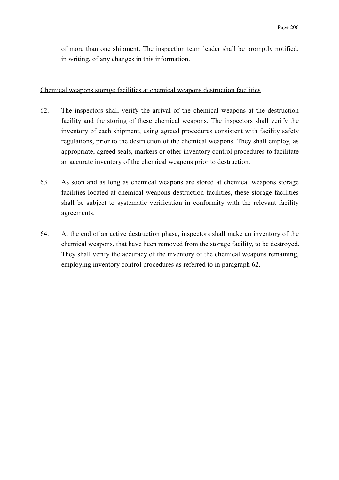of more than one shipment. The inspection team leader shall be promptly notified, in writing, of any changes in this information.

#### Chemical weapons storage facilities at chemical weapons destruction facilities

- 62. The inspectors shall verify the arrival of the chemical weapons at the destruction facility and the storing of these chemical weapons. The inspectors shall verify the inventory of each shipment, using agreed procedures consistent with facility safety regulations, prior to the destruction of the chemical weapons. They shall employ, as appropriate, agreed seals, markers or other inventory control procedures to facilitate an accurate inventory of the chemical weapons prior to destruction.
- 63. As soon and as long as chemical weapons are stored at chemical weapons storage facilities located at chemical weapons destruction facilities, these storage facilities shall be subject to systematic verification in conformity with the relevant facility agreements.
- 64. At the end of an active destruction phase, inspectors shall make an inventory of the chemical weapons, that have been removed from the storage facility, to be destroyed. They shall verify the accuracy of the inventory of the chemical weapons remaining, employing inventory control procedures as referred to in paragraph 62.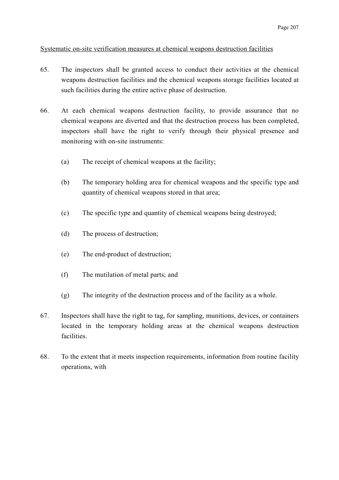# Systematic on-site verification measures at chemical weapons destruction facilities

- 65. The inspectors shall be granted access to conduct their activities at the chemical weapons destruction facilities and the chemical weapons storage facilities located at such facilities during the entire active phase of destruction.
- 66. At each chemical weapons destruction facility, to provide assurance that no chemical weapons are diverted and that the destruction process has been completed, inspectors shall have the right to verify through their physical presence and monitoring with on-site instruments:
	- (a) The receipt of chemical weapons at the facility;
	- (b) The temporary holding area for chemical weapons and the specific type and quantity of chemical weapons stored in that area;
	- (c) The specific type and quantity of chemical weapons being destroyed;
	- (d) The process of destruction;
	- (e) The end-product of destruction;
	- (f) The mutilation of metal parts; and
	- (g) The integrity of the destruction process and of the facility as a whole.
- 67. Inspectors shall have the right to tag, for sampling, munitions, devices, or containers located in the temporary holding areas at the chemical weapons destruction facilities.
- 68. To the extent that it meets inspection requirements, information from routine facility operations, with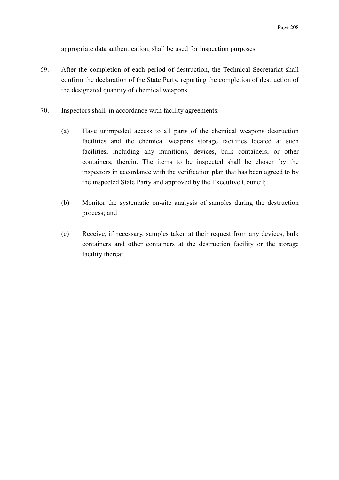appropriate data authentication, shall be used for inspection purposes.

- 69. After the completion of each period of destruction, the Technical Secretariat shall confirm the declaration of the State Party, reporting the completion of destruction of the designated quantity of chemical weapons.
- 70. Inspectors shall, in accordance with facility agreements:
	- (a) Have unimpeded access to all parts of the chemical weapons destruction facilities and the chemical weapons storage facilities located at such facilities, including any munitions, devices, bulk containers, or other containers, therein. The items to be inspected shall be chosen by the inspectors in accordance with the verification plan that has been agreed to by the inspected State Party and approved by the Executive Council;
	- (b) Monitor the systematic on-site analysis of samples during the destruction process; and
	- (c) Receive, if necessary, samples taken at their request from any devices, bulk containers and other containers at the destruction facility or the storage facility thereat.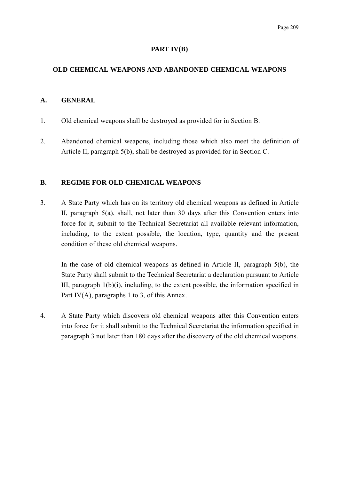#### **PART IV(B)**

# **OLD CHEMICAL WEAPONS AND ABANDONED CHEMICAL WEAPONS**

#### **A. GENERAL**

- 1. Old chemical weapons shall be destroyed as provided for in Section B.
- 2. Abandoned chemical weapons, including those which also meet the definition of Article II, paragraph 5(b), shall be destroyed as provided for in Section C.

#### **B. REGIME FOR OLD CHEMICAL WEAPONS**

3. A State Party which has on its territory old chemical weapons as defined in Article II, paragraph 5(a), shall, not later than 30 days after this Convention enters into force for it, submit to the Technical Secretariat all available relevant information, including, to the extent possible, the location, type, quantity and the present condition of these old chemical weapons.

In the case of old chemical weapons as defined in Article II, paragraph 5(b), the State Party shall submit to the Technical Secretariat a declaration pursuant to Article III, paragraph  $1(b)(i)$ , including, to the extent possible, the information specified in Part IV(A), paragraphs 1 to 3, of this Annex.

4. A State Party which discovers old chemical weapons after this Convention enters into force for it shall submit to the Technical Secretariat the information specified in paragraph 3 not later than 180 days after the discovery of the old chemical weapons.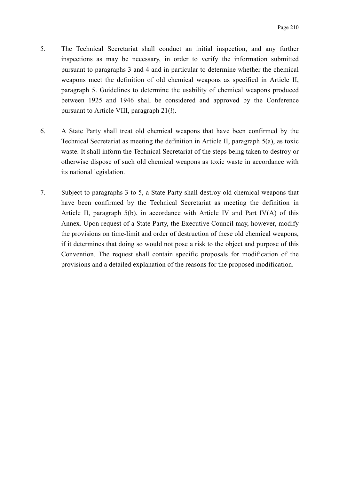- 5. The Technical Secretariat shall conduct an initial inspection, and any further inspections as may be necessary, in order to verify the information submitted pursuant to paragraphs 3 and 4 and in particular to determine whether the chemical weapons meet the definition of old chemical weapons as specified in Article II, paragraph 5. Guidelines to determine the usability of chemical weapons produced between 1925 and 1946 shall be considered and approved by the Conference pursuant to Article VIII, paragraph 21(*i*).
- 6. A State Party shall treat old chemical weapons that have been confirmed by the Technical Secretariat as meeting the definition in Article II, paragraph 5(a), as toxic waste. It shall inform the Technical Secretariat of the steps being taken to destroy or otherwise dispose of such old chemical weapons as toxic waste in accordance with its national legislation.
- 7. Subject to paragraphs 3 to 5, a State Party shall destroy old chemical weapons that have been confirmed by the Technical Secretariat as meeting the definition in Article II, paragraph  $5(b)$ , in accordance with Article IV and Part IV(A) of this Annex. Upon request of a State Party, the Executive Council may, however, modify the provisions on time-limit and order of destruction of these old chemical weapons, if it determines that doing so would not pose a risk to the object and purpose of this Convention. The request shall contain specific proposals for modification of the provisions and a detailed explanation of the reasons for the proposed modification.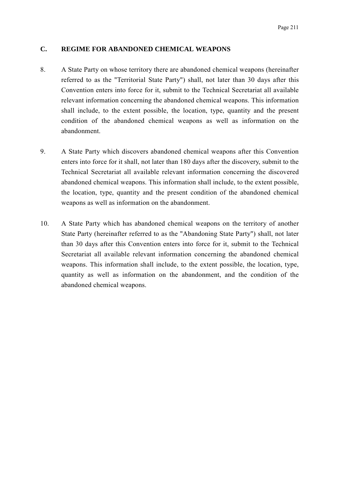#### **C. REGIME FOR ABANDONED CHEMICAL WEAPONS**

- 8. A State Party on whose territory there are abandoned chemical weapons (hereinafter referred to as the "Territorial State Party") shall, not later than 30 days after this Convention enters into force for it, submit to the Technical Secretariat all available relevant information concerning the abandoned chemical weapons. This information shall include, to the extent possible, the location, type, quantity and the present condition of the abandoned chemical weapons as well as information on the abandonment.
- 9. A State Party which discovers abandoned chemical weapons after this Convention enters into force for it shall, not later than 180 days after the discovery, submit to the Technical Secretariat all available relevant information concerning the discovered abandoned chemical weapons. This information shall include, to the extent possible, the location, type, quantity and the present condition of the abandoned chemical weapons as well as information on the abandonment.
- 10. A State Party which has abandoned chemical weapons on the territory of another State Party (hereinafter referred to as the "Abandoning State Party") shall, not later than 30 days after this Convention enters into force for it, submit to the Technical Secretariat all available relevant information concerning the abandoned chemical weapons. This information shall include, to the extent possible, the location, type, quantity as well as information on the abandonment, and the condition of the abandoned chemical weapons.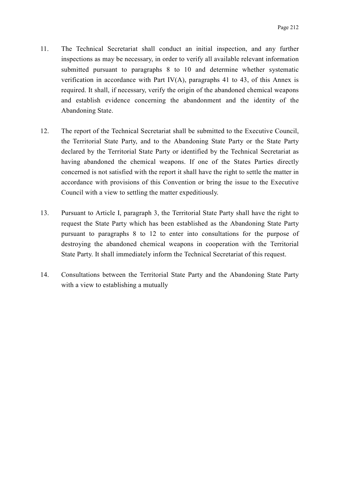- 11. The Technical Secretariat shall conduct an initial inspection, and any further inspections as may be necessary, in order to verify all available relevant information submitted pursuant to paragraphs 8 to 10 and determine whether systematic verification in accordance with Part IV(A), paragraphs 41 to 43, of this Annex is required. It shall, if necessary, verify the origin of the abandoned chemical weapons and establish evidence concerning the abandonment and the identity of the Abandoning State.
- 12. The report of the Technical Secretariat shall be submitted to the Executive Council, the Territorial State Party, and to the Abandoning State Party or the State Party declared by the Territorial State Party or identified by the Technical Secretariat as having abandoned the chemical weapons. If one of the States Parties directly concerned is not satisfied with the report it shall have the right to settle the matter in accordance with provisions of this Convention or bring the issue to the Executive Council with a view to settling the matter expeditiously.
- 13. Pursuant to Article I, paragraph 3, the Territorial State Party shall have the right to request the State Party which has been established as the Abandoning State Party pursuant to paragraphs 8 to 12 to enter into consultations for the purpose of destroying the abandoned chemical weapons in cooperation with the Territorial State Party. It shall immediately inform the Technical Secretariat of this request.
- 14. Consultations between the Territorial State Party and the Abandoning State Party with a view to establishing a mutually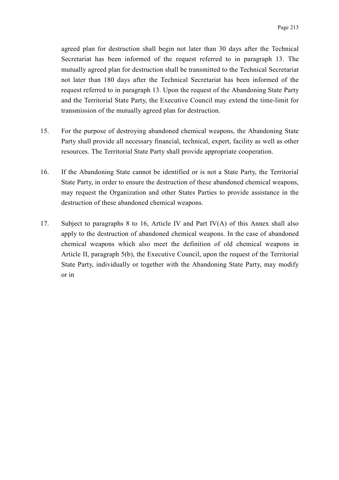agreed plan for destruction shall begin not later than 30 days after the Technical Secretariat has been informed of the request referred to in paragraph 13. The mutually agreed plan for destruction shall be transmitted to the Technical Secretariat not later than 180 days after the Technical Secretariat has been informed of the request referred to in paragraph 13. Upon the request of the Abandoning State Party and the Territorial State Party, the Executive Council may extend the time-limit for transmission of the mutually agreed plan for destruction.

- 15. For the purpose of destroying abandoned chemical weapons, the Abandoning State Party shall provide all necessary financial, technical, expert, facility as well as other resources. The Territorial State Party shall provide appropriate cooperation.
- 16. If the Abandoning State cannot be identified or is not a State Party, the Territorial State Party, in order to ensure the destruction of these abandoned chemical weapons, may request the Organization and other States Parties to provide assistance in the destruction of these abandoned chemical weapons.
- 17. Subject to paragraphs 8 to 16, Article IV and Part IV(A) of this Annex shall also apply to the destruction of abandoned chemical weapons. In the case of abandoned chemical weapons which also meet the definition of old chemical weapons in Article II, paragraph 5(b), the Executive Council, upon the request of the Territorial State Party, individually or together with the Abandoning State Party, may modify or in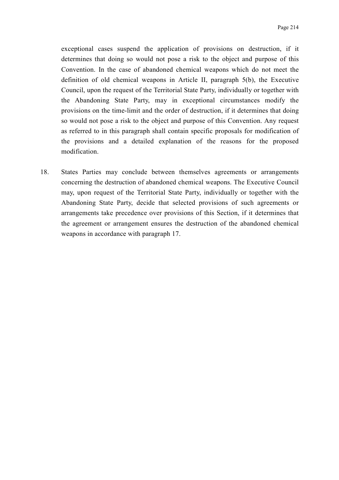exceptional cases suspend the application of provisions on destruction, if it determines that doing so would not pose a risk to the object and purpose of this Convention. In the case of abandoned chemical weapons which do not meet the definition of old chemical weapons in Article II, paragraph 5(b), the Executive Council, upon the request of the Territorial State Party, individually or together with the Abandoning State Party, may in exceptional circumstances modify the provisions on the time-limit and the order of destruction, if it determines that doing so would not pose a risk to the object and purpose of this Convention. Any request as referred to in this paragraph shall contain specific proposals for modification of the provisions and a detailed explanation of the reasons for the proposed modification.

18. States Parties may conclude between themselves agreements or arrangements concerning the destruction of abandoned chemical weapons. The Executive Council may, upon request of the Territorial State Party, individually or together with the Abandoning State Party, decide that selected provisions of such agreements or arrangements take precedence over provisions of this Section, if it determines that the agreement or arrangement ensures the destruction of the abandoned chemical weapons in accordance with paragraph 17.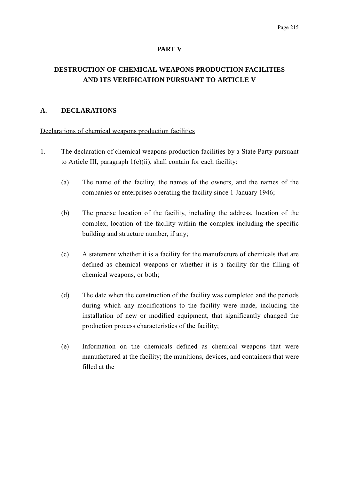#### **PART V**

# **DESTRUCTION OF CHEMICAL WEAPONS PRODUCTION FACILITIES AND ITS VERIFICATION PURSUANT TO ARTICLE V**

#### **A. DECLARATIONS**

#### Declarations of chemical weapons production facilities

- 1. The declaration of chemical weapons production facilities by a State Party pursuant to Article III, paragraph  $1(c)(ii)$ , shall contain for each facility:
	- (a) The name of the facility, the names of the owners, and the names of the companies or enterprises operating the facility since 1 January 1946;
	- (b) The precise location of the facility, including the address, location of the complex, location of the facility within the complex including the specific building and structure number, if any;
	- (c) A statement whether it is a facility for the manufacture of chemicals that are defined as chemical weapons or whether it is a facility for the filling of chemical weapons, or both;
	- (d) The date when the construction of the facility was completed and the periods during which any modifications to the facility were made, including the installation of new or modified equipment, that significantly changed the production process characteristics of the facility;
	- (e) Information on the chemicals defined as chemical weapons that were manufactured at the facility; the munitions, devices, and containers that were filled at the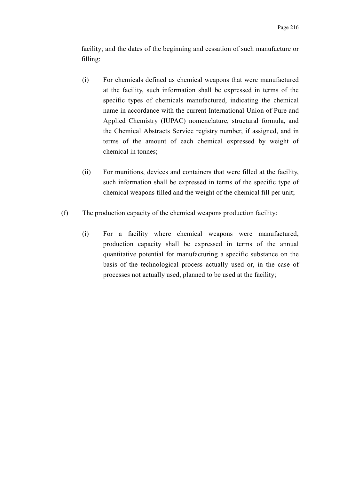facility; and the dates of the beginning and cessation of such manufacture or filling:

- (i) For chemicals defined as chemical weapons that were manufactured at the facility, such information shall be expressed in terms of the specific types of chemicals manufactured, indicating the chemical name in accordance with the current International Union of Pure and Applied Chemistry (IUPAC) nomenclature, structural formula, and the Chemical Abstracts Service registry number, if assigned, and in terms of the amount of each chemical expressed by weight of chemical in tonnes;
- (ii) For munitions, devices and containers that were filled at the facility, such information shall be expressed in terms of the specific type of chemical weapons filled and the weight of the chemical fill per unit;
- (f) The production capacity of the chemical weapons production facility:
	- (i) For a facility where chemical weapons were manufactured, production capacity shall be expressed in terms of the annual quantitative potential for manufacturing a specific substance on the basis of the technological process actually used or, in the case of processes not actually used, planned to be used at the facility;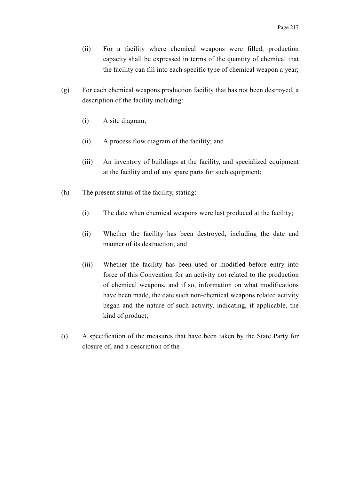- (ii) For a facility where chemical weapons were filled, production capacity shall be expressed in terms of the quantity of chemical that the facility can fill into each specific type of chemical weapon a year;
- (g) For each chemical weapons production facility that has not been destroyed, a description of the facility including:
	- (i) A site diagram;
	- (ii) A process flow diagram of the facility; and
	- (iii) An inventory of buildings at the facility, and specialized equipment at the facility and of any spare parts for such equipment;
- (h) The present status of the facility, stating:
	- (i) The date when chemical weapons were last produced at the facility;
	- (ii) Whether the facility has been destroyed, including the date and manner of its destruction; and
	- (iii) Whether the facility has been used or modified before entry into force of this Convention for an activity not related to the production of chemical weapons, and if so, information on what modifications have been made, the date such non-chemical weapons related activity began and the nature of such activity, indicating, if applicable, the kind of product;
- (*i*) A specification of the measures that have been taken by the State Party for closure of, and a description of the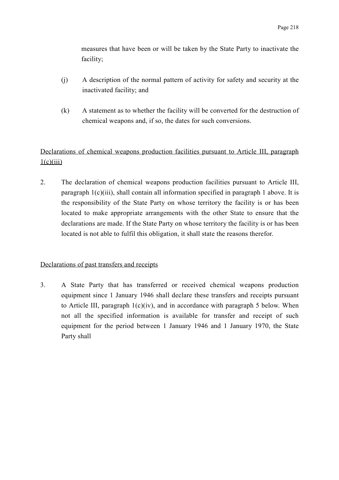measures that have been or will be taken by the State Party to inactivate the facility;

- (j) A description of the normal pattern of activity for safety and security at the inactivated facility; and
- (k) A statement as to whether the facility will be converted for the destruction of chemical weapons and, if so, the dates for such conversions.

# Declarations of chemical weapons production facilities pursuant to Article III, paragraph  $1(c)(iii)$

2. The declaration of chemical weapons production facilities pursuant to Article III, paragraph 1(c)(iii), shall contain all information specified in paragraph 1 above. It is the responsibility of the State Party on whose territory the facility is or has been located to make appropriate arrangements with the other State to ensure that the declarations are made. If the State Party on whose territory the facility is or has been located is not able to fulfil this obligation, it shall state the reasons therefor.

# Declarations of past transfers and receipts

3. A State Party that has transferred or received chemical weapons production equipment since 1 January 1946 shall declare these transfers and receipts pursuant to Article III, paragraph  $1(c)(iv)$ , and in accordance with paragraph 5 below. When not all the specified information is available for transfer and receipt of such equipment for the period between 1 January 1946 and 1 January 1970, the State Party shall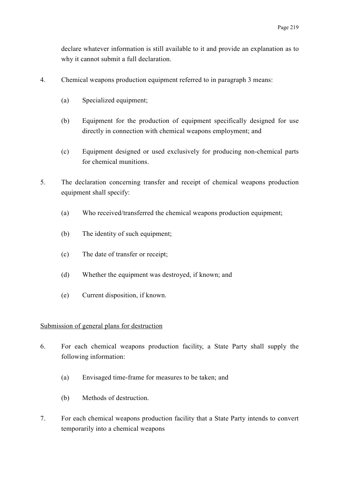declare whatever information is still available to it and provide an explanation as to why it cannot submit a full declaration.

- 4. Chemical weapons production equipment referred to in paragraph 3 means:
	- (a) Specialized equipment;
	- (b) Equipment for the production of equipment specifically designed for use directly in connection with chemical weapons employment; and
	- (c) Equipment designed or used exclusively for producing non-chemical parts for chemical munitions.
- 5. The declaration concerning transfer and receipt of chemical weapons production equipment shall specify:
	- (a) Who received/transferred the chemical weapons production equipment;
	- (b) The identity of such equipment;
	- (c) The date of transfer or receipt;
	- (d) Whether the equipment was destroyed, if known; and
	- (e) Current disposition, if known.

#### Submission of general plans for destruction

- 6. For each chemical weapons production facility, a State Party shall supply the following information:
	- (a) Envisaged time-frame for measures to be taken; and
	- (b) Methods of destruction.
- 7. For each chemical weapons production facility that a State Party intends to convert temporarily into a chemical weapons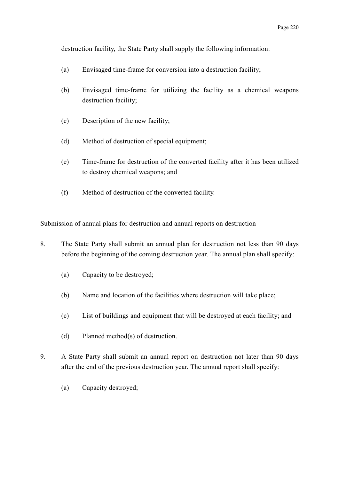destruction facility, the State Party shall supply the following information:

- (a) Envisaged time-frame for conversion into a destruction facility;
- (b) Envisaged time-frame for utilizing the facility as a chemical weapons destruction facility;
- (c) Description of the new facility;
- (d) Method of destruction of special equipment;
- (e) Time-frame for destruction of the converted facility after it has been utilized to destroy chemical weapons; and
- (f) Method of destruction of the converted facility.

#### Submission of annual plans for destruction and annual reports on destruction

- 8. The State Party shall submit an annual plan for destruction not less than 90 days before the beginning of the coming destruction year. The annual plan shall specify:
	- (a) Capacity to be destroyed;
	- (b) Name and location of the facilities where destruction will take place;
	- (c) List of buildings and equipment that will be destroyed at each facility; and
	- (d) Planned method(s) of destruction.
- 9. A State Party shall submit an annual report on destruction not later than 90 days after the end of the previous destruction year. The annual report shall specify:
	- (a) Capacity destroyed;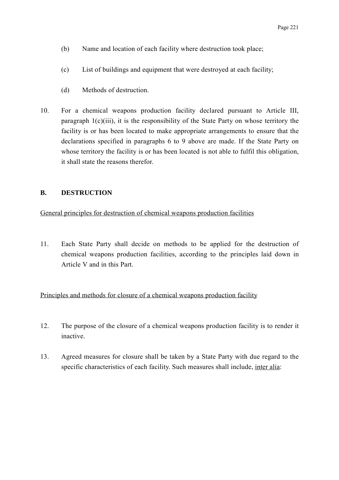- (b) Name and location of each facility where destruction took place;
- (c) List of buildings and equipment that were destroyed at each facility;
- (d) Methods of destruction.
- 10. For a chemical weapons production facility declared pursuant to Article III, paragraph  $1(c)(iii)$ , it is the responsibility of the State Party on whose territory the facility is or has been located to make appropriate arrangements to ensure that the declarations specified in paragraphs 6 to 9 above are made. If the State Party on whose territory the facility is or has been located is not able to fulfil this obligation, it shall state the reasons therefor.

#### **B. DESTRUCTION**

General principles for destruction of chemical weapons production facilities

11. Each State Party shall decide on methods to be applied for the destruction of chemical weapons production facilities, according to the principles laid down in Article V and in this Part.

# Principles and methods for closure of a chemical weapons production facility

- 12. The purpose of the closure of a chemical weapons production facility is to render it inactive.
- 13. Agreed measures for closure shall be taken by a State Party with due regard to the specific characteristics of each facility. Such measures shall include, inter alia: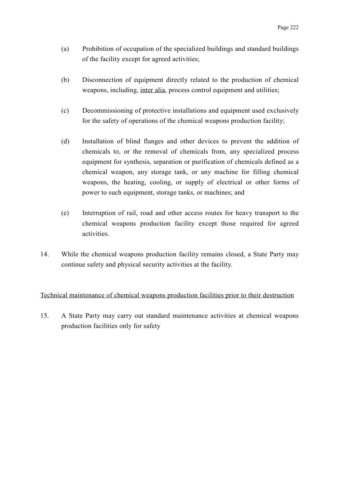- (a) Prohibition of occupation of the specialized buildings and standard buildings of the facility except for agreed activities;
- (b) Disconnection of equipment directly related to the production of chemical weapons, including, inter alia, process control equipment and utilities;
- (c) Decommissioning of protective installations and equipment used exclusively for the safety of operations of the chemical weapons production facility;
- (d) Installation of blind flanges and other devices to prevent the addition of chemicals to, or the removal of chemicals from, any specialized process equipment for synthesis, separation or purification of chemicals defined as a chemical weapon, any storage tank, or any machine for filling chemical weapons, the heating, cooling, or supply of electrical or other forms of power to such equipment, storage tanks, or machines; and
- (e) Interruption of rail, road and other access routes for heavy transport to the chemical weapons production facility except those required for agreed activities.
- 14. While the chemical weapons production facility remains closed, a State Party may continue safety and physical security activities at the facility.

# Technical maintenance of chemical weapons production facilities prior to their destruction

15. A State Party may carry out standard maintenance activities at chemical weapons production facilities only for safety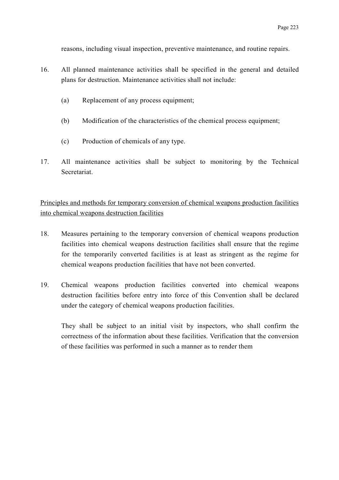reasons, including visual inspection, preventive maintenance, and routine repairs.

- 16. All planned maintenance activities shall be specified in the general and detailed plans for destruction. Maintenance activities shall not include:
	- (a) Replacement of any process equipment;
	- (b) Modification of the characteristics of the chemical process equipment;
	- (c) Production of chemicals of any type.
- 17. All maintenance activities shall be subject to monitoring by the Technical Secretariat.

Principles and methods for temporary conversion of chemical weapons production facilities into chemical weapons destruction facilities

- 18. Measures pertaining to the temporary conversion of chemical weapons production facilities into chemical weapons destruction facilities shall ensure that the regime for the temporarily converted facilities is at least as stringent as the regime for chemical weapons production facilities that have not been converted.
- 19. Chemical weapons production facilities converted into chemical weapons destruction facilities before entry into force of this Convention shall be declared under the category of chemical weapons production facilities.

They shall be subject to an initial visit by inspectors, who shall confirm the correctness of the information about these facilities. Verification that the conversion of these facilities was performed in such a manner as to render them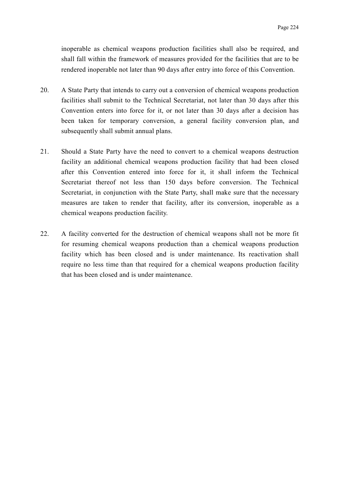inoperable as chemical weapons production facilities shall also be required, and shall fall within the framework of measures provided for the facilities that are to be rendered inoperable not later than 90 days after entry into force of this Convention.

- 20. A State Party that intends to carry out a conversion of chemical weapons production facilities shall submit to the Technical Secretariat, not later than 30 days after this Convention enters into force for it, or not later than 30 days after a decision has been taken for temporary conversion, a general facility conversion plan, and subsequently shall submit annual plans.
- 21. Should a State Party have the need to convert to a chemical weapons destruction facility an additional chemical weapons production facility that had been closed after this Convention entered into force for it, it shall inform the Technical Secretariat thereof not less than 150 days before conversion. The Technical Secretariat, in conjunction with the State Party, shall make sure that the necessary measures are taken to render that facility, after its conversion, inoperable as a chemical weapons production facility.
- 22. A facility converted for the destruction of chemical weapons shall not be more fit for resuming chemical weapons production than a chemical weapons production facility which has been closed and is under maintenance. Its reactivation shall require no less time than that required for a chemical weapons production facility that has been closed and is under maintenance.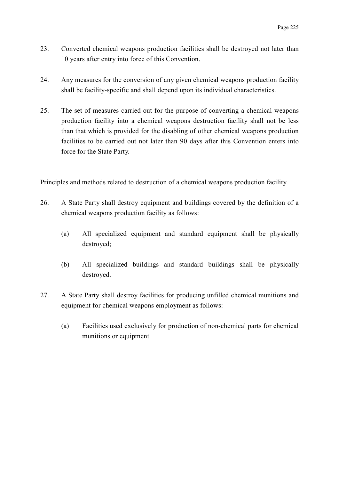- 23. Converted chemical weapons production facilities shall be destroyed not later than 10 years after entry into force of this Convention.
- 24. Any measures for the conversion of any given chemical weapons production facility shall be facility-specific and shall depend upon its individual characteristics.
- 25. The set of measures carried out for the purpose of converting a chemical weapons production facility into a chemical weapons destruction facility shall not be less than that which is provided for the disabling of other chemical weapons production facilities to be carried out not later than 90 days after this Convention enters into force for the State Party.

#### Principles and methods related to destruction of a chemical weapons production facility

- 26. A State Party shall destroy equipment and buildings covered by the definition of a chemical weapons production facility as follows:
	- (a) All specialized equipment and standard equipment shall be physically destroyed;
	- (b) All specialized buildings and standard buildings shall be physically destroyed.
- 27. A State Party shall destroy facilities for producing unfilled chemical munitions and equipment for chemical weapons employment as follows:
	- (a) Facilities used exclusively for production of non-chemical parts for chemical munitions or equipment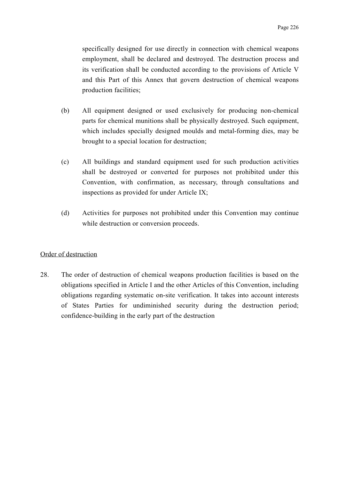specifically designed for use directly in connection with chemical weapons employment, shall be declared and destroyed. The destruction process and its verification shall be conducted according to the provisions of Article V and this Part of this Annex that govern destruction of chemical weapons production facilities;

- (b) All equipment designed or used exclusively for producing non-chemical parts for chemical munitions shall be physically destroyed. Such equipment, which includes specially designed moulds and metal-forming dies, may be brought to a special location for destruction;
- (c) All buildings and standard equipment used for such production activities shall be destroyed or converted for purposes not prohibited under this Convention, with confirmation, as necessary, through consultations and inspections as provided for under Article IX;
- (d) Activities for purposes not prohibited under this Convention may continue while destruction or conversion proceeds.

#### Order of destruction

28. The order of destruction of chemical weapons production facilities is based on the obligations specified in Article I and the other Articles of this Convention, including obligations regarding systematic on-site verification. It takes into account interests of States Parties for undiminished security during the destruction period; confidence-building in the early part of the destruction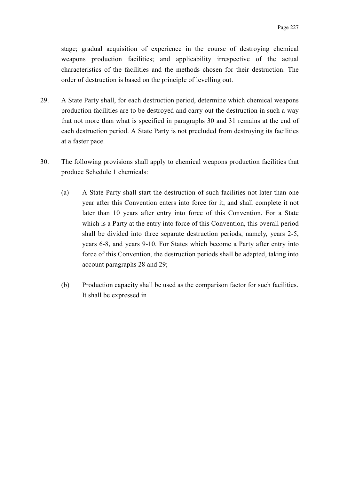stage; gradual acquisition of experience in the course of destroying chemical weapons production facilities; and applicability irrespective of the actual characteristics of the facilities and the methods chosen for their destruction. The order of destruction is based on the principle of levelling out.

- 29. A State Party shall, for each destruction period, determine which chemical weapons production facilities are to be destroyed and carry out the destruction in such a way that not more than what is specified in paragraphs 30 and 31 remains at the end of each destruction period. A State Party is not precluded from destroying its facilities at a faster pace.
- 30. The following provisions shall apply to chemical weapons production facilities that produce Schedule 1 chemicals:
	- (a) A State Party shall start the destruction of such facilities not later than one year after this Convention enters into force for it, and shall complete it not later than 10 years after entry into force of this Convention. For a State which is a Party at the entry into force of this Convention, this overall period shall be divided into three separate destruction periods, namely, years 2-5, years 6-8, and years 9-10. For States which become a Party after entry into force of this Convention, the destruction periods shall be adapted, taking into account paragraphs 28 and 29;
	- (b) Production capacity shall be used as the comparison factor for such facilities. It shall be expressed in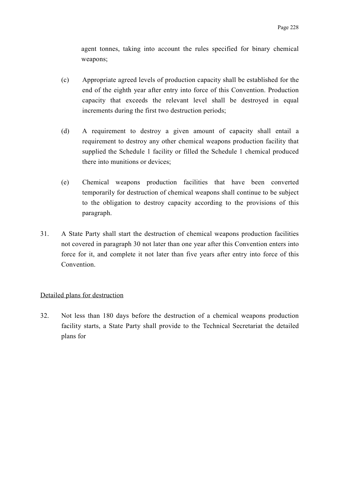agent tonnes, taking into account the rules specified for binary chemical weapons;

- (c) Appropriate agreed levels of production capacity shall be established for the end of the eighth year after entry into force of this Convention. Production capacity that exceeds the relevant level shall be destroyed in equal increments during the first two destruction periods;
- (d) A requirement to destroy a given amount of capacity shall entail a requirement to destroy any other chemical weapons production facility that supplied the Schedule 1 facility or filled the Schedule 1 chemical produced there into munitions or devices;
- (e) Chemical weapons production facilities that have been converted temporarily for destruction of chemical weapons shall continue to be subject to the obligation to destroy capacity according to the provisions of this paragraph.
- 31. A State Party shall start the destruction of chemical weapons production facilities not covered in paragraph 30 not later than one year after this Convention enters into force for it, and complete it not later than five years after entry into force of this Convention.

#### Detailed plans for destruction

32. Not less than 180 days before the destruction of a chemical weapons production facility starts, a State Party shall provide to the Technical Secretariat the detailed plans for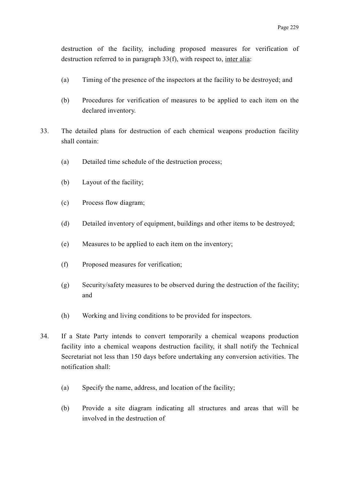destruction of the facility, including proposed measures for verification of destruction referred to in paragraph 33(f), with respect to, inter alia:

- (a) Timing of the presence of the inspectors at the facility to be destroyed; and
- (b) Procedures for verification of measures to be applied to each item on the declared inventory.
- 33. The detailed plans for destruction of each chemical weapons production facility shall contain:
	- (a) Detailed time schedule of the destruction process;
	- (b) Layout of the facility;
	- (c) Process flow diagram;
	- (d) Detailed inventory of equipment, buildings and other items to be destroyed;
	- (e) Measures to be applied to each item on the inventory;
	- (f) Proposed measures for verification;
	- (g) Security/safety measures to be observed during the destruction of the facility; and
	- (h) Working and living conditions to be provided for inspectors.
- 34. If a State Party intends to convert temporarily a chemical weapons production facility into a chemical weapons destruction facility, it shall notify the Technical Secretariat not less than 150 days before undertaking any conversion activities. The notification shall:
	- (a) Specify the name, address, and location of the facility;
	- (b) Provide a site diagram indicating all structures and areas that will be involved in the destruction of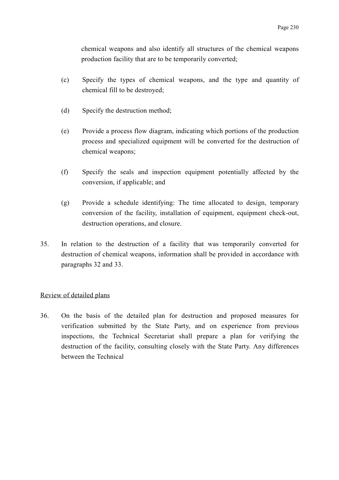chemical weapons and also identify all structures of the chemical weapons production facility that are to be temporarily converted;

- (c) Specify the types of chemical weapons, and the type and quantity of chemical fill to be destroyed;
- (d) Specify the destruction method;
- (e) Provide a process flow diagram, indicating which portions of the production process and specialized equipment will be converted for the destruction of chemical weapons;
- (f) Specify the seals and inspection equipment potentially affected by the conversion, if applicable; and
- (g) Provide a schedule identifying: The time allocated to design, temporary conversion of the facility, installation of equipment, equipment check-out, destruction operations, and closure.
- 35. In relation to the destruction of a facility that was temporarily converted for destruction of chemical weapons, information shall be provided in accordance with paragraphs 32 and 33.

#### Review of detailed plans

36. On the basis of the detailed plan for destruction and proposed measures for verification submitted by the State Party, and on experience from previous inspections, the Technical Secretariat shall prepare a plan for verifying the destruction of the facility, consulting closely with the State Party. Any differences between the Technical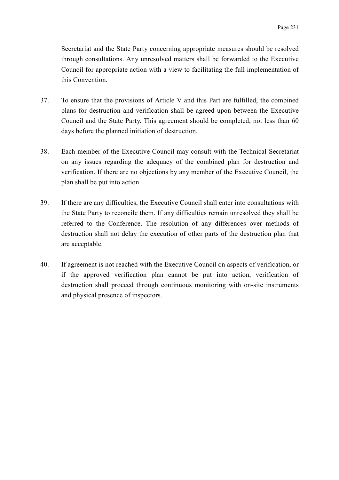Secretariat and the State Party concerning appropriate measures should be resolved through consultations. Any unresolved matters shall be forwarded to the Executive Council for appropriate action with a view to facilitating the full implementation of this Convention.

- 37. To ensure that the provisions of Article V and this Part are fulfilled, the combined plans for destruction and verification shall be agreed upon between the Executive Council and the State Party. This agreement should be completed, not less than 60 days before the planned initiation of destruction.
- 38. Each member of the Executive Council may consult with the Technical Secretariat on any issues regarding the adequacy of the combined plan for destruction and verification. If there are no objections by any member of the Executive Council, the plan shall be put into action.
- 39. If there are any difficulties, the Executive Council shall enter into consultations with the State Party to reconcile them. If any difficulties remain unresolved they shall be referred to the Conference. The resolution of any differences over methods of destruction shall not delay the execution of other parts of the destruction plan that are acceptable.
- 40. If agreement is not reached with the Executive Council on aspects of verification, or if the approved verification plan cannot be put into action, verification of destruction shall proceed through continuous monitoring with on-site instruments and physical presence of inspectors.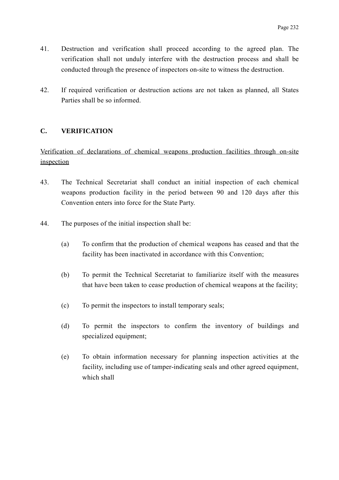- 41. Destruction and verification shall proceed according to the agreed plan. The verification shall not unduly interfere with the destruction process and shall be conducted through the presence of inspectors on-site to witness the destruction.
- 42. If required verification or destruction actions are not taken as planned, all States Parties shall be so informed.

# **C. VERIFICATION**

Verification of declarations of chemical weapons production facilities through on-site inspection

- 43. The Technical Secretariat shall conduct an initial inspection of each chemical weapons production facility in the period between 90 and 120 days after this Convention enters into force for the State Party.
- 44. The purposes of the initial inspection shall be:
	- (a) To confirm that the production of chemical weapons has ceased and that the facility has been inactivated in accordance with this Convention;
	- (b) To permit the Technical Secretariat to familiarize itself with the measures that have been taken to cease production of chemical weapons at the facility;
	- (c) To permit the inspectors to install temporary seals;
	- (d) To permit the inspectors to confirm the inventory of buildings and specialized equipment;
	- (e) To obtain information necessary for planning inspection activities at the facility, including use of tamper-indicating seals and other agreed equipment, which shall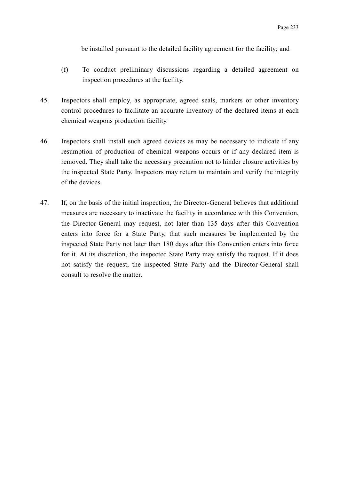be installed pursuant to the detailed facility agreement for the facility; and

- (f) To conduct preliminary discussions regarding a detailed agreement on inspection procedures at the facility.
- 45. Inspectors shall employ, as appropriate, agreed seals, markers or other inventory control procedures to facilitate an accurate inventory of the declared items at each chemical weapons production facility.
- 46. Inspectors shall install such agreed devices as may be necessary to indicate if any resumption of production of chemical weapons occurs or if any declared item is removed. They shall take the necessary precaution not to hinder closure activities by the inspected State Party. Inspectors may return to maintain and verify the integrity of the devices.
- 47. If, on the basis of the initial inspection, the Director-General believes that additional measures are necessary to inactivate the facility in accordance with this Convention, the Director-General may request, not later than 135 days after this Convention enters into force for a State Party, that such measures be implemented by the inspected State Party not later than 180 days after this Convention enters into force for it. At its discretion, the inspected State Party may satisfy the request. If it does not satisfy the request, the inspected State Party and the Director-General shall consult to resolve the matter.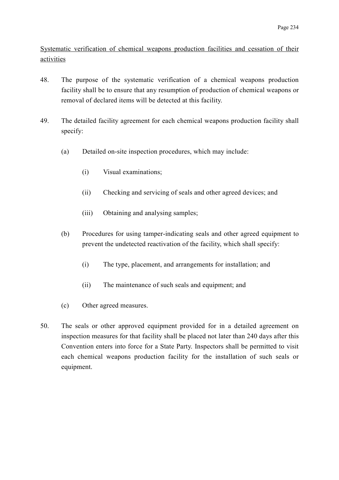Systematic verification of chemical weapons production facilities and cessation of their activities

- 48. The purpose of the systematic verification of a chemical weapons production facility shall be to ensure that any resumption of production of chemical weapons or removal of declared items will be detected at this facility.
- 49. The detailed facility agreement for each chemical weapons production facility shall specify:
	- (a) Detailed on-site inspection procedures, which may include:
		- (i) Visual examinations;
		- (ii) Checking and servicing of seals and other agreed devices; and
		- (iii) Obtaining and analysing samples;
	- (b) Procedures for using tamper-indicating seals and other agreed equipment to prevent the undetected reactivation of the facility, which shall specify:
		- (i) The type, placement, and arrangements for installation; and
		- (ii) The maintenance of such seals and equipment; and
	- (c) Other agreed measures.
- 50. The seals or other approved equipment provided for in a detailed agreement on inspection measures for that facility shall be placed not later than 240 days after this Convention enters into force for a State Party. Inspectors shall be permitted to visit each chemical weapons production facility for the installation of such seals or equipment.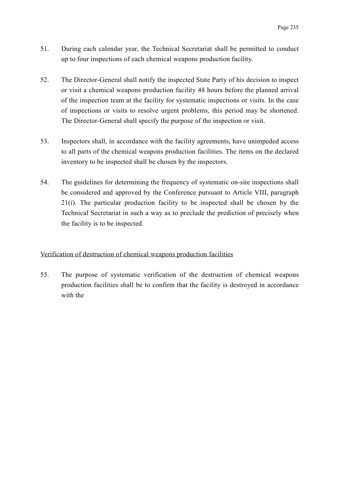- 51. During each calendar year, the Technical Secretariat shall be permitted to conduct up to four inspections of each chemical weapons production facility.
- 52. The Director-General shall notify the inspected State Party of his decision to inspect or visit a chemical weapons production facility 48 hours before the planned arrival of the inspection team at the facility for systematic inspections or visits. In the case of inspections or visits to resolve urgent problems, this period may be shortened. The Director-General shall specify the purpose of the inspection or visit.
- 53. Inspectors shall, in accordance with the facility agreements, have unimpeded access to all parts of the chemical weapons production facilities. The items on the declared inventory to be inspected shall be chosen by the inspectors.
- 54. The guidelines for determining the frequency of systematic on-site inspections shall be considered and approved by the Conference pursuant to Article VIII, paragraph 21(*i*). The particular production facility to be inspected shall be chosen by the Technical Secretariat in such a way as to preclude the prediction of precisely when the facility is to be inspected.

# Verification of destruction of chemical weapons production facilities

55. The purpose of systematic verification of the destruction of chemical weapons production facilities shall be to confirm that the facility is destroyed in accordance with the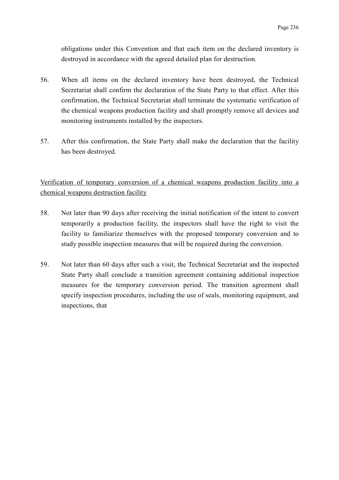obligations under this Convention and that each item on the declared inventory is destroyed in accordance with the agreed detailed plan for destruction.

- 56. When all items on the declared inventory have been destroyed, the Technical Secretariat shall confirm the declaration of the State Party to that effect. After this confirmation, the Technical Secretariat shall terminate the systematic verification of the chemical weapons production facility and shall promptly remove all devices and monitoring instruments installed by the inspectors.
- 57. After this confirmation, the State Party shall make the declaration that the facility has been destroyed.

Verification of temporary conversion of a chemical weapons production facility into a chemical weapons destruction facility

- 58. Not later than 90 days after receiving the initial notification of the intent to convert temporarily a production facility, the inspectors shall have the right to visit the facility to familiarize themselves with the proposed temporary conversion and to study possible inspection measures that will be required during the conversion.
- 59. Not later than 60 days after such a visit, the Technical Secretariat and the inspected State Party shall conclude a transition agreement containing additional inspection measures for the temporary conversion period. The transition agreement shall specify inspection procedures, including the use of seals, monitoring equipment, and inspections, that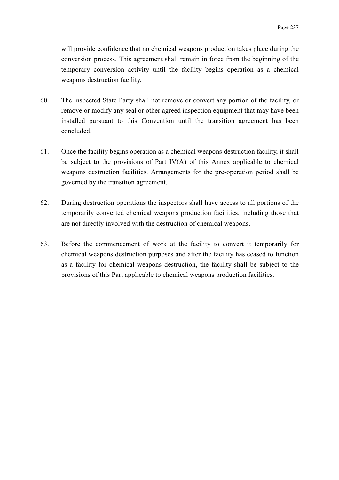will provide confidence that no chemical weapons production takes place during the conversion process. This agreement shall remain in force from the beginning of the temporary conversion activity until the facility begins operation as a chemical weapons destruction facility.

- 60. The inspected State Party shall not remove or convert any portion of the facility, or remove or modify any seal or other agreed inspection equipment that may have been installed pursuant to this Convention until the transition agreement has been concluded.
- 61. Once the facility begins operation as a chemical weapons destruction facility, it shall be subject to the provisions of Part IV(A) of this Annex applicable to chemical weapons destruction facilities. Arrangements for the pre-operation period shall be governed by the transition agreement.
- 62. During destruction operations the inspectors shall have access to all portions of the temporarily converted chemical weapons production facilities, including those that are not directly involved with the destruction of chemical weapons.
- 63. Before the commencement of work at the facility to convert it temporarily for chemical weapons destruction purposes and after the facility has ceased to function as a facility for chemical weapons destruction, the facility shall be subject to the provisions of this Part applicable to chemical weapons production facilities.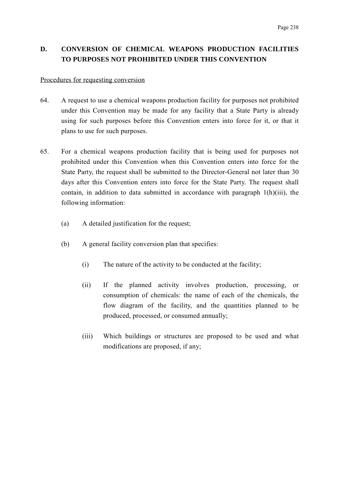# **D. CONVERSION OF CHEMICAL WEAPONS PRODUCTION FACILITIES TO PURPOSES NOT PROHIBITED UNDER THIS CONVENTION**

#### Procedures for requesting conversion

- 64. A request to use a chemical weapons production facility for purposes not prohibited under this Convention may be made for any facility that a State Party is already using for such purposes before this Convention enters into force for it, or that it plans to use for such purposes.
- 65. For a chemical weapons production facility that is being used for purposes not prohibited under this Convention when this Convention enters into force for the State Party, the request shall be submitted to the Director-General not later than 30 days after this Convention enters into force for the State Party. The request shall contain, in addition to data submitted in accordance with paragraph 1(h)(iii), the following information:
	- (a) A detailed justification for the request;
	- (b) A general facility conversion plan that specifies:
		- (i) The nature of the activity to be conducted at the facility;
		- (ii) If the planned activity involves production, processing, or consumption of chemicals: the name of each of the chemicals, the flow diagram of the facility, and the quantities planned to be produced, processed, or consumed annually;
		- (iii) Which buildings or structures are proposed to be used and what modifications are proposed, if any;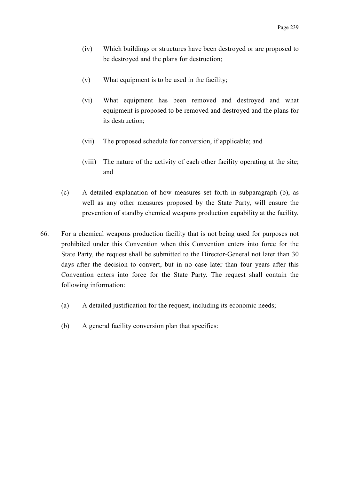- (iv) Which buildings or structures have been destroyed or are proposed to be destroyed and the plans for destruction;
- (v) What equipment is to be used in the facility;
- (vi) What equipment has been removed and destroyed and what equipment is proposed to be removed and destroyed and the plans for its destruction;
- (vii) The proposed schedule for conversion, if applicable; and
- (viii) The nature of the activity of each other facility operating at the site; and
- (c) A detailed explanation of how measures set forth in subparagraph (b), as well as any other measures proposed by the State Party, will ensure the prevention of standby chemical weapons production capability at the facility.
- 66. For a chemical weapons production facility that is not being used for purposes not prohibited under this Convention when this Convention enters into force for the State Party, the request shall be submitted to the Director-General not later than 30 days after the decision to convert, but in no case later than four years after this Convention enters into force for the State Party. The request shall contain the following information:
	- (a) A detailed justification for the request, including its economic needs;
	- (b) A general facility conversion plan that specifies: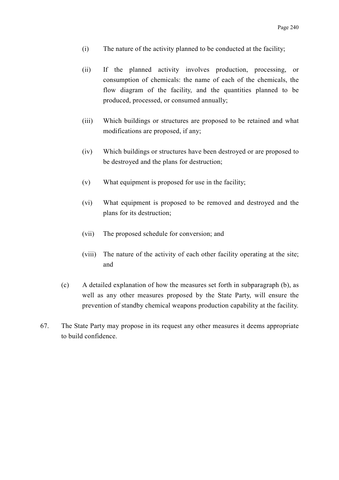- (i) The nature of the activity planned to be conducted at the facility;
- (ii) If the planned activity involves production, processing, or consumption of chemicals: the name of each of the chemicals, the flow diagram of the facility, and the quantities planned to be produced, processed, or consumed annually;
- (iii) Which buildings or structures are proposed to be retained and what modifications are proposed, if any;
- (iv) Which buildings or structures have been destroyed or are proposed to be destroyed and the plans for destruction;
- (v) What equipment is proposed for use in the facility;
- (vi) What equipment is proposed to be removed and destroyed and the plans for its destruction;
- (vii) The proposed schedule for conversion; and
- (viii) The nature of the activity of each other facility operating at the site; and
- (c) A detailed explanation of how the measures set forth in subparagraph (b), as well as any other measures proposed by the State Party, will ensure the prevention of standby chemical weapons production capability at the facility.
- 67. The State Party may propose in its request any other measures it deems appropriate to build confidence.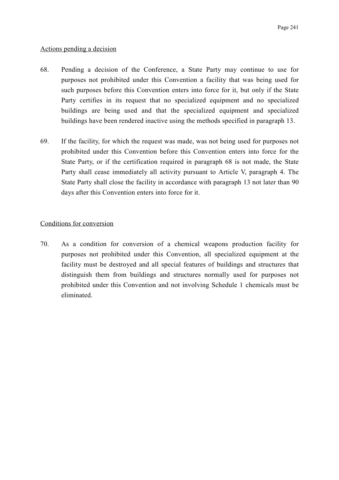## Actions pending a decision

- 68. Pending a decision of the Conference, a State Party may continue to use for purposes not prohibited under this Convention a facility that was being used for such purposes before this Convention enters into force for it, but only if the State Party certifies in its request that no specialized equipment and no specialized buildings are being used and that the specialized equipment and specialized buildings have been rendered inactive using the methods specified in paragraph 13.
- 69. If the facility, for which the request was made, was not being used for purposes not prohibited under this Convention before this Convention enters into force for the State Party, or if the certification required in paragraph 68 is not made, the State Party shall cease immediately all activity pursuant to Article V, paragraph 4. The State Party shall close the facility in accordance with paragraph 13 not later than 90 days after this Convention enters into force for it.

# Conditions for conversion

70. As a condition for conversion of a chemical weapons production facility for purposes not prohibited under this Convention, all specialized equipment at the facility must be destroyed and all special features of buildings and structures that distinguish them from buildings and structures normally used for purposes not prohibited under this Convention and not involving Schedule 1 chemicals must be eliminated.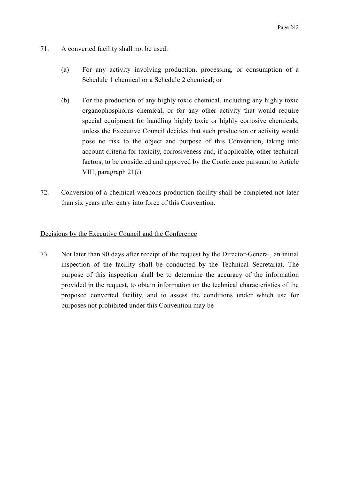- 71. A converted facility shall not be used:
	- (a) For any activity involving production, processing, or consumption of a Schedule 1 chemical or a Schedule 2 chemical; or
	- (b) For the production of any highly toxic chemical, including any highly toxic organophosphorus chemical, or for any other activity that would require special equipment for handling highly toxic or highly corrosive chemicals, unless the Executive Council decides that such production or activity would pose no risk to the object and purpose of this Convention, taking into account criteria for toxicity, corrosiveness and, if applicable, other technical factors, to be considered and approved by the Conference pursuant to Article VIII, paragraph 21(*i*).
- 72. Conversion of a chemical weapons production facility shall be completed not later than six years after entry into force of this Convention.

# Decisions by the Executive Council and the Conference

73. Not later than 90 days after receipt of the request by the Director-General, an initial inspection of the facility shall be conducted by the Technical Secretariat. The purpose of this inspection shall be to determine the accuracy of the information provided in the request, to obtain information on the technical characteristics of the proposed converted facility, and to assess the conditions under which use for purposes not prohibited under this Convention may be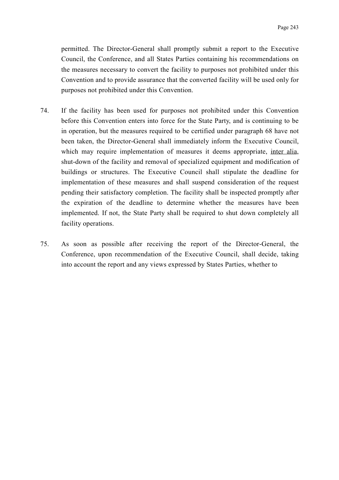permitted. The Director-General shall promptly submit a report to the Executive Council, the Conference, and all States Parties containing his recommendations on the measures necessary to convert the facility to purposes not prohibited under this Convention and to provide assurance that the converted facility will be used only for purposes not prohibited under this Convention.

- 74. If the facility has been used for purposes not prohibited under this Convention before this Convention enters into force for the State Party, and is continuing to be in operation, but the measures required to be certified under paragraph 68 have not been taken, the Director-General shall immediately inform the Executive Council, which may require implementation of measures it deems appropriate, inter alia, shut-down of the facility and removal of specialized equipment and modification of buildings or structures. The Executive Council shall stipulate the deadline for implementation of these measures and shall suspend consideration of the request pending their satisfactory completion. The facility shall be inspected promptly after the expiration of the deadline to determine whether the measures have been implemented. If not, the State Party shall be required to shut down completely all facility operations.
- 75. As soon as possible after receiving the report of the Director-General, the Conference, upon recommendation of the Executive Council, shall decide, taking into account the report and any views expressed by States Parties, whether to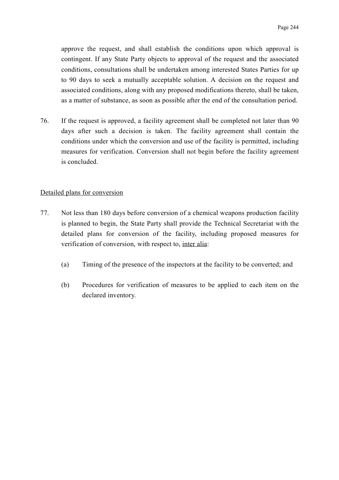approve the request, and shall establish the conditions upon which approval is contingent. If any State Party objects to approval of the request and the associated conditions, consultations shall be undertaken among interested States Parties for up to 90 days to seek a mutually acceptable solution. A decision on the request and associated conditions, along with any proposed modifications thereto, shall be taken, as a matter of substance, as soon as possible after the end of the consultation period.

76. If the request is approved, a facility agreement shall be completed not later than 90 days after such a decision is taken. The facility agreement shall contain the conditions under which the conversion and use of the facility is permitted, including measures for verification. Conversion shall not begin before the facility agreement is concluded.

## Detailed plans for conversion

- 77. Not less than 180 days before conversion of a chemical weapons production facility is planned to begin, the State Party shall provide the Technical Secretariat with the detailed plans for conversion of the facility, including proposed measures for verification of conversion, with respect to, inter alia:
	- (a) Timing of the presence of the inspectors at the facility to be converted; and
	- (b) Procedures for verification of measures to be applied to each item on the declared inventory.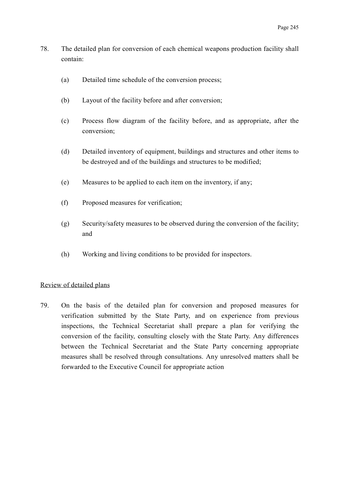- 78. The detailed plan for conversion of each chemical weapons production facility shall contain:
	- (a) Detailed time schedule of the conversion process;
	- (b) Layout of the facility before and after conversion;
	- (c) Process flow diagram of the facility before, and as appropriate, after the conversion;
	- (d) Detailed inventory of equipment, buildings and structures and other items to be destroyed and of the buildings and structures to be modified;
	- (e) Measures to be applied to each item on the inventory, if any;
	- (f) Proposed measures for verification;
	- (g) Security/safety measures to be observed during the conversion of the facility; and
	- (h) Working and living conditions to be provided for inspectors.

#### Review of detailed plans

79. On the basis of the detailed plan for conversion and proposed measures for verification submitted by the State Party, and on experience from previous inspections, the Technical Secretariat shall prepare a plan for verifying the conversion of the facility, consulting closely with the State Party. Any differences between the Technical Secretariat and the State Party concerning appropriate measures shall be resolved through consultations. Any unresolved matters shall be forwarded to the Executive Council for appropriate action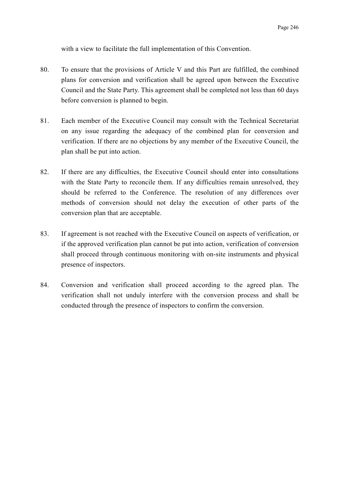with a view to facilitate the full implementation of this Convention.

- 80. To ensure that the provisions of Article V and this Part are fulfilled, the combined plans for conversion and verification shall be agreed upon between the Executive Council and the State Party. This agreement shall be completed not less than 60 days before conversion is planned to begin.
- 81. Each member of the Executive Council may consult with the Technical Secretariat on any issue regarding the adequacy of the combined plan for conversion and verification. If there are no objections by any member of the Executive Council, the plan shall be put into action.
- 82. If there are any difficulties, the Executive Council should enter into consultations with the State Party to reconcile them. If any difficulties remain unresolved, they should be referred to the Conference. The resolution of any differences over methods of conversion should not delay the execution of other parts of the conversion plan that are acceptable.
- 83. If agreement is not reached with the Executive Council on aspects of verification, or if the approved verification plan cannot be put into action, verification of conversion shall proceed through continuous monitoring with on-site instruments and physical presence of inspectors.
- 84. Conversion and verification shall proceed according to the agreed plan. The verification shall not unduly interfere with the conversion process and shall be conducted through the presence of inspectors to confirm the conversion.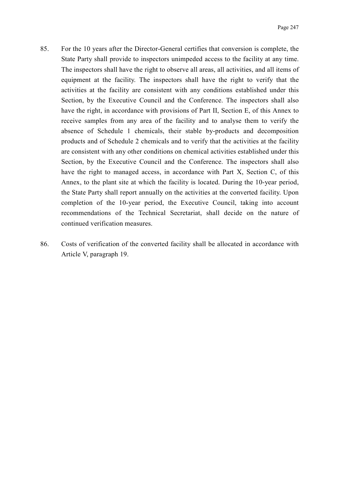- 85. For the 10 years after the Director-General certifies that conversion is complete, the State Party shall provide to inspectors unimpeded access to the facility at any time. The inspectors shall have the right to observe all areas, all activities, and all items of equipment at the facility. The inspectors shall have the right to verify that the activities at the facility are consistent with any conditions established under this Section, by the Executive Council and the Conference. The inspectors shall also have the right, in accordance with provisions of Part II, Section E, of this Annex to receive samples from any area of the facility and to analyse them to verify the absence of Schedule 1 chemicals, their stable by-products and decomposition products and of Schedule 2 chemicals and to verify that the activities at the facility are consistent with any other conditions on chemical activities established under this Section, by the Executive Council and the Conference. The inspectors shall also have the right to managed access, in accordance with Part X, Section C, of this Annex, to the plant site at which the facility is located. During the 10-year period, the State Party shall report annually on the activities at the converted facility. Upon completion of the 10-year period, the Executive Council, taking into account recommendations of the Technical Secretariat, shall decide on the nature of continued verification measures.
- 86. Costs of verification of the converted facility shall be allocated in accordance with Article V, paragraph 19.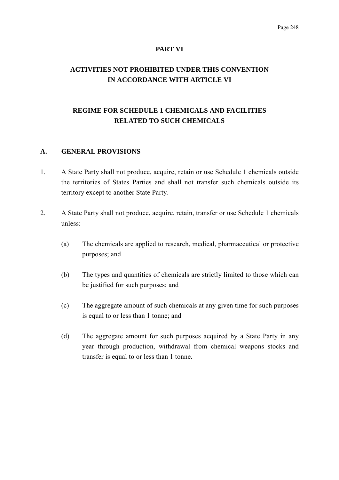#### **PART VI**

# **ACTIVITIES NOT PROHIBITED UNDER THIS CONVENTION IN ACCORDANCE WITH ARTICLE VI**

# **REGIME FOR SCHEDULE 1 CHEMICALS AND FACILITIES RELATED TO SUCH CHEMICALS**

#### **A. GENERAL PROVISIONS**

- 1. A State Party shall not produce, acquire, retain or use Schedule 1 chemicals outside the territories of States Parties and shall not transfer such chemicals outside its territory except to another State Party.
- 2. A State Party shall not produce, acquire, retain, transfer or use Schedule 1 chemicals unless:
	- (a) The chemicals are applied to research, medical, pharmaceutical or protective purposes; and
	- (b) The types and quantities of chemicals are strictly limited to those which can be justified for such purposes; and
	- (c) The aggregate amount of such chemicals at any given time for such purposes is equal to or less than 1 tonne; and
	- (d) The aggregate amount for such purposes acquired by a State Party in any year through production, withdrawal from chemical weapons stocks and transfer is equal to or less than 1 tonne.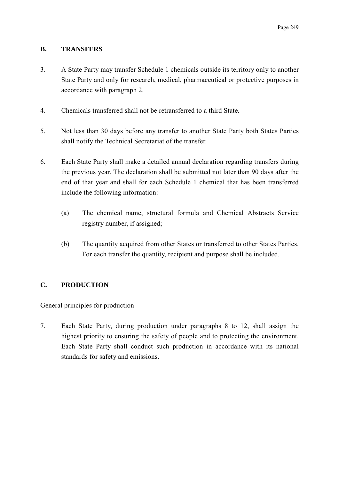# **B. TRANSFERS**

- 3. A State Party may transfer Schedule 1 chemicals outside its territory only to another State Party and only for research, medical, pharmaceutical or protective purposes in accordance with paragraph 2.
- 4. Chemicals transferred shall not be retransferred to a third State.
- 5. Not less than 30 days before any transfer to another State Party both States Parties shall notify the Technical Secretariat of the transfer.
- 6. Each State Party shall make a detailed annual declaration regarding transfers during the previous year. The declaration shall be submitted not later than 90 days after the end of that year and shall for each Schedule 1 chemical that has been transferred include the following information:
	- (a) The chemical name, structural formula and Chemical Abstracts Service registry number, if assigned;
	- (b) The quantity acquired from other States or transferred to other States Parties. For each transfer the quantity, recipient and purpose shall be included.

# **C. PRODUCTION**

## General principles for production

7. Each State Party, during production under paragraphs 8 to 12, shall assign the highest priority to ensuring the safety of people and to protecting the environment. Each State Party shall conduct such production in accordance with its national standards for safety and emissions.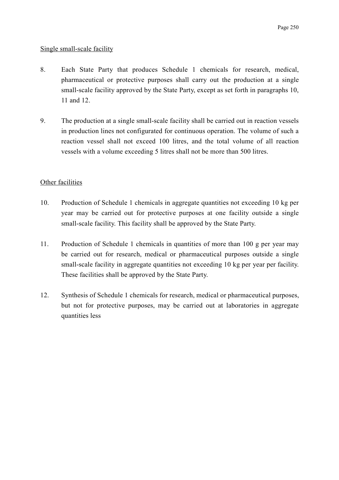# Single small-scale facility

- 8. Each State Party that produces Schedule 1 chemicals for research, medical, pharmaceutical or protective purposes shall carry out the production at a single small-scale facility approved by the State Party, except as set forth in paragraphs 10, 11 and 12.
- 9. The production at a single small-scale facility shall be carried out in reaction vessels in production lines not configurated for continuous operation. The volume of such a reaction vessel shall not exceed 100 litres, and the total volume of all reaction vessels with a volume exceeding 5 litres shall not be more than 500 litres.

# Other facilities

- 10. Production of Schedule 1 chemicals in aggregate quantities not exceeding 10 kg per year may be carried out for protective purposes at one facility outside a single small-scale facility. This facility shall be approved by the State Party.
- 11. Production of Schedule 1 chemicals in quantities of more than 100 g per year may be carried out for research, medical or pharmaceutical purposes outside a single small-scale facility in aggregate quantities not exceeding 10 kg per year per facility. These facilities shall be approved by the State Party.
- 12. Synthesis of Schedule 1 chemicals for research, medical or pharmaceutical purposes, but not for protective purposes, may be carried out at laboratories in aggregate quantities less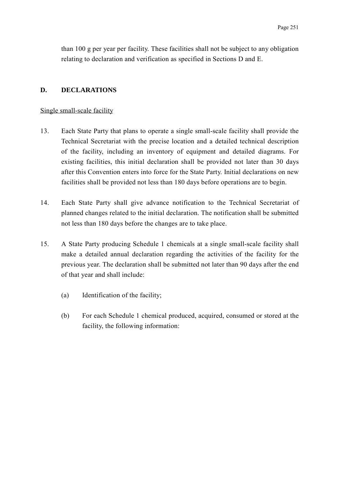than 100 g per year per facility. These facilities shall not be subject to any obligation relating to declaration and verification as specified in Sections D and E.

## **D. DECLARATIONS**

#### Single small-scale facility

- 13. Each State Party that plans to operate a single small-scale facility shall provide the Technical Secretariat with the precise location and a detailed technical description of the facility, including an inventory of equipment and detailed diagrams. For existing facilities, this initial declaration shall be provided not later than 30 days after this Convention enters into force for the State Party. Initial declarations on new facilities shall be provided not less than 180 days before operations are to begin.
- 14. Each State Party shall give advance notification to the Technical Secretariat of planned changes related to the initial declaration. The notification shall be submitted not less than 180 days before the changes are to take place.
- 15. A State Party producing Schedule 1 chemicals at a single small-scale facility shall make a detailed annual declaration regarding the activities of the facility for the previous year. The declaration shall be submitted not later than 90 days after the end of that year and shall include:
	- (a) Identification of the facility;
	- (b) For each Schedule 1 chemical produced, acquired, consumed or stored at the facility, the following information: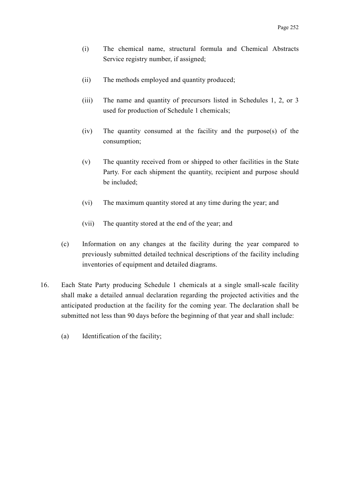- (i) The chemical name, structural formula and Chemical Abstracts Service registry number, if assigned;
- (ii) The methods employed and quantity produced;
- (iii) The name and quantity of precursors listed in Schedules 1, 2, or 3 used for production of Schedule 1 chemicals;
- (iv) The quantity consumed at the facility and the purpose(s) of the consumption;
- (v) The quantity received from or shipped to other facilities in the State Party. For each shipment the quantity, recipient and purpose should be included;
- (vi) The maximum quantity stored at any time during the year; and
- (vii) The quantity stored at the end of the year; and
- (c) Information on any changes at the facility during the year compared to previously submitted detailed technical descriptions of the facility including inventories of equipment and detailed diagrams.
- 16. Each State Party producing Schedule 1 chemicals at a single small-scale facility shall make a detailed annual declaration regarding the projected activities and the anticipated production at the facility for the coming year. The declaration shall be submitted not less than 90 days before the beginning of that year and shall include:
	- (a) Identification of the facility;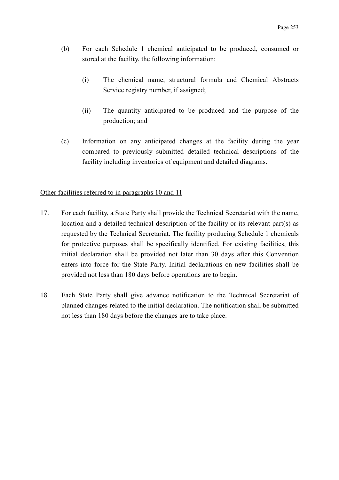- (b) For each Schedule 1 chemical anticipated to be produced, consumed or stored at the facility, the following information:
	- (i) The chemical name, structural formula and Chemical Abstracts Service registry number, if assigned;
	- (ii) The quantity anticipated to be produced and the purpose of the production; and
- (c) Information on any anticipated changes at the facility during the year compared to previously submitted detailed technical descriptions of the facility including inventories of equipment and detailed diagrams.

## Other facilities referred to in paragraphs 10 and 11

- 17. For each facility, a State Party shall provide the Technical Secretariat with the name, location and a detailed technical description of the facility or its relevant part(s) as requested by the Technical Secretariat. The facility producing Schedule 1 chemicals for protective purposes shall be specifically identified. For existing facilities, this initial declaration shall be provided not later than 30 days after this Convention enters into force for the State Party. Initial declarations on new facilities shall be provided not less than 180 days before operations are to begin.
- 18. Each State Party shall give advance notification to the Technical Secretariat of planned changes related to the initial declaration. The notification shall be submitted not less than 180 days before the changes are to take place.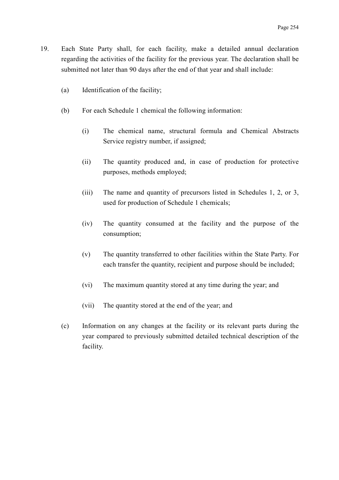- 19. Each State Party shall, for each facility, make a detailed annual declaration regarding the activities of the facility for the previous year. The declaration shall be submitted not later than 90 days after the end of that year and shall include:
	- (a) Identification of the facility;
	- (b) For each Schedule 1 chemical the following information:
		- (i) The chemical name, structural formula and Chemical Abstracts Service registry number, if assigned;
		- (ii) The quantity produced and, in case of production for protective purposes, methods employed;
		- (iii) The name and quantity of precursors listed in Schedules 1, 2, or 3, used for production of Schedule 1 chemicals;
		- (iv) The quantity consumed at the facility and the purpose of the consumption;
		- (v) The quantity transferred to other facilities within the State Party. For each transfer the quantity, recipient and purpose should be included;
		- (vi) The maximum quantity stored at any time during the year; and
		- (vii) The quantity stored at the end of the year; and
	- (c) Information on any changes at the facility or its relevant parts during the year compared to previously submitted detailed technical description of the facility.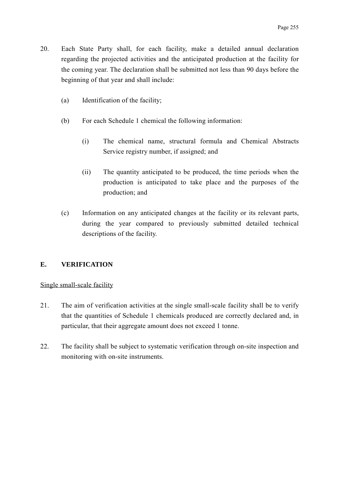- 20. Each State Party shall, for each facility, make a detailed annual declaration regarding the projected activities and the anticipated production at the facility for the coming year. The declaration shall be submitted not less than 90 days before the beginning of that year and shall include:
	- (a) Identification of the facility;
	- (b) For each Schedule 1 chemical the following information:
		- (i) The chemical name, structural formula and Chemical Abstracts Service registry number, if assigned; and
		- (ii) The quantity anticipated to be produced, the time periods when the production is anticipated to take place and the purposes of the production; and
	- (c) Information on any anticipated changes at the facility or its relevant parts, during the year compared to previously submitted detailed technical descriptions of the facility.

# **E. VERIFICATION**

## Single small-scale facility

- 21. The aim of verification activities at the single small-scale facility shall be to verify that the quantities of Schedule 1 chemicals produced are correctly declared and, in particular, that their aggregate amount does not exceed 1 tonne.
- 22. The facility shall be subject to systematic verification through on-site inspection and monitoring with on-site instruments.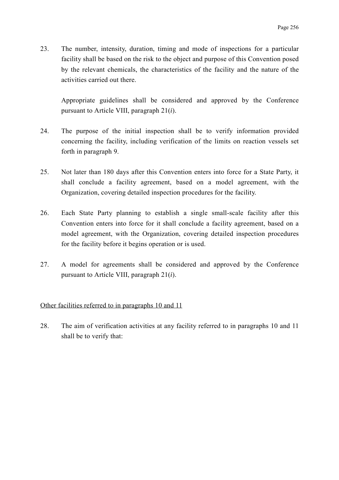23. The number, intensity, duration, timing and mode of inspections for a particular facility shall be based on the risk to the object and purpose of this Convention posed by the relevant chemicals, the characteristics of the facility and the nature of the activities carried out there.

Appropriate guidelines shall be considered and approved by the Conference pursuant to Article VIII, paragraph 21(*i*).

- 24. The purpose of the initial inspection shall be to verify information provided concerning the facility, including verification of the limits on reaction vessels set forth in paragraph 9.
- 25. Not later than 180 days after this Convention enters into force for a State Party, it shall conclude a facility agreement, based on a model agreement, with the Organization, covering detailed inspection procedures for the facility.
- 26. Each State Party planning to establish a single small-scale facility after this Convention enters into force for it shall conclude a facility agreement, based on a model agreement, with the Organization, covering detailed inspection procedures for the facility before it begins operation or is used.
- 27. A model for agreements shall be considered and approved by the Conference pursuant to Article VIII, paragraph 21(*i*).

# Other facilities referred to in paragraphs 10 and 11

28. The aim of verification activities at any facility referred to in paragraphs 10 and 11 shall be to verify that: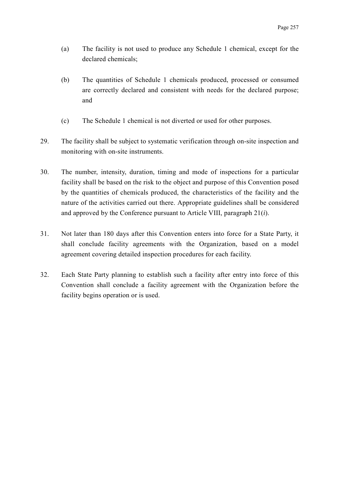- (a) The facility is not used to produce any Schedule 1 chemical, except for the declared chemicals;
- (b) The quantities of Schedule 1 chemicals produced, processed or consumed are correctly declared and consistent with needs for the declared purpose; and
- (c) The Schedule 1 chemical is not diverted or used for other purposes.
- 29. The facility shall be subject to systematic verification through on-site inspection and monitoring with on-site instruments.
- 30. The number, intensity, duration, timing and mode of inspections for a particular facility shall be based on the risk to the object and purpose of this Convention posed by the quantities of chemicals produced, the characteristics of the facility and the nature of the activities carried out there. Appropriate guidelines shall be considered and approved by the Conference pursuant to Article VIII, paragraph 21(*i*).
- 31. Not later than 180 days after this Convention enters into force for a State Party, it shall conclude facility agreements with the Organization, based on a model agreement covering detailed inspection procedures for each facility.
- 32. Each State Party planning to establish such a facility after entry into force of this Convention shall conclude a facility agreement with the Organization before the facility begins operation or is used.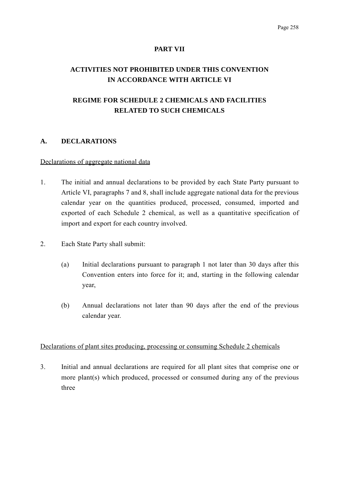### **PART VII**

# **ACTIVITIES NOT PROHIBITED UNDER THIS CONVENTION IN ACCORDANCE WITH ARTICLE VI**

# **REGIME FOR SCHEDULE 2 CHEMICALS AND FACILITIES RELATED TO SUCH CHEMICALS**

## **A. DECLARATIONS**

#### Declarations of aggregate national data

- 1. The initial and annual declarations to be provided by each State Party pursuant to Article VI, paragraphs 7 and 8, shall include aggregate national data for the previous calendar year on the quantities produced, processed, consumed, imported and exported of each Schedule 2 chemical, as well as a quantitative specification of import and export for each country involved.
- 2. Each State Party shall submit:
	- (a) Initial declarations pursuant to paragraph 1 not later than 30 days after this Convention enters into force for it; and, starting in the following calendar year,
	- (b) Annual declarations not later than 90 days after the end of the previous calendar year.

## Declarations of plant sites producing, processing or consuming Schedule 2 chemicals

3. Initial and annual declarations are required for all plant sites that comprise one or more plant(s) which produced, processed or consumed during any of the previous three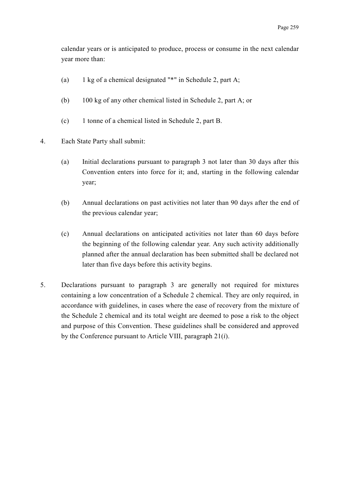calendar years or is anticipated to produce, process or consume in the next calendar year more than:

- (a) 1 kg of a chemical designated "\*" in Schedule 2, part A;
- (b) 100 kg of any other chemical listed in Schedule 2, part A; or
- (c) 1 tonne of a chemical listed in Schedule 2, part B.
- 4. Each State Party shall submit:
	- (a) Initial declarations pursuant to paragraph 3 not later than 30 days after this Convention enters into force for it; and, starting in the following calendar year;
	- (b) Annual declarations on past activities not later than 90 days after the end of the previous calendar year;
	- (c) Annual declarations on anticipated activities not later than 60 days before the beginning of the following calendar year. Any such activity additionally planned after the annual declaration has been submitted shall be declared not later than five days before this activity begins.
- 5. Declarations pursuant to paragraph 3 are generally not required for mixtures containing a low concentration of a Schedule 2 chemical. They are only required, in accordance with guidelines, in cases where the ease of recovery from the mixture of the Schedule 2 chemical and its total weight are deemed to pose a risk to the object and purpose of this Convention. These guidelines shall be considered and approved by the Conference pursuant to Article VIII, paragraph 21(*i*).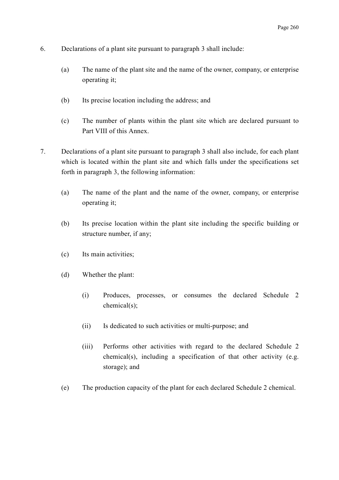- 6. Declarations of a plant site pursuant to paragraph 3 shall include:
	- (a) The name of the plant site and the name of the owner, company, or enterprise operating it;
	- (b) Its precise location including the address; and
	- (c) The number of plants within the plant site which are declared pursuant to Part VIII of this Annex.
- 7. Declarations of a plant site pursuant to paragraph 3 shall also include, for each plant which is located within the plant site and which falls under the specifications set forth in paragraph 3, the following information:
	- (a) The name of the plant and the name of the owner, company, or enterprise operating it;
	- (b) Its precise location within the plant site including the specific building or structure number, if any;
	- (c) Its main activities;
	- (d) Whether the plant:
		- (i) Produces, processes, or consumes the declared Schedule 2 chemical(s);
		- (ii) Is dedicated to such activities or multi-purpose; and
		- (iii) Performs other activities with regard to the declared Schedule 2 chemical(s), including a specification of that other activity (e.g. storage); and
	- (e) The production capacity of the plant for each declared Schedule 2 chemical.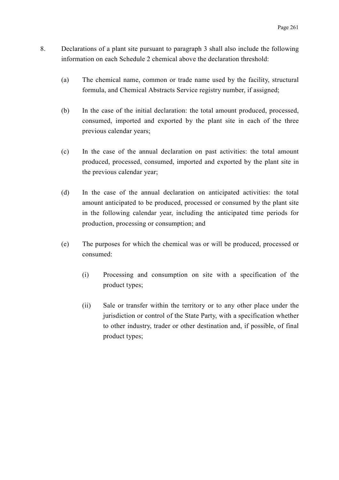- 8. Declarations of a plant site pursuant to paragraph 3 shall also include the following information on each Schedule 2 chemical above the declaration threshold:
	- (a) The chemical name, common or trade name used by the facility, structural formula, and Chemical Abstracts Service registry number, if assigned;
	- (b) In the case of the initial declaration: the total amount produced, processed, consumed, imported and exported by the plant site in each of the three previous calendar years;
	- (c) In the case of the annual declaration on past activities: the total amount produced, processed, consumed, imported and exported by the plant site in the previous calendar year;
	- (d) In the case of the annual declaration on anticipated activities: the total amount anticipated to be produced, processed or consumed by the plant site in the following calendar year, including the anticipated time periods for production, processing or consumption; and
	- (e) The purposes for which the chemical was or will be produced, processed or consumed:
		- (i) Processing and consumption on site with a specification of the product types;
		- (ii) Sale or transfer within the territory or to any other place under the jurisdiction or control of the State Party, with a specification whether to other industry, trader or other destination and, if possible, of final product types;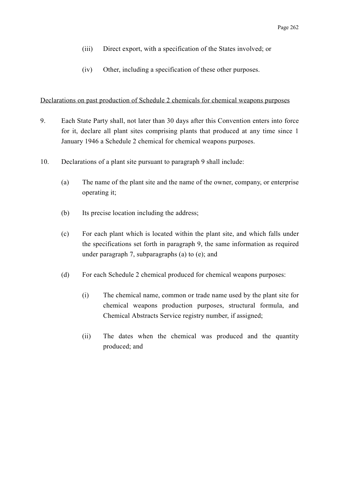- (iii) Direct export, with a specification of the States involved; or
- (iv) Other, including a specification of these other purposes.

## Declarations on past production of Schedule 2 chemicals for chemical weapons purposes

- 9. Each State Party shall, not later than 30 days after this Convention enters into force for it, declare all plant sites comprising plants that produced at any time since 1 January 1946 a Schedule 2 chemical for chemical weapons purposes.
- 10. Declarations of a plant site pursuant to paragraph 9 shall include:
	- (a) The name of the plant site and the name of the owner, company, or enterprise operating it;
	- (b) Its precise location including the address;
	- (c) For each plant which is located within the plant site, and which falls under the specifications set forth in paragraph 9, the same information as required under paragraph 7, subparagraphs (a) to (e); and
	- (d) For each Schedule 2 chemical produced for chemical weapons purposes:
		- (i) The chemical name, common or trade name used by the plant site for chemical weapons production purposes, structural formula, and Chemical Abstracts Service registry number, if assigned;
		- (ii) The dates when the chemical was produced and the quantity produced; and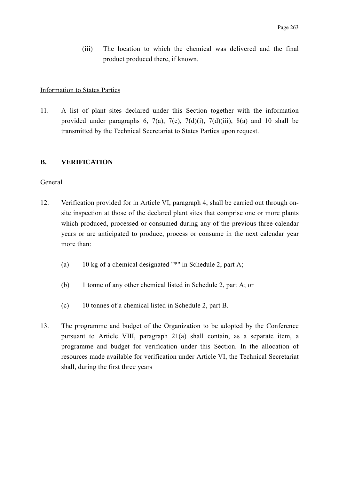(iii) The location to which the chemical was delivered and the final product produced there, if known.

#### Information to States Parties

11. A list of plant sites declared under this Section together with the information provided under paragraphs 6, 7(a), 7(c), 7(d)(i), 7(d)(iii), 8(a) and 10 shall be transmitted by the Technical Secretariat to States Parties upon request.

#### **B. VERIFICATION**

#### General

- 12. Verification provided for in Article VI, paragraph 4, shall be carried out through onsite inspection at those of the declared plant sites that comprise one or more plants which produced, processed or consumed during any of the previous three calendar years or are anticipated to produce, process or consume in the next calendar year more than:
	- (a) 10 kg of a chemical designated "\*" in Schedule 2, part A;
	- (b) 1 tonne of any other chemical listed in Schedule 2, part A; or
	- (c) 10 tonnes of a chemical listed in Schedule 2, part B.
- 13. The programme and budget of the Organization to be adopted by the Conference pursuant to Article VIII, paragraph 21(a) shall contain, as a separate item, a programme and budget for verification under this Section. In the allocation of resources made available for verification under Article VI, the Technical Secretariat shall, during the first three years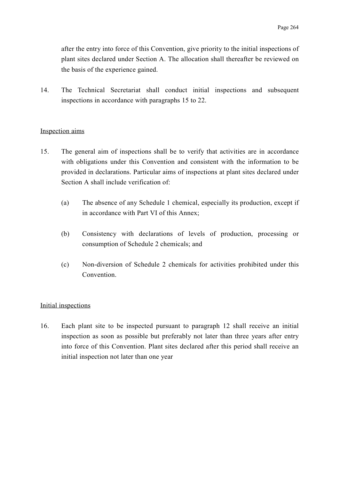after the entry into force of this Convention, give priority to the initial inspections of plant sites declared under Section A. The allocation shall thereafter be reviewed on the basis of the experience gained.

14. The Technical Secretariat shall conduct initial inspections and subsequent inspections in accordance with paragraphs 15 to 22.

## Inspection aims

- 15. The general aim of inspections shall be to verify that activities are in accordance with obligations under this Convention and consistent with the information to be provided in declarations. Particular aims of inspections at plant sites declared under Section A shall include verification of:
	- (a) The absence of any Schedule 1 chemical, especially its production, except if in accordance with Part VI of this Annex;
	- (b) Consistency with declarations of levels of production, processing or consumption of Schedule 2 chemicals; and
	- (c) Non-diversion of Schedule 2 chemicals for activities prohibited under this Convention.

## Initial inspections

16. Each plant site to be inspected pursuant to paragraph 12 shall receive an initial inspection as soon as possible but preferably not later than three years after entry into force of this Convention. Plant sites declared after this period shall receive an initial inspection not later than one year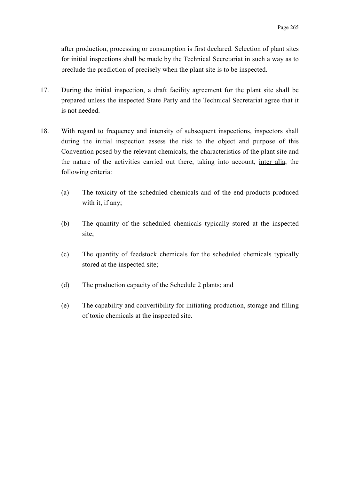after production, processing or consumption is first declared. Selection of plant sites for initial inspections shall be made by the Technical Secretariat in such a way as to preclude the prediction of precisely when the plant site is to be inspected.

- 17. During the initial inspection, a draft facility agreement for the plant site shall be prepared unless the inspected State Party and the Technical Secretariat agree that it is not needed.
- 18. With regard to frequency and intensity of subsequent inspections, inspectors shall during the initial inspection assess the risk to the object and purpose of this Convention posed by the relevant chemicals, the characteristics of the plant site and the nature of the activities carried out there, taking into account, inter alia, the following criteria:
	- (a) The toxicity of the scheduled chemicals and of the end-products produced with it, if any;
	- (b) The quantity of the scheduled chemicals typically stored at the inspected site;
	- (c) The quantity of feedstock chemicals for the scheduled chemicals typically stored at the inspected site;
	- (d) The production capacity of the Schedule 2 plants; and
	- (e) The capability and convertibility for initiating production, storage and filling of toxic chemicals at the inspected site.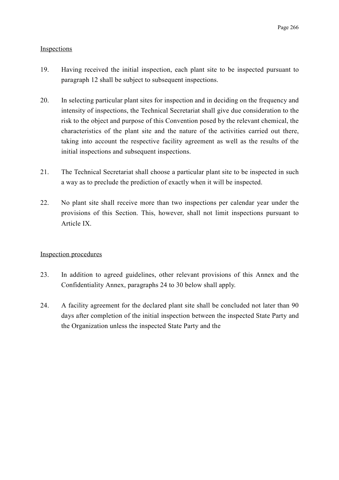# **Inspections**

- 19. Having received the initial inspection, each plant site to be inspected pursuant to paragraph 12 shall be subject to subsequent inspections.
- 20. In selecting particular plant sites for inspection and in deciding on the frequency and intensity of inspections, the Technical Secretariat shall give due consideration to the risk to the object and purpose of this Convention posed by the relevant chemical, the characteristics of the plant site and the nature of the activities carried out there, taking into account the respective facility agreement as well as the results of the initial inspections and subsequent inspections.
- 21. The Technical Secretariat shall choose a particular plant site to be inspected in such a way as to preclude the prediction of exactly when it will be inspected.
- 22. No plant site shall receive more than two inspections per calendar year under the provisions of this Section. This, however, shall not limit inspections pursuant to Article IX.

## Inspection procedures

- 23. In addition to agreed guidelines, other relevant provisions of this Annex and the Confidentiality Annex, paragraphs 24 to 30 below shall apply.
- 24. A facility agreement for the declared plant site shall be concluded not later than 90 days after completion of the initial inspection between the inspected State Party and the Organization unless the inspected State Party and the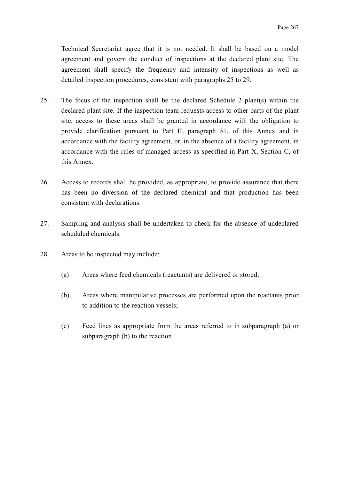Technical Secretariat agree that it is not needed. It shall be based on a model agreement and govern the conduct of inspections at the declared plant site. The agreement shall specify the frequency and intensity of inspections as well as detailed inspection procedures, consistent with paragraphs 25 to 29.

- 25. The focus of the inspection shall be the declared Schedule 2 plant(s) within the declared plant site. If the inspection team requests access to other parts of the plant site, access to these areas shall be granted in accordance with the obligation to provide clarification pursuant to Part II, paragraph 51, of this Annex and in accordance with the facility agreement, or, in the absence of a facility agreement, in accordance with the rules of managed access as specified in Part X, Section C, of this Annex.
- 26. Access to records shall be provided, as appropriate, to provide assurance that there has been no diversion of the declared chemical and that production has been consistent with declarations.
- 27. Sampling and analysis shall be undertaken to check for the absence of undeclared scheduled chemicals.
- 28. Areas to be inspected may include:
	- (a) Areas where feed chemicals (reactants) are delivered or stored;
	- (b) Areas where manipulative processes are performed upon the reactants prior to addition to the reaction vessels;
	- (c) Feed lines as appropriate from the areas referred to in subparagraph (a) or subparagraph (b) to the reaction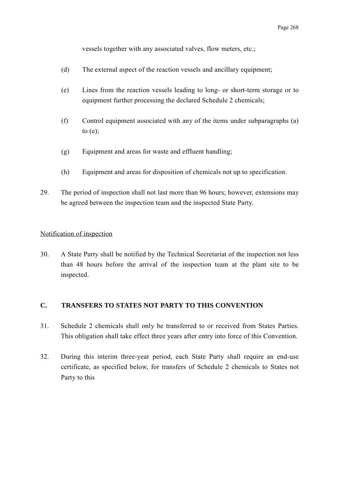vessels together with any associated valves, flow meters, etc.;

- (d) The external aspect of the reaction vessels and ancillary equipment;
- (e) Lines from the reaction vessels leading to long- or short-term storage or to equipment further processing the declared Schedule 2 chemicals;
- (f) Control equipment associated with any of the items under subparagraphs (a) to  $(e)$ ;
- (g) Equipment and areas for waste and effluent handling;
- (h) Equipment and areas for disposition of chemicals not up to specification.
- 29. The period of inspection shall not last more than 96 hours; however, extensions may be agreed between the inspection team and the inspected State Party.

### Notification of inspection

30. A State Party shall be notified by the Technical Secretariat of the inspection not less than 48 hours before the arrival of the inspection team at the plant site to be inspected.

# **C. TRANSFERS TO STATES NOT PARTY TO THIS CONVENTION**

- 31. Schedule 2 chemicals shall only be transferred to or received from States Parties. This obligation shall take effect three years after entry into force of this Convention.
- 32. During this interim three-year period, each State Party shall require an end-use certificate, as specified below, for transfers of Schedule 2 chemicals to States not Party to this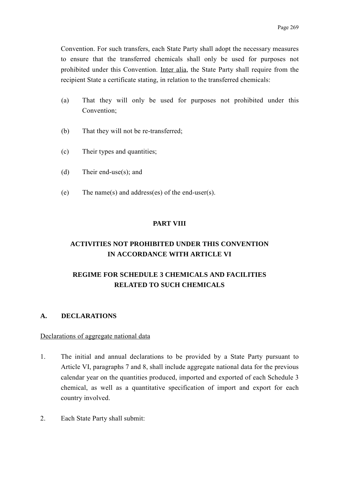Convention. For such transfers, each State Party shall adopt the necessary measures to ensure that the transferred chemicals shall only be used for purposes not prohibited under this Convention. Inter alia, the State Party shall require from the recipient State a certificate stating, in relation to the transferred chemicals:

- (a) That they will only be used for purposes not prohibited under this Convention;
- (b) That they will not be re-transferred;
- (c) Their types and quantities;
- (d) Their end-use(s); and
- (e) The name(s) and address(es) of the end-user(s).

# **PART VIII**

# **ACTIVITIES NOT PROHIBITED UNDER THIS CONVENTION IN ACCORDANCE WITH ARTICLE VI**

# **REGIME FOR SCHEDULE 3 CHEMICALS AND FACILITIES RELATED TO SUCH CHEMICALS**

# **A. DECLARATIONS**

## Declarations of aggregate national data

- 1. The initial and annual declarations to be provided by a State Party pursuant to Article VI, paragraphs 7 and 8, shall include aggregate national data for the previous calendar year on the quantities produced, imported and exported of each Schedule 3 chemical, as well as a quantitative specification of import and export for each country involved.
- 2. Each State Party shall submit: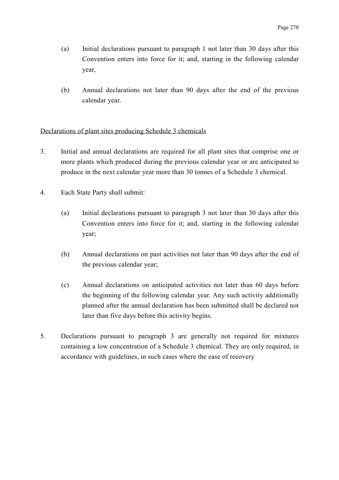- (a) Initial declarations pursuant to paragraph 1 not later than 30 days after this Convention enters into force for it; and, starting in the following calendar year,
- (b) Annual declarations not later than 90 days after the end of the previous calendar year.

# Declarations of plant sites producing Schedule 3 chemicals

- 3. Initial and annual declarations are required for all plant sites that comprise one or more plants which produced during the previous calendar year or are anticipated to produce in the next calendar year more than 30 tonnes of a Schedule 3 chemical.
- 4. Each State Party shall submit:
	- (a) Initial declarations pursuant to paragraph 3 not later than 30 days after this Convention enters into force for it; and, starting in the following calendar year;
	- (b) Annual declarations on past activities not later than 90 days after the end of the previous calendar year;
	- (c) Annual declarations on anticipated activities not later than 60 days before the beginning of the following calendar year. Any such activity additionally planned after the annual declaration has been submitted shall be declared not later than five days before this activity begins.
- 5. Declarations pursuant to paragraph 3 are generally not required for mixtures containing a low concentration of a Schedule 3 chemical. They are only required, in accordance with guidelines, in such cases where the ease of recovery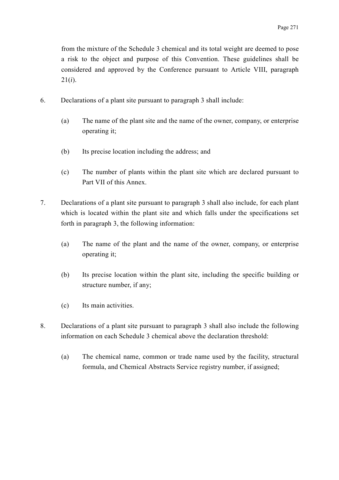from the mixture of the Schedule 3 chemical and its total weight are deemed to pose a risk to the object and purpose of this Convention. These guidelines shall be considered and approved by the Conference pursuant to Article VIII, paragraph 21(*i*).

- 6. Declarations of a plant site pursuant to paragraph 3 shall include:
	- (a) The name of the plant site and the name of the owner, company, or enterprise operating it;
	- (b) Its precise location including the address; and
	- (c) The number of plants within the plant site which are declared pursuant to Part VII of this Annex.
- 7. Declarations of a plant site pursuant to paragraph 3 shall also include, for each plant which is located within the plant site and which falls under the specifications set forth in paragraph 3, the following information:
	- (a) The name of the plant and the name of the owner, company, or enterprise operating it;
	- (b) Its precise location within the plant site, including the specific building or structure number, if any;
	- (c) Its main activities.
- 8. Declarations of a plant site pursuant to paragraph 3 shall also include the following information on each Schedule 3 chemical above the declaration threshold:
	- (a) The chemical name, common or trade name used by the facility, structural formula, and Chemical Abstracts Service registry number, if assigned;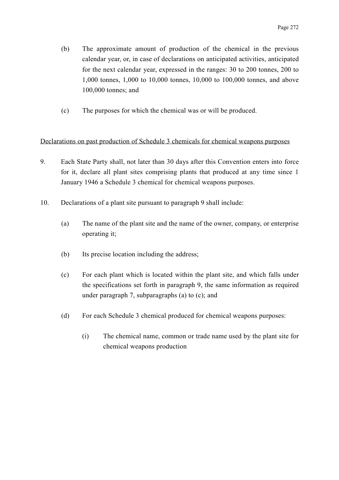- (b) The approximate amount of production of the chemical in the previous calendar year, or, in case of declarations on anticipated activities, anticipated for the next calendar year, expressed in the ranges: 30 to 200 tonnes, 200 to 1,000 tonnes, 1,000 to 10,000 tonnes, 10,000 to 100,000 tonnes, and above 100,000 tonnes; and
- (c) The purposes for which the chemical was or will be produced.

# Declarations on past production of Schedule 3 chemicals for chemical weapons purposes

- 9. Each State Party shall, not later than 30 days after this Convention enters into force for it, declare all plant sites comprising plants that produced at any time since 1 January 1946 a Schedule 3 chemical for chemical weapons purposes.
- 10. Declarations of a plant site pursuant to paragraph 9 shall include:
	- (a) The name of the plant site and the name of the owner, company, or enterprise operating it;
	- (b) Its precise location including the address;
	- (c) For each plant which is located within the plant site, and which falls under the specifications set forth in paragraph 9, the same information as required under paragraph 7, subparagraphs (a) to (c); and
	- (d) For each Schedule 3 chemical produced for chemical weapons purposes:
		- (i) The chemical name, common or trade name used by the plant site for chemical weapons production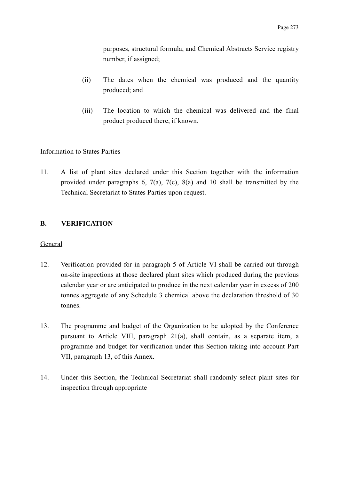purposes, structural formula, and Chemical Abstracts Service registry number, if assigned;

- (ii) The dates when the chemical was produced and the quantity produced; and
- (iii) The location to which the chemical was delivered and the final product produced there, if known.

# Information to States Parties

11. A list of plant sites declared under this Section together with the information provided under paragraphs 6, 7(a), 7(c), 8(a) and 10 shall be transmitted by the Technical Secretariat to States Parties upon request.

# **B. VERIFICATION**

## General

- 12. Verification provided for in paragraph 5 of Article VI shall be carried out through on-site inspections at those declared plant sites which produced during the previous calendar year or are anticipated to produce in the next calendar year in excess of 200 tonnes aggregate of any Schedule 3 chemical above the declaration threshold of 30 tonnes.
- 13. The programme and budget of the Organization to be adopted by the Conference pursuant to Article VIII, paragraph 21(a), shall contain, as a separate item, a programme and budget for verification under this Section taking into account Part VII, paragraph 13, of this Annex.
- 14. Under this Section, the Technical Secretariat shall randomly select plant sites for inspection through appropriate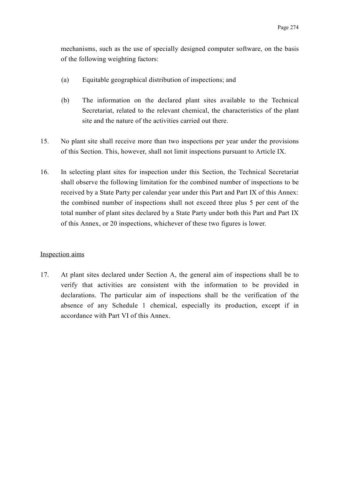mechanisms, such as the use of specially designed computer software, on the basis of the following weighting factors:

- (a) Equitable geographical distribution of inspections; and
- (b) The information on the declared plant sites available to the Technical Secretariat, related to the relevant chemical, the characteristics of the plant site and the nature of the activities carried out there.
- 15. No plant site shall receive more than two inspections per year under the provisions of this Section. This, however, shall not limit inspections pursuant to Article IX.
- 16. In selecting plant sites for inspection under this Section, the Technical Secretariat shall observe the following limitation for the combined number of inspections to be received by a State Party per calendar year under this Part and Part IX of this Annex: the combined number of inspections shall not exceed three plus 5 per cent of the total number of plant sites declared by a State Party under both this Part and Part IX of this Annex, or 20 inspections, whichever of these two figures is lower.

## Inspection aims

17. At plant sites declared under Section A, the general aim of inspections shall be to verify that activities are consistent with the information to be provided in declarations. The particular aim of inspections shall be the verification of the absence of any Schedule 1 chemical, especially its production, except if in accordance with Part VI of this Annex.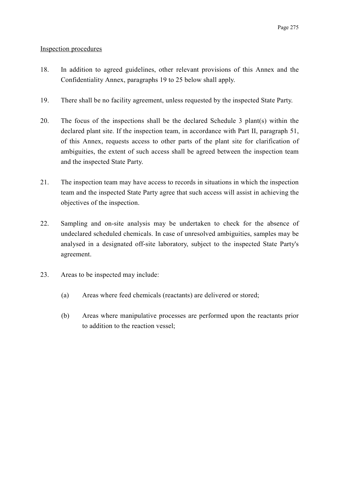# Inspection procedures

- 18. In addition to agreed guidelines, other relevant provisions of this Annex and the Confidentiality Annex, paragraphs 19 to 25 below shall apply.
- 19. There shall be no facility agreement, unless requested by the inspected State Party.
- 20. The focus of the inspections shall be the declared Schedule 3 plant(s) within the declared plant site. If the inspection team, in accordance with Part II, paragraph 51, of this Annex, requests access to other parts of the plant site for clarification of ambiguities, the extent of such access shall be agreed between the inspection team and the inspected State Party.
- 21. The inspection team may have access to records in situations in which the inspection team and the inspected State Party agree that such access will assist in achieving the objectives of the inspection.
- 22. Sampling and on-site analysis may be undertaken to check for the absence of undeclared scheduled chemicals. In case of unresolved ambiguities, samples may be analysed in a designated off-site laboratory, subject to the inspected State Party's agreement.
- 23. Areas to be inspected may include:
	- (a) Areas where feed chemicals (reactants) are delivered or stored;
	- (b) Areas where manipulative processes are performed upon the reactants prior to addition to the reaction vessel;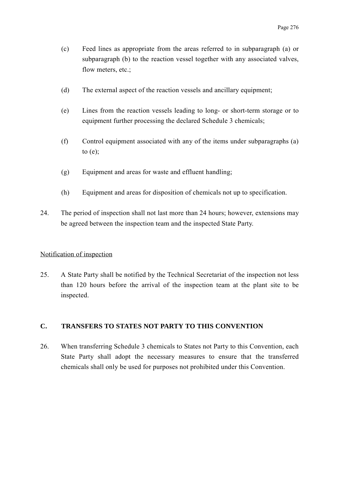- (c) Feed lines as appropriate from the areas referred to in subparagraph (a) or subparagraph (b) to the reaction vessel together with any associated valves, flow meters, etc.;
- (d) The external aspect of the reaction vessels and ancillary equipment;
- (e) Lines from the reaction vessels leading to long- or short-term storage or to equipment further processing the declared Schedule 3 chemicals;
- (f) Control equipment associated with any of the items under subparagraphs (a) to  $(e)$ ;
- (g) Equipment and areas for waste and effluent handling;
- (h) Equipment and areas for disposition of chemicals not up to specification.
- 24. The period of inspection shall not last more than 24 hours; however, extensions may be agreed between the inspection team and the inspected State Party.

## Notification of inspection

25. A State Party shall be notified by the Technical Secretariat of the inspection not less than 120 hours before the arrival of the inspection team at the plant site to be inspected.

## **C. TRANSFERS TO STATES NOT PARTY TO THIS CONVENTION**

26. When transferring Schedule 3 chemicals to States not Party to this Convention, each State Party shall adopt the necessary measures to ensure that the transferred chemicals shall only be used for purposes not prohibited under this Convention.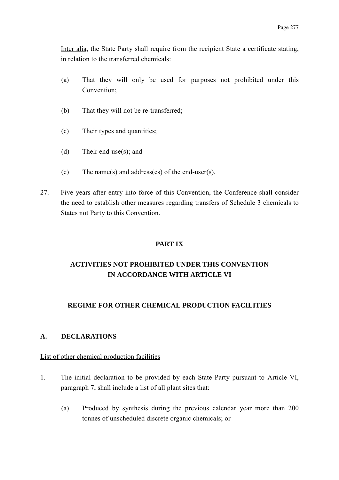Inter alia, the State Party shall require from the recipient State a certificate stating, in relation to the transferred chemicals:

- (a) That they will only be used for purposes not prohibited under this Convention;
- (b) That they will not be re-transferred;
- (c) Their types and quantities;
- (d) Their end-use(s); and
- (e) The name(s) and address(es) of the end-user(s).
- 27. Five years after entry into force of this Convention, the Conference shall consider the need to establish other measures regarding transfers of Schedule 3 chemicals to States not Party to this Convention.

## **PART IX**

# **ACTIVITIES NOT PROHIBITED UNDER THIS CONVENTION IN ACCORDANCE WITH ARTICLE VI**

## **REGIME FOR OTHER CHEMICAL PRODUCTION FACILITIES**

## **A. DECLARATIONS**

#### List of other chemical production facilities

- 1. The initial declaration to be provided by each State Party pursuant to Article VI, paragraph 7, shall include a list of all plant sites that:
	- (a) Produced by synthesis during the previous calendar year more than 200 tonnes of unscheduled discrete organic chemicals; or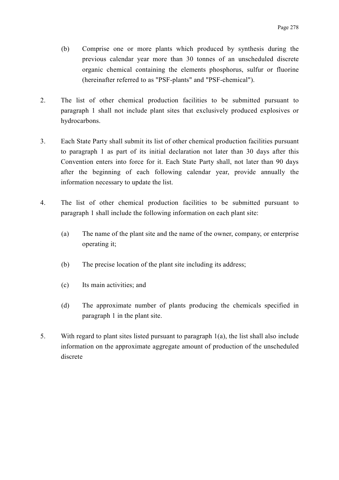- (b) Comprise one or more plants which produced by synthesis during the previous calendar year more than 30 tonnes of an unscheduled discrete organic chemical containing the elements phosphorus, sulfur or fluorine (hereinafter referred to as "PSF-plants" and "PSF-chemical").
- 2. The list of other chemical production facilities to be submitted pursuant to paragraph 1 shall not include plant sites that exclusively produced explosives or hydrocarbons.
- 3. Each State Party shall submit its list of other chemical production facilities pursuant to paragraph 1 as part of its initial declaration not later than 30 days after this Convention enters into force for it. Each State Party shall, not later than 90 days after the beginning of each following calendar year, provide annually the information necessary to update the list.
- 4. The list of other chemical production facilities to be submitted pursuant to paragraph 1 shall include the following information on each plant site:
	- (a) The name of the plant site and the name of the owner, company, or enterprise operating it;
	- (b) The precise location of the plant site including its address;
	- (c) Its main activities; and
	- (d) The approximate number of plants producing the chemicals specified in paragraph 1 in the plant site.
- 5. With regard to plant sites listed pursuant to paragraph 1(a), the list shall also include information on the approximate aggregate amount of production of the unscheduled discrete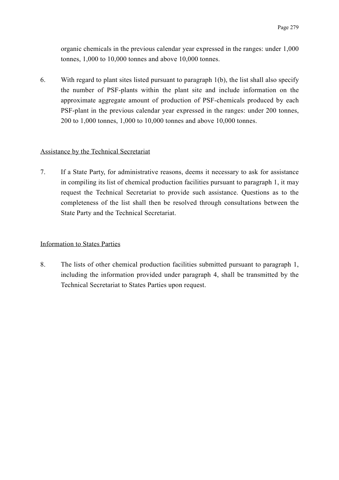organic chemicals in the previous calendar year expressed in the ranges: under 1,000 tonnes, 1,000 to 10,000 tonnes and above 10,000 tonnes.

6. With regard to plant sites listed pursuant to paragraph 1(b), the list shall also specify the number of PSF-plants within the plant site and include information on the approximate aggregate amount of production of PSF-chemicals produced by each PSF-plant in the previous calendar year expressed in the ranges: under 200 tonnes, 200 to 1,000 tonnes, 1,000 to 10,000 tonnes and above 10,000 tonnes.

## Assistance by the Technical Secretariat

7. If a State Party, for administrative reasons, deems it necessary to ask for assistance in compiling its list of chemical production facilities pursuant to paragraph 1, it may request the Technical Secretariat to provide such assistance. Questions as to the completeness of the list shall then be resolved through consultations between the State Party and the Technical Secretariat.

#### Information to States Parties

8. The lists of other chemical production facilities submitted pursuant to paragraph 1, including the information provided under paragraph 4, shall be transmitted by the Technical Secretariat to States Parties upon request.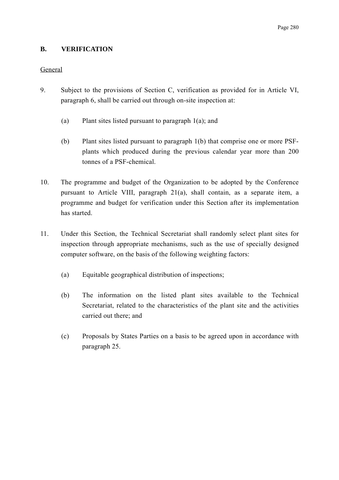## **B. VERIFICATION**

## General

- 9. Subject to the provisions of Section C, verification as provided for in Article VI, paragraph 6, shall be carried out through on-site inspection at:
	- (a) Plant sites listed pursuant to paragraph 1(a); and
	- (b) Plant sites listed pursuant to paragraph 1(b) that comprise one or more PSFplants which produced during the previous calendar year more than 200 tonnes of a PSF-chemical.
- 10. The programme and budget of the Organization to be adopted by the Conference pursuant to Article VIII, paragraph 21(a), shall contain, as a separate item, a programme and budget for verification under this Section after its implementation has started.
- 11. Under this Section, the Technical Secretariat shall randomly select plant sites for inspection through appropriate mechanisms, such as the use of specially designed computer software, on the basis of the following weighting factors:
	- (a) Equitable geographical distribution of inspections;
	- (b) The information on the listed plant sites available to the Technical Secretariat, related to the characteristics of the plant site and the activities carried out there; and
	- (c) Proposals by States Parties on a basis to be agreed upon in accordance with paragraph 25.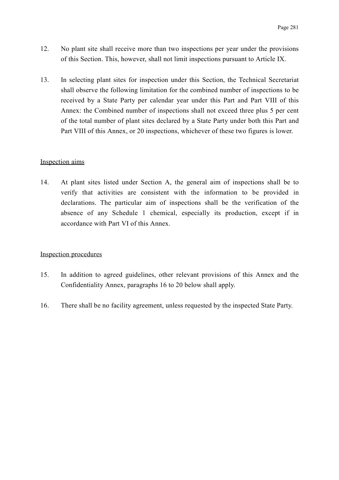- 12. No plant site shall receive more than two inspections per year under the provisions of this Section. This, however, shall not limit inspections pursuant to Article IX.
- 13. In selecting plant sites for inspection under this Section, the Technical Secretariat shall observe the following limitation for the combined number of inspections to be received by a State Party per calendar year under this Part and Part VIII of this Annex: the Combined number of inspections shall not exceed three plus 5 per cent of the total number of plant sites declared by a State Party under both this Part and Part VIII of this Annex, or 20 inspections, whichever of these two figures is lower.

#### Inspection aims

14. At plant sites listed under Section A, the general aim of inspections shall be to verify that activities are consistent with the information to be provided in declarations. The particular aim of inspections shall be the verification of the absence of any Schedule 1 chemical, especially its production, except if in accordance with Part VI of this Annex.

#### Inspection procedures

- 15. In addition to agreed guidelines, other relevant provisions of this Annex and the Confidentiality Annex, paragraphs 16 to 20 below shall apply.
- 16. There shall be no facility agreement, unless requested by the inspected State Party.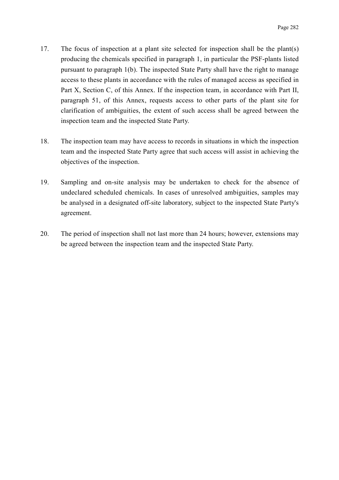- 17. The focus of inspection at a plant site selected for inspection shall be the plant(s) producing the chemicals specified in paragraph 1, in particular the PSF-plants listed pursuant to paragraph 1(b). The inspected State Party shall have the right to manage access to these plants in accordance with the rules of managed access as specified in Part X, Section C, of this Annex. If the inspection team, in accordance with Part II, paragraph 51, of this Annex, requests access to other parts of the plant site for clarification of ambiguities, the extent of such access shall be agreed between the inspection team and the inspected State Party.
- 18. The inspection team may have access to records in situations in which the inspection team and the inspected State Party agree that such access will assist in achieving the objectives of the inspection.
- 19. Sampling and on-site analysis may be undertaken to check for the absence of undeclared scheduled chemicals. In cases of unresolved ambiguities, samples may be analysed in a designated off-site laboratory, subject to the inspected State Party's agreement.
- 20. The period of inspection shall not last more than 24 hours; however, extensions may be agreed between the inspection team and the inspected State Party.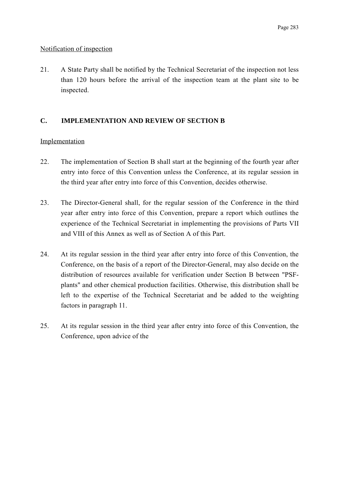## Notification of inspection

21. A State Party shall be notified by the Technical Secretariat of the inspection not less than 120 hours before the arrival of the inspection team at the plant site to be inspected.

## **C. IMPLEMENTATION AND REVIEW OF SECTION B**

## Implementation

- 22. The implementation of Section B shall start at the beginning of the fourth year after entry into force of this Convention unless the Conference, at its regular session in the third year after entry into force of this Convention, decides otherwise.
- 23. The Director-General shall, for the regular session of the Conference in the third year after entry into force of this Convention, prepare a report which outlines the experience of the Technical Secretariat in implementing the provisions of Parts VII and VIII of this Annex as well as of Section A of this Part.
- 24. At its regular session in the third year after entry into force of this Convention, the Conference, on the basis of a report of the Director-General, may also decide on the distribution of resources available for verification under Section B between "PSFplants" and other chemical production facilities. Otherwise, this distribution shall be left to the expertise of the Technical Secretariat and be added to the weighting factors in paragraph 11.
- 25. At its regular session in the third year after entry into force of this Convention, the Conference, upon advice of the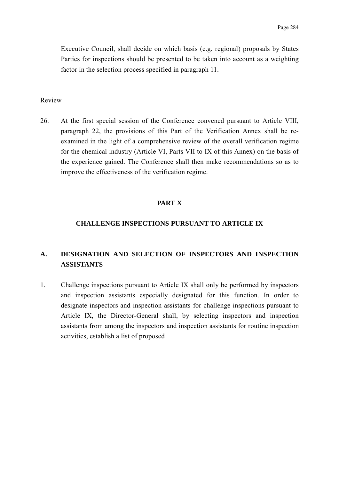Executive Council, shall decide on which basis (e.g. regional) proposals by States Parties for inspections should be presented to be taken into account as a weighting factor in the selection process specified in paragraph 11.

#### Review

26. At the first special session of the Conference convened pursuant to Article VIII, paragraph 22, the provisions of this Part of the Verification Annex shall be reexamined in the light of a comprehensive review of the overall verification regime for the chemical industry (Article VI, Parts VII to IX of this Annex) on the basis of the experience gained. The Conference shall then make recommendations so as to improve the effectiveness of the verification regime.

#### **PART X**

#### **CHALLENGE INSPECTIONS PURSUANT TO ARTICLE IX**

# **A. DESIGNATION AND SELECTION OF INSPECTORS AND INSPECTION ASSISTANTS**

1. Challenge inspections pursuant to Article IX shall only be performed by inspectors and inspection assistants especially designated for this function. In order to designate inspectors and inspection assistants for challenge inspections pursuant to Article IX, the Director-General shall, by selecting inspectors and inspection assistants from among the inspectors and inspection assistants for routine inspection activities, establish a list of proposed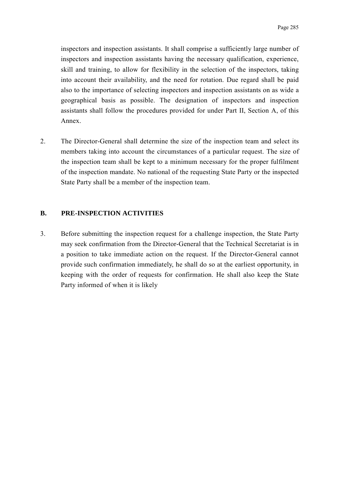inspectors and inspection assistants. It shall comprise a sufficiently large number of inspectors and inspection assistants having the necessary qualification, experience, skill and training, to allow for flexibility in the selection of the inspectors, taking into account their availability, and the need for rotation. Due regard shall be paid also to the importance of selecting inspectors and inspection assistants on as wide a geographical basis as possible. The designation of inspectors and inspection assistants shall follow the procedures provided for under Part II, Section A, of this Annex.

2. The Director-General shall determine the size of the inspection team and select its members taking into account the circumstances of a particular request. The size of the inspection team shall be kept to a minimum necessary for the proper fulfilment of the inspection mandate. No national of the requesting State Party or the inspected State Party shall be a member of the inspection team.

## **B. PRE-INSPECTION ACTIVITIES**

3. Before submitting the inspection request for a challenge inspection, the State Party may seek confirmation from the Director-General that the Technical Secretariat is in a position to take immediate action on the request. If the Director-General cannot provide such confirmation immediately, he shall do so at the earliest opportunity, in keeping with the order of requests for confirmation. He shall also keep the State Party informed of when it is likely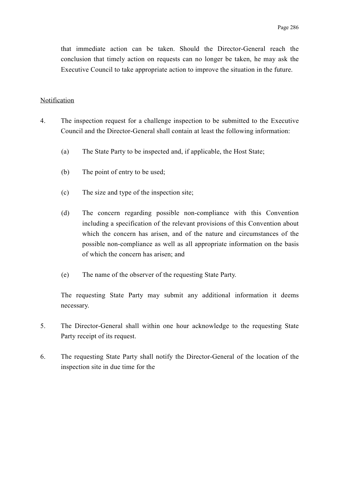that immediate action can be taken. Should the Director-General reach the conclusion that timely action on requests can no longer be taken, he may ask the Executive Council to take appropriate action to improve the situation in the future.

#### Notification

- 4. The inspection request for a challenge inspection to be submitted to the Executive Council and the Director-General shall contain at least the following information:
	- (a) The State Party to be inspected and, if applicable, the Host State;
	- (b) The point of entry to be used;
	- (c) The size and type of the inspection site;
	- (d) The concern regarding possible non-compliance with this Convention including a specification of the relevant provisions of this Convention about which the concern has arisen, and of the nature and circumstances of the possible non-compliance as well as all appropriate information on the basis of which the concern has arisen; and
	- (e) The name of the observer of the requesting State Party.

The requesting State Party may submit any additional information it deems necessary.

- 5. The Director-General shall within one hour acknowledge to the requesting State Party receipt of its request.
- 6. The requesting State Party shall notify the Director-General of the location of the inspection site in due time for the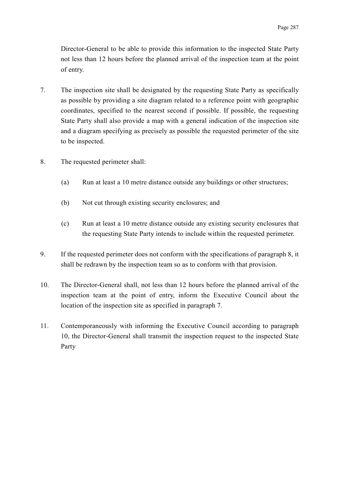Director-General to be able to provide this information to the inspected State Party not less than 12 hours before the planned arrival of the inspection team at the point of entry.

- 7. The inspection site shall be designated by the requesting State Party as specifically as possible by providing a site diagram related to a reference point with geographic coordinates, specified to the nearest second if possible. If possible, the requesting State Party shall also provide a map with a general indication of the inspection site and a diagram specifying as precisely as possible the requested perimeter of the site to be inspected.
- 8. The requested perimeter shall:
	- (a) Run at least a 10 metre distance outside any buildings or other structures;
	- (b) Not cut through existing security enclosures; and
	- (c) Run at least a 10 metre distance outside any existing security enclosures that the requesting State Party intends to include within the requested perimeter.
- 9. If the requested perimeter does not conform with the specifications of paragraph 8, it shall be redrawn by the inspection team so as to conform with that provision.
- 10. The Director-General shall, not less than 12 hours before the planned arrival of the inspection team at the point of entry, inform the Executive Council about the location of the inspection site as specified in paragraph 7.
- 11. Contemporaneously with informing the Executive Council according to paragraph 10, the Director-General shall transmit the inspection request to the inspected State Party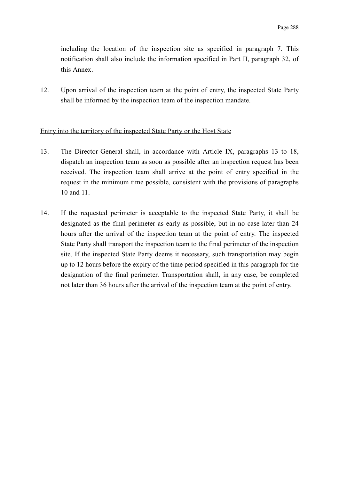including the location of the inspection site as specified in paragraph 7. This notification shall also include the information specified in Part II, paragraph 32, of this Annex.

12. Upon arrival of the inspection team at the point of entry, the inspected State Party shall be informed by the inspection team of the inspection mandate.

#### Entry into the territory of the inspected State Party or the Host State

- 13. The Director-General shall, in accordance with Article IX, paragraphs 13 to 18, dispatch an inspection team as soon as possible after an inspection request has been received. The inspection team shall arrive at the point of entry specified in the request in the minimum time possible, consistent with the provisions of paragraphs 10 and 11.
- 14. If the requested perimeter is acceptable to the inspected State Party, it shall be designated as the final perimeter as early as possible, but in no case later than 24 hours after the arrival of the inspection team at the point of entry. The inspected State Party shall transport the inspection team to the final perimeter of the inspection site. If the inspected State Party deems it necessary, such transportation may begin up to 12 hours before the expiry of the time period specified in this paragraph for the designation of the final perimeter. Transportation shall, in any case, be completed not later than 36 hours after the arrival of the inspection team at the point of entry.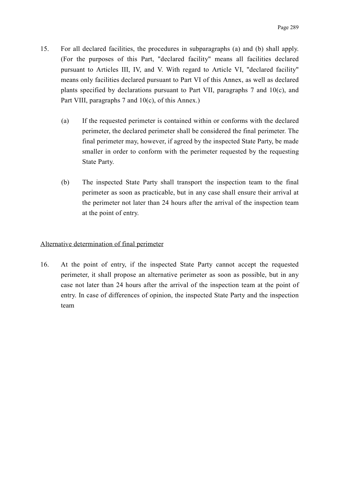- 15. For all declared facilities, the procedures in subparagraphs (a) and (b) shall apply. (For the purposes of this Part, "declared facility" means all facilities declared pursuant to Articles III, IV, and V. With regard to Article VI, "declared facility" means only facilities declared pursuant to Part VI of this Annex, as well as declared plants specified by declarations pursuant to Part VII, paragraphs 7 and 10(c), and Part VIII, paragraphs 7 and 10(c), of this Annex.)
	- (a) If the requested perimeter is contained within or conforms with the declared perimeter, the declared perimeter shall be considered the final perimeter. The final perimeter may, however, if agreed by the inspected State Party, be made smaller in order to conform with the perimeter requested by the requesting State Party.
	- (b) The inspected State Party shall transport the inspection team to the final perimeter as soon as practicable, but in any case shall ensure their arrival at the perimeter not later than 24 hours after the arrival of the inspection team at the point of entry.

## Alternative determination of final perimeter

16. At the point of entry, if the inspected State Party cannot accept the requested perimeter, it shall propose an alternative perimeter as soon as possible, but in any case not later than 24 hours after the arrival of the inspection team at the point of entry. In case of differences of opinion, the inspected State Party and the inspection team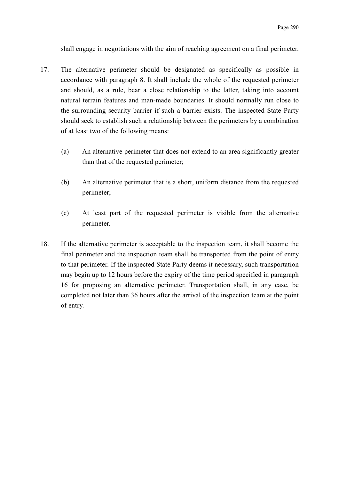shall engage in negotiations with the aim of reaching agreement on a final perimeter.

- 17. The alternative perimeter should be designated as specifically as possible in accordance with paragraph 8. It shall include the whole of the requested perimeter and should, as a rule, bear a close relationship to the latter, taking into account natural terrain features and man-made boundaries. It should normally run close to the surrounding security barrier if such a barrier exists. The inspected State Party should seek to establish such a relationship between the perimeters by a combination of at least two of the following means:
	- (a) An alternative perimeter that does not extend to an area significantly greater than that of the requested perimeter;
	- (b) An alternative perimeter that is a short, uniform distance from the requested perimeter;
	- (c) At least part of the requested perimeter is visible from the alternative perimeter.
- 18. If the alternative perimeter is acceptable to the inspection team, it shall become the final perimeter and the inspection team shall be transported from the point of entry to that perimeter. If the inspected State Party deems it necessary, such transportation may begin up to 12 hours before the expiry of the time period specified in paragraph 16 for proposing an alternative perimeter. Transportation shall, in any case, be completed not later than 36 hours after the arrival of the inspection team at the point of entry.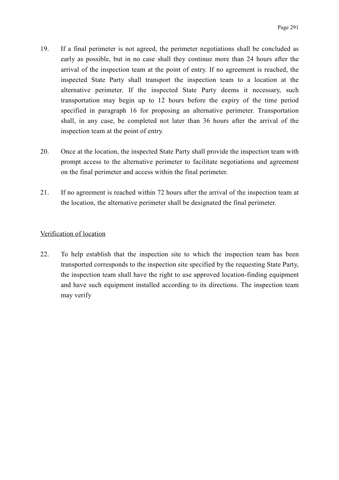- 19. If a final perimeter is not agreed, the perimeter negotiations shall be concluded as early as possible, but in no case shall they continue more than 24 hours after the arrival of the inspection team at the point of entry. If no agreement is reached, the inspected State Party shall transport the inspection team to a location at the alternative perimeter. If the inspected State Party deems it necessary, such transportation may begin up to 12 hours before the expiry of the time period specified in paragraph 16 for proposing an alternative perimeter. Transportation shall, in any case, be completed not later than 36 hours after the arrival of the inspection team at the point of entry.
- 20. Once at the location, the inspected State Party shall provide the inspection team with prompt access to the alternative perimeter to facilitate negotiations and agreement on the final perimeter and access within the final perimeter.
- 21. If no agreement is reached within 72 hours after the arrival of the inspection team at the location, the alternative perimeter shall be designated the final perimeter.

## Verification of location

22. To help establish that the inspection site to which the inspection team has been transported corresponds to the inspection site specified by the requesting State Party, the inspection team shall have the right to use approved location-finding equipment and have such equipment installed according to its directions. The inspection team may verify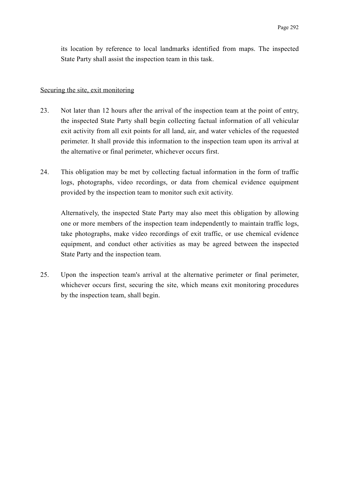its location by reference to local landmarks identified from maps. The inspected State Party shall assist the inspection team in this task.

#### Securing the site, exit monitoring

- 23. Not later than 12 hours after the arrival of the inspection team at the point of entry, the inspected State Party shall begin collecting factual information of all vehicular exit activity from all exit points for all land, air, and water vehicles of the requested perimeter. It shall provide this information to the inspection team upon its arrival at the alternative or final perimeter, whichever occurs first.
- 24. This obligation may be met by collecting factual information in the form of traffic logs, photographs, video recordings, or data from chemical evidence equipment provided by the inspection team to monitor such exit activity.

Alternatively, the inspected State Party may also meet this obligation by allowing one or more members of the inspection team independently to maintain traffic logs, take photographs, make video recordings of exit traffic, or use chemical evidence equipment, and conduct other activities as may be agreed between the inspected State Party and the inspection team.

25. Upon the inspection team's arrival at the alternative perimeter or final perimeter, whichever occurs first, securing the site, which means exit monitoring procedures by the inspection team, shall begin.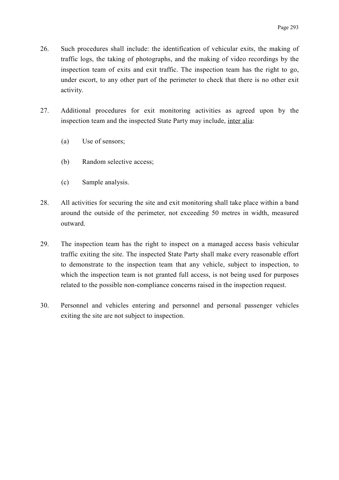- 26. Such procedures shall include: the identification of vehicular exits, the making of traffic logs, the taking of photographs, and the making of video recordings by the inspection team of exits and exit traffic. The inspection team has the right to go, under escort, to any other part of the perimeter to check that there is no other exit activity.
- 27. Additional procedures for exit monitoring activities as agreed upon by the inspection team and the inspected State Party may include, inter alia:
	- (a) Use of sensors;
	- (b) Random selective access;
	- (c) Sample analysis.
- 28. All activities for securing the site and exit monitoring shall take place within a band around the outside of the perimeter, not exceeding 50 metres in width, measured outward.
- 29. The inspection team has the right to inspect on a managed access basis vehicular traffic exiting the site. The inspected State Party shall make every reasonable effort to demonstrate to the inspection team that any vehicle, subject to inspection, to which the inspection team is not granted full access, is not being used for purposes related to the possible non-compliance concerns raised in the inspection request.
- 30. Personnel and vehicles entering and personnel and personal passenger vehicles exiting the site are not subject to inspection.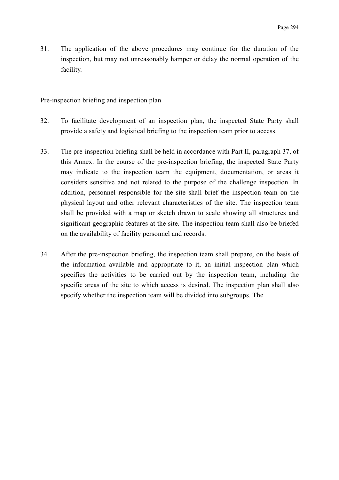31. The application of the above procedures may continue for the duration of the inspection, but may not unreasonably hamper or delay the normal operation of the facility.

#### Pre-inspection briefing and inspection plan

- 32. To facilitate development of an inspection plan, the inspected State Party shall provide a safety and logistical briefing to the inspection team prior to access.
- 33. The pre-inspection briefing shall be held in accordance with Part II, paragraph 37, of this Annex. In the course of the pre-inspection briefing, the inspected State Party may indicate to the inspection team the equipment, documentation, or areas it considers sensitive and not related to the purpose of the challenge inspection. In addition, personnel responsible for the site shall brief the inspection team on the physical layout and other relevant characteristics of the site. The inspection team shall be provided with a map or sketch drawn to scale showing all structures and significant geographic features at the site. The inspection team shall also be briefed on the availability of facility personnel and records.
- 34. After the pre-inspection briefing, the inspection team shall prepare, on the basis of the information available and appropriate to it, an initial inspection plan which specifies the activities to be carried out by the inspection team, including the specific areas of the site to which access is desired. The inspection plan shall also specify whether the inspection team will be divided into subgroups. The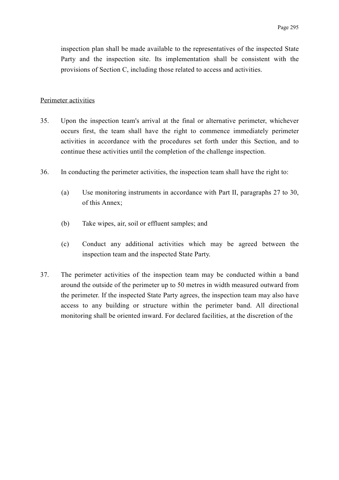inspection plan shall be made available to the representatives of the inspected State Party and the inspection site. Its implementation shall be consistent with the provisions of Section C, including those related to access and activities.

#### Perimeter activities

- 35. Upon the inspection team's arrival at the final or alternative perimeter, whichever occurs first, the team shall have the right to commence immediately perimeter activities in accordance with the procedures set forth under this Section, and to continue these activities until the completion of the challenge inspection.
- 36. In conducting the perimeter activities, the inspection team shall have the right to:
	- (a) Use monitoring instruments in accordance with Part II, paragraphs 27 to 30, of this Annex;
	- (b) Take wipes, air, soil or effluent samples; and
	- (c) Conduct any additional activities which may be agreed between the inspection team and the inspected State Party.
- 37. The perimeter activities of the inspection team may be conducted within a band around the outside of the perimeter up to 50 metres in width measured outward from the perimeter. If the inspected State Party agrees, the inspection team may also have access to any building or structure within the perimeter band. All directional monitoring shall be oriented inward. For declared facilities, at the discretion of the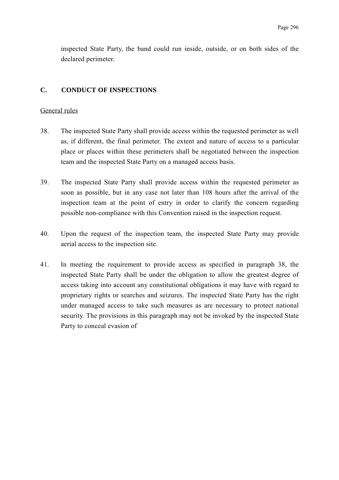inspected State Party, the band could run inside, outside, or on both sides of the declared perimeter.

### **C. CONDUCT OF INSPECTIONS**

#### General rules

- 38. The inspected State Party shall provide access within the requested perimeter as well as, if different, the final perimeter. The extent and nature of access to a particular place or places within these perimeters shall be negotiated between the inspection team and the inspected State Party on a managed access basis.
- 39. The inspected State Party shall provide access within the requested perimeter as soon as possible, but in any case not later than 108 hours after the arrival of the inspection team at the point of entry in order to clarify the concern regarding possible non-compliance with this Convention raised in the inspection request.
- 40. Upon the request of the inspection team, the inspected State Party may provide aerial access to the inspection site.
- 41. In meeting the requirement to provide access as specified in paragraph 38, the inspected State Party shall be under the obligation to allow the greatest degree of access taking into account any constitutional obligations it may have with regard to proprietary rights or searches and seizures. The inspected State Party has the right under managed access to take such measures as are necessary to protect national security. The provisions in this paragraph may not be invoked by the inspected State Party to conceal evasion of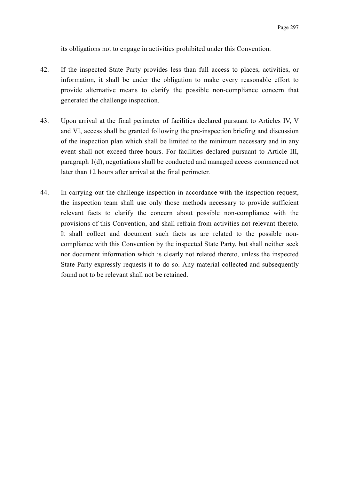its obligations not to engage in activities prohibited under this Convention.

- 42. If the inspected State Party provides less than full access to places, activities, or information, it shall be under the obligation to make every reasonable effort to provide alternative means to clarify the possible non-compliance concern that generated the challenge inspection.
- 43. Upon arrival at the final perimeter of facilities declared pursuant to Articles IV, V and VI, access shall be granted following the pre-inspection briefing and discussion of the inspection plan which shall be limited to the minimum necessary and in any event shall not exceed three hours. For facilities declared pursuant to Article III, paragraph 1(d), negotiations shall be conducted and managed access commenced not later than 12 hours after arrival at the final perimeter.
- 44. In carrying out the challenge inspection in accordance with the inspection request, the inspection team shall use only those methods necessary to provide sufficient relevant facts to clarify the concern about possible non-compliance with the provisions of this Convention, and shall refrain from activities not relevant thereto. It shall collect and document such facts as are related to the possible noncompliance with this Convention by the inspected State Party, but shall neither seek nor document information which is clearly not related thereto, unless the inspected State Party expressly requests it to do so. Any material collected and subsequently found not to be relevant shall not be retained.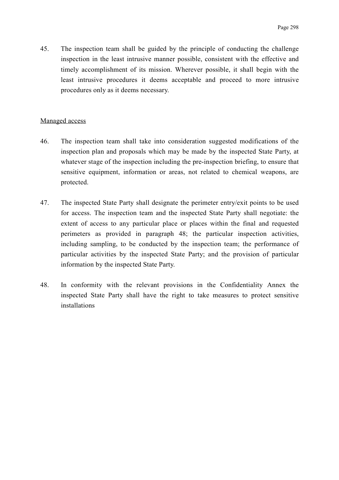45. The inspection team shall be guided by the principle of conducting the challenge inspection in the least intrusive manner possible, consistent with the effective and timely accomplishment of its mission. Wherever possible, it shall begin with the least intrusive procedures it deems acceptable and proceed to more intrusive procedures only as it deems necessary.

#### Managed access

- 46. The inspection team shall take into consideration suggested modifications of the inspection plan and proposals which may be made by the inspected State Party, at whatever stage of the inspection including the pre-inspection briefing, to ensure that sensitive equipment, information or areas, not related to chemical weapons, are protected.
- 47. The inspected State Party shall designate the perimeter entry/exit points to be used for access. The inspection team and the inspected State Party shall negotiate: the extent of access to any particular place or places within the final and requested perimeters as provided in paragraph 48; the particular inspection activities, including sampling, to be conducted by the inspection team; the performance of particular activities by the inspected State Party; and the provision of particular information by the inspected State Party.
- 48. In conformity with the relevant provisions in the Confidentiality Annex the inspected State Party shall have the right to take measures to protect sensitive installations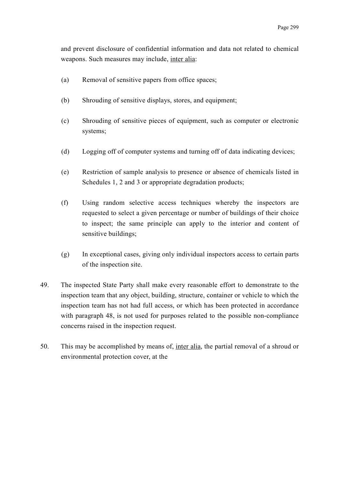and prevent disclosure of confidential information and data not related to chemical weapons. Such measures may include, inter alia:

- (a) Removal of sensitive papers from office spaces;
- (b) Shrouding of sensitive displays, stores, and equipment;
- (c) Shrouding of sensitive pieces of equipment, such as computer or electronic systems;
- (d) Logging off of computer systems and turning off of data indicating devices;
- (e) Restriction of sample analysis to presence or absence of chemicals listed in Schedules 1, 2 and 3 or appropriate degradation products;
- (f) Using random selective access techniques whereby the inspectors are requested to select a given percentage or number of buildings of their choice to inspect; the same principle can apply to the interior and content of sensitive buildings;
- (g) In exceptional cases, giving only individual inspectors access to certain parts of the inspection site.
- 49. The inspected State Party shall make every reasonable effort to demonstrate to the inspection team that any object, building, structure, container or vehicle to which the inspection team has not had full access, or which has been protected in accordance with paragraph 48, is not used for purposes related to the possible non-compliance concerns raised in the inspection request.
- 50. This may be accomplished by means of, inter alia, the partial removal of a shroud or environmental protection cover, at the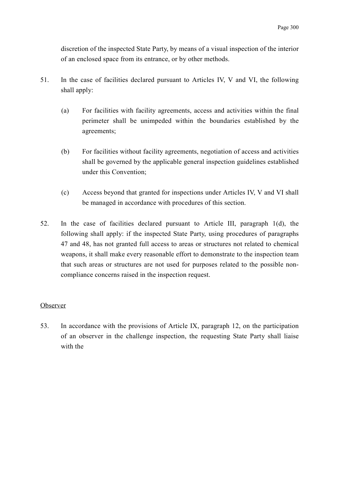discretion of the inspected State Party, by means of a visual inspection of the interior of an enclosed space from its entrance, or by other methods.

- 51. In the case of facilities declared pursuant to Articles IV, V and VI, the following shall apply:
	- (a) For facilities with facility agreements, access and activities within the final perimeter shall be unimpeded within the boundaries established by the agreements;
	- (b) For facilities without facility agreements, negotiation of access and activities shall be governed by the applicable general inspection guidelines established under this Convention;
	- (c) Access beyond that granted for inspections under Articles IV, V and VI shall be managed in accordance with procedures of this section.
- 52. In the case of facilities declared pursuant to Article III, paragraph 1(d), the following shall apply: if the inspected State Party, using procedures of paragraphs 47 and 48, has not granted full access to areas or structures not related to chemical weapons, it shall make every reasonable effort to demonstrate to the inspection team that such areas or structures are not used for purposes related to the possible noncompliance concerns raised in the inspection request.

#### Observer

53. In accordance with the provisions of Article IX, paragraph 12, on the participation of an observer in the challenge inspection, the requesting State Party shall liaise with the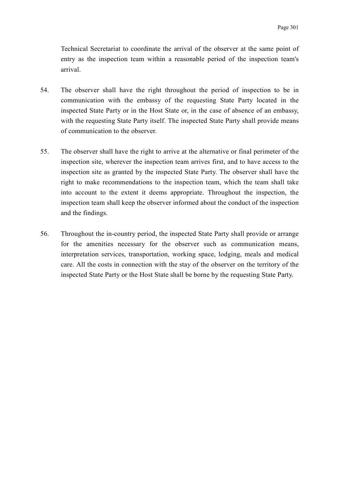Technical Secretariat to coordinate the arrival of the observer at the same point of entry as the inspection team within a reasonable period of the inspection team's arrival.

- 54. The observer shall have the right throughout the period of inspection to be in communication with the embassy of the requesting State Party located in the inspected State Party or in the Host State or, in the case of absence of an embassy, with the requesting State Party itself. The inspected State Party shall provide means of communication to the observer.
- 55. The observer shall have the right to arrive at the alternative or final perimeter of the inspection site, wherever the inspection team arrives first, and to have access to the inspection site as granted by the inspected State Party. The observer shall have the right to make recommendations to the inspection team, which the team shall take into account to the extent it deems appropriate. Throughout the inspection, the inspection team shall keep the observer informed about the conduct of the inspection and the findings.
- 56. Throughout the in-country period, the inspected State Party shall provide or arrange for the amenities necessary for the observer such as communication means, interpretation services, transportation, working space, lodging, meals and medical care. All the costs in connection with the stay of the observer on the territory of the inspected State Party or the Host State shall be borne by the requesting State Party.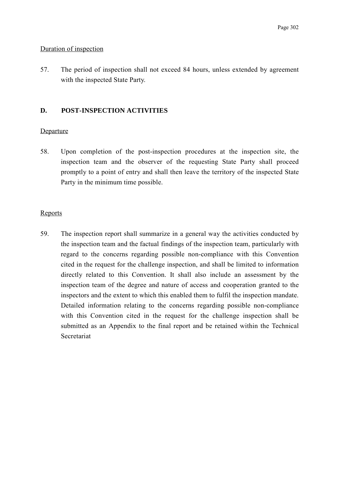#### Duration of inspection

57. The period of inspection shall not exceed 84 hours, unless extended by agreement with the inspected State Party.

## **D. POST-INSPECTION ACTIVITIES**

#### **Departure**

58. Upon completion of the post-inspection procedures at the inspection site, the inspection team and the observer of the requesting State Party shall proceed promptly to a point of entry and shall then leave the territory of the inspected State Party in the minimum time possible.

#### Reports

59. The inspection report shall summarize in a general way the activities conducted by the inspection team and the factual findings of the inspection team, particularly with regard to the concerns regarding possible non-compliance with this Convention cited in the request for the challenge inspection, and shall be limited to information directly related to this Convention. It shall also include an assessment by the inspection team of the degree and nature of access and cooperation granted to the inspectors and the extent to which this enabled them to fulfil the inspection mandate. Detailed information relating to the concerns regarding possible non-compliance with this Convention cited in the request for the challenge inspection shall be submitted as an Appendix to the final report and be retained within the Technical **Secretariat**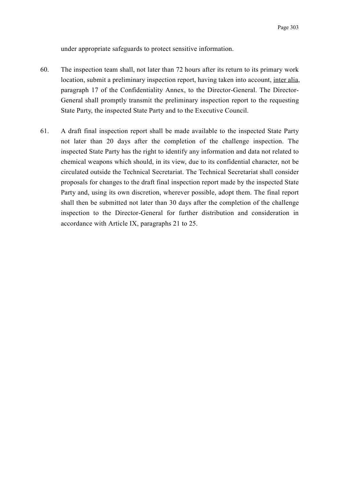under appropriate safeguards to protect sensitive information.

- 60. The inspection team shall, not later than 72 hours after its return to its primary work location, submit a preliminary inspection report, having taken into account, inter alia, paragraph 17 of the Confidentiality Annex, to the Director-General. The Director-General shall promptly transmit the preliminary inspection report to the requesting State Party, the inspected State Party and to the Executive Council.
- 61. A draft final inspection report shall be made available to the inspected State Party not later than 20 days after the completion of the challenge inspection. The inspected State Party has the right to identify any information and data not related to chemical weapons which should, in its view, due to its confidential character, not be circulated outside the Technical Secretariat. The Technical Secretariat shall consider proposals for changes to the draft final inspection report made by the inspected State Party and, using its own discretion, wherever possible, adopt them. The final report shall then be submitted not later than 30 days after the completion of the challenge inspection to the Director-General for further distribution and consideration in accordance with Article IX, paragraphs 21 to 25.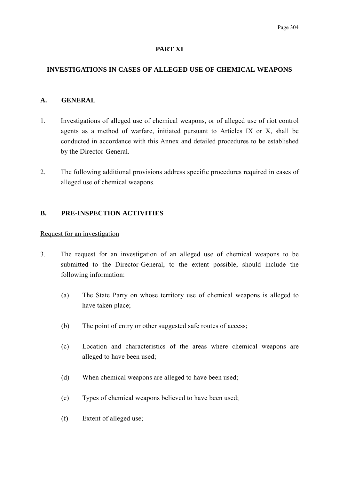## **PART XI**

## **INVESTIGATIONS IN CASES OF ALLEGED USE OF CHEMICAL WEAPONS**

### **A. GENERAL**

- 1. Investigations of alleged use of chemical weapons, or of alleged use of riot control agents as a method of warfare, initiated pursuant to Articles IX or X, shall be conducted in accordance with this Annex and detailed procedures to be established by the Director-General.
- 2. The following additional provisions address specific procedures required in cases of alleged use of chemical weapons.

## **B. PRE-INSPECTION ACTIVITIES**

### Request for an investigation

- 3. The request for an investigation of an alleged use of chemical weapons to be submitted to the Director-General, to the extent possible, should include the following information:
	- (a) The State Party on whose territory use of chemical weapons is alleged to have taken place;
	- (b) The point of entry or other suggested safe routes of access;
	- (c) Location and characteristics of the areas where chemical weapons are alleged to have been used;
	- (d) When chemical weapons are alleged to have been used;
	- (e) Types of chemical weapons believed to have been used;
	- (f) Extent of alleged use;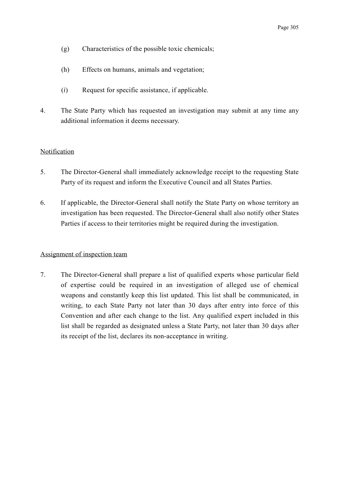- (g) Characteristics of the possible toxic chemicals;
- (h) Effects on humans, animals and vegetation;
- (*i*) Request for specific assistance, if applicable.
- 4. The State Party which has requested an investigation may submit at any time any additional information it deems necessary.

#### Notification

- 5. The Director-General shall immediately acknowledge receipt to the requesting State Party of its request and inform the Executive Council and all States Parties.
- 6. If applicable, the Director-General shall notify the State Party on whose territory an investigation has been requested. The Director-General shall also notify other States Parties if access to their territories might be required during the investigation.

#### Assignment of inspection team

7. The Director-General shall prepare a list of qualified experts whose particular field of expertise could be required in an investigation of alleged use of chemical weapons and constantly keep this list updated. This list shall be communicated, in writing, to each State Party not later than 30 days after entry into force of this Convention and after each change to the list. Any qualified expert included in this list shall be regarded as designated unless a State Party, not later than 30 days after its receipt of the list, declares its non-acceptance in writing.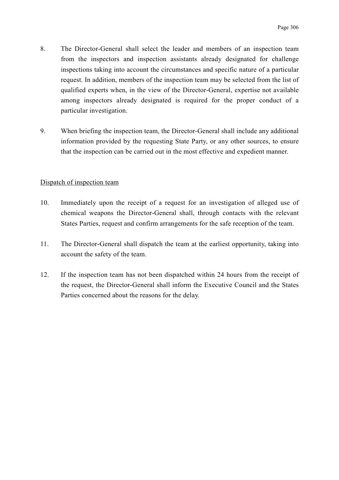- 8. The Director-General shall select the leader and members of an inspection team from the inspectors and inspection assistants already designated for challenge inspections taking into account the circumstances and specific nature of a particular request. In addition, members of the inspection team may be selected from the list of qualified experts when, in the view of the Director-General, expertise not available among inspectors already designated is required for the proper conduct of a particular investigation.
- 9. When briefing the inspection team, the Director-General shall include any additional information provided by the requesting State Party, or any other sources, to ensure that the inspection can be carried out in the most effective and expedient manner.

#### Dispatch of inspection team

- 10. Immediately upon the receipt of a request for an investigation of alleged use of chemical weapons the Director-General shall, through contacts with the relevant States Parties, request and confirm arrangements for the safe reception of the team.
- 11. The Director-General shall dispatch the team at the earliest opportunity, taking into account the safety of the team.
- 12. If the inspection team has not been dispatched within 24 hours from the receipt of the request, the Director-General shall inform the Executive Council and the States Parties concerned about the reasons for the delay.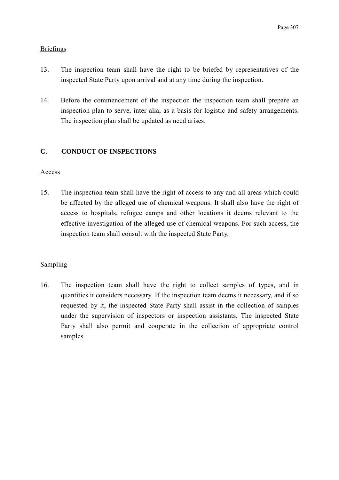## **Briefings**

- 13. The inspection team shall have the right to be briefed by representatives of the inspected State Party upon arrival and at any time during the inspection.
- 14. Before the commencement of the inspection the inspection team shall prepare an inspection plan to serve, inter alia, as a basis for logistic and safety arrangements. The inspection plan shall be updated as need arises.

## **C. CONDUCT OF INSPECTIONS**

## Access

15. The inspection team shall have the right of access to any and all areas which could be affected by the alleged use of chemical weapons. It shall also have the right of access to hospitals, refugee camps and other locations it deems relevant to the effective investigation of the alleged use of chemical weapons. For such access, the inspection team shall consult with the inspected State Party.

## Sampling

16. The inspection team shall have the right to collect samples of types, and in quantities it considers necessary. If the inspection team deems it necessary, and if so requested by it, the inspected State Party shall assist in the collection of samples under the supervision of inspectors or inspection assistants. The inspected State Party shall also permit and cooperate in the collection of appropriate control samples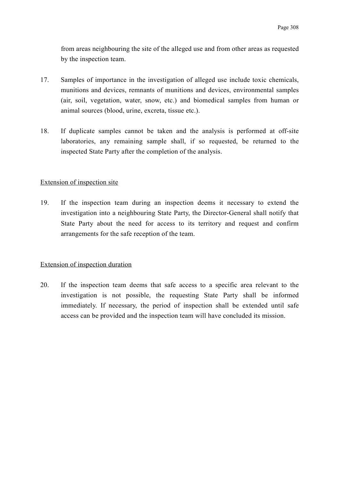from areas neighbouring the site of the alleged use and from other areas as requested by the inspection team.

- 17. Samples of importance in the investigation of alleged use include toxic chemicals, munitions and devices, remnants of munitions and devices, environmental samples (air, soil, vegetation, water, snow, etc.) and biomedical samples from human or animal sources (blood, urine, excreta, tissue etc.).
- 18. If duplicate samples cannot be taken and the analysis is performed at off-site laboratories, any remaining sample shall, if so requested, be returned to the inspected State Party after the completion of the analysis.

#### Extension of inspection site

19. If the inspection team during an inspection deems it necessary to extend the investigation into a neighbouring State Party, the Director-General shall notify that State Party about the need for access to its territory and request and confirm arrangements for the safe reception of the team.

#### Extension of inspection duration

20. If the inspection team deems that safe access to a specific area relevant to the investigation is not possible, the requesting State Party shall be informed immediately. If necessary, the period of inspection shall be extended until safe access can be provided and the inspection team will have concluded its mission.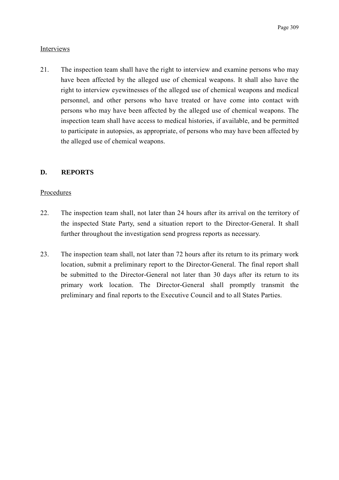## Interviews

21. The inspection team shall have the right to interview and examine persons who may have been affected by the alleged use of chemical weapons. It shall also have the right to interview eyewitnesses of the alleged use of chemical weapons and medical personnel, and other persons who have treated or have come into contact with persons who may have been affected by the alleged use of chemical weapons. The inspection team shall have access to medical histories, if available, and be permitted to participate in autopsies, as appropriate, of persons who may have been affected by the alleged use of chemical weapons.

## **D. REPORTS**

#### Procedures

- 22. The inspection team shall, not later than 24 hours after its arrival on the territory of the inspected State Party, send a situation report to the Director-General. It shall further throughout the investigation send progress reports as necessary.
- 23. The inspection team shall, not later than 72 hours after its return to its primary work location, submit a preliminary report to the Director-General. The final report shall be submitted to the Director-General not later than 30 days after its return to its primary work location. The Director-General shall promptly transmit the preliminary and final reports to the Executive Council and to all States Parties.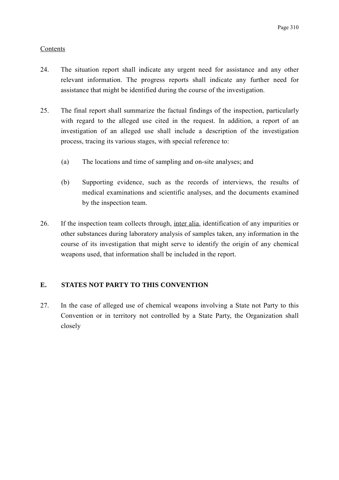## Contents

- 24. The situation report shall indicate any urgent need for assistance and any other relevant information. The progress reports shall indicate any further need for assistance that might be identified during the course of the investigation.
- 25. The final report shall summarize the factual findings of the inspection, particularly with regard to the alleged use cited in the request. In addition, a report of an investigation of an alleged use shall include a description of the investigation process, tracing its various stages, with special reference to:
	- (a) The locations and time of sampling and on-site analyses; and
	- (b) Supporting evidence, such as the records of interviews, the results of medical examinations and scientific analyses, and the documents examined by the inspection team.
- 26. If the inspection team collects through, inter alia, identification of any impurities or other substances during laboratory analysis of samples taken, any information in the course of its investigation that might serve to identify the origin of any chemical weapons used, that information shall be included in the report.

## **E. STATES NOT PARTY TO THIS CONVENTION**

27. In the case of alleged use of chemical weapons involving a State not Party to this Convention or in territory not controlled by a State Party, the Organization shall closely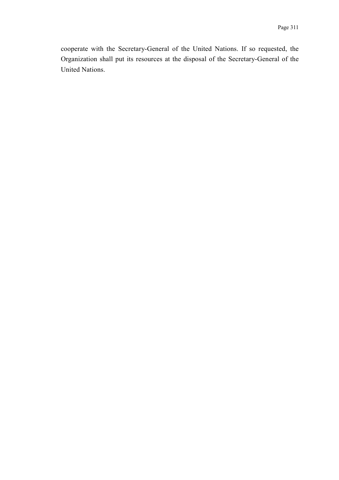cooperate with the Secretary-General of the United Nations. If so requested, the Organization shall put its resources at the disposal of the Secretary-General of the United Nations.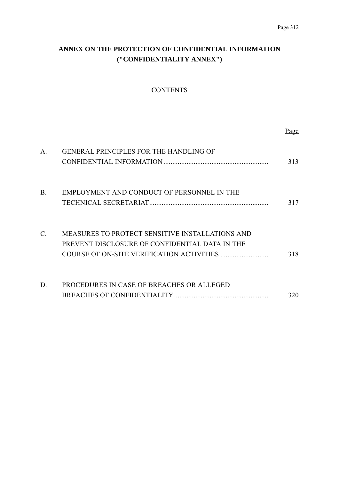# **ANNEX ON THE PROTECTION OF CONFIDENTIAL INFORMATION ("CONFIDENTIALITY ANNEX")**

## **CONTENTS**

|                 |                                                                                                   | Page |
|-----------------|---------------------------------------------------------------------------------------------------|------|
| A.              | <b>GENERAL PRINCIPLES FOR THE HANDLING OF</b>                                                     | 313  |
| <b>B.</b>       | EMPLOYMENT AND CONDUCT OF PERSONNEL IN THE                                                        | 317  |
| $\mathcal{C}$ . | MEASURES TO PROTECT SENSITIVE INSTALLATIONS AND<br>PREVENT DISCLOSURE OF CONFIDENTIAL DATA IN THE | 318  |
| D.              | PROCEDURES IN CASE OF BREACHES OR ALLEGED                                                         | 320  |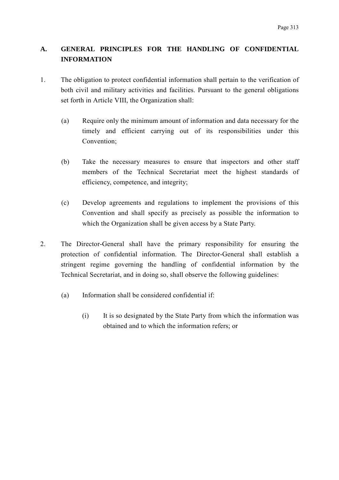## **A. GENERAL PRINCIPLES FOR THE HANDLING OF CONFIDENTIAL INFORMATION**

- 1. The obligation to protect confidential information shall pertain to the verification of both civil and military activities and facilities. Pursuant to the general obligations set forth in Article VIII, the Organization shall:
	- (a) Require only the minimum amount of information and data necessary for the timely and efficient carrying out of its responsibilities under this Convention;
	- (b) Take the necessary measures to ensure that inspectors and other staff members of the Technical Secretariat meet the highest standards of efficiency, competence, and integrity;
	- (c) Develop agreements and regulations to implement the provisions of this Convention and shall specify as precisely as possible the information to which the Organization shall be given access by a State Party.
- 2. The Director-General shall have the primary responsibility for ensuring the protection of confidential information. The Director-General shall establish a stringent regime governing the handling of confidential information by the Technical Secretariat, and in doing so, shall observe the following guidelines:
	- (a) Information shall be considered confidential if:
		- (i) It is so designated by the State Party from which the information was obtained and to which the information refers; or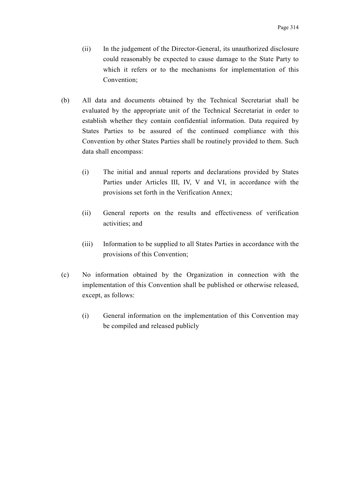- (ii) In the judgement of the Director-General, its unauthorized disclosure could reasonably be expected to cause damage to the State Party to which it refers or to the mechanisms for implementation of this Convention;
- (b) All data and documents obtained by the Technical Secretariat shall be evaluated by the appropriate unit of the Technical Secretariat in order to establish whether they contain confidential information. Data required by States Parties to be assured of the continued compliance with this Convention by other States Parties shall be routinely provided to them. Such data shall encompass:
	- (i) The initial and annual reports and declarations provided by States Parties under Articles III, IV, V and VI, in accordance with the provisions set forth in the Verification Annex;
	- (ii) General reports on the results and effectiveness of verification activities; and
	- (iii) Information to be supplied to all States Parties in accordance with the provisions of this Convention;
- (c) No information obtained by the Organization in connection with the implementation of this Convention shall be published or otherwise released, except, as follows:
	- (i) General information on the implementation of this Convention may be compiled and released publicly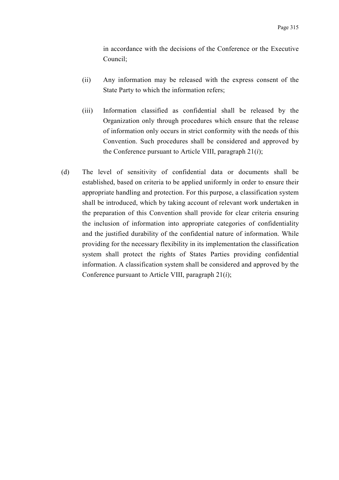in accordance with the decisions of the Conference or the Executive Council;

- (ii) Any information may be released with the express consent of the State Party to which the information refers;
- (iii) Information classified as confidential shall be released by the Organization only through procedures which ensure that the release of information only occurs in strict conformity with the needs of this Convention. Such procedures shall be considered and approved by the Conference pursuant to Article VIII, paragraph 21(*i*);
- (d) The level of sensitivity of confidential data or documents shall be established, based on criteria to be applied uniformly in order to ensure their appropriate handling and protection. For this purpose, a classification system shall be introduced, which by taking account of relevant work undertaken in the preparation of this Convention shall provide for clear criteria ensuring the inclusion of information into appropriate categories of confidentiality and the justified durability of the confidential nature of information. While providing for the necessary flexibility in its implementation the classification system shall protect the rights of States Parties providing confidential information. A classification system shall be considered and approved by the Conference pursuant to Article VIII, paragraph 21(*i*);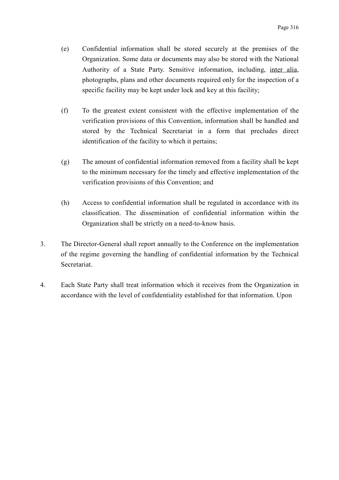- (e) Confidential information shall be stored securely at the premises of the Organization. Some data or documents may also be stored with the National Authority of a State Party. Sensitive information, including, inter alia, photographs, plans and other documents required only for the inspection of a specific facility may be kept under lock and key at this facility;
- (f) To the greatest extent consistent with the effective implementation of the verification provisions of this Convention, information shall be handled and stored by the Technical Secretariat in a form that precludes direct identification of the facility to which it pertains;
- (g) The amount of confidential information removed from a facility shall be kept to the minimum necessary for the timely and effective implementation of the verification provisions of this Convention; and
- (h) Access to confidential information shall be regulated in accordance with its classification. The dissemination of confidential information within the Organization shall be strictly on a need-to-know basis.
- 3. The Director-General shall report annually to the Conference on the implementation of the regime governing the handling of confidential information by the Technical Secretariat.
- 4. Each State Party shall treat information which it receives from the Organization in accordance with the level of confidentiality established for that information. Upon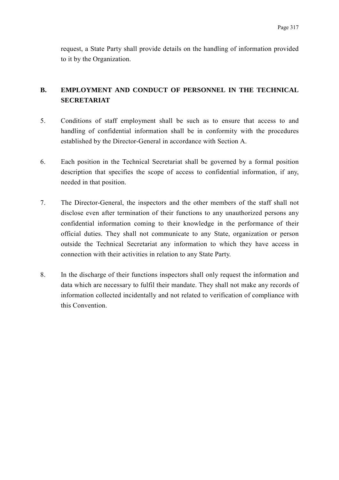request, a State Party shall provide details on the handling of information provided to it by the Organization.

## **B. EMPLOYMENT AND CONDUCT OF PERSONNEL IN THE TECHNICAL SECRETARIAT**

- 5. Conditions of staff employment shall be such as to ensure that access to and handling of confidential information shall be in conformity with the procedures established by the Director-General in accordance with Section A.
- 6. Each position in the Technical Secretariat shall be governed by a formal position description that specifies the scope of access to confidential information, if any, needed in that position.
- 7. The Director-General, the inspectors and the other members of the staff shall not disclose even after termination of their functions to any unauthorized persons any confidential information coming to their knowledge in the performance of their official duties. They shall not communicate to any State, organization or person outside the Technical Secretariat any information to which they have access in connection with their activities in relation to any State Party.
- 8. In the discharge of their functions inspectors shall only request the information and data which are necessary to fulfil their mandate. They shall not make any records of information collected incidentally and not related to verification of compliance with this Convention.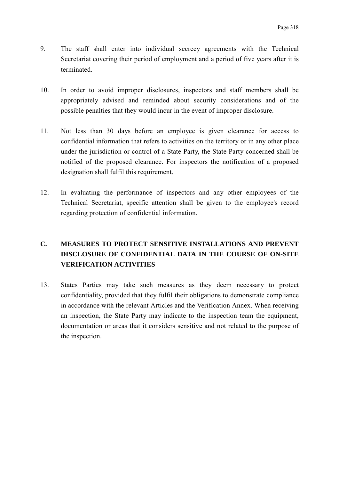- 9. The staff shall enter into individual secrecy agreements with the Technical Secretariat covering their period of employment and a period of five years after it is terminated.
- 10. In order to avoid improper disclosures, inspectors and staff members shall be appropriately advised and reminded about security considerations and of the possible penalties that they would incur in the event of improper disclosure.
- 11. Not less than 30 days before an employee is given clearance for access to confidential information that refers to activities on the territory or in any other place under the jurisdiction or control of a State Party, the State Party concerned shall be notified of the proposed clearance. For inspectors the notification of a proposed designation shall fulfil this requirement.
- 12. In evaluating the performance of inspectors and any other employees of the Technical Secretariat, specific attention shall be given to the employee's record regarding protection of confidential information.

# **C. MEASURES TO PROTECT SENSITIVE INSTALLATIONS AND PREVENT DISCLOSURE OF CONFIDENTIAL DATA IN THE COURSE OF ON-SITE VERIFICATION ACTIVITIES**

13. States Parties may take such measures as they deem necessary to protect confidentiality, provided that they fulfil their obligations to demonstrate compliance in accordance with the relevant Articles and the Verification Annex. When receiving an inspection, the State Party may indicate to the inspection team the equipment, documentation or areas that it considers sensitive and not related to the purpose of the inspection.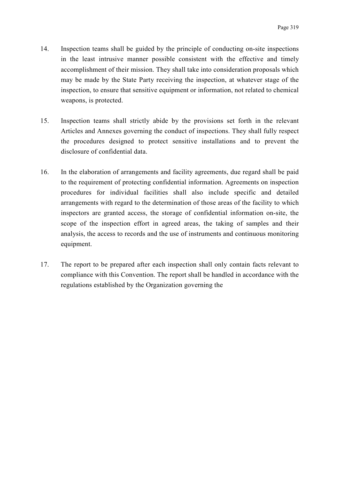- 14. Inspection teams shall be guided by the principle of conducting on-site inspections in the least intrusive manner possible consistent with the effective and timely accomplishment of their mission. They shall take into consideration proposals which may be made by the State Party receiving the inspection, at whatever stage of the inspection, to ensure that sensitive equipment or information, not related to chemical weapons, is protected.
- 15. Inspection teams shall strictly abide by the provisions set forth in the relevant Articles and Annexes governing the conduct of inspections. They shall fully respect the procedures designed to protect sensitive installations and to prevent the disclosure of confidential data.
- 16. In the elaboration of arrangements and facility agreements, due regard shall be paid to the requirement of protecting confidential information. Agreements on inspection procedures for individual facilities shall also include specific and detailed arrangements with regard to the determination of those areas of the facility to which inspectors are granted access, the storage of confidential information on-site, the scope of the inspection effort in agreed areas, the taking of samples and their analysis, the access to records and the use of instruments and continuous monitoring equipment.
- 17. The report to be prepared after each inspection shall only contain facts relevant to compliance with this Convention. The report shall be handled in accordance with the regulations established by the Organization governing the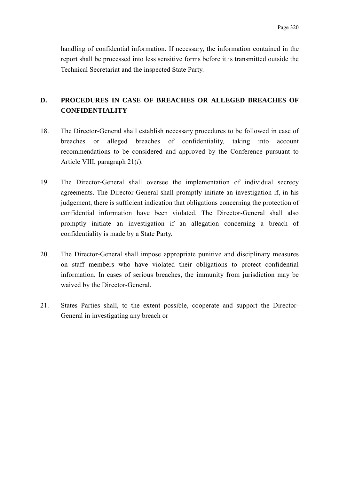handling of confidential information. If necessary, the information contained in the report shall be processed into less sensitive forms before it is transmitted outside the Technical Secretariat and the inspected State Party.

## **D. PROCEDURES IN CASE OF BREACHES OR ALLEGED BREACHES OF CONFIDENTIALITY**

- 18. The Director-General shall establish necessary procedures to be followed in case of breaches or alleged breaches of confidentiality, taking into account recommendations to be considered and approved by the Conference pursuant to Article VIII, paragraph 21(*i*).
- 19. The Director-General shall oversee the implementation of individual secrecy agreements. The Director-General shall promptly initiate an investigation if, in his judgement, there is sufficient indication that obligations concerning the protection of confidential information have been violated. The Director-General shall also promptly initiate an investigation if an allegation concerning a breach of confidentiality is made by a State Party.
- 20. The Director-General shall impose appropriate punitive and disciplinary measures on staff members who have violated their obligations to protect confidential information. In cases of serious breaches, the immunity from jurisdiction may be waived by the Director-General.
- 21. States Parties shall, to the extent possible, cooperate and support the Director-General in investigating any breach or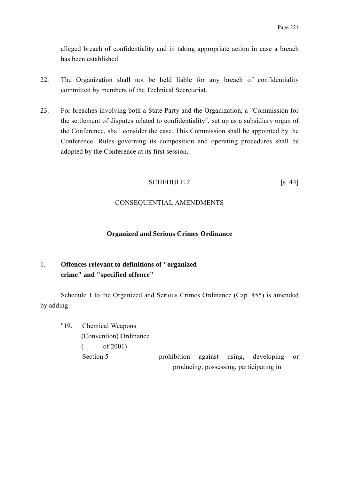alleged breach of confidentiality and in taking appropriate action in case a breach has been established.

- 22. The Organization shall not be held liable for any breach of confidentiality committed by members of the Technical Secretariat.
- 23. For breaches involving both a State Party and the Organization, a "Commission for the settlement of disputes related to confidentiality", set up as a subsidiary organ of the Conference, shall consider the case. This Commission shall be appointed by the Conference. Rules governing its composition and operating procedures shall be adopted by the Conference at its first session.

### SCHEDULE 2 [s. 44]

### CONSEQUENTIAL AMENDMENTS

#### **Organized and Serious Crimes Ordinance**

### 1. **Offences relevant to definitions of "organized crime" and "specified offence"**

Schedule 1 to the Organized and Serious Crimes Ordinance (Cap. 455) is amended by adding -

"19. Chemical Weapons (Convention) Ordinance  $($  of 2001) Section 5 **prohibition** against using, developing or producing, possessing, participating in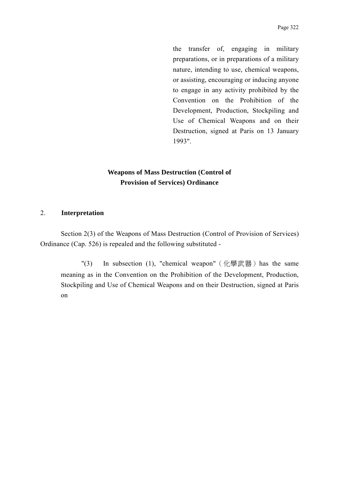the transfer of, engaging in military preparations, or in preparations of a military nature, intending to use, chemical weapons, or assisting, encouraging or inducing anyone to engage in any activity prohibited by the Convention on the Prohibition of the Development, Production, Stockpiling and Use of Chemical Weapons and on their Destruction, signed at Paris on 13 January 1993".

## **Weapons of Mass Destruction (Control of Provision of Services) Ordinance**

#### 2. **Interpretation**

Section 2(3) of the Weapons of Mass Destruction (Control of Provision of Services) Ordinance (Cap. 526) is repealed and the following substituted -

"(3) In subsection (1), "chemical weapon" (化學武器) has the same meaning as in the Convention on the Prohibition of the Development, Production, Stockpiling and Use of Chemical Weapons and on their Destruction, signed at Paris on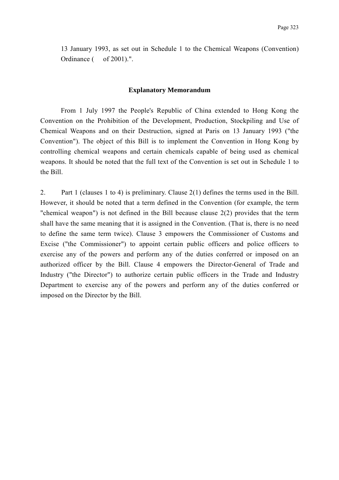13 January 1993, as set out in Schedule 1 to the Chemical Weapons (Convention) Ordinance ( of 2001).".

#### **Explanatory Memorandum**

From 1 July 1997 the People's Republic of China extended to Hong Kong the Convention on the Prohibition of the Development, Production, Stockpiling and Use of Chemical Weapons and on their Destruction, signed at Paris on 13 January 1993 ("the Convention"). The object of this Bill is to implement the Convention in Hong Kong by controlling chemical weapons and certain chemicals capable of being used as chemical weapons. It should be noted that the full text of the Convention is set out in Schedule 1 to the Bill.

2. Part 1 (clauses 1 to 4) is preliminary. Clause 2(1) defines the terms used in the Bill. However, it should be noted that a term defined in the Convention (for example, the term "chemical weapon") is not defined in the Bill because clause 2(2) provides that the term shall have the same meaning that it is assigned in the Convention. (That is, there is no need to define the same term twice). Clause 3 empowers the Commissioner of Customs and Excise ("the Commissioner") to appoint certain public officers and police officers to exercise any of the powers and perform any of the duties conferred or imposed on an authorized officer by the Bill. Clause 4 empowers the Director-General of Trade and Industry ("the Director") to authorize certain public officers in the Trade and Industry Department to exercise any of the powers and perform any of the duties conferred or imposed on the Director by the Bill.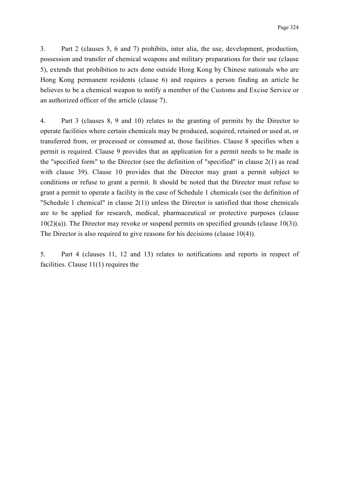3. Part 2 (clauses 5, 6 and 7) prohibits, inter alia, the use, development, production, possession and transfer of chemical weapons and military preparations for their use (clause 5), extends that prohibition to acts done outside Hong Kong by Chinese nationals who are Hong Kong permanent residents (clause 6) and requires a person finding an article he believes to be a chemical weapon to notify a member of the Customs and Excise Service or an authorized officer of the article (clause 7).

4. Part 3 (clauses 8, 9 and 10) relates to the granting of permits by the Director to operate facilities where certain chemicals may be produced, acquired, retained or used at, or transferred from, or processed or consumed at, those facilities. Clause 8 specifies when a permit is required. Clause 9 provides that an application for a permit needs to be made in the "specified form" to the Director (see the definition of "specified" in clause 2(1) as read with clause 39). Clause 10 provides that the Director may grant a permit subject to conditions or refuse to grant a permit. It should be noted that the Director must refuse to grant a permit to operate a facility in the case of Schedule 1 chemicals (see the definition of "Schedule 1 chemical" in clause 2(1)) unless the Director is satisfied that those chemicals are to be applied for research, medical, pharmaceutical or protective purposes (clause 10(2)(a)). The Director may revoke or suspend permits on specified grounds (clause 10(3)). The Director is also required to give reasons for his decisions (clause 10(4)).

5. Part 4 (clauses 11, 12 and 13) relates to notifications and reports in respect of facilities. Clause 11(1) requires the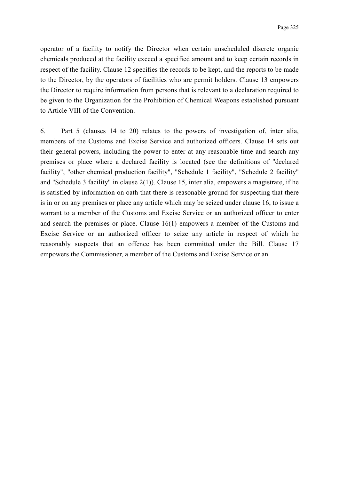operator of a facility to notify the Director when certain unscheduled discrete organic chemicals produced at the facility exceed a specified amount and to keep certain records in respect of the facility. Clause 12 specifies the records to be kept, and the reports to be made to the Director, by the operators of facilities who are permit holders. Clause 13 empowers the Director to require information from persons that is relevant to a declaration required to be given to the Organization for the Prohibition of Chemical Weapons established pursuant to Article VIII of the Convention.

6. Part 5 (clauses 14 to 20) relates to the powers of investigation of, inter alia, members of the Customs and Excise Service and authorized officers. Clause 14 sets out their general powers, including the power to enter at any reasonable time and search any premises or place where a declared facility is located (see the definitions of "declared facility", "other chemical production facility", "Schedule 1 facility", "Schedule 2 facility" and "Schedule 3 facility" in clause 2(1)). Clause 15, inter alia, empowers a magistrate, if he is satisfied by information on oath that there is reasonable ground for suspecting that there is in or on any premises or place any article which may be seized under clause 16, to issue a warrant to a member of the Customs and Excise Service or an authorized officer to enter and search the premises or place. Clause 16(1) empowers a member of the Customs and Excise Service or an authorized officer to seize any article in respect of which he reasonably suspects that an offence has been committed under the Bill. Clause 17 empowers the Commissioner, a member of the Customs and Excise Service or an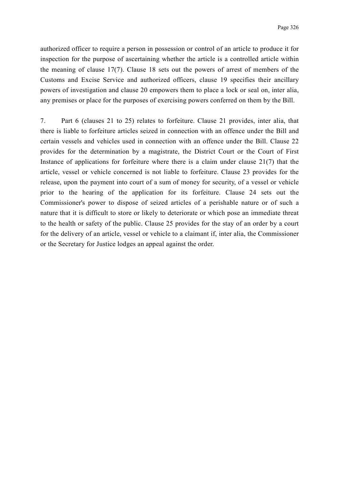authorized officer to require a person in possession or control of an article to produce it for inspection for the purpose of ascertaining whether the article is a controlled article within the meaning of clause 17(7). Clause 18 sets out the powers of arrest of members of the Customs and Excise Service and authorized officers, clause 19 specifies their ancillary powers of investigation and clause 20 empowers them to place a lock or seal on, inter alia, any premises or place for the purposes of exercising powers conferred on them by the Bill.

7. Part 6 (clauses 21 to 25) relates to forfeiture. Clause 21 provides, inter alia, that there is liable to forfeiture articles seized in connection with an offence under the Bill and certain vessels and vehicles used in connection with an offence under the Bill. Clause 22 provides for the determination by a magistrate, the District Court or the Court of First Instance of applications for forfeiture where there is a claim under clause 21(7) that the article, vessel or vehicle concerned is not liable to forfeiture. Clause 23 provides for the release, upon the payment into court of a sum of money for security, of a vessel or vehicle prior to the hearing of the application for its forfeiture. Clause 24 sets out the Commissioner's power to dispose of seized articles of a perishable nature or of such a nature that it is difficult to store or likely to deteriorate or which pose an immediate threat to the health or safety of the public. Clause 25 provides for the stay of an order by a court for the delivery of an article, vessel or vehicle to a claimant if, inter alia, the Commissioner or the Secretary for Justice lodges an appeal against the order.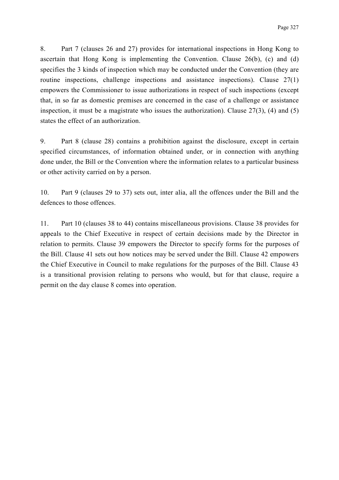8. Part 7 (clauses 26 and 27) provides for international inspections in Hong Kong to ascertain that Hong Kong is implementing the Convention. Clause 26(b), (c) and (d) specifies the 3 kinds of inspection which may be conducted under the Convention (they are routine inspections, challenge inspections and assistance inspections). Clause 27(1) empowers the Commissioner to issue authorizations in respect of such inspections (except that, in so far as domestic premises are concerned in the case of a challenge or assistance inspection, it must be a magistrate who issues the authorization). Clause 27(3), (4) and (5) states the effect of an authorization.

9. Part 8 (clause 28) contains a prohibition against the disclosure, except in certain specified circumstances, of information obtained under, or in connection with anything done under, the Bill or the Convention where the information relates to a particular business or other activity carried on by a person.

10. Part 9 (clauses 29 to 37) sets out, inter alia, all the offences under the Bill and the defences to those offences.

11. Part 10 (clauses 38 to 44) contains miscellaneous provisions. Clause 38 provides for appeals to the Chief Executive in respect of certain decisions made by the Director in relation to permits. Clause 39 empowers the Director to specify forms for the purposes of the Bill. Clause 41 sets out how notices may be served under the Bill. Clause 42 empowers the Chief Executive in Council to make regulations for the purposes of the Bill. Clause 43 is a transitional provision relating to persons who would, but for that clause, require a permit on the day clause 8 comes into operation.